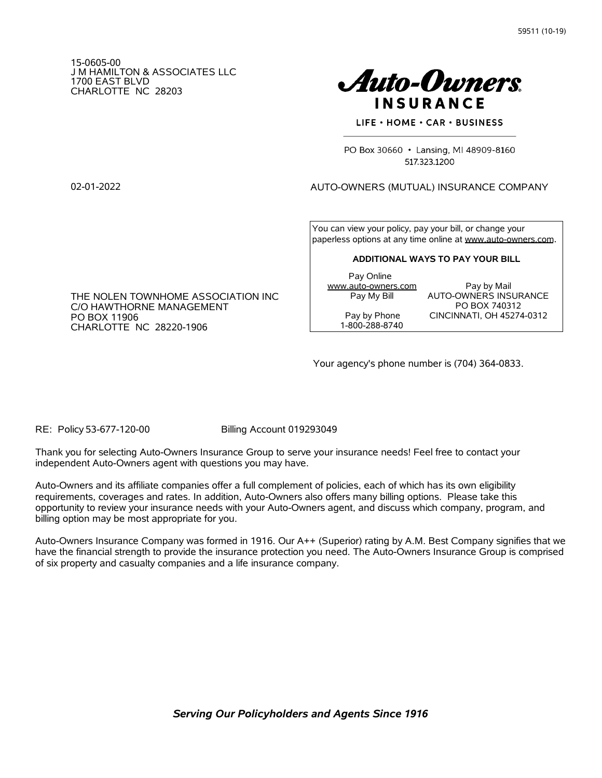15-0605-00 J M HAMILTON & ASSOCIATES LLC 1700 EAST BLVD CHARLOTTE NC 28203

THE NOLEN TOWNHOME ASSOCIATION INC

C/O HAWTHORNE MANAGEMENT

CHARLOTTE NC 28220-1906



LIFE · HOME · CAR · BUSINESS

PO Box 30660 • Lansing, MI 48909-8160 517.323.1200

AUTO-OWNERS (MUTUAL) INSURANCE COMPANY

You can view your policy, pay your bill, or change your paperless options at any time online at [www.auto-owners.com](https://customercenter.auto-owners.com/cp/login).

**ADDITIONAL WAYS TO PAY YOUR BILL** 

Pay Online Pay My Bill Pay by Phone [www.auto-owners.com](https://customercenter.auto-owners.com/cp/login)

1-800-288-8740

Pay by Mail AUTO-OWNERS INSURANCE PO BOX 740312 CINCINNATI, OH 45274-0312

Your agency's phone number is (704) 364-0833.

RE: Policy 53-677-120-00

Billing Account 019293049

Thank you for selecting Auto-Owners Insurance Group to serve your insurance needs! Feel free to contact your independent Auto-Owners agent with questions you may have.

Auto-Owners and its affiliate companies offer a full complement of policies, each of which has its own eligibility requirements, coverages and rates. In addition, Auto-Owners also offers many billing options. Please take this opportunity to review your insurance needs with your Auto-Owners agent, and discuss which company, program, and billing option may be most appropriate for you.

Auto-Owners Insurance Company was formed in 1916. Our A++ (Superior) rating by A.M. Best Company signifies that we have the financial strength to provide the insurance protection you need. The Auto-Owners Insurance Group is comprised of six property and casualty companies and a life insurance company.

*Serving Our Policyholders and Agents Since 1916* 

02-01-2022

PO BOX 11906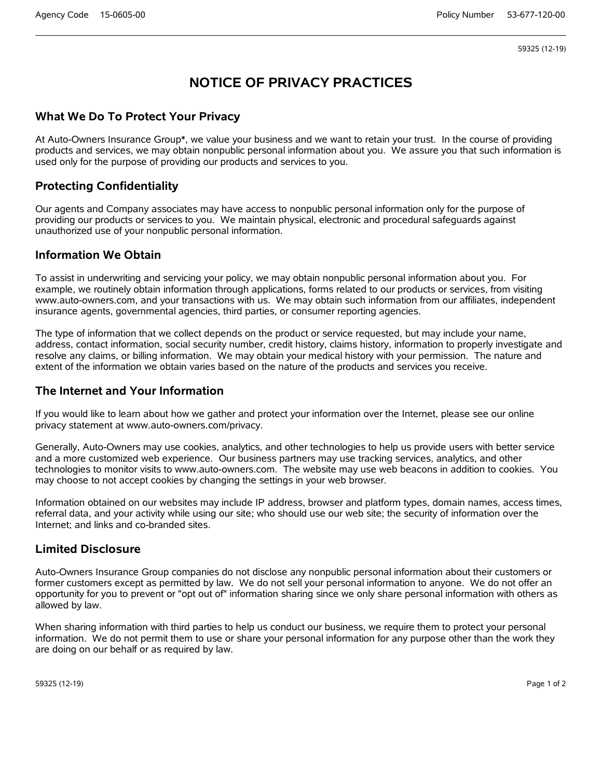59325 (12-19)

## **NOTICE OF PRIVACY PRACTICES**

### **What We Do To Protect Your Privacy**

At Auto-Owners Insurance Group\*, we value your business and we want to retain your trust. In the course of providing products and services, we may obtain nonpublic personal information about you. We assure you that such information is used only for the purpose of providing our products and services to you.

### **Protecting Confidentiality**

Our agents and Company associates may have access to nonpublic personal information only for the purpose of providing our products or services to you. We maintain physical, electronic and procedural safeguards against unauthorized use of your nonpublic personal information.

### **Information We Obtain**

To assist in underwriting and servicing your policy, we may obtain nonpublic personal information about you. For example, we routinely obtain information through applications, forms related to our products or services, from visiting www.auto-owners.com, and your transactions with us. We may obtain such information from our affiliates, independent insurance agents, governmental agencies, third parties, or consumer reporting agencies.

The type of information that we collect depends on the product or service requested, but may include your name, address, contact information, social security number, credit history, claims history, information to properly investigate and resolve any claims, or billing information. We may obtain your medical history with your permission. The nature and extent of the information we obtain varies based on the nature of the products and services you receive.

### **The Internet and Your Information**

If you would like to learn about how we gather and protect your information over the Internet, please see our online privacy statement at www.auto-owners.com/privacy.

Generally, Auto-Owners may use cookies, analytics, and other technologies to help us provide users with better service and a more customized web experience. Our business partners may use tracking services, analytics, and other technologies to monitor visits to www.auto-owners.com. The website may use web beacons in addition to cookies. You may choose to not accept cookies by changing the settings in your web browser.

Information obtained on our websites may include IP address, browser and platform types, domain names, access times, referral data, and your activity while using our site; who should use our web site; the security of information over the Internet; and links and co-branded sites.

### **Limited Disclosure**

Auto-Owners Insurance Group companies do not disclose any nonpublic personal information about their customers or former customers except as permitted by law. We do not sell your personal information to anyone. We do not offer an opportunity for you to prevent or "opt out of" information sharing since we only share personal information with others as allowed by law.

When sharing information with third parties to help us conduct our business, we require them to protect your personal information. We do not permit them to use or share your personal information for any purpose other than the work they are doing on our behalf or as required by law.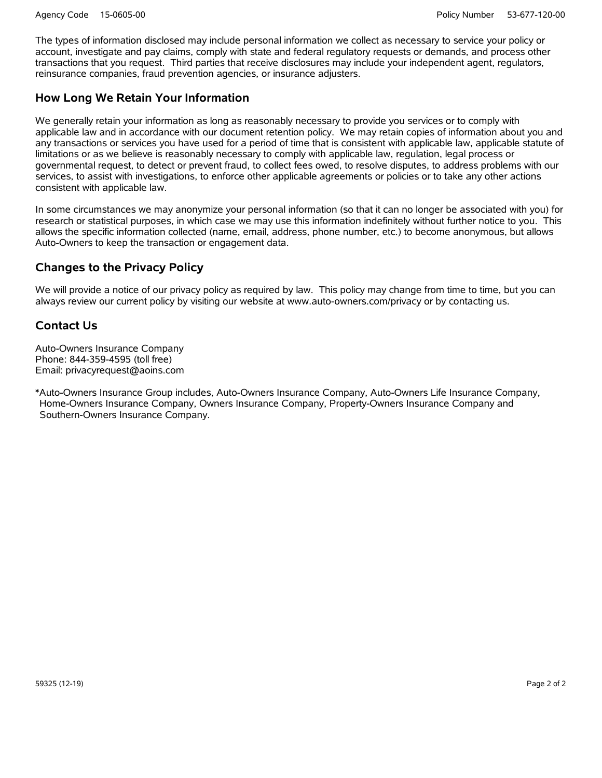The types of information disclosed may include personal information we collect as necessary to service your policy or account, investigate and pay claims, comply with state and federal regulatory requests or demands, and process other transactions that you request. Third parties that receive disclosures may include your independent agent, regulators, reinsurance companies, fraud prevention agencies, or insurance adjusters.

### **How Long We Retain Your Information**

We generally retain your information as long as reasonably necessary to provide you services or to comply with applicable law and in accordance with our document retention policy. We may retain copies of information about you and any transactions or services you have used for a period of time that is consistent with applicable law, applicable statute of limitations or as we believe is reasonably necessary to comply with applicable law, regulation, legal process or governmental request, to detect or prevent fraud, to collect fees owed, to resolve disputes, to address problems with our services, to assist with investigations, to enforce other applicable agreements or policies or to take any other actions consistent with applicable law.

In some circumstances we may anonymize your personal information (so that it can no longer be associated with you) for research or statistical purposes, in which case we may use this information indefinitely without further notice to you. This allows the specific information collected (name, email, address, phone number, etc.) to become anonymous, but allows Auto-Owners to keep the transaction or engagement data.

### **Changes to the Privacy Policy**

We will provide a notice of our privacy policy as required by law. This policy may change from time to time, but you can always review our current policy by visiting our website at www.auto-owners.com/privacy or by contacting us.

### **Contact Us**

Auto-Owners Insurance Company Phone: 844-359-4595 (toll free) Email: privacyrequest@aoins.com

\*Auto-Owners Insurance Group includes, Auto-Owners Insurance Company, Auto-Owners Life Insurance Company, Home-Owners Insurance Company, Owners Insurance Company, Property-Owners Insurance Company and Southern-Owners Insurance Company.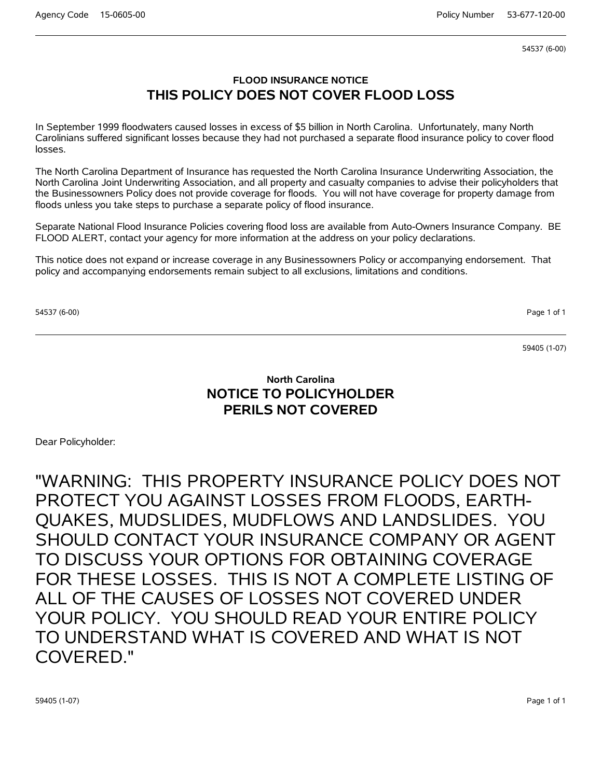54537 (6-00)

### **FLOOD INSURANCE NOTICE THIS POLICY DOES NOT COVER FLOOD LOSS**

In September 1999 floodwaters caused losses in excess of \$5 billion in North Carolina. Unfortunately, many North Carolinians suffered significant losses because they had not purchased a separate flood insurance policy to cover flood losses.

The North Carolina Department of Insurance has requested the North Carolina Insurance Underwriting Association, the North Carolina Joint Underwriting Association, and all property and casualty companies to advise their policyholders that the Businessowners Policy does not provide coverage for floods. You will not have coverage for property damage from floods unless you take steps to purchase a separate policy of flood insurance.

Separate National Flood Insurance Policies covering flood loss are available from Auto-Owners Insurance Company. BE FLOOD ALERT, contact your agency for more information at the address on your policy declarations.

This notice does not expand or increase coverage in any Businessowners Policy or accompanying endorsement. That policy and accompanying endorsements remain subject to all exclusions, limitations and conditions.

54537 (6-00) Page 1 of 1

59405 (1-07)

### **North Carolina NOTICE TO POLICYHOLDER PERILS NOT COVERED**

Dear Policyholder:

## "WARNING: THIS PROPERTY INSURANCE POLICY DOES NOT PROTECT YOU AGAINST LOSSES FROM FLOODS, EARTH-QUAKES, MUDSLIDES, MUDFLOWS AND LANDSLIDES. YOU SHOULD CONTACT YOUR INSURANCE COMPANY OR AGENT TO DISCUSS YOUR OPTIONS FOR OBTAINING COVERAGE FOR THESE LOSSES. THIS IS NOT A COMPLETE LISTING OF ALL OF THE CAUSES OF LOSSES NOT COVERED UNDER YOUR POLICY. YOU SHOULD READ YOUR ENTIRE POLICY TO UNDERSTAND WHAT IS COVERED AND WHAT IS NOT COVERED."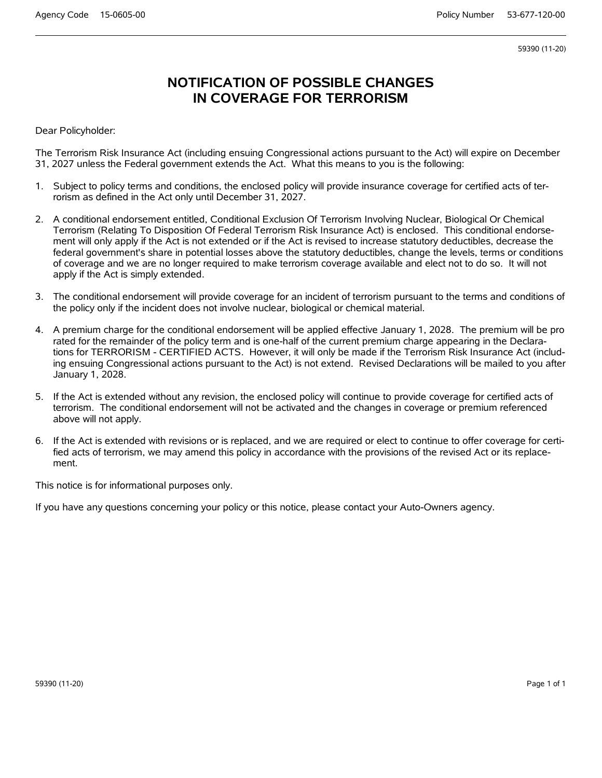59390 (11-20)

### **NOTIFICATION OF POSSIBLE CHANGES IN COVERAGE FOR TERRORISM**

Dear Policyholder:

The Terrorism Risk Insurance Act (including ensuing Congressional actions pursuant to the Act) will expire on December 31, 2027 unless the Federal government extends the Act. What this means to you is the following:

- 1. Subject to policy terms and conditions, the enclosed policy will provide insurance coverage for certified acts of terrorism as defined in the Act only until December 31, 2027.
- 2. A conditional endorsement entitled, Conditional Exclusion Of Terrorism Involving Nuclear, Biological Or Chemical Terrorism (Relating To Disposition Of Federal Terrorism Risk Insurance Act) is enclosed. This conditional endorsement will only apply if the Act is not extended or if the Act is revised to increase statutory deductibles, decrease the federal government's share in potential losses above the statutory deductibles, change the levels, terms or conditions of coverage and we are no longer required to make terrorism coverage available and elect not to do so. It will not apply if the Act is simply extended.
- 3. The conditional endorsement will provide coverage for an incident of terrorism pursuant to the terms and conditions of the policy only if the incident does not involve nuclear, biological or chemical material.
- 4. A premium charge for the conditional endorsement will be applied effective January 1, 2028. The premium will be pro rated for the remainder of the policy term and is one-half of the current premium charge appearing in the Declarations for TERRORISM - CERTIFIED ACTS. However, it will only be made if the Terrorism Risk Insurance Act (including ensuing Congressional actions pursuant to the Act) is not extend. Revised Declarations will be mailed to you after January 1, 2028.
- 5. If the Act is extended without any revision, the enclosed policy will continue to provide coverage for certified acts of terrorism. The conditional endorsement will not be activated and the changes in coverage or premium referenced above will not apply.
- 6. If the Act is extended with revisions or is replaced, and we are required or elect to continue to offer coverage for certified acts of terrorism, we may amend this policy in accordance with the provisions of the revised Act or its replacement.

This notice is for informational purposes only.

If you have any questions concerning your policy or this notice, please contact your Auto-Owners agency.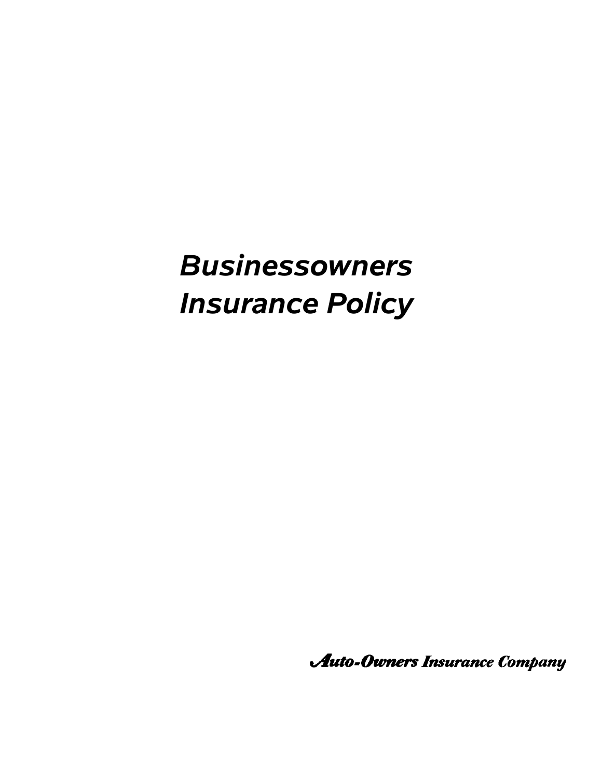# *Businessowners Insurance Policy*

**Auto-Owners Insurance Company**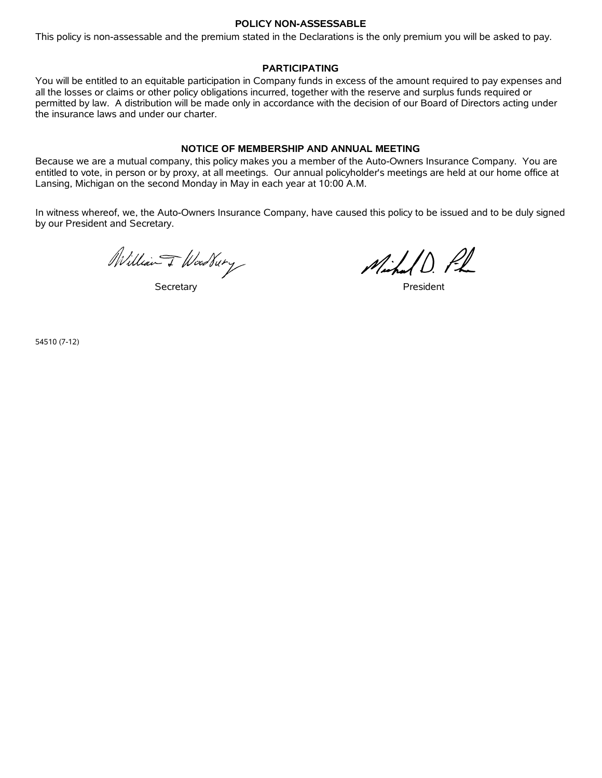### **POLICY NON-ASSESSABLE**

This policy is non-assessable and the premium stated in the Declarations is the only premium you will be asked to pay.

### **PARTICIPATING**

You will be entitled to an equitable participation in Company funds in excess of the amount required to pay expenses and all the losses or claims or other policy obligations incurred, together with the reserve and surplus funds required or permitted by law. A distribution will be made only in accordance with the decision of our Board of Directors acting under the insurance laws and under our charter.

### **NOTICE OF MEMBERSHIP AND ANNUAL MEETING**

Because we are a mutual company, this policy makes you a member of the Auto-Owners Insurance Company. You are entitled to vote, in person or by proxy, at all meetings. Our annual policyholder's meetings are held at our home office at Lansing, Michigan on the second Monday in May in each year at 10:00 A.M.

In witness whereof, we, the Auto-Owners Insurance Company, have caused this policy to be issued and to be duly signed by our President and Secretary.

William & Wood Sury

Michael D. Ph

Secretary **President** 

54510 (7-12)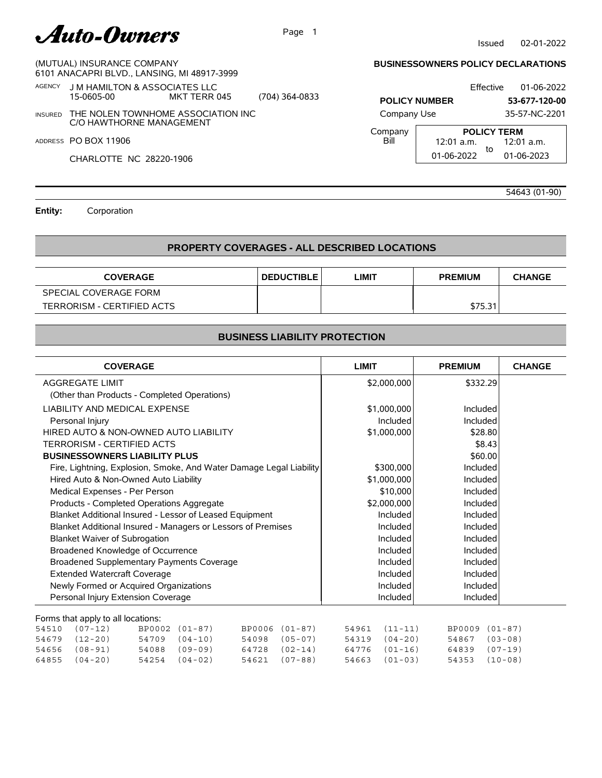

### Page 1

### 6101 ANACAPRI BLVD., LANSING, MI 48917-3999 (MUTUAL) INSURANCE COMPANY

| AGENCY J M HAMILTON & ASSOCIATES LLC |              |                |
|--------------------------------------|--------------|----------------|
| 15-0605-00                           | MKT TERR 045 | (704) 364-0833 |

INSURED THE NOLEN TOWNHOME ASSOCIATION INC C/O HAWTHORNE MANAGEMENT

ADDRESS PO BOX 11906

CHARLOTTE NC 28220-1906

**BUSINESSOWNERS POLICY DECLARATIONS**

|                      |            | Effective          | 01-06-2022    |  |
|----------------------|------------|--------------------|---------------|--|
| <b>POLICY NUMBER</b> |            |                    | 53-677-120-00 |  |
| Company Use          |            |                    | 35-57-NC-2201 |  |
| Company              |            | <b>POLICY TERM</b> |               |  |
| Rill                 | 12:01 a.m. |                    | $12:01$ a.m.  |  |
|                      | 01-06-2022 | to                 | 01-06-2023    |  |

54643 (01-90)

**Entity:** Corporation

### **PROPERTY COVERAGES - ALL DESCRIBED LOCATIONS**

| <b>COVERAGE</b>            | <b>I DEDUCTIBLE I</b> | _IMIT | <b>PREMIUM</b> | <b>CHANGE</b> |
|----------------------------|-----------------------|-------|----------------|---------------|
| SPECIAL COVERAGE FORM      |                       |       |                |               |
| TERRORISM - CERTIFIED ACTS |                       |       | \$75.31        |               |

### **BUSINESS LIABILITY PROTECTION**

| <b>COVERAGE</b>                    | <b>LIMIT</b>                                                        |             | <b>PREMIUM</b> | <b>CHANGE</b> |       |             |               |             |  |
|------------------------------------|---------------------------------------------------------------------|-------------|----------------|---------------|-------|-------------|---------------|-------------|--|
| <b>AGGREGATE LIMIT</b>             |                                                                     |             |                |               |       | \$2,000,000 |               | \$332.29    |  |
|                                    | (Other than Products - Completed Operations)                        |             |                |               |       |             |               |             |  |
|                                    | LIABILITY AND MEDICAL EXPENSE                                       |             |                |               |       | \$1,000,000 | Included      |             |  |
| Personal Injury                    |                                                                     |             |                |               |       | Included    | Included      |             |  |
|                                    | HIRED AUTO & NON-OWNED AUTO LIABILITY                               |             |                |               |       | \$1,000,000 |               | \$28.80     |  |
|                                    | <b>TERRORISM - CERTIFIED ACTS</b>                                   |             |                |               |       |             |               | \$8.43      |  |
|                                    | <b>BUSINESSOWNERS LIABILITY PLUS</b>                                |             |                |               |       |             |               | \$60.00     |  |
|                                    | Fire, Lightning, Explosion, Smoke, And Water Damage Legal Liability |             |                |               |       | \$300,000   | Included      |             |  |
|                                    | Hired Auto & Non-Owned Auto Liability                               |             |                |               |       | \$1,000,000 | Included      |             |  |
|                                    | Medical Expenses - Per Person                                       |             |                |               |       | \$10,000    | Included      |             |  |
|                                    | Products - Completed Operations Aggregate                           |             |                |               |       | \$2,000,000 |               | Included    |  |
|                                    | Blanket Additional Insured - Lessor of Leased Equipment             |             |                |               |       | Included    | Included      |             |  |
|                                    | Blanket Additional Insured - Managers or Lessors of Premises        |             |                |               |       | Included    | Included      |             |  |
|                                    | Blanket Waiver of Subrogation                                       |             |                |               |       | Included    | Included      |             |  |
|                                    | Broadened Knowledge of Occurrence                                   |             |                |               |       | Included    | Included      |             |  |
|                                    | Broadened Supplementary Payments Coverage                           |             |                |               |       | Included    |               | Included    |  |
|                                    | <b>Extended Watercraft Coverage</b>                                 |             |                |               |       | Included    | Included      |             |  |
|                                    | Newly Formed or Acquired Organizations                              |             |                |               |       | Included    | Included      |             |  |
|                                    | Personal Injury Extension Coverage                                  |             |                |               |       | Included    | Included      |             |  |
| Forms that apply to all locations: |                                                                     |             |                |               |       |             |               |             |  |
| $(07 - 12)$<br>54510               | BP0002                                                              | $(01 - 87)$ | <b>BP0006</b>  | $(01 - 87)$   | 54961 | $(11 - 11)$ | <b>BP0009</b> | $(01 - 87)$ |  |
| $(12 - 20)$<br>54679               | 54709                                                               | $(04 - 10)$ | 54098          | $(05 - 07)$   | 54319 | $(04 - 20)$ | 54867         | $(03 - 08)$ |  |
| 54656<br>$(08 - 91)$               | 54088                                                               | $(09 - 09)$ | 64728          | $(02 - 14)$   | 64776 | $(01 - 16)$ | 64839         | $(07 - 19)$ |  |
| 64855<br>$(04 - 20)$               | 54254                                                               | $(04 - 02)$ | 54621          | $(07 - 88)$   | 54663 | $(01 - 03)$ | 54353         | $(10 - 08)$ |  |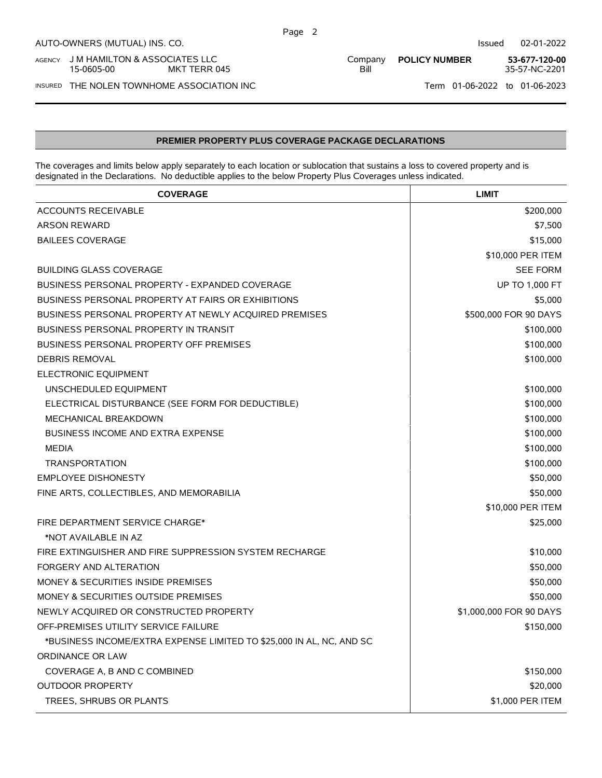15-0605-00 MKT TERR 045

AGENCY **POLICY NUMBER** J M HAMILTON & ASSOCIATES LLC **53-677-120-00** Company POLICY NUMBER<br>Bill 35-57-NC-2201

INSURED THE NOLEN TOWNHOME ASSOCIATION INC **The CONTACT CONTROL** Term 01-06-2022 to 01-

Term 01-06-2022 to 01-06-2023

### **PREMIER PROPERTY PLUS COVERAGE PACKAGE DECLARATIONS**

The coverages and limits below apply separately to each location or sublocation that sustains a loss to covered property and is designated in the Declarations. No deductible applies to the below Property Plus Coverages unless indicated.

| <b>COVERAGE</b>                                                      | <b>LIMIT</b>            |
|----------------------------------------------------------------------|-------------------------|
| <b>ACCOUNTS RECEIVABLE</b>                                           | \$200,000               |
| <b>ARSON REWARD</b>                                                  | \$7,500                 |
| <b>BAILEES COVERAGE</b>                                              | \$15,000                |
|                                                                      | \$10,000 PER ITEM       |
| <b>BUILDING GLASS COVERAGE</b>                                       | <b>SEE FORM</b>         |
| BUSINESS PERSONAL PROPERTY - EXPANDED COVERAGE                       | <b>UP TO 1,000 FT</b>   |
| <b>BUSINESS PERSONAL PROPERTY AT FAIRS OR EXHIBITIONS</b>            | \$5,000                 |
| BUSINESS PERSONAL PROPERTY AT NEWLY ACQUIRED PREMISES                | \$500,000 FOR 90 DAYS   |
| <b>BUSINESS PERSONAL PROPERTY IN TRANSIT</b>                         | \$100,000               |
| <b>BUSINESS PERSONAL PROPERTY OFF PREMISES</b>                       | \$100,000               |
| <b>DEBRIS REMOVAL</b>                                                | \$100,000               |
| ELECTRONIC EQUIPMENT                                                 |                         |
| UNSCHEDULED EQUIPMENT                                                | \$100,000               |
| ELECTRICAL DISTURBANCE (SEE FORM FOR DEDUCTIBLE)                     | \$100,000               |
| <b>MECHANICAL BREAKDOWN</b>                                          | \$100,000               |
| BUSINESS INCOME AND EXTRA EXPENSE                                    | \$100,000               |
| <b>MEDIA</b>                                                         | \$100,000               |
| <b>TRANSPORTATION</b>                                                | \$100,000               |
| <b>EMPLOYEE DISHONESTY</b>                                           | \$50,000                |
| FINE ARTS, COLLECTIBLES, AND MEMORABILIA                             | \$50,000                |
|                                                                      | \$10,000 PER ITEM       |
| FIRE DEPARTMENT SERVICE CHARGE*                                      | \$25,000                |
| *NOT AVAILABLE IN AZ                                                 |                         |
| FIRE EXTINGUISHER AND FIRE SUPPRESSION SYSTEM RECHARGE               | \$10,000                |
| FORGERY AND ALTERATION                                               | \$50,000                |
| MONEY & SECURITIES INSIDE PREMISES                                   | \$50,000                |
| MONEY & SECURITIES OUTSIDE PREMISES                                  | \$50,000                |
| NEWLY ACQUIRED OR CONSTRUCTED PROPERTY                               | \$1,000,000 FOR 90 DAYS |
| OFF-PREMISES UTILITY SERVICE FAILURE                                 | \$150,000               |
| *BUSINESS INCOME/EXTRA EXPENSE LIMITED TO \$25,000 IN AL, NC, AND SC |                         |
| ORDINANCE OR LAW                                                     |                         |
| COVERAGE A, B AND C COMBINED                                         | \$150,000               |
| <b>OUTDOOR PROPERTY</b>                                              | \$20,000                |
| TREES, SHRUBS OR PLANTS                                              | \$1,000 PER ITEM        |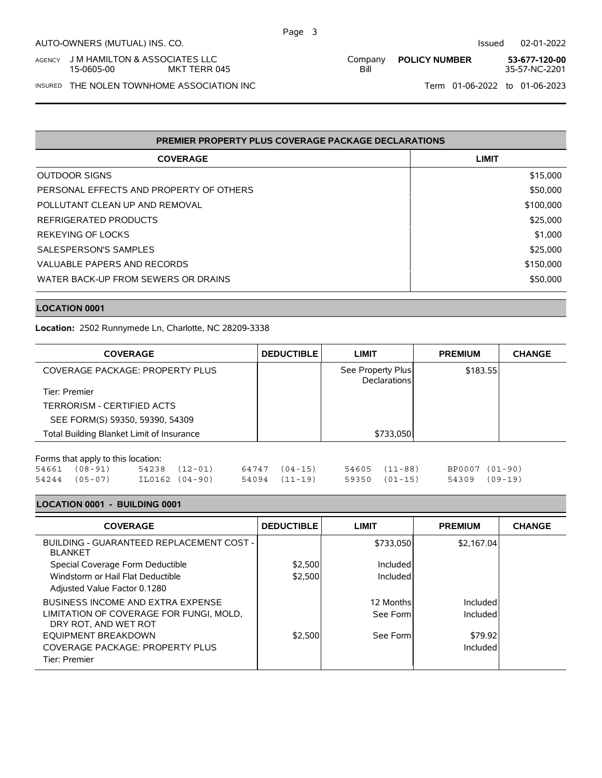INSURED THE NOLEN TOWNHOME ASSOCIATION INC **The CONTACT CONTROL** Term 01-06-2022 to 01-

Term 01-06-2022 to 01-06-2023

| <b>PREMIER PROPERTY PLUS COVERAGE PACKAGE DECLARATIONS</b> |              |  |  |  |  |  |
|------------------------------------------------------------|--------------|--|--|--|--|--|
| <b>COVERAGE</b>                                            | <b>LIMIT</b> |  |  |  |  |  |
| <b>OUTDOOR SIGNS</b>                                       | \$15,000     |  |  |  |  |  |
| PERSONAL EFFECTS AND PROPERTY OF OTHERS                    | \$50,000     |  |  |  |  |  |
| POLLUTANT CLEAN UP AND REMOVAL                             | \$100,000    |  |  |  |  |  |
| REFRIGERATED PRODUCTS                                      | \$25,000     |  |  |  |  |  |
| REKEYING OF LOCKS                                          | \$1,000      |  |  |  |  |  |
| SALESPERSON'S SAMPLES                                      | \$25,000     |  |  |  |  |  |
| VALUABLE PAPERS AND RECORDS                                | \$150,000    |  |  |  |  |  |
| WATER BACK-UP FROM SEWERS OR DRAINS                        | \$50,000     |  |  |  |  |  |

### **LOCATION 0001**

**Location:** 2502 Runnymede Ln, Charlotte, NC 28209-3338

| <b>COVERAGE</b>                           | <b>DEDUCTIBLE</b> | LIMIT                             | <b>PREMIUM</b> | <b>CHANGE</b> |
|-------------------------------------------|-------------------|-----------------------------------|----------------|---------------|
| COVERAGE PACKAGE: PROPERTY PLUS           |                   | See Property Plus<br>Declarations | \$183.55       |               |
| Tier: Premier                             |                   |                                   |                |               |
| TERRORISM - CERTIFIED ACTS                |                   |                                   |                |               |
| SEE FORM(S) 59350, 59390, 54309           |                   |                                   |                |               |
| Total Building Blanket Limit of Insurance |                   | \$733,050                         |                |               |
| Forms that apply to this location:        |                   |                                   |                |               |

| 54661 (08–91) | 54238 (12-01)  | 64747 (04-15) | 54605 (11-88) | BP0007 (01-90) |  |
|---------------|----------------|---------------|---------------|----------------|--|
| 54244 (05-07) | IL0162 (04-90) | 54094 (11-19) | 59350 (01-15) | 54309 (09-19)  |  |

| <b>LOCATION 0001 - BUILDING 0001</b>                              |                   |              |                |               |
|-------------------------------------------------------------------|-------------------|--------------|----------------|---------------|
| <b>COVERAGE</b>                                                   | <b>DEDUCTIBLE</b> | <b>LIMIT</b> | <b>PREMIUM</b> | <b>CHANGE</b> |
| BUILDING - GUARANTEED REPLACEMENT COST -<br><b>BLANKET</b>        |                   | \$733.050    | \$2.167.04     |               |
| Special Coverage Form Deductible                                  | \$2,500           | Included     |                |               |
| Windstorm or Hail Flat Deductible<br>Adjusted Value Factor 0.1280 | \$2,500           | Included     |                |               |
| BUSINESS INCOME AND EXTRA EXPENSE                                 |                   | 12 Months    | Included       |               |
| LIMITATION OF COVERAGE FOR FUNGI, MOLD,<br>DRY ROT, AND WET ROT   |                   | See Form     | Included       |               |
| EQUIPMENT BREAKDOWN                                               | \$2,500           | See Form     | \$79.92        |               |
| <b>COVERAGE PACKAGE: PROPERTY PLUS</b>                            |                   |              | Included       |               |
| Tier: Premier                                                     |                   |              |                |               |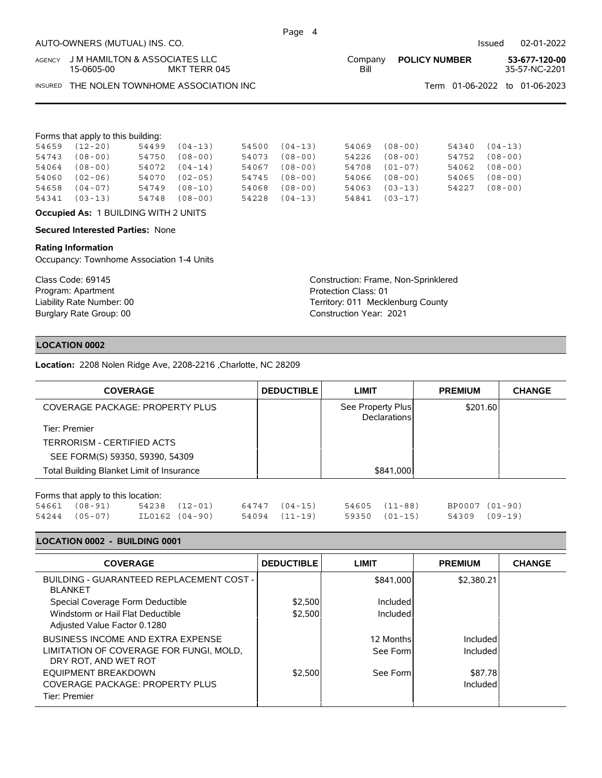### AUTO-OWNERS (MUTUAL) INS. CO.

### Page 4

| <b>AGENCY</b>  | <b>J M HAMILTON &amp; ASSOCIATES LLC</b><br>15-0605-00                                          |       | MKT TERR 045 |       |             | Company<br>Bill                                                                                                                     |             | <b>POLICY NUMBER</b> | 53-677-120-00<br>35-57-NC-2201 |
|----------------|-------------------------------------------------------------------------------------------------|-------|--------------|-------|-------------|-------------------------------------------------------------------------------------------------------------------------------------|-------------|----------------------|--------------------------------|
| <b>INSURED</b> | THE NOLEN TOWNHOME ASSOCIATION INC                                                              |       |              |       |             |                                                                                                                                     |             | Term 01-06-2022      | to 01-06-2023                  |
|                |                                                                                                 |       |              |       |             |                                                                                                                                     |             |                      |                                |
|                | Forms that apply to this building:                                                              |       |              |       |             |                                                                                                                                     |             |                      |                                |
| 54659          | $(12 - 20)$                                                                                     | 54499 | $(04 - 13)$  | 54500 | $(04-13)$   | 54069                                                                                                                               | $(08 - 00)$ | 54340                | $(04-13)$                      |
| 54743          | $(08 - 00)$                                                                                     | 54750 | $(08 - 00)$  | 54073 | $(08 - 00)$ | 54226                                                                                                                               | $(08 - 00)$ | 54752                | $(08 - 00)$                    |
| 54064          | $(08 - 00)$                                                                                     | 54072 | $(04 - 14)$  | 54067 | $(08 - 00)$ | 54708                                                                                                                               | $(01 - 07)$ | 54062                | $(08 - 00)$                    |
| 54060          | $(02 - 06)$                                                                                     | 54070 | $(02 - 05)$  | 54745 | $(08 - 00)$ | 54066                                                                                                                               | $(08 - 00)$ | 54065                | $(08 - 00)$                    |
| 54658          | $(04 - 07)$                                                                                     | 54749 | $(08 - 10)$  | 54068 | $(08 - 00)$ | 54063                                                                                                                               | $(03 - 13)$ | 54227                | $(08 - 00)$                    |
| 54341          | $(03 - 13)$                                                                                     | 54748 | $(08 - 00)$  | 54228 | $(04-13)$   | 54841                                                                                                                               | $(03 - 17)$ |                      |                                |
|                | Occupied As: 1 BUILDING WITH 2 UNITS                                                            |       |              |       |             |                                                                                                                                     |             |                      |                                |
|                | <b>Secured Interested Parties: None</b>                                                         |       |              |       |             |                                                                                                                                     |             |                      |                                |
|                | <b>Rating Information</b><br>Occupancy: Townhome Association 1-4 Units                          |       |              |       |             |                                                                                                                                     |             |                      |                                |
|                | Class Code: 69145<br>Program: Apartment<br>Liability Rate Number: 00<br>Burglary Rate Group: 00 |       |              |       |             | Construction: Frame, Non-Sprinklered<br><b>Protection Class: 01</b><br>Territory: 011 Mecklenburg County<br>Construction Year: 2021 |             |                      |                                |

### **LOCATION 0002**

**Location:** 2208 Nolen Ridge Ave, 2208-2216 ,Charlotte, NC 28209

|                                           | <b>COVERAGE</b>                        |       | <b>DEDUCTIBLE</b> | <b>LIMIT</b>                      |             | <b>PREMIUM</b> | <b>CHANGE</b> |
|-------------------------------------------|----------------------------------------|-------|-------------------|-----------------------------------|-------------|----------------|---------------|
|                                           | <b>COVERAGE PACKAGE: PROPERTY PLUS</b> |       |                   | See Property Plus<br>Declarations |             | \$201.60       |               |
| Tier: Premier                             |                                        |       |                   |                                   |             |                |               |
| TERRORISM - CERTIFIED ACTS                |                                        |       |                   |                                   |             |                |               |
| SEE FORM(S) 59350, 59390, 54309           |                                        |       |                   |                                   |             |                |               |
| Total Building Blanket Limit of Insurance |                                        |       |                   |                                   | \$841,000   |                |               |
| Forms that apply to this location:        |                                        |       |                   |                                   |             |                |               |
| $(08 - 91)$<br>54661                      | 54238<br>$(12 - 01)$                   | 64747 | $(04 - 15)$       | 54605                             | $(11 - 88)$ | BP0007         | $(01 - 90)$   |
| 54244<br>$(05 - 07)$                      | IL0162<br>$(04 - 90)$                  | 54094 | $(11 - 19)$       | 59350                             | $(01 - 15)$ | 54309          | $(09-19)$     |

| <b>LOCATION 0002 - BUILDING 0001</b>                              |                   |              |                 |               |  |  |  |  |  |  |
|-------------------------------------------------------------------|-------------------|--------------|-----------------|---------------|--|--|--|--|--|--|
| <b>COVERAGE</b>                                                   | <b>DEDUCTIBLE</b> | <b>LIMIT</b> | <b>PREMIUM</b>  | <b>CHANGE</b> |  |  |  |  |  |  |
| BUILDING - GUARANTEED REPLACEMENT COST -<br>BLANKET               |                   | \$841,000    | \$2,380.21      |               |  |  |  |  |  |  |
| Special Coverage Form Deductible                                  | \$2,500           | Included     |                 |               |  |  |  |  |  |  |
| Windstorm or Hail Flat Deductible<br>Adjusted Value Factor 0.1280 | \$2,500           | Included     |                 |               |  |  |  |  |  |  |
| BUSINESS INCOME AND EXTRA EXPENSE                                 |                   | 12 Months    | Included        |               |  |  |  |  |  |  |
| LIMITATION OF COVERAGE FOR FUNGI, MOLD,<br>DRY ROT, AND WET ROT   |                   | See Form     | <b>Included</b> |               |  |  |  |  |  |  |
| EOUIPMENT BREAKDOWN                                               | \$2,500           | See Form     | \$87.78         |               |  |  |  |  |  |  |
| <b>COVERAGE PACKAGE: PROPERTY PLUS</b>                            |                   |              | Included        |               |  |  |  |  |  |  |
| Tier: Premier                                                     |                   |              |                 |               |  |  |  |  |  |  |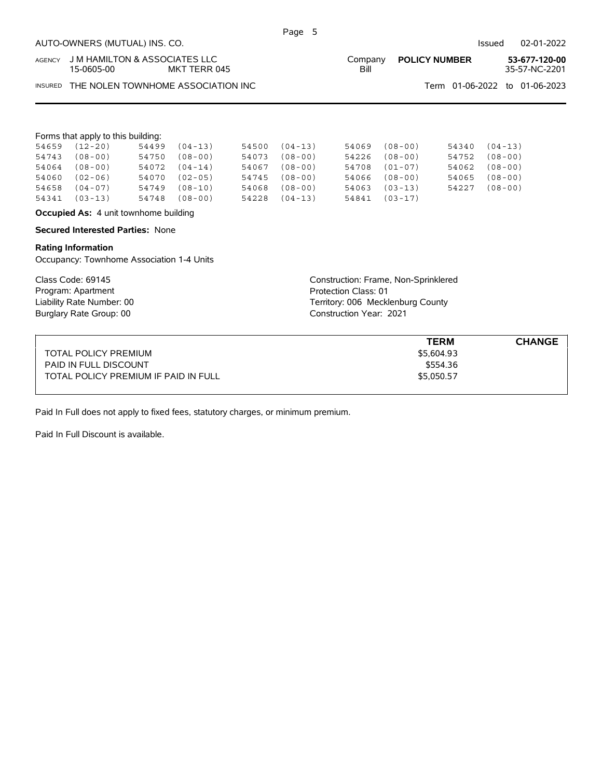### Page 5

| THE NOLEN TOWNHOME ASSOCIATION INC<br>Term 01-06-2022 to 01-06-2023<br>Forms that apply to this building:<br>$(12 - 20)$<br>$(04 - 13)$<br>54499<br>$(04 - 13)$<br>54500<br>54069<br>$(08 - 00)$<br>54340<br>$(04-13)$<br>$(08 - 00)$<br>54750<br>$(08 - 00)$<br>54073<br>$(08 - 00)$<br>54226<br>$(08 - 00)$<br>54752<br>$(08 - 00)$<br>$(08 - 00)$<br>54072<br>$(04 - 14)$<br>54067<br>$(08 - 00)$<br>54708<br>$(01 - 07)$<br>54062<br>$(08 - 00)$<br>$(02 - 06)$<br>54070<br>$(02 - 05)$<br>54745<br>$(08 - 00)$<br>54066<br>$(08 - 00)$<br>54065<br>$(08 - 00)$<br>$(04 - 07)$<br>$(08 - 10)$<br>54749<br>54068<br>$(08 - 00)$<br>54063<br>$(03 - 13)$<br>54227<br>$(08 - 00)$<br>$(03 - 13)$<br>54228<br>$(04 - 13)$<br>$(03 - 17)$<br>54748<br>$(08 - 00)$<br>54841<br>Occupied As: 4 unit townhome building<br><b>Secured Interested Parties: None</b><br><b>Rating Information</b><br>Occupancy: Townhome Association 1-4 Units<br>Class Code: 69145<br>Construction: Frame, Non-Sprinklered<br>Protection Class: 01<br>Program: Apartment<br>Liability Rate Number: 00<br>Territory: 006 Mecklenburg County<br>Construction Year: 2021<br><b>CHANGE</b><br><b>TERM</b><br><b>TOTAL POLICY PREMIUM</b><br>\$5,604.93<br>\$554.36<br><b>PAID IN FULL DISCOUNT</b> | <b>AGENCY</b>           | <b>J M HAMILTON &amp; ASSOCIATES LLC</b><br>15-0605-00 |  | MKT TERR 045 |  |            | Company<br>Bill |  | <b>POLICY NUMBER</b> | 53-677-120-00<br>35-57-NC-2201 |  |
|--------------------------------------------------------------------------------------------------------------------------------------------------------------------------------------------------------------------------------------------------------------------------------------------------------------------------------------------------------------------------------------------------------------------------------------------------------------------------------------------------------------------------------------------------------------------------------------------------------------------------------------------------------------------------------------------------------------------------------------------------------------------------------------------------------------------------------------------------------------------------------------------------------------------------------------------------------------------------------------------------------------------------------------------------------------------------------------------------------------------------------------------------------------------------------------------------------------------------------------------------------------------------|-------------------------|--------------------------------------------------------|--|--------------|--|------------|-----------------|--|----------------------|--------------------------------|--|
|                                                                                                                                                                                                                                                                                                                                                                                                                                                                                                                                                                                                                                                                                                                                                                                                                                                                                                                                                                                                                                                                                                                                                                                                                                                                          | <b>INSURED</b>          |                                                        |  |              |  |            |                 |  |                      |                                |  |
|                                                                                                                                                                                                                                                                                                                                                                                                                                                                                                                                                                                                                                                                                                                                                                                                                                                                                                                                                                                                                                                                                                                                                                                                                                                                          |                         |                                                        |  |              |  |            |                 |  |                      |                                |  |
|                                                                                                                                                                                                                                                                                                                                                                                                                                                                                                                                                                                                                                                                                                                                                                                                                                                                                                                                                                                                                                                                                                                                                                                                                                                                          |                         |                                                        |  |              |  |            |                 |  |                      |                                |  |
|                                                                                                                                                                                                                                                                                                                                                                                                                                                                                                                                                                                                                                                                                                                                                                                                                                                                                                                                                                                                                                                                                                                                                                                                                                                                          | 54659                   |                                                        |  |              |  |            |                 |  |                      |                                |  |
|                                                                                                                                                                                                                                                                                                                                                                                                                                                                                                                                                                                                                                                                                                                                                                                                                                                                                                                                                                                                                                                                                                                                                                                                                                                                          | 54743                   |                                                        |  |              |  |            |                 |  |                      |                                |  |
|                                                                                                                                                                                                                                                                                                                                                                                                                                                                                                                                                                                                                                                                                                                                                                                                                                                                                                                                                                                                                                                                                                                                                                                                                                                                          | 54064                   |                                                        |  |              |  |            |                 |  |                      |                                |  |
|                                                                                                                                                                                                                                                                                                                                                                                                                                                                                                                                                                                                                                                                                                                                                                                                                                                                                                                                                                                                                                                                                                                                                                                                                                                                          | 54060                   |                                                        |  |              |  |            |                 |  |                      |                                |  |
|                                                                                                                                                                                                                                                                                                                                                                                                                                                                                                                                                                                                                                                                                                                                                                                                                                                                                                                                                                                                                                                                                                                                                                                                                                                                          | 54658                   |                                                        |  |              |  |            |                 |  |                      |                                |  |
|                                                                                                                                                                                                                                                                                                                                                                                                                                                                                                                                                                                                                                                                                                                                                                                                                                                                                                                                                                                                                                                                                                                                                                                                                                                                          | 54341                   |                                                        |  |              |  |            |                 |  |                      |                                |  |
|                                                                                                                                                                                                                                                                                                                                                                                                                                                                                                                                                                                                                                                                                                                                                                                                                                                                                                                                                                                                                                                                                                                                                                                                                                                                          |                         |                                                        |  |              |  |            |                 |  |                      |                                |  |
|                                                                                                                                                                                                                                                                                                                                                                                                                                                                                                                                                                                                                                                                                                                                                                                                                                                                                                                                                                                                                                                                                                                                                                                                                                                                          |                         |                                                        |  |              |  |            |                 |  |                      |                                |  |
|                                                                                                                                                                                                                                                                                                                                                                                                                                                                                                                                                                                                                                                                                                                                                                                                                                                                                                                                                                                                                                                                                                                                                                                                                                                                          |                         |                                                        |  |              |  |            |                 |  |                      |                                |  |
|                                                                                                                                                                                                                                                                                                                                                                                                                                                                                                                                                                                                                                                                                                                                                                                                                                                                                                                                                                                                                                                                                                                                                                                                                                                                          |                         |                                                        |  |              |  |            |                 |  |                      |                                |  |
|                                                                                                                                                                                                                                                                                                                                                                                                                                                                                                                                                                                                                                                                                                                                                                                                                                                                                                                                                                                                                                                                                                                                                                                                                                                                          |                         |                                                        |  |              |  |            |                 |  |                      |                                |  |
|                                                                                                                                                                                                                                                                                                                                                                                                                                                                                                                                                                                                                                                                                                                                                                                                                                                                                                                                                                                                                                                                                                                                                                                                                                                                          |                         |                                                        |  |              |  |            |                 |  |                      |                                |  |
|                                                                                                                                                                                                                                                                                                                                                                                                                                                                                                                                                                                                                                                                                                                                                                                                                                                                                                                                                                                                                                                                                                                                                                                                                                                                          | Burglary Rate Group: 00 |                                                        |  |              |  |            |                 |  |                      |                                |  |
|                                                                                                                                                                                                                                                                                                                                                                                                                                                                                                                                                                                                                                                                                                                                                                                                                                                                                                                                                                                                                                                                                                                                                                                                                                                                          |                         |                                                        |  |              |  |            |                 |  |                      |                                |  |
|                                                                                                                                                                                                                                                                                                                                                                                                                                                                                                                                                                                                                                                                                                                                                                                                                                                                                                                                                                                                                                                                                                                                                                                                                                                                          |                         |                                                        |  |              |  |            |                 |  |                      |                                |  |
|                                                                                                                                                                                                                                                                                                                                                                                                                                                                                                                                                                                                                                                                                                                                                                                                                                                                                                                                                                                                                                                                                                                                                                                                                                                                          |                         |                                                        |  |              |  |            |                 |  |                      |                                |  |
|                                                                                                                                                                                                                                                                                                                                                                                                                                                                                                                                                                                                                                                                                                                                                                                                                                                                                                                                                                                                                                                                                                                                                                                                                                                                          |                         | TOTAL POLICY PREMIUM IF PAID IN FULL                   |  |              |  | \$5.050.57 |                 |  |                      |                                |  |

Paid In Full does not apply to fixed fees, statutory charges, or minimum premium.

Paid In Full Discount is available.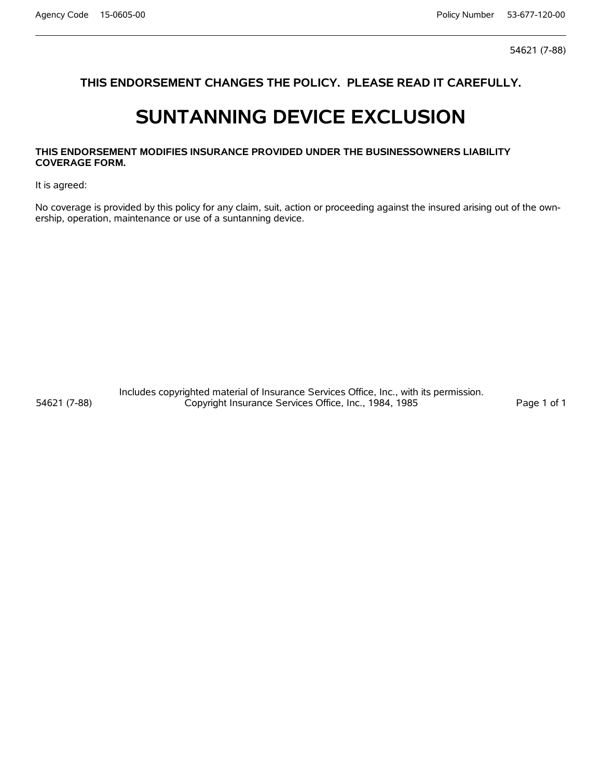54621 (7-88)

### **THIS ENDORSEMENT CHANGES THE POLICY. PLEASE READ IT CAREFULLY.**

# **SUNTANNING DEVICE EXCLUSION**

### **THIS ENDORSEMENT MODIFIES INSURANCE PROVIDED UNDER THE BUSINESSOWNERS LIABILITY COVERAGE FORM.**

It is agreed:

No coverage is provided by this policy for any claim, suit, action or proceeding against the insured arising out of the ownership, operation, maintenance or use of a suntanning device.

Includes copyrighted material of Insurance Services Office, Inc., with its permission. 54621 (7-88) Copyright Insurance Services Office, Inc., 1984, 1985 Page 1 of 1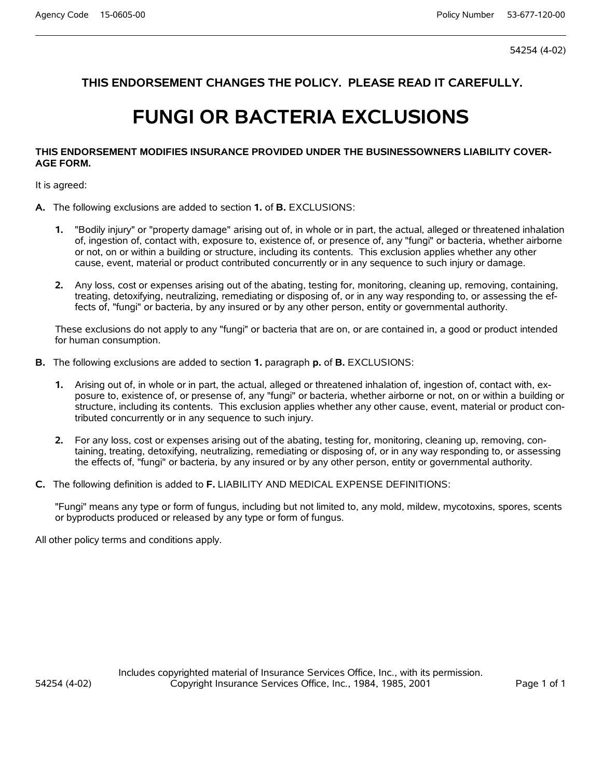# **FUNGI OR BACTERIA EXCLUSIONS**

### **THIS ENDORSEMENT MODIFIES INSURANCE PROVIDED UNDER THE BUSINESSOWNERS LIABILITY COVER-AGE FORM.**

It is agreed:

- **A.** The following exclusions are added to section **1.** of **B.** EXCLUSIONS:
	- **1.** "Bodily injury" or "property damage" arising out of, in whole or in part, the actual, alleged or threatened inhalation of, ingestion of, contact with, exposure to, existence of, or presence of, any "fungi" or bacteria, whether airborne or not, on or within a building or structure, including its contents. This exclusion applies whether any other cause, event, material or product contributed concurrently or in any sequence to such injury or damage.
	- **2.** Any loss, cost or expenses arising out of the abating, testing for, monitoring, cleaning up, removing, containing, treating, detoxifying, neutralizing, remediating or disposing of, or in any way responding to, or assessing the effects of, "fungi" or bacteria, by any insured or by any other person, entity or governmental authority.

These exclusions do not apply to any "fungi" or bacteria that are on, or are contained in, a good or product intended for human consumption.

- **B.** The following exclusions are added to section **1.** paragraph **p.** of **B.** EXCLUSIONS:
	- **1.** Arising out of, in whole or in part, the actual, alleged or threatened inhalation of, ingestion of, contact with, exposure to, existence of, or presense of, any "fungi" or bacteria, whether airborne or not, on or within a building or structure, including its contents. This exclusion applies whether any other cause, event, material or product contributed concurrently or in any sequence to such injury.
	- **2.** For any loss, cost or expenses arising out of the abating, testing for, monitoring, cleaning up, removing, containing, treating, detoxifying, neutralizing, remediating or disposing of, or in any way responding to, or assessing the effects of, "fungi" or bacteria, by any insured or by any other person, entity or governmental authority.
- **C.** The following definition is added to **F.** LIABILITY AND MEDICAL EXPENSE DEFINITIONS:

"Fungi" means any type or form of fungus, including but not limited to, any mold, mildew, mycotoxins, spores, scents or byproducts produced or released by any type or form of fungus.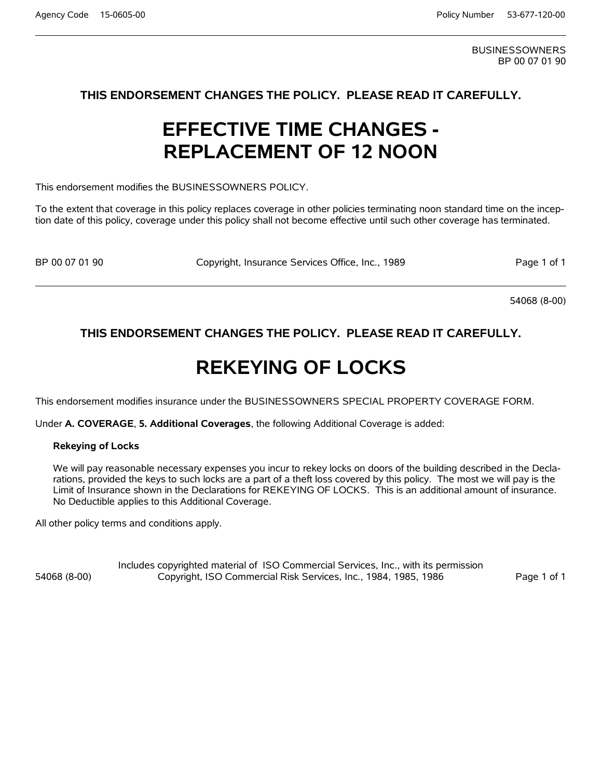BUSINESSOWNERS BP 00 07 01 90

### **THIS ENDORSEMENT CHANGES THE POLICY. PLEASE READ IT CAREFULLY.**

# **EFFECTIVE TIME CHANGES - REPLACEMENT OF 12 NOON**

This endorsement modifies the BUSINESSOWNERS POLICY.

To the extent that coverage in this policy replaces coverage in other policies terminating noon standard time on the inception date of this policy, coverage under this policy shall not become effective until such other coverage has terminated.

BP 00 07 01 90 Copyright, Insurance Services Office, Inc., 1989 Page 1 of 1

54068 (8-00)

### **THIS ENDORSEMENT CHANGES THE POLICY. PLEASE READ IT CAREFULLY.**

# **REKEYING OF LOCKS**

This endorsement modifies insurance under the BUSINESSOWNERS SPECIAL PROPERTY COVERAGE FORM.

Under **A. COVERAGE**, **5. Additional Coverages**, the following Additional Coverage is added:

### **Rekeying of Locks**

We will pay reasonable necessary expenses you incur to rekey locks on doors of the building described in the Declarations, provided the keys to such locks are a part of a theft loss covered by this policy. The most we will pay is the Limit of Insurance shown in the Declarations for REKEYING OF LOCKS. This is an additional amount of insurance. No Deductible applies to this Additional Coverage.

All other policy terms and conditions apply.

Includes copyrighted material of ISO Commercial Services, Inc., with its permission 54068 (8-00) Copyright, ISO Commercial Risk Services, Inc., 1984, 1985, 1986 Page 1 of 1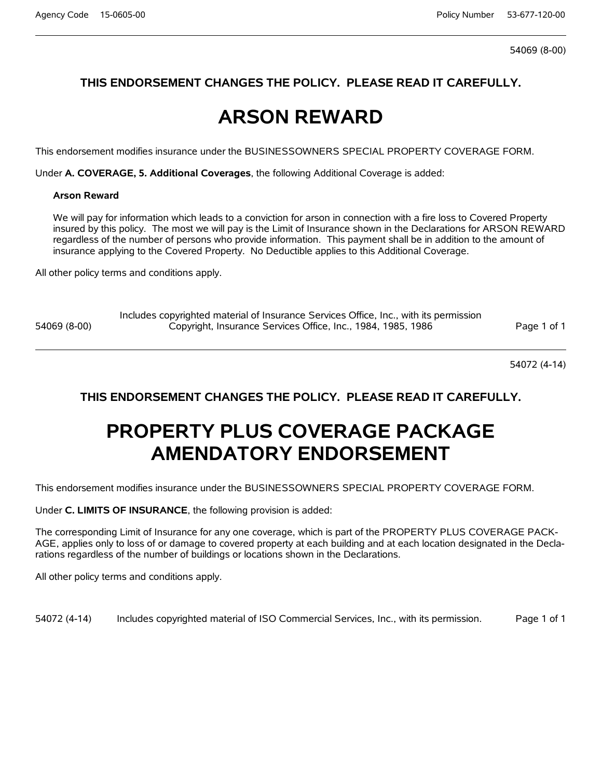54069 (8-00)

### **THIS ENDORSEMENT CHANGES THE POLICY. PLEASE READ IT CAREFULLY.**

# **ARSON REWARD**

This endorsement modifies insurance under the BUSINESSOWNERS SPECIAL PROPERTY COVERAGE FORM.

Under **A. COVERAGE, 5. Additional Coverages**, the following Additional Coverage is added:

### **Arson Reward**

We will pay for information which leads to a conviction for arson in connection with a fire loss to Covered Property insured by this policy. The most we will pay is the Limit of Insurance shown in the Declarations for ARSON REWARD regardless of the number of persons who provide information. This payment shall be in addition to the amount of insurance applying to the Covered Property. No Deductible applies to this Additional Coverage.

All other policy terms and conditions apply.

|              | Includes copyrighted material of Insurance Services Office, Inc., with its permission |             |
|--------------|---------------------------------------------------------------------------------------|-------------|
| 54069 (8-00) | Copyright, Insurance Services Office, Inc., 1984, 1985, 1986                          | Page 1 of 1 |

54072 (4-14)

**THIS ENDORSEMENT CHANGES THE POLICY. PLEASE READ IT CAREFULLY.**

# **PROPERTY PLUS COVERAGE PACKAGE AMENDATORY ENDORSEMENT**

This endorsement modifies insurance under the BUSINESSOWNERS SPECIAL PROPERTY COVERAGE FORM.

Under **C. LIMITS OF INSURANCE**, the following provision is added:

The corresponding Limit of Insurance for any one coverage, which is part of the PROPERTY PLUS COVERAGE PACK-AGE, applies only to loss of or damage to covered property at each building and at each location designated in the Declarations regardless of the number of buildings or locations shown in the Declarations.

All other policy terms and conditions apply.

54072 (4-14) Includes copyrighted material of ISO Commercial Services, Inc., with its permission. Page 1 of 1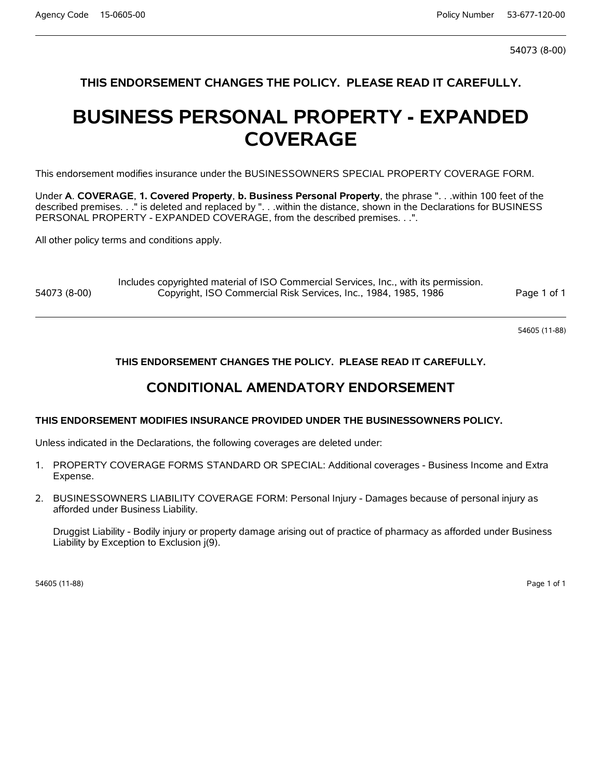54073 (8-00)

**THIS ENDORSEMENT CHANGES THE POLICY. PLEASE READ IT CAREFULLY.**

# **BUSINESS PERSONAL PROPERTY - EXPANDED COVERAGE**

This endorsement modifies insurance under the BUSINESSOWNERS SPECIAL PROPERTY COVERAGE FORM.

Under **A**. **COVERAGE**, **1. Covered Property**, **b. Business Personal Property**, the phrase ". . .within 100 feet of the described premises. . ." is deleted and replaced by ". . .within the distance, shown in the Declarations for BUSINESS PERSONAL PROPERTY - EXPANDED COVERAGE, from the described premises. . .".

All other policy terms and conditions apply.

Includes copyrighted material of ISO Commercial Services, Inc., with its permission. 54073 (8-00) Copyright, ISO Commercial Risk Services, Inc., 1984, 1985, 1986 Page 1 of 1

54605 (11-88)

### **THIS ENDORSEMENT CHANGES THE POLICY. PLEASE READ IT CAREFULLY.**

### **CONDITIONAL AMENDATORY ENDORSEMENT**

### **THIS ENDORSEMENT MODIFIES INSURANCE PROVIDED UNDER THE BUSINESSOWNERS POLICY.**

Unless indicated in the Declarations, the following coverages are deleted under:

- 1. PROPERTY COVERAGE FORMS STANDARD OR SPECIAL: Additional coverages Business Income and Extra Expense.
- 2. BUSINESSOWNERS LIABILITY COVERAGE FORM: Personal Injury Damages because of personal injury as afforded under Business Liability.

Druggist Liability - Bodily injury or property damage arising out of practice of pharmacy as afforded under Business Liability by Exception to Exclusion j(9).

54605 (11-88) Page 1 of 1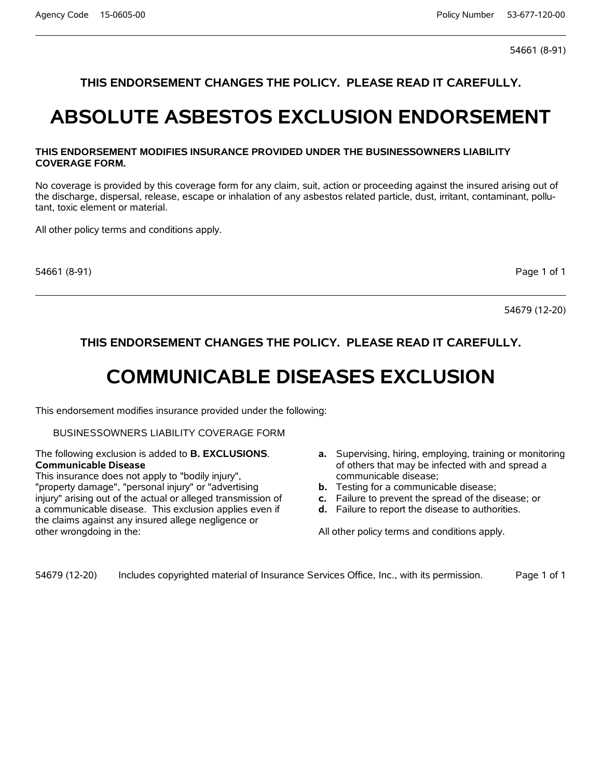54661 (8-91)

**THIS ENDORSEMENT CHANGES THE POLICY. PLEASE READ IT CAREFULLY.**

# **ABSOLUTE ASBESTOS EXCLUSION ENDORSEMENT**

### **THIS ENDORSEMENT MODIFIES INSURANCE PROVIDED UNDER THE BUSINESSOWNERS LIABILITY COVERAGE FORM.**

No coverage is provided by this coverage form for any claim, suit, action or proceeding against the insured arising out of the discharge, dispersal, release, escape or inhalation of any asbestos related particle, dust, irritant, contaminant, pollutant, toxic element or material.

All other policy terms and conditions apply.

54661 (8-91) Page 1 of 1

54679 (12-20)

**THIS ENDORSEMENT CHANGES THE POLICY. PLEASE READ IT CAREFULLY.**

# **COMMUNICABLE DISEASES EXCLUSION**

This endorsement modifies insurance provided under the following:

BUSINESSOWNERS LIABILITY COVERAGE FORM

The following exclusion is added to **B. EXCLUSIONS**. **Communicable Disease**

This insurance does not apply to "bodily injury", "property damage", "personal injury" or "advertising injury" arising out of the actual or alleged transmission of a communicable disease. This exclusion applies even if the claims against any insured allege negligence or other wrongdoing in the:

- **a.** Supervising, hiring, employing, training or monitoring of others that may be infected with and spread a communicable disease;
- **b.** Testing for a communicable disease;
- **c.** Failure to prevent the spread of the disease; or
- **d.** Failure to report the disease to authorities.

All other policy terms and conditions apply.

54679 (12-20) Includes copyrighted material of Insurance Services Office, Inc., with its permission. Page 1 of 1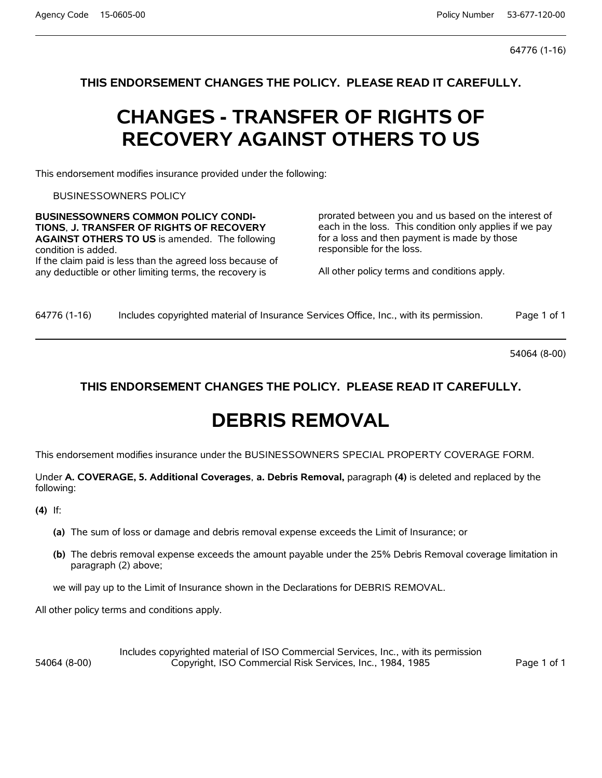64776 (1-16)

**THIS ENDORSEMENT CHANGES THE POLICY. PLEASE READ IT CAREFULLY.**

# **CHANGES - TRANSFER OF RIGHTS OF RECOVERY AGAINST OTHERS TO US**

This endorsement modifies insurance provided under the following:

BUSINESSOWNERS POLICY

**BUSINESSOWNERS COMMON POLICY CONDI-TIONS**, **J. TRANSFER OF RIGHTS OF RECOVERY AGAINST OTHERS TO US** is amended. The following condition is added.

If the claim paid is less than the agreed loss because of any deductible or other limiting terms, the recovery is

prorated between you and us based on the interest of each in the loss. This condition only applies if we pay for a loss and then payment is made by those responsible for the loss.

All other policy terms and conditions apply.

| 64776 (1-16) | Includes copyrighted material of Insurance Services Office, Inc., with its permission. | Page 1 of i |
|--------------|----------------------------------------------------------------------------------------|-------------|
|              |                                                                                        |             |

54064 (8-00)

### **THIS ENDORSEMENT CHANGES THE POLICY. PLEASE READ IT CAREFULLY.**

# **DEBRIS REMOVAL**

This endorsement modifies insurance under the BUSINESSOWNERS SPECIAL PROPERTY COVERAGE FORM.

Under **A. COVERAGE, 5. Additional Coverages**, **a. Debris Removal,** paragraph **(4)** is deleted and replaced by the following:

**(4)** If:

- **(a)** The sum of loss or damage and debris removal expense exceeds the Limit of Insurance; or
- **(b)** The debris removal expense exceeds the amount payable under the 25% Debris Removal coverage limitation in paragraph (2) above;

we will pay up to the Limit of Insurance shown in the Declarations for DEBRIS REMOVAL.

All other policy terms and conditions apply.

Includes copyrighted material of ISO Commercial Services, Inc., with its permission 54064 (8-00) Copyright, ISO Commercial Risk Services, Inc., 1984, 1985 Page 1 of 1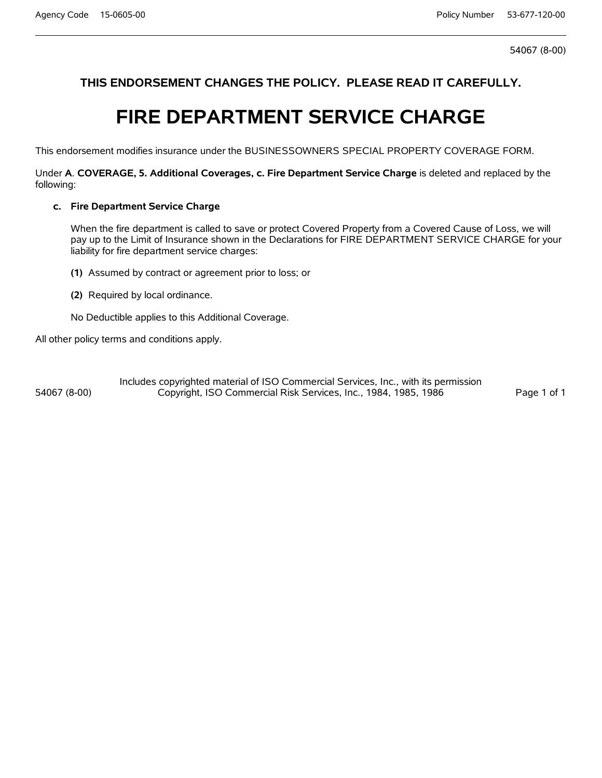54067 (8-00)

### **THIS ENDORSEMENT CHANGES THE POLICY. PLEASE READ IT CAREFULLY.**

# **FIRE DEPARTMENT SERVICE CHARGE**

This endorsement modifies insurance under the BUSINESSOWNERS SPECIAL PROPERTY COVERAGE FORM.

Under **A**. **COVERAGE, 5. Additional Coverages, c. Fire Department Service Charge** is deleted and replaced by the following:

### **c. Fire Department Service Charge**

When the fire department is called to save or protect Covered Property from a Covered Cause of Loss, we will pay up to the Limit of Insurance shown in the Declarations for FIRE DEPARTMENT SERVICE CHARGE for your liability for fire department service charges:

**(1)** Assumed by contract or agreement prior to loss; or

- **(2)** Required by local ordinance.
- No Deductible applies to this Additional Coverage.

All other policy terms and conditions apply.

Includes copyrighted material of ISO Commercial Services, Inc., with its permission 54067 (8-00) Copyright, ISO Commercial Risk Services, Inc., 1984, 1985, 1986 Page 1 of 1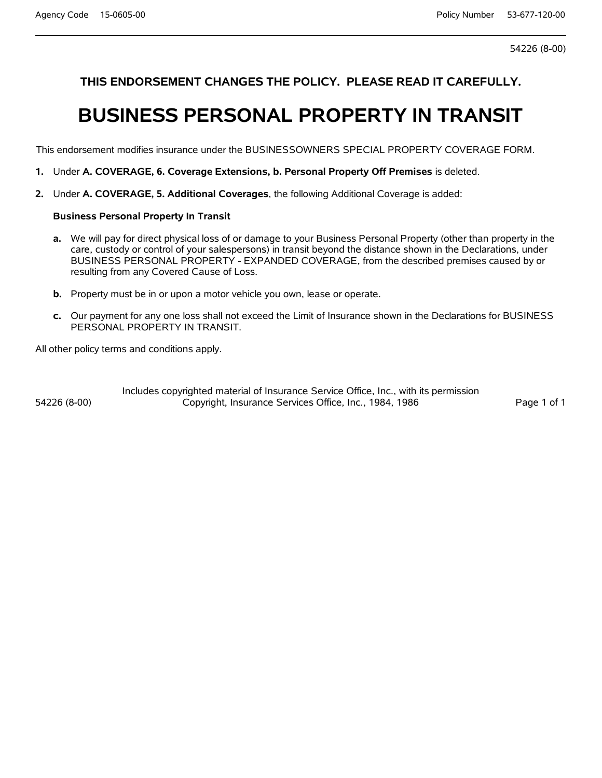# **BUSINESS PERSONAL PROPERTY IN TRANSIT**

This endorsement modifies insurance under the BUSINESSOWNERS SPECIAL PROPERTY COVERAGE FORM.

- **1.** Under **A. COVERAGE, 6. Coverage Extensions, b. Personal Property Off Premises** is deleted.
- **2.** Under **A. COVERAGE, 5. Additional Coverages**, the following Additional Coverage is added:

### **Business Personal Property In Transit**

- **a.** We will pay for direct physical loss of or damage to your Business Personal Property (other than property in the care, custody or control of your salespersons) in transit beyond the distance shown in the Declarations, under BUSINESS PERSONAL PROPERTY - EXPANDED COVERAGE, from the described premises caused by or resulting from any Covered Cause of Loss.
- **b.** Property must be in or upon a motor vehicle you own, lease or operate.
- **c.** Our payment for any one loss shall not exceed the Limit of Insurance shown in the Declarations for BUSINESS PERSONAL PROPERTY IN TRANSIT.

|              | Includes copyrighted material of Insurance Service Office, Inc., with its permission |             |
|--------------|--------------------------------------------------------------------------------------|-------------|
| 54226 (8-00) | Copyright, Insurance Services Office, Inc., 1984, 1986                               | Page 1 of 1 |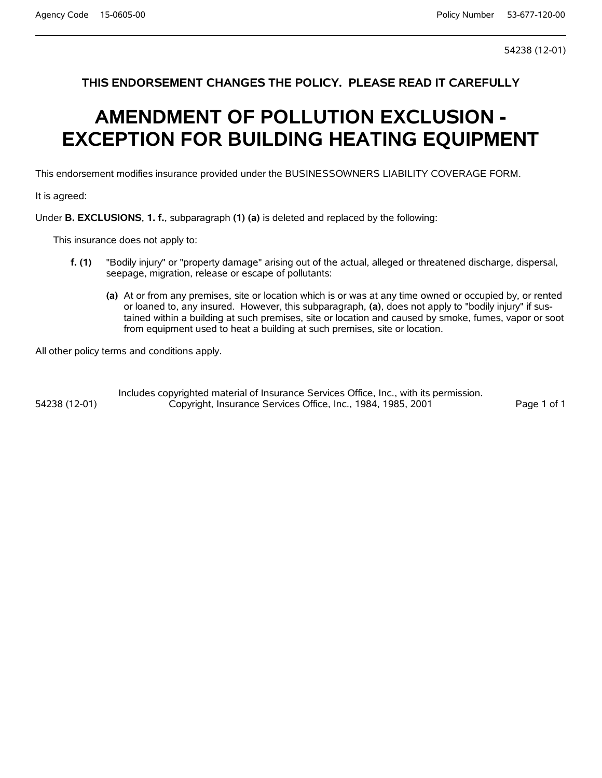54238 (12-01)

### **THIS ENDORSEMENT CHANGES THE POLICY. PLEASE READ IT CAREFULLY**

# **AMENDMENT OF POLLUTION EXCLUSION - EXCEPTION FOR BUILDING HEATING EQUIPMENT**

This endorsement modifies insurance provided under the BUSINESSOWNERS LIABILITY COVERAGE FORM.

It is agreed:

Under **B. EXCLUSIONS**, **1. f.**, subparagraph **(1) (a)** is deleted and replaced by the following:

This insurance does not apply to:

- **f. (1)** "Bodily injury" or "property damage" arising out of the actual, alleged or threatened discharge, dispersal, seepage, migration, release or escape of pollutants:
	- **(a)** At or from any premises, site or location which is or was at any time owned or occupied by, or rented or loaned to, any insured. However, this subparagraph, **(a)**, does not apply to "bodily injury" if sustained within a building at such premises, site or location and caused by smoke, fumes, vapor or soot from equipment used to heat a building at such premises, site or location.

|               | Includes copyrighted material of Insurance Services Office, Inc., with its permission. |             |
|---------------|----------------------------------------------------------------------------------------|-------------|
| 54238 (12-01) | Copyright, Insurance Services Office, Inc., 1984, 1985, 2001                           | Page 1 of 1 |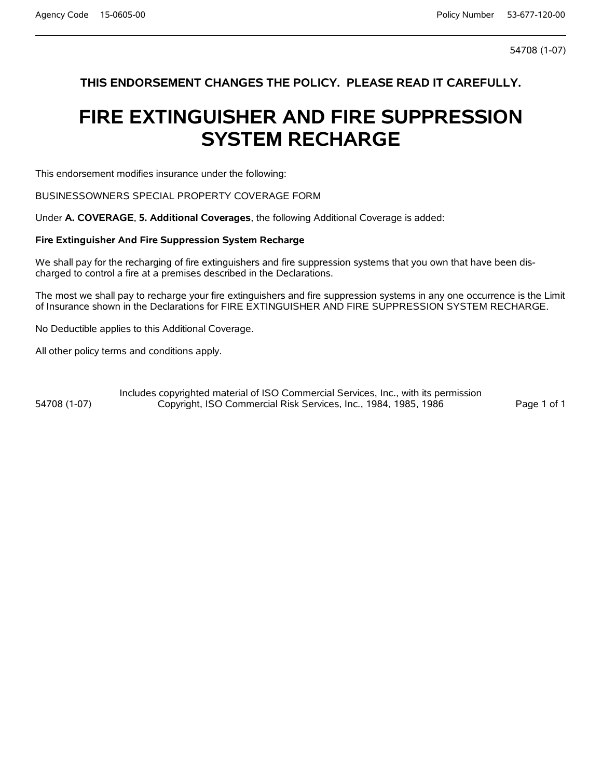54708 (1-07)

### **THIS ENDORSEMENT CHANGES THE POLICY. PLEASE READ IT CAREFULLY.**

# **FIRE EXTINGUISHER AND FIRE SUPPRESSION SYSTEM RECHARGE**

This endorsement modifies insurance under the following:

BUSINESSOWNERS SPECIAL PROPERTY COVERAGE FORM

Under **A. COVERAGE**, **5. Additional Coverages**, the following Additional Coverage is added:

### **Fire Extinguisher And Fire Suppression System Recharge**

We shall pay for the recharging of fire extinguishers and fire suppression systems that you own that have been discharged to control a fire at a premises described in the Declarations.

The most we shall pay to recharge your fire extinguishers and fire suppression systems in any one occurrence is the Limit of Insurance shown in the Declarations for FIRE EXTINGUISHER AND FIRE SUPPRESSION SYSTEM RECHARGE.

No Deductible applies to this Additional Coverage.

All other policy terms and conditions apply.

Includes copyrighted material of ISO Commercial Services, Inc., with its permission 54708 (1-07) Copyright, ISO Commercial Risk Services, Inc., 1984, 1985, 1986 Page 1 of 1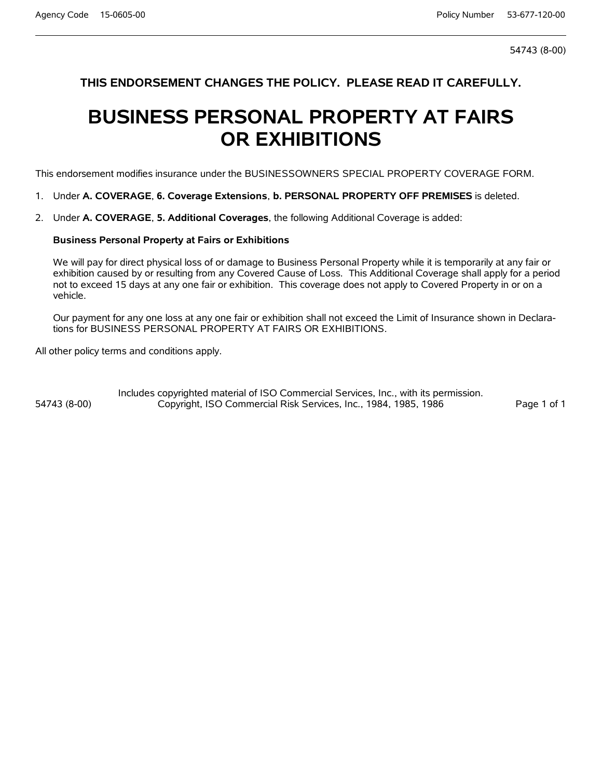54743 (8-00)

### **THIS ENDORSEMENT CHANGES THE POLICY. PLEASE READ IT CAREFULLY.**

# **BUSINESS PERSONAL PROPERTY AT FAIRS OR EXHIBITIONS**

This endorsement modifies insurance under the BUSINESSOWNERS SPECIAL PROPERTY COVERAGE FORM.

- 1. Under **A. COVERAGE**, **6. Coverage Extensions**, **b. PERSONAL PROPERTY OFF PREMISES** is deleted.
- 2. Under **A. COVERAGE**, **5. Additional Coverages**, the following Additional Coverage is added:

### **Business Personal Property at Fairs or Exhibitions**

We will pay for direct physical loss of or damage to Business Personal Property while it is temporarily at any fair or exhibition caused by or resulting from any Covered Cause of Loss. This Additional Coverage shall apply for a period not to exceed 15 days at any one fair or exhibition. This coverage does not apply to Covered Property in or on a vehicle.

Our payment for any one loss at any one fair or exhibition shall not exceed the Limit of Insurance shown in Declarations for BUSINESS PERSONAL PROPERTY AT FAIRS OR EXHIBITIONS.

All other policy terms and conditions apply.

Includes copyrighted material of ISO Commercial Services, Inc., with its permission. 54743 (8-00) Copyright, ISO Commercial Risk Services, Inc., 1984, 1985, 1986 Page 1 of 1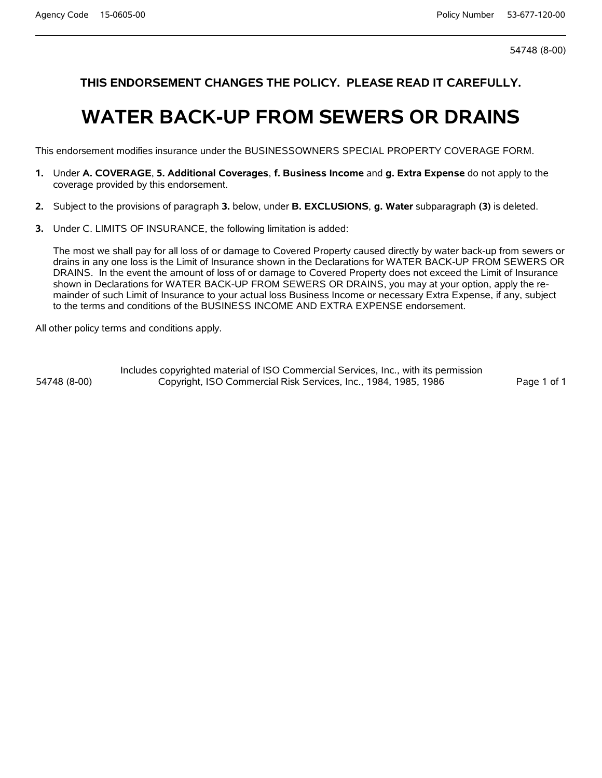54748 (8-00)

### **THIS ENDORSEMENT CHANGES THE POLICY. PLEASE READ IT CAREFULLY.**

# **WATER BACK-UP FROM SEWERS OR DRAINS**

This endorsement modifies insurance under the BUSINESSOWNERS SPECIAL PROPERTY COVERAGE FORM.

- **1.** Under **A. COVERAGE**, **5. Additional Coverages**, **f. Business Income** and **g. Extra Expense** do not apply to the coverage provided by this endorsement.
- **2.** Subject to the provisions of paragraph **3.** below, under **B. EXCLUSIONS**, **g. Water** subparagraph **(3)** is deleted.
- **3.** Under C. LIMITS OF INSURANCE, the following limitation is added:

The most we shall pay for all loss of or damage to Covered Property caused directly by water back-up from sewers or drains in any one loss is the Limit of Insurance shown in the Declarations for WATER BACK-UP FROM SEWERS OR DRAINS. In the event the amount of loss of or damage to Covered Property does not exceed the Limit of Insurance shown in Declarations for WATER BACK-UP FROM SEWERS OR DRAINS, you may at your option, apply the remainder of such Limit of Insurance to your actual loss Business Income or necessary Extra Expense, if any, subject to the terms and conditions of the BUSINESS INCOME AND EXTRA EXPENSE endorsement.

All other policy terms and conditions apply.

Includes copyrighted material of ISO Commercial Services, Inc., with its permission 54748 (8-00) Copyright, ISO Commercial Risk Services, Inc., 1984, 1985, 1986 Page 1 of 1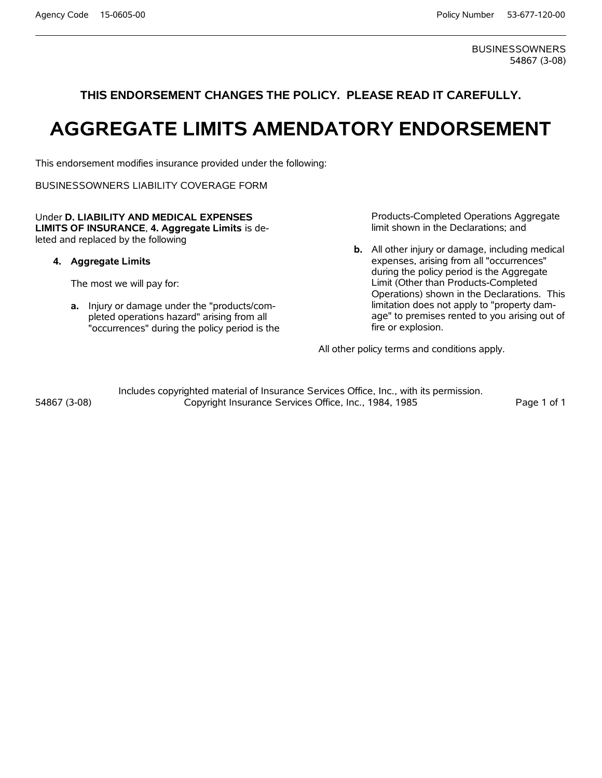BUSINESSOWNERS 54867 (3-08)

### **THIS ENDORSEMENT CHANGES THE POLICY. PLEASE READ IT CAREFULLY.**

# **AGGREGATE LIMITS AMENDATORY ENDORSEMENT**

This endorsement modifies insurance provided under the following:

BUSINESSOWNERS LIABILITY COVERAGE FORM

Under **D. LIABILITY AND MEDICAL EXPENSES LIMITS OF INSURANCE**, **4. Aggregate Limits** is deleted and replaced by the following

### **4. Aggregate Limits**

The most we will pay for:

**a.** Injury or damage under the "products/completed operations hazard" arising from all "occurrences" during the policy period is the Products-Completed Operations Aggregate limit shown in the Declarations; and

**b.** All other injury or damage, including medical expenses, arising from all "occurrences" during the policy period is the Aggregate Limit (Other than Products-Completed Operations) shown in the Declarations. This limitation does not apply to "property damage" to premises rented to you arising out of fire or explosion.

All other policy terms and conditions apply.

Includes copyrighted material of Insurance Services Office, Inc., with its permission. 54867 (3-08) Copyright Insurance Services Office, Inc., 1984, 1985 Page 1 of 1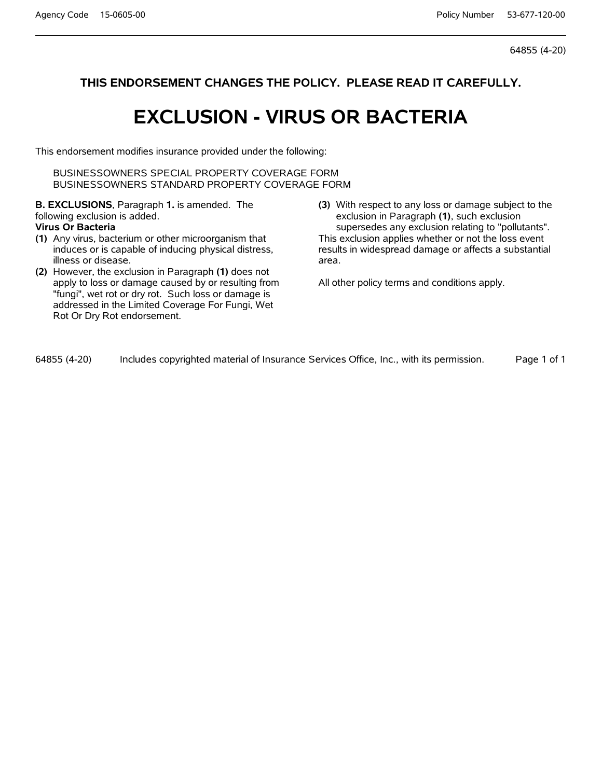# **EXCLUSION - VIRUS OR BACTERIA**

This endorsement modifies insurance provided under the following:

BUSINESSOWNERS SPECIAL PROPERTY COVERAGE FORM BUSINESSOWNERS STANDARD PROPERTY COVERAGE FORM

### **B. EXCLUSIONS**, Paragraph **1.** is amended. The following exclusion is added.

### **Virus Or Bacteria**

- **(1)** Any virus, bacterium or other microorganism that induces or is capable of inducing physical distress, illness or disease.
- **(2)** However, the exclusion in Paragraph **(1)** does not apply to loss or damage caused by or resulting from "fungi", wet rot or dry rot. Such loss or damage is addressed in the Limited Coverage For Fungi, Wet Rot Or Dry Rot endorsement.
- **(3)** With respect to any loss or damage subject to the exclusion in Paragraph **(1)**, such exclusion supersedes any exclusion relating to "pollutants". This exclusion applies whether or not the loss event results in widespread damage or affects a substantial area.

All other policy terms and conditions apply.

64855 (4-20) Includes copyrighted material of Insurance Services Office, Inc., with its permission. Page 1 of 1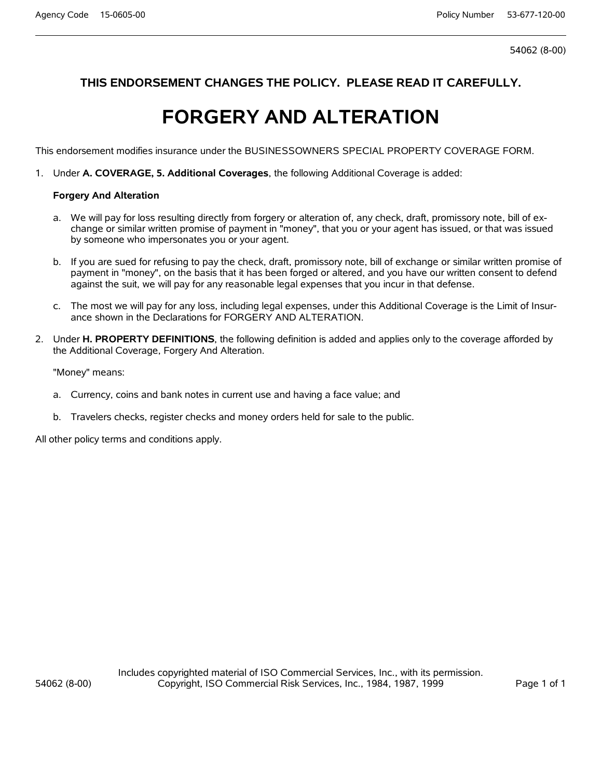# **FORGERY AND ALTERATION**

This endorsement modifies insurance under the BUSINESSOWNERS SPECIAL PROPERTY COVERAGE FORM.

1. Under **A. COVERAGE, 5. Additional Coverages**, the following Additional Coverage is added:

### **Forgery And Alteration**

- a. We will pay for loss resulting directly from forgery or alteration of, any check, draft, promissory note, bill of exchange or similar written promise of payment in "money", that you or your agent has issued, or that was issued by someone who impersonates you or your agent.
- b. If you are sued for refusing to pay the check, draft, promissory note, bill of exchange or similar written promise of payment in "money", on the basis that it has been forged or altered, and you have our written consent to defend against the suit, we will pay for any reasonable legal expenses that you incur in that defense.
- c. The most we will pay for any loss, including legal expenses, under this Additional Coverage is the Limit of Insurance shown in the Declarations for FORGERY AND ALTERATION.
- 2. Under **H. PROPERTY DEFINITIONS**, the following definition is added and applies only to the coverage afforded by the Additional Coverage, Forgery And Alteration.

"Money" means:

- a. Currency, coins and bank notes in current use and having a face value; and
- b. Travelers checks, register checks and money orders held for sale to the public.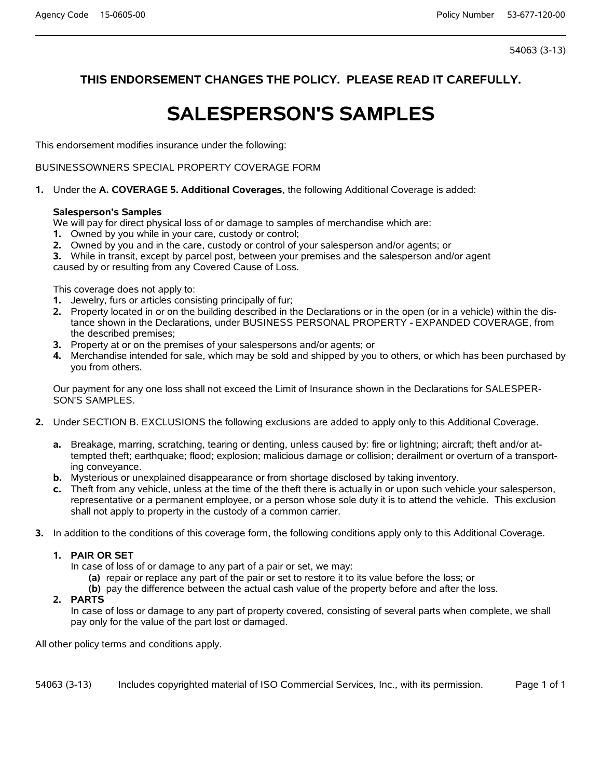54063 (3-13)

### **THIS ENDORSEMENT CHANGES THE POLICY. PLEASE READ IT CAREFULLY.**

# **SALESPERSON'S SAMPLES**

This endorsement modifies insurance under the following:

BUSINESSOWNERS SPECIAL PROPERTY COVERAGE FORM

**1.** Under the **A. COVERAGE 5. Additional Coverages**, the following Additional Coverage is added:

### **Salesperson's Samples**

We will pay for direct physical loss of or damage to samples of merchandise which are:

- **1.** Owned by you while in your care, custody or control;
- **2.** Owned by you and in the care, custody or control of your salesperson and/or agents; or
- **3.** While in transit, except by parcel post, between your premises and the salesperson and/or agent caused by or resulting from any Covered Cause of Loss.

This coverage does not apply to:

- **1.** Jewelry, furs or articles consisting principally of fur;
- **2.** Property located in or on the building described in the Declarations or in the open (or in a vehicle) within the distance shown in the Declarations, under BUSINESS PERSONAL PROPERTY - EXPANDED COVERAGE, from the described premises;
- **3.** Property at or on the premises of your salespersons and/or agents; or
- **4.** Merchandise intended for sale, which may be sold and shipped by you to others, or which has been purchased by you from others.

Our payment for any one loss shall not exceed the Limit of Insurance shown in the Declarations for SALESPER-SON'S SAMPLES.

- **2.** Under SECTION B. EXCLUSIONS the following exclusions are added to apply only to this Additional Coverage.
	- **a.** Breakage, marring, scratching, tearing or denting, unless caused by: fire or lightning; aircraft; theft and/or attempted theft; earthquake; flood; explosion; malicious damage or collision; derailment or overturn of a transporting conveyance.
	- **b.** Mysterious or unexplained disappearance or from shortage disclosed by taking inventory.
	- **c.** Theft from any vehicle, unless at the time of the theft there is actually in or upon such vehicle your salesperson, representative or a permanent employee, or a person whose sole duty it is to attend the vehicle. This exclusion shall not apply to property in the custody of a common carrier.
- **3.** In addition to the conditions of this coverage form, the following conditions apply only to this Additional Coverage.

### **1. PAIR OR SET**

- In case of loss of or damage to any part of a pair or set, we may:
	- **(a)** repair or replace any part of the pair or set to restore it to its value before the loss; or
	- **(b)** pay the difference between the actual cash value of the property before and after the loss.

### **2. PARTS**

In case of loss or damage to any part of property covered, consisting of several parts when complete, we shall pay only for the value of the part lost or damaged.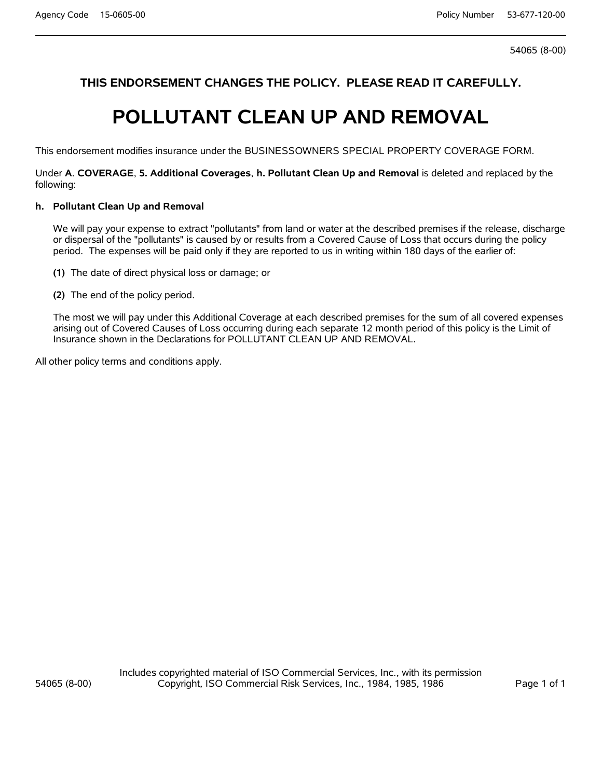# **POLLUTANT CLEAN UP AND REMOVAL**

This endorsement modifies insurance under the BUSINESSOWNERS SPECIAL PROPERTY COVERAGE FORM.

Under **A**. **COVERAGE**, **5. Additional Coverages**, **h. Pollutant Clean Up and Removal** is deleted and replaced by the following:

### **h. Pollutant Clean Up and Removal**

We will pay your expense to extract "pollutants" from land or water at the described premises if the release, discharge or dispersal of the "pollutants" is caused by or results from a Covered Cause of Loss that occurs during the policy period. The expenses will be paid only if they are reported to us in writing within 180 days of the earlier of:

**(1)** The date of direct physical loss or damage; or

**(2)** The end of the policy period.

The most we will pay under this Additional Coverage at each described premises for the sum of all covered expenses arising out of Covered Causes of Loss occurring during each separate 12 month period of this policy is the Limit of Insurance shown in the Declarations for POLLUTANT CLEAN UP AND REMOVAL.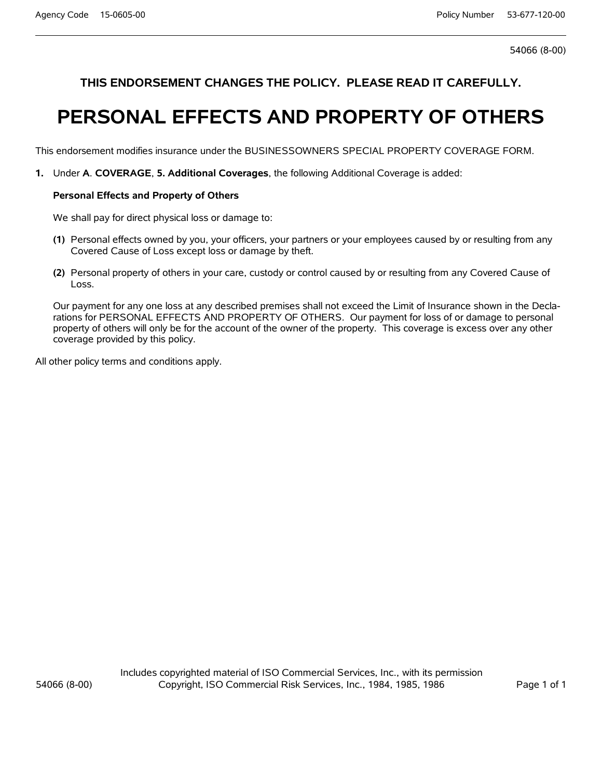54066 (8-00)

### **THIS ENDORSEMENT CHANGES THE POLICY. PLEASE READ IT CAREFULLY.**

# **PERSONAL EFFECTS AND PROPERTY OF OTHERS**

This endorsement modifies insurance under the BUSINESSOWNERS SPECIAL PROPERTY COVERAGE FORM.

**1.** Under **A**. **COVERAGE**, **5. Additional Coverages**, the following Additional Coverage is added:

### **Personal Effects and Property of Others**

We shall pay for direct physical loss or damage to:

- **(1)** Personal effects owned by you, your officers, your partners or your employees caused by or resulting from any Covered Cause of Loss except loss or damage by theft.
- **(2)** Personal property of others in your care, custody or control caused by or resulting from any Covered Cause of Loss.

Our payment for any one loss at any described premises shall not exceed the Limit of Insurance shown in the Declarations for PERSONAL EFFECTS AND PROPERTY OF OTHERS. Our payment for loss of or damage to personal property of others will only be for the account of the owner of the property. This coverage is excess over any other coverage provided by this policy.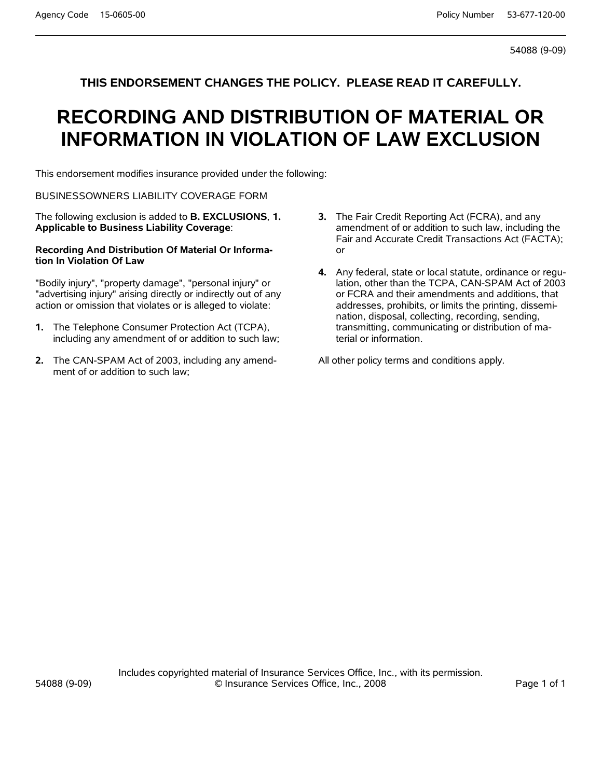54088 (9-09)

### **THIS ENDORSEMENT CHANGES THE POLICY. PLEASE READ IT CAREFULLY.**

# **RECORDING AND DISTRIBUTION OF MATERIAL OR INFORMATION IN VIOLATION OF LAW EXCLUSION**

This endorsement modifies insurance provided under the following:

BUSINESSOWNERS LIABILITY COVERAGE FORM

The following exclusion is added to **B. EXCLUSIONS**, **1. Applicable to Business Liability Coverage**:

### **Recording And Distribution Of Material Or Information In Violation Of Law**

"Bodily injury", "property damage", "personal injury" or "advertising injury" arising directly or indirectly out of any action or omission that violates or is alleged to violate:

- **1.** The Telephone Consumer Protection Act (TCPA), including any amendment of or addition to such law;
- **2.** The CAN-SPAM Act of 2003, including any amendment of or addition to such law;
- **3.** The Fair Credit Reporting Act (FCRA), and any amendment of or addition to such law, including the Fair and Accurate Credit Transactions Act (FACTA); or
- **4.** Any federal, state or local statute, ordinance or regulation, other than the TCPA, CAN-SPAM Act of 2003 or FCRA and their amendments and additions, that addresses, prohibits, or limits the printing, dissemination, disposal, collecting, recording, sending, transmitting, communicating or distribution of material or information.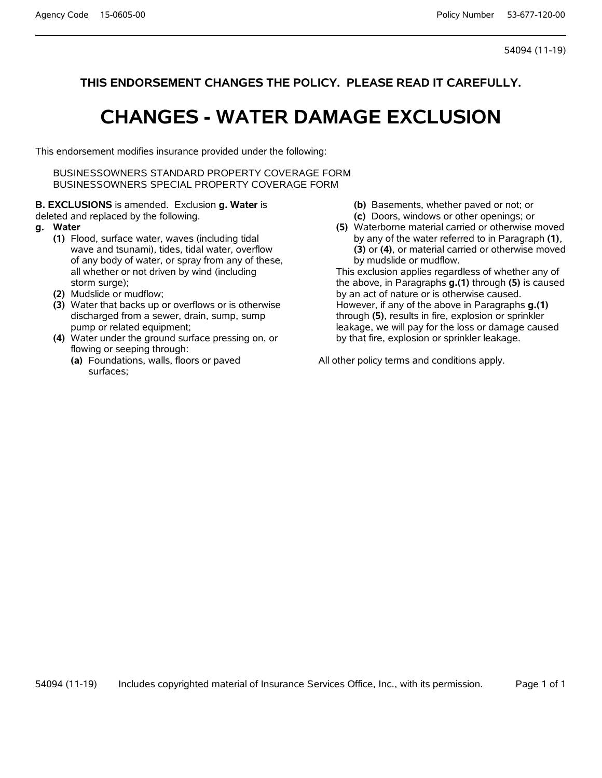# **CHANGES - WATER DAMAGE EXCLUSION**

This endorsement modifies insurance provided under the following:

BUSINESSOWNERS STANDARD PROPERTY COVERAGE FORM BUSINESSOWNERS SPECIAL PROPERTY COVERAGE FORM

### **B. EXCLUSIONS** is amended. Exclusion **g. Water** is deleted and replaced by the following.

**g. Water**

- **(1)** Flood, surface water, waves (including tidal wave and tsunami), tides, tidal water, overflow of any body of water, or spray from any of these, all whether or not driven by wind (including storm surge);
- **(2)** Mudslide or mudflow;
- **(3)** Water that backs up or overflows or is otherwise discharged from a sewer, drain, sump, sump pump or related equipment;
- **(4)** Water under the ground surface pressing on, or flowing or seeping through:
	- **(a)** Foundations, walls, floors or paved surfaces;
- **(b)** Basements, whether paved or not; or
- **(c)** Doors, windows or other openings; or
- **(5)** Waterborne material carried or otherwise moved by any of the water referred to in Paragraph **(1)**, **(3)** or **(4)**, or material carried or otherwise moved by mudslide or mudflow.

This exclusion applies regardless of whether any of the above, in Paragraphs **g.(1)** through **(5)** is caused by an act of nature or is otherwise caused. However, if any of the above in Paragraphs **g.(1)** through **(5)**, results in fire, explosion or sprinkler leakage, we will pay for the loss or damage caused by that fire, explosion or sprinkler leakage.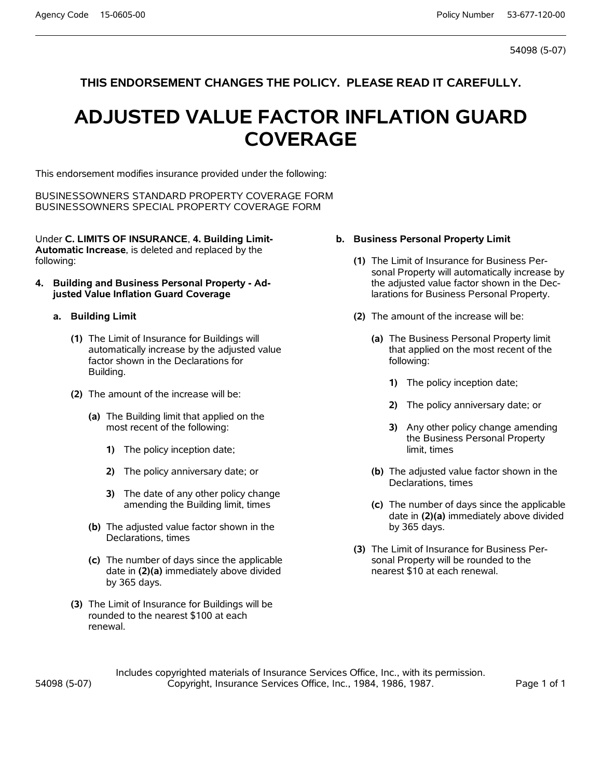# **ADJUSTED VALUE FACTOR INFLATION GUARD COVERAGE**

This endorsement modifies insurance provided under the following:

BUSINESSOWNERS STANDARD PROPERTY COVERAGE FORM BUSINESSOWNERS SPECIAL PROPERTY COVERAGE FORM

Under **C. LIMITS OF INSURANCE**, **4. Building Limit-Automatic Increase**, is deleted and replaced by the following:

- **4. Building and Business Personal Property Adjusted Value Inflation Guard Coverage**
	- **a. Building Limit**
		- **(1)** The Limit of Insurance for Buildings will automatically increase by the adjusted value factor shown in the Declarations for Building.
		- **(2)** The amount of the increase will be:
			- **(a)** The Building limit that applied on the most recent of the following:
				- **1)** The policy inception date;
				- **2)** The policy anniversary date; or
				- **3)** The date of any other policy change amending the Building limit, times
			- **(b)** The adjusted value factor shown in the Declarations, times
			- **(c)** The number of days since the applicable date in **(2)(a)** immediately above divided by 365 days.
		- **(3)** The Limit of Insurance for Buildings will be rounded to the nearest \$100 at each renewal.
- **b. Business Personal Property Limit**
	- **(1)** The Limit of Insurance for Business Personal Property will automatically increase by the adjusted value factor shown in the Declarations for Business Personal Property.
	- **(2)** The amount of the increase will be:
		- **(a)** The Business Personal Property limit that applied on the most recent of the following:
			- **1)** The policy inception date;
			- **2)** The policy anniversary date; or
			- **3)** Any other policy change amending the Business Personal Property limit, times
		- **(b)** The adjusted value factor shown in the Declarations, times
		- **(c)** The number of days since the applicable date in **(2)(a)** immediately above divided by 365 days.
	- **(3)** The Limit of Insurance for Business Personal Property will be rounded to the nearest \$10 at each renewal.

Includes copyrighted materials of Insurance Services Office, Inc., with its permission. 54098 (5-07) Copyright, Insurance Services Office, Inc., 1984, 1986, 1987. Page 1 of 1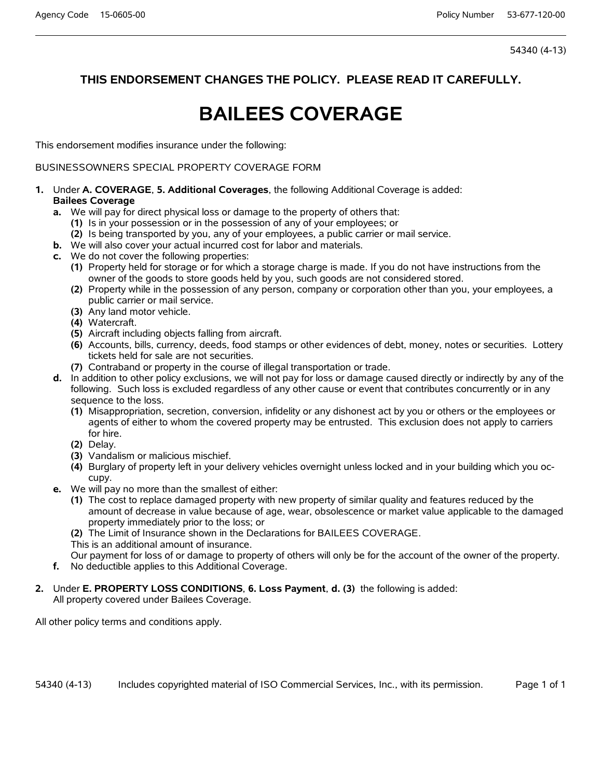# **BAILEES COVERAGE**

This endorsement modifies insurance under the following:

### BUSINESSOWNERS SPECIAL PROPERTY COVERAGE FORM

### **1.** Under **A. COVERAGE**, **5. Additional Coverages**, the following Additional Coverage is added: **Bailees Coverage**

- **a.** We will pay for direct physical loss or damage to the property of others that:
	- **(1)** Is in your possession or in the possession of any of your employees; or
	- **(2)** Is being transported by you, any of your employees, a public carrier or mail service.
- **b.** We will also cover your actual incurred cost for labor and materials.
- **c.** We do not cover the following properties:
	- **(1)** Property held for storage or for which a storage charge is made. If you do not have instructions from the owner of the goods to store goods held by you, such goods are not considered stored.
	- **(2)** Property while in the possession of any person, company or corporation other than you, your employees, a public carrier or mail service.
	- **(3)** Any land motor vehicle.
	- **(4)** Watercraft.
	- **(5)** Aircraft including objects falling from aircraft.
	- **(6)** Accounts, bills, currency, deeds, food stamps or other evidences of debt, money, notes or securities. Lottery tickets held for sale are not securities.
	- **(7)** Contraband or property in the course of illegal transportation or trade.
- **d.** In addition to other policy exclusions, we will not pay for loss or damage caused directly or indirectly by any of the following. Such loss is excluded regardless of any other cause or event that contributes concurrently or in any sequence to the loss.
	- **(1)** Misappropriation, secretion, conversion, infidelity or any dishonest act by you or others or the employees or agents of either to whom the covered property may be entrusted. This exclusion does not apply to carriers for hire.
	- **(2)** Delay.
	- **(3)** Vandalism or malicious mischief.
	- **(4)** Burglary of property left in your delivery vehicles overnight unless locked and in your building which you occupy.
- **e.** We will pay no more than the smallest of either:
	- **(1)** The cost to replace damaged property with new property of similar quality and features reduced by the amount of decrease in value because of age, wear, obsolescence or market value applicable to the damaged property immediately prior to the loss; or

**(2)** The Limit of Insurance shown in the Declarations for BAILEES COVERAGE.

This is an additional amount of insurance.

Our payment for loss of or damage to property of others will only be for the account of the owner of the property.

**f.** No deductible applies to this Additional Coverage.

### **2.** Under **E. PROPERTY LOSS CONDITIONS**, **6. Loss Payment**, **d. (3)** the following is added:

All property covered under Bailees Coverage.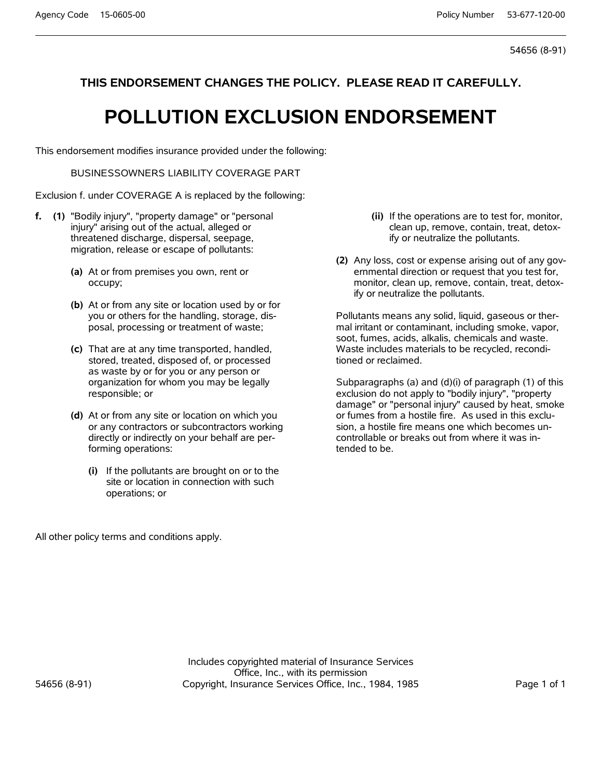54656 (8-91)

### **THIS ENDORSEMENT CHANGES THE POLICY. PLEASE READ IT CAREFULLY.**

# **POLLUTION EXCLUSION ENDORSEMENT**

This endorsement modifies insurance provided under the following:

BUSINESSOWNERS LIABILITY COVERAGE PART

Exclusion f. under COVERAGE A is replaced by the following:

- **f. (1)** "Bodily injury", "property damage" or "personal injury" arising out of the actual, alleged or threatened discharge, dispersal, seepage, migration, release or escape of pollutants:
	- **(a)** At or from premises you own, rent or occupy;
	- **(b)** At or from any site or location used by or for you or others for the handling, storage, disposal, processing or treatment of waste;
	- **(c)** That are at any time transported, handled, stored, treated, disposed of, or processed as waste by or for you or any person or organization for whom you may be legally responsible; or
	- **(d)** At or from any site or location on which you or any contractors or subcontractors working directly or indirectly on your behalf are performing operations:
		- **(i)** If the pollutants are brought on or to the site or location in connection with such operations; or

**(ii)** If the operations are to test for, monitor, clean up, remove, contain, treat, detoxify or neutralize the pollutants.

**(2)** Any loss, cost or expense arising out of any governmental direction or request that you test for, monitor, clean up, remove, contain, treat, detoxify or neutralize the pollutants.

Pollutants means any solid, liquid, gaseous or thermal irritant or contaminant, including smoke, vapor, soot, fumes, acids, alkalis, chemicals and waste. Waste includes materials to be recycled, reconditioned or reclaimed.

Subparagraphs (a) and (d)(i) of paragraph (1) of this exclusion do not apply to "bodily injury", "property damage" or "personal injury" caused by heat, smoke or fumes from a hostile fire. As used in this exclusion, a hostile fire means one which becomes uncontrollable or breaks out from where it was intended to be.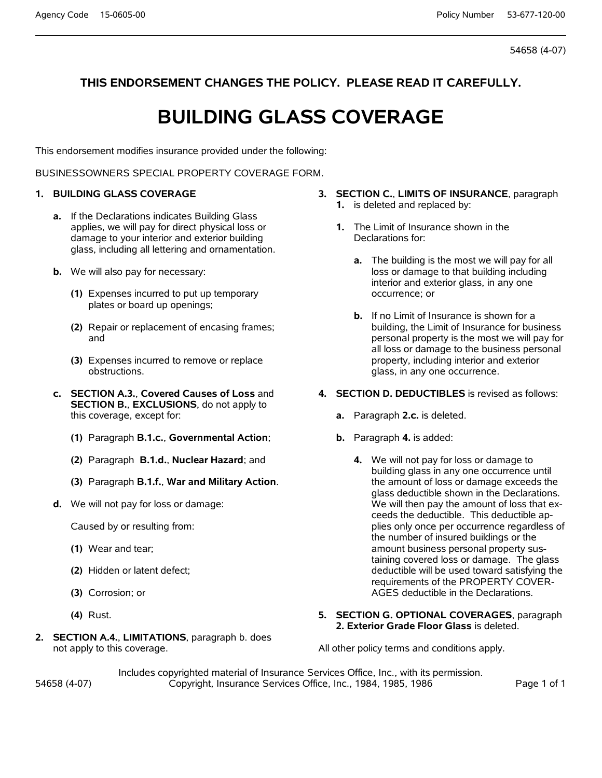54658 (4-07)

## **THIS ENDORSEMENT CHANGES THE POLICY. PLEASE READ IT CAREFULLY.**

# **BUILDING GLASS COVERAGE**

This endorsement modifies insurance provided under the following:

BUSINESSOWNERS SPECIAL PROPERTY COVERAGE FORM.

### **1. BUILDING GLASS COVERAGE**

- **a.** If the Declarations indicates Building Glass applies, we will pay for direct physical loss or damage to your interior and exterior building glass, including all lettering and ornamentation.
- **b.** We will also pay for necessary:
	- **(1)** Expenses incurred to put up temporary plates or board up openings;
	- **(2)** Repair or replacement of encasing frames; and
	- **(3)** Expenses incurred to remove or replace obstructions.
- **c. SECTION A.3.**, **Covered Causes of Loss** and **SECTION B.**, **EXCLUSIONS**, do not apply to this coverage, except for:
	- **(1)** Paragraph **B.1.c.**, **Governmental Action**;
	- **(2)** Paragraph **B.1.d.**, **Nuclear Hazard**; and
	- **(3)** Paragraph **B.1.f.**, **War and Military Action**.
- **d.** We will not pay for loss or damage:

Caused by or resulting from:

- **(1)** Wear and tear;
- **(2)** Hidden or latent defect;
- **(3)** Corrosion; or
- **(4)** Rust.
- **2. SECTION A.4.**, **LIMITATIONS**, paragraph b. does not apply to this coverage.
- **3. SECTION C.**, **LIMITS OF INSURANCE**, paragraph **1.** is deleted and replaced by:
	- **1.** The Limit of Insurance shown in the Declarations for:
		- **a.** The building is the most we will pay for all loss or damage to that building including interior and exterior glass, in any one occurrence; or
		- **b.** If no Limit of Insurance is shown for a building, the Limit of Insurance for business personal property is the most we will pay for all loss or damage to the business personal property, including interior and exterior glass, in any one occurrence.
- **4. SECTION D. DEDUCTIBLES** is revised as follows:
	- **a.** Paragraph **2.c.** is deleted.
	- **b.** Paragraph **4.** is added:
		- **4.** We will not pay for loss or damage to building glass in any one occurrence until the amount of loss or damage exceeds the glass deductible shown in the Declarations. We will then pay the amount of loss that exceeds the deductible. This deductible applies only once per occurrence regardless of the number of insured buildings or the amount business personal property sustaining covered loss or damage. The glass deductible will be used toward satisfying the requirements of the PROPERTY COVER-AGES deductible in the Declarations.
- **5. SECTION G. OPTIONAL COVERAGES**, paragraph **2. Exterior Grade Floor Glass** is deleted.

All other policy terms and conditions apply.

Includes copyrighted material of Insurance Services Office, Inc., with its permission. 54658 (4-07) Copyright, Insurance Services Office, Inc., 1984, 1985, 1986 Page 1 of 1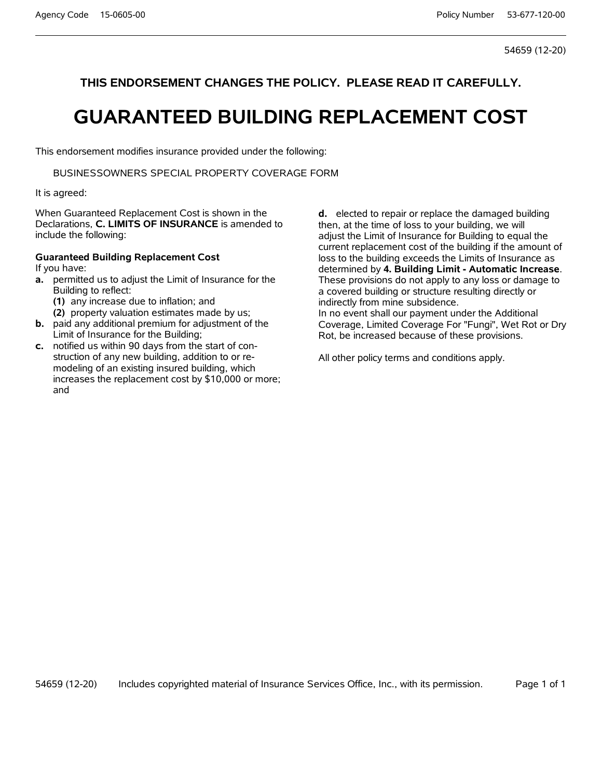54659 (12-20)

### **THIS ENDORSEMENT CHANGES THE POLICY. PLEASE READ IT CAREFULLY.**

# **GUARANTEED BUILDING REPLACEMENT COST**

This endorsement modifies insurance provided under the following:

BUSINESSOWNERS SPECIAL PROPERTY COVERAGE FORM

It is agreed:

When Guaranteed Replacement Cost is shown in the Declarations, **C. LIMITS OF INSURANCE** is amended to include the following:

## **Guaranteed Building Replacement Cost**

If you have:

- **a.** permitted us to adjust the Limit of Insurance for the Building to reflect:
	- **(1)** any increase due to inflation; and
	- **(2)** property valuation estimates made by us;
- **b.** paid any additional premium for adjustment of the Limit of Insurance for the Building;
- **c.** notified us within 90 days from the start of construction of any new building, addition to or remodeling of an existing insured building, which increases the replacement cost by \$10,000 or more; and

**d.** elected to repair or replace the damaged building then, at the time of loss to your building, we will adjust the Limit of Insurance for Building to equal the current replacement cost of the building if the amount of loss to the building exceeds the Limits of Insurance as determined by **4. Building Limit - Automatic Increase**. These provisions do not apply to any loss or damage to a covered building or structure resulting directly or indirectly from mine subsidence. In no event shall our payment under the Additional Coverage, Limited Coverage For "Fungi", Wet Rot or Dry Rot, be increased because of these provisions.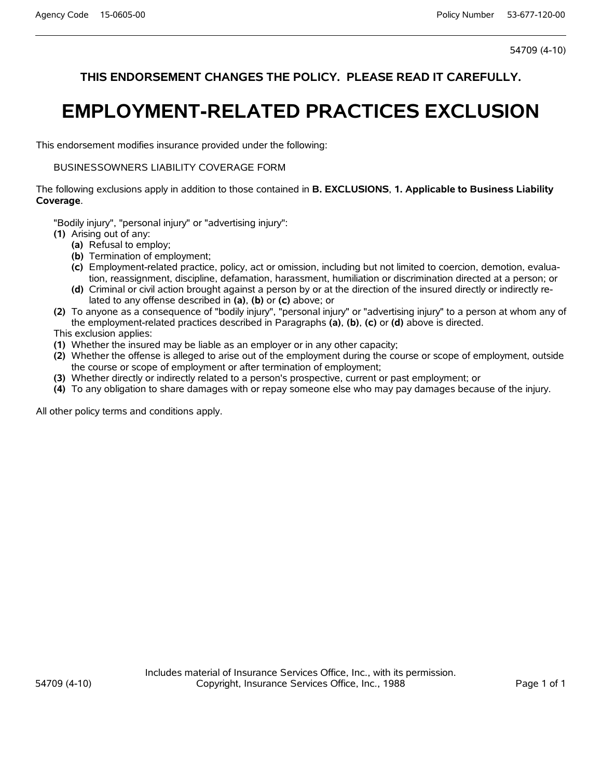54709 (4-10)

### **THIS ENDORSEMENT CHANGES THE POLICY. PLEASE READ IT CAREFULLY.**

# **EMPLOYMENT-RELATED PRACTICES EXCLUSION**

This endorsement modifies insurance provided under the following:

BUSINESSOWNERS LIABILITY COVERAGE FORM

The following exclusions apply in addition to those contained in **B. EXCLUSIONS**, **1. Applicable to Business Liability Coverage**.

"Bodily injury", "personal injury" or "advertising injury":

- **(1)** Arising out of any:
	- **(a)** Refusal to employ;
	- **(b)** Termination of employment;
	- **(c)** Employment-related practice, policy, act or omission, including but not limited to coercion, demotion, evaluation, reassignment, discipline, defamation, harassment, humiliation or discrimination directed at a person; or
	- **(d)** Criminal or civil action brought against a person by or at the direction of the insured directly or indirectly related to any offense described in **(a)**, **(b)** or **(c)** above; or
- **(2)** To anyone as a consequence of "bodily injury", "personal injury" or "advertising injury" to a person at whom any of the employment-related practices described in Paragraphs **(a)**, **(b)**, **(c)** or **(d)** above is directed.

This exclusion applies:

- **(1)** Whether the insured may be liable as an employer or in any other capacity;
- **(2)** Whether the offense is alleged to arise out of the employment during the course or scope of employment, outside the course or scope of employment or after termination of employment;
- **(3)** Whether directly or indirectly related to a person's prospective, current or past employment; or
- **(4)** To any obligation to share damages with or repay someone else who may pay damages because of the injury.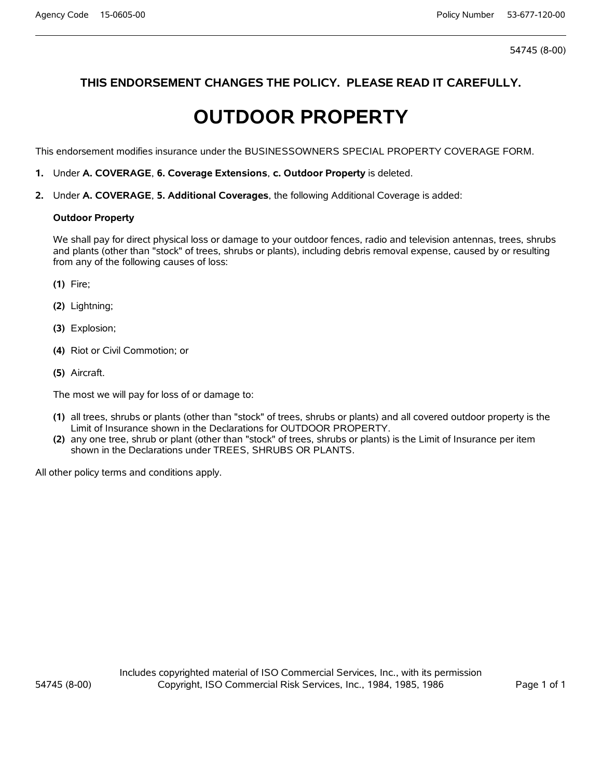### **THIS ENDORSEMENT CHANGES THE POLICY. PLEASE READ IT CAREFULLY.**

# **OUTDOOR PROPERTY**

This endorsement modifies insurance under the BUSINESSOWNERS SPECIAL PROPERTY COVERAGE FORM.

- **1.** Under **A. COVERAGE**, **6. Coverage Extensions**, **c. Outdoor Property** is deleted.
- **2.** Under **A. COVERAGE**, **5. Additional Coverages**, the following Additional Coverage is added:

#### **Outdoor Property**

We shall pay for direct physical loss or damage to your outdoor fences, radio and television antennas, trees, shrubs and plants (other than "stock" of trees, shrubs or plants), including debris removal expense, caused by or resulting from any of the following causes of loss:

- **(1)** Fire;
- **(2)** Lightning;
- **(3)** Explosion;
- **(4)** Riot or Civil Commotion; or
- **(5)** Aircraft.

The most we will pay for loss of or damage to:

- **(1)** all trees, shrubs or plants (other than "stock" of trees, shrubs or plants) and all covered outdoor property is the Limit of Insurance shown in the Declarations for OUTDOOR PROPERTY.
- **(2)** any one tree, shrub or plant (other than "stock" of trees, shrubs or plants) is the Limit of Insurance per item shown in the Declarations under TREES, SHRUBS OR PLANTS.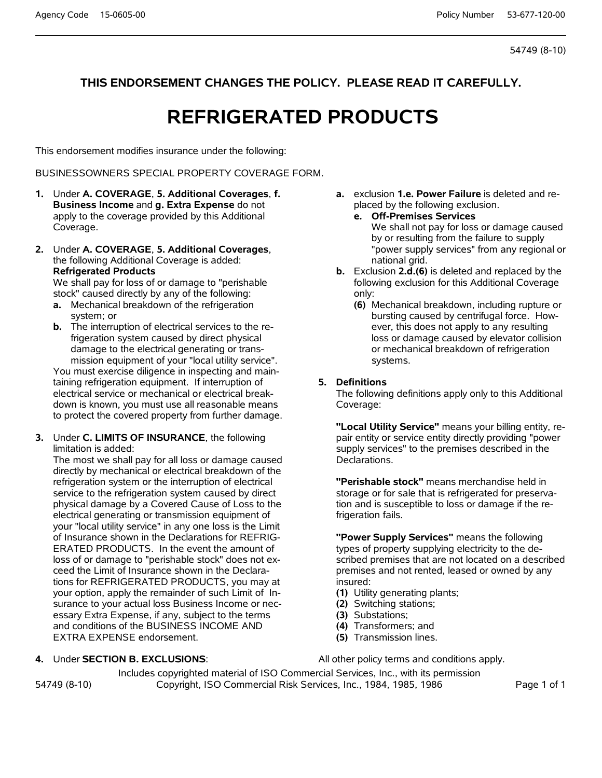54749 (8-10)

## **THIS ENDORSEMENT CHANGES THE POLICY. PLEASE READ IT CAREFULLY.**

# **REFRIGERATED PRODUCTS**

This endorsement modifies insurance under the following:

### BUSINESSOWNERS SPECIAL PROPERTY COVERAGE FORM.

- **1.** Under **A. COVERAGE**, **5. Additional Coverages**, **f. Business Income** and **g. Extra Expense** do not apply to the coverage provided by this Additional Coverage.
- **2.** Under **A. COVERAGE**, **5. Additional Coverages**, the following Additional Coverage is added: **Refrigerated Products**

We shall pay for loss of or damage to "perishable stock" caused directly by any of the following:

- **a.** Mechanical breakdown of the refrigeration system; or
- **b.** The interruption of electrical services to the refrigeration system caused by direct physical damage to the electrical generating or transmission equipment of your "local utility service". You must exercise diligence in inspecting and main-

taining refrigeration equipment. If interruption of electrical service or mechanical or electrical breakdown is known, you must use all reasonable means to protect the covered property from further damage.

**3.** Under **C. LIMITS OF INSURANCE**, the following limitation is added:

The most we shall pay for all loss or damage caused directly by mechanical or electrical breakdown of the refrigeration system or the interruption of electrical service to the refrigeration system caused by direct physical damage by a Covered Cause of Loss to the electrical generating or transmission equipment of your "local utility service" in any one loss is the Limit of Insurance shown in the Declarations for REFRIG-ERATED PRODUCTS. In the event the amount of loss of or damage to "perishable stock" does not exceed the Limit of Insurance shown in the Declarations for REFRIGERATED PRODUCTS, you may at your option, apply the remainder of such Limit of Insurance to your actual loss Business Income or necessary Extra Expense, if any, subject to the terms and conditions of the BUSINESS INCOME AND EXTRA EXPENSE endorsement.

**a.** exclusion **1.e. Power Failure** is deleted and replaced by the following exclusion.

### **e. Off-Premises Services**

We shall not pay for loss or damage caused by or resulting from the failure to supply "power supply services" from any regional or national grid.

- **b.** Exclusion **2.d.(6)** is deleted and replaced by the following exclusion for this Additional Coverage only:
	- **(6)** Mechanical breakdown, including rupture or bursting caused by centrifugal force. However, this does not apply to any resulting loss or damage caused by elevator collision or mechanical breakdown of refrigeration systems.

#### **5. Definitions**

The following definitions apply only to this Additional Coverage:

**"Local Utility Service"** means your billing entity, repair entity or service entity directly providing "power supply services" to the premises described in the Declarations.

**"Perishable stock"** means merchandise held in storage or for sale that is refrigerated for preservation and is susceptible to loss or damage if the refrigeration fails.

**"Power Supply Services"** means the following types of property supplying electricity to the described premises that are not located on a described premises and not rented, leased or owned by any insured:

- **(1)** Utility generating plants;
- **(2)** Switching stations;
- **(3)** Substations;
- **(4)** Transformers; and
- **(5)** Transmission lines.

All other policy terms and conditions apply.

**4.** Under **SECTION B. EXCLUSIONS**:

Includes copyrighted material of ISO Commercial Services, Inc., with its permission 54749 (8-10) Copyright, ISO Commercial Risk Services, Inc., 1984, 1985, 1986 Page 1 of 1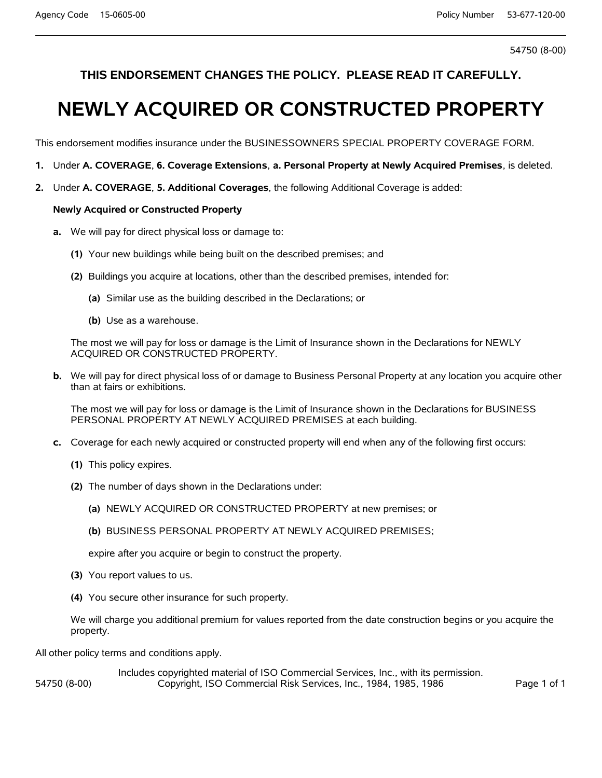54750 (8-00)

## **THIS ENDORSEMENT CHANGES THE POLICY. PLEASE READ IT CAREFULLY.**

# **NEWLY ACQUIRED OR CONSTRUCTED PROPERTY**

This endorsement modifies insurance under the BUSINESSOWNERS SPECIAL PROPERTY COVERAGE FORM.

- **1.** Under **A. COVERAGE**, **6. Coverage Extensions**, **a. Personal Property at Newly Acquired Premises**, is deleted.
- **2.** Under **A. COVERAGE**, **5. Additional Coverages**, the following Additional Coverage is added:

#### **Newly Acquired or Constructed Property**

- **a.** We will pay for direct physical loss or damage to:
	- **(1)** Your new buildings while being built on the described premises; and
	- **(2)** Buildings you acquire at locations, other than the described premises, intended for:
		- **(a)** Similar use as the building described in the Declarations; or
		- **(b)** Use as a warehouse.

The most we will pay for loss or damage is the Limit of Insurance shown in the Declarations for NEWLY ACQUIRED OR CONSTRUCTED PROPERTY.

**b.** We will pay for direct physical loss of or damage to Business Personal Property at any location you acquire other than at fairs or exhibitions.

The most we will pay for loss or damage is the Limit of Insurance shown in the Declarations for BUSINESS PERSONAL PROPERTY AT NEWLY ACQUIRED PREMISES at each building.

- **c.** Coverage for each newly acquired or constructed property will end when any of the following first occurs:
	- **(1)** This policy expires.
	- **(2)** The number of days shown in the Declarations under:
		- **(a)** NEWLY ACQUIRED OR CONSTRUCTED PROPERTY at new premises; or
		- **(b)** BUSINESS PERSONAL PROPERTY AT NEWLY ACQUIRED PREMISES;

expire after you acquire or begin to construct the property.

- **(3)** You report values to us.
- **(4)** You secure other insurance for such property.

We will charge you additional premium for values reported from the date construction begins or you acquire the property.

All other policy terms and conditions apply.

Includes copyrighted material of ISO Commercial Services, Inc., with its permission. 54750 (8-00) Copyright, ISO Commercial Risk Services, Inc., 1984, 1985, 1986 Page 1 of 1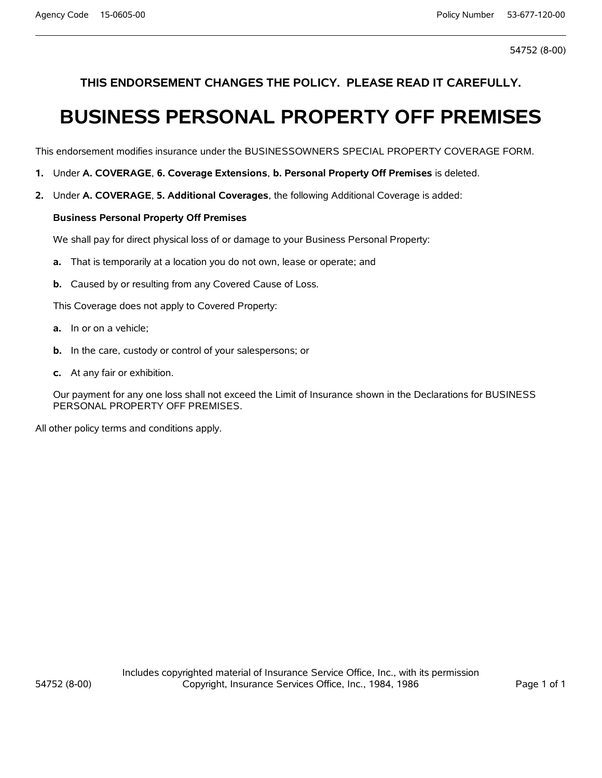### **THIS ENDORSEMENT CHANGES THE POLICY. PLEASE READ IT CAREFULLY.**

# **BUSINESS PERSONAL PROPERTY OFF PREMISES**

This endorsement modifies insurance under the BUSINESSOWNERS SPECIAL PROPERTY COVERAGE FORM.

- **1.** Under **A. COVERAGE**, **6. Coverage Extensions**, **b. Personal Property Off Premises** is deleted.
- **2.** Under **A. COVERAGE**, **5. Additional Coverages**, the following Additional Coverage is added:

#### **Business Personal Property Off Premises**

We shall pay for direct physical loss of or damage to your Business Personal Property:

- **a.** That is temporarily at a location you do not own, lease or operate; and
- **b.** Caused by or resulting from any Covered Cause of Loss.

This Coverage does not apply to Covered Property:

- **a.** In or on a vehicle;
- **b.** In the care, custody or control of your salespersons; or
- **c.** At any fair or exhibition.

Our payment for any one loss shall not exceed the Limit of Insurance shown in the Declarations for BUSINESS PERSONAL PROPERTY OFF PREMISES.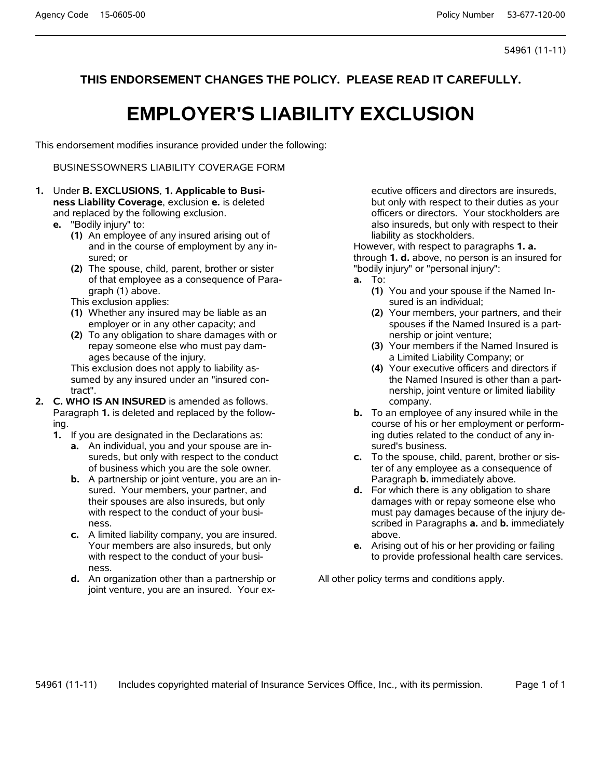54961 (11-11)

## **THIS ENDORSEMENT CHANGES THE POLICY. PLEASE READ IT CAREFULLY.**

# **EMPLOYER'S LIABILITY EXCLUSION**

This endorsement modifies insurance provided under the following:

BUSINESSOWNERS LIABILITY COVERAGE FORM

- **1.** Under **B. EXCLUSIONS**, **1. Applicable to Business Liability Coverage**, exclusion **e.** is deleted and replaced by the following exclusion.
	- **e.** "Bodily injury" to:
		- **(1)** An employee of any insured arising out of and in the course of employment by any insured; or
		- **(2)** The spouse, child, parent, brother or sister of that employee as a consequence of Paragraph (1) above.

This exclusion applies:

- **(1)** Whether any insured may be liable as an employer or in any other capacity; and
- **(2)** To any obligation to share damages with or repay someone else who must pay damages because of the injury.

This exclusion does not apply to liability assumed by any insured under an "insured contract".

- **2. C. WHO IS AN INSURED** is amended as follows. Paragraph **1.** is deleted and replaced by the following.
	- **1.** If you are designated in the Declarations as:
		- **a.** An individual, you and your spouse are insureds, but only with respect to the conduct of business which you are the sole owner.
		- **b.** A partnership or joint venture, you are an insured. Your members, your partner, and their spouses are also insureds, but only with respect to the conduct of your business.
		- **c.** A limited liability company, you are insured. Your members are also insureds, but only with respect to the conduct of your business.
		- **d.** An organization other than a partnership or joint venture, you are an insured. Your ex-

ecutive officers and directors are insureds, but only with respect to their duties as your officers or directors. Your stockholders are also insureds, but only with respect to their liability as stockholders.

However, with respect to paragraphs **1. a.** through **1. d.** above, no person is an insured for "bodily injury" or "personal injury":

- **a.** To:
	- **(1)** You and your spouse if the Named Insured is an individual;
	- **(2)** Your members, your partners, and their spouses if the Named Insured is a partnership or joint venture;
	- **(3)** Your members if the Named Insured is a Limited Liability Company; or
	- **(4)** Your executive officers and directors if the Named Insured is other than a partnership, joint venture or limited liability company.
- **b.** To an employee of any insured while in the course of his or her employment or performing duties related to the conduct of any insured's business.
- **c.** To the spouse, child, parent, brother or sister of any employee as a consequence of Paragraph **b.** immediately above.
- **d.** For which there is any obligation to share damages with or repay someone else who must pay damages because of the injury described in Paragraphs **a.** and **b.** immediately above.
- **e.** Arising out of his or her providing or failing to provide professional health care services.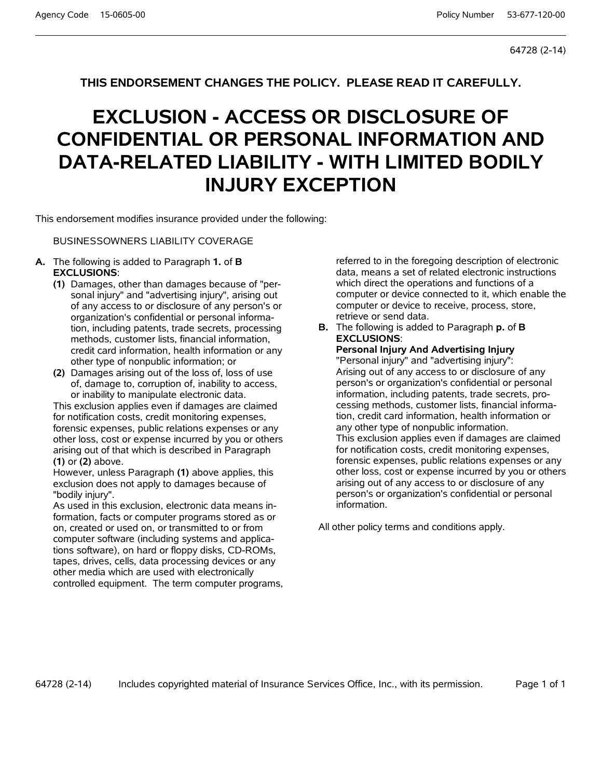### **THIS ENDORSEMENT CHANGES THE POLICY. PLEASE READ IT CAREFULLY.**

# **EXCLUSION - ACCESS OR DISCLOSURE OF CONFIDENTIAL OR PERSONAL INFORMATION AND DATA-RELATED LIABILITY - WITH LIMITED BODILY INJURY EXCEPTION**

This endorsement modifies insurance provided under the following:

#### BUSINESSOWNERS LIABILITY COVERAGE

- **A.** The following is added to Paragraph **1.** of **B EXCLUSIONS**:
	- **(1)** Damages, other than damages because of "personal injury" and "advertising injury", arising out of any access to or disclosure of any person's or organization's confidential or personal information, including patents, trade secrets, processing methods, customer lists, financial information, credit card information, health information or any other type of nonpublic information; or
	- **(2)** Damages arising out of the loss of, loss of use of, damage to, corruption of, inability to access, or inability to manipulate electronic data.

This exclusion applies even if damages are claimed for notification costs, credit monitoring expenses, forensic expenses, public relations expenses or any other loss, cost or expense incurred by you or others arising out of that which is described in Paragraph **(1)** or **(2)** above.

However, unless Paragraph **(1)** above applies, this exclusion does not apply to damages because of "bodily injury".

As used in this exclusion, electronic data means information, facts or computer programs stored as or on, created or used on, or transmitted to or from computer software (including systems and applications software), on hard or floppy disks, CD-ROMs, tapes, drives, cells, data processing devices or any other media which are used with electronically controlled equipment. The term computer programs, referred to in the foregoing description of electronic data, means a set of related electronic instructions which direct the operations and functions of a computer or device connected to it, which enable the computer or device to receive, process, store, retrieve or send data.

**B.** The following is added to Paragraph **p.** of **B EXCLUSIONS**:

**Personal Injury And Advertising Injury** "Personal injury" and "advertising injury": Arising out of any access to or disclosure of any person's or organization's confidential or personal information, including patents, trade secrets, processing methods, customer lists, financial information, credit card information, health information or any other type of nonpublic information. This exclusion applies even if damages are claimed for notification costs, credit monitoring expenses, forensic expenses, public relations expenses or any other loss, cost or expense incurred by you or others arising out of any access to or disclosure of any person's or organization's confidential or personal information.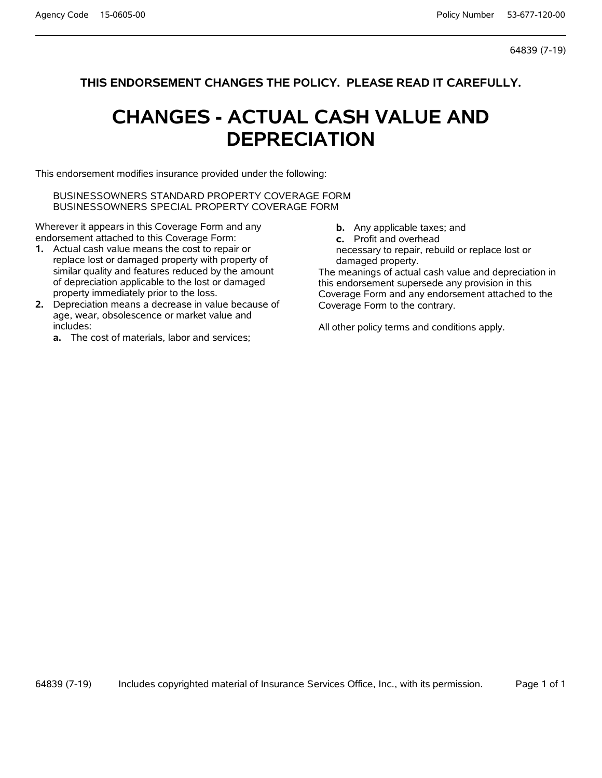**THIS ENDORSEMENT CHANGES THE POLICY. PLEASE READ IT CAREFULLY.**

# **CHANGES - ACTUAL CASH VALUE AND DEPRECIATION**

This endorsement modifies insurance provided under the following:

BUSINESSOWNERS STANDARD PROPERTY COVERAGE FORM BUSINESSOWNERS SPECIAL PROPERTY COVERAGE FORM

Wherever it appears in this Coverage Form and any endorsement attached to this Coverage Form:

- **1.** Actual cash value means the cost to repair or replace lost or damaged property with property of similar quality and features reduced by the amount of depreciation applicable to the lost or damaged property immediately prior to the loss.
- **2.** Depreciation means a decrease in value because of age, wear, obsolescence or market value and includes:
	- **a.** The cost of materials, labor and services;
- **b.** Any applicable taxes; and
- **c.** Profit and overhead

necessary to repair, rebuild or replace lost or damaged property.

The meanings of actual cash value and depreciation in this endorsement supersede any provision in this Coverage Form and any endorsement attached to the Coverage Form to the contrary.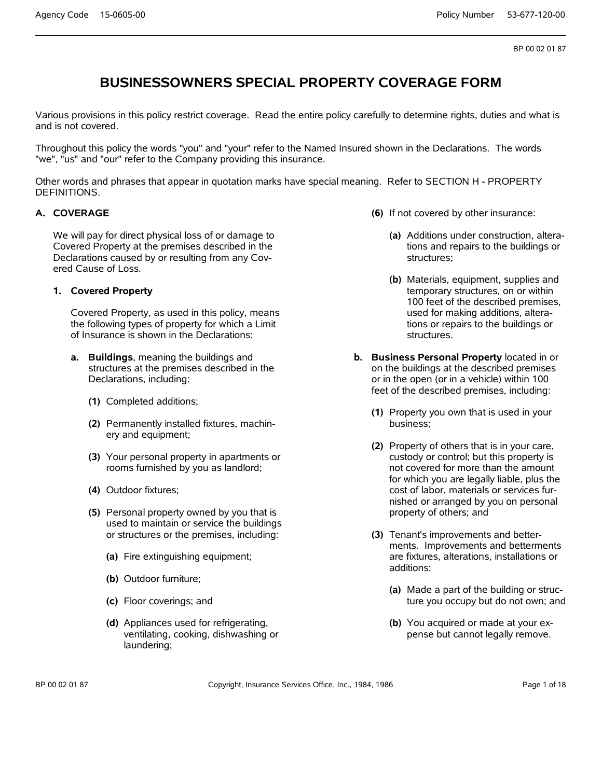BP 00 02 01 87

## **BUSINESSOWNERS SPECIAL PROPERTY COVERAGE FORM**

Various provisions in this policy restrict coverage. Read the entire policy carefully to determine rights, duties and what is and is not covered.

Throughout this policy the words "you" and "your" refer to the Named Insured shown in the Declarations. The words "we", "us" and "our" refer to the Company providing this insurance.

Other words and phrases that appear in quotation marks have special meaning. Refer to SECTION H - PROPERTY DEFINITIONS.

#### **A. COVERAGE**

We will pay for direct physical loss of or damage to Covered Property at the premises described in the Declarations caused by or resulting from any Covered Cause of Loss.

#### **1. Covered Property**

Covered Property, as used in this policy, means the following types of property for which a Limit of Insurance is shown in the Declarations:

- **a. Buildings**, meaning the buildings and structures at the premises described in the Declarations, including:
	- **(1)** Completed additions;
	- **(2)** Permanently installed fixtures, machinery and equipment;
	- **(3)** Your personal property in apartments or rooms furnished by you as landlord;
	- **(4)** Outdoor fixtures;
	- **(5)** Personal property owned by you that is used to maintain or service the buildings or structures or the premises, including:
		- **(a)** Fire extinguishing equipment;
		- **(b)** Outdoor furniture;
		- **(c)** Floor coverings; and
		- **(d)** Appliances used for refrigerating, ventilating, cooking, dishwashing or laundering;
- **(6)** If not covered by other insurance:
	- **(a)** Additions under construction, alterations and repairs to the buildings or structures;
	- **(b)** Materials, equipment, supplies and temporary structures, on or within 100 feet of the described premises, used for making additions, alterations or repairs to the buildings or structures.
- **b. Business Personal Property** located in or on the buildings at the described premises or in the open (or in a vehicle) within 100 feet of the described premises, including:
	- **(1)** Property you own that is used in your business;
	- **(2)** Property of others that is in your care, custody or control; but this property is not covered for more than the amount for which you are legally liable, plus the cost of labor, materials or services furnished or arranged by you on personal property of others; and
	- **(3)** Tenant's improvements and betterments. Improvements and betterments are fixtures, alterations, installations or additions:
		- **(a)** Made a part of the building or structure you occupy but do not own; and
		- **(b)** You acquired or made at your expense but cannot legally remove.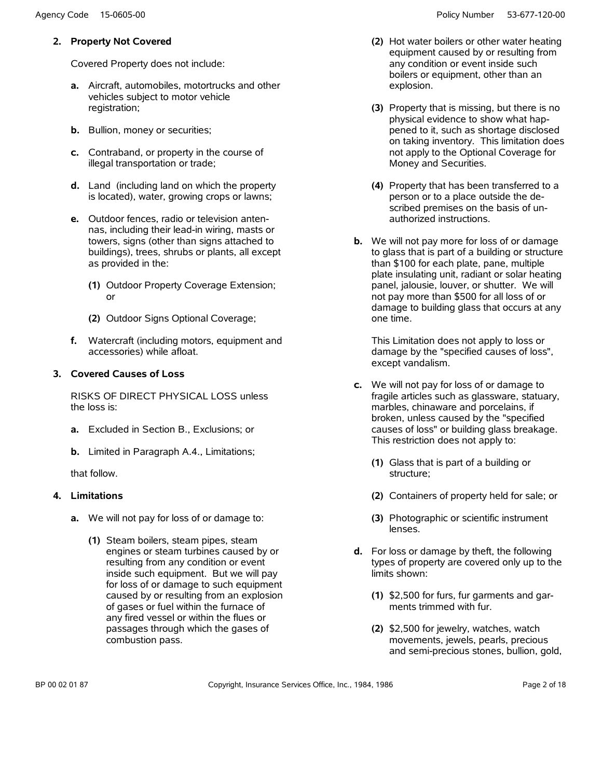#### **2. Property Not Covered**

Covered Property does not include:

- **a.** Aircraft, automobiles, motortrucks and other vehicles subject to motor vehicle registration;
- **b.** Bullion, money or securities;
- **c.** Contraband, or property in the course of illegal transportation or trade;
- **d.** Land (including land on which the property is located), water, growing crops or lawns;
- **e.** Outdoor fences, radio or television antennas, including their lead-in wiring, masts or towers, signs (other than signs attached to buildings), trees, shrubs or plants, all except as provided in the:
	- **(1)** Outdoor Property Coverage Extension; or
	- **(2)** Outdoor Signs Optional Coverage;
- **f.** Watercraft (including motors, equipment and accessories) while afloat.

#### **3. Covered Causes of Loss**

RISKS OF DIRECT PHYSICAL LOSS unless the loss is:

- **a.** Excluded in Section B., Exclusions; or
- **b.** Limited in Paragraph A.4., Limitations;

that follow.

#### **4. Limitations**

- **a.** We will not pay for loss of or damage to:
	- **(1)** Steam boilers, steam pipes, steam engines or steam turbines caused by or resulting from any condition or event inside such equipment. But we will pay for loss of or damage to such equipment caused by or resulting from an explosion of gases or fuel within the furnace of any fired vessel or within the flues or passages through which the gases of combustion pass.
- **(2)** Hot water boilers or other water heating equipment caused by or resulting from any condition or event inside such boilers or equipment, other than an explosion.
- **(3)** Property that is missing, but there is no physical evidence to show what happened to it, such as shortage disclosed on taking inventory. This limitation does not apply to the Optional Coverage for Money and Securities.
- **(4)** Property that has been transferred to a person or to a place outside the described premises on the basis of unauthorized instructions.
- **b.** We will not pay more for loss of or damage to glass that is part of a building or structure than \$100 for each plate, pane, multiple plate insulating unit, radiant or solar heating panel, jalousie, louver, or shutter. We will not pay more than \$500 for all loss of or damage to building glass that occurs at any one time.

This Limitation does not apply to loss or damage by the "specified causes of loss", except vandalism.

- **c.** We will not pay for loss of or damage to fragile articles such as glassware, statuary, marbles, chinaware and porcelains, if broken, unless caused by the "specified causes of loss" or building glass breakage. This restriction does not apply to:
	- **(1)** Glass that is part of a building or structure;
	- **(2)** Containers of property held for sale; or
	- **(3)** Photographic or scientific instrument lenses.
- **d.** For loss or damage by theft, the following types of property are covered only up to the limits shown:
	- **(1)** \$2,500 for furs, fur garments and garments trimmed with fur.
	- **(2)** \$2,500 for jewelry, watches, watch movements, jewels, pearls, precious and semi-precious stones, bullion, gold,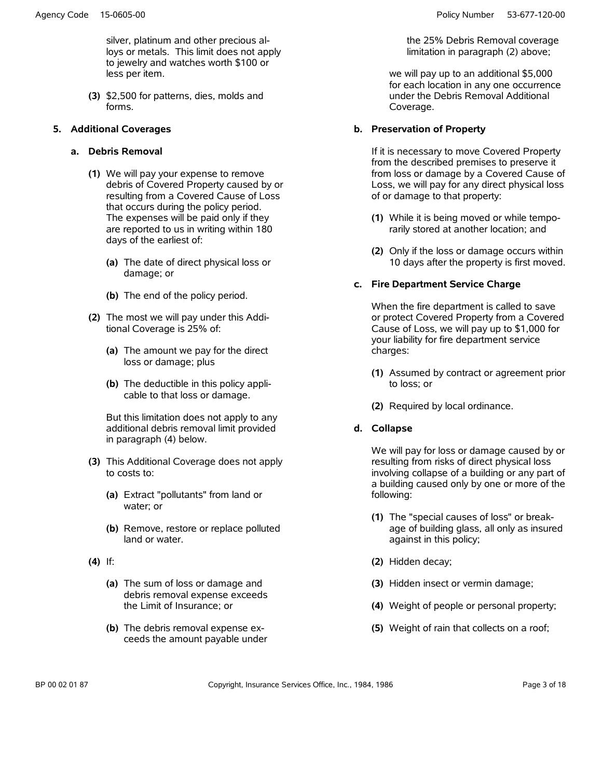silver, platinum and other precious alloys or metals. This limit does not apply to jewelry and watches worth \$100 or less per item.

**(3)** \$2,500 for patterns, dies, molds and forms.

#### **5. Additional Coverages**

- **a. Debris Removal**
	- **(1)** We will pay your expense to remove debris of Covered Property caused by or resulting from a Covered Cause of Loss that occurs during the policy period. The expenses will be paid only if they are reported to us in writing within 180 days of the earliest of:
		- **(a)** The date of direct physical loss or damage; or
		- **(b)** The end of the policy period.
	- **(2)** The most we will pay under this Additional Coverage is 25% of:
		- **(a)** The amount we pay for the direct loss or damage; plus
		- **(b)** The deductible in this policy applicable to that loss or damage.

But this limitation does not apply to any additional debris removal limit provided in paragraph (4) below.

- **(3)** This Additional Coverage does not apply to costs to:
	- **(a)** Extract "pollutants" from land or water; or
	- **(b)** Remove, restore or replace polluted land or water.
- **(4)** If:
	- **(a)** The sum of loss or damage and debris removal expense exceeds the Limit of Insurance; or
	- **(b)** The debris removal expense exceeds the amount payable under

the 25% Debris Removal coverage limitation in paragraph (2) above;

we will pay up to an additional \$5,000 for each location in any one occurrence under the Debris Removal Additional Coverage.

#### **b. Preservation of Property**

If it is necessary to move Covered Property from the described premises to preserve it from loss or damage by a Covered Cause of Loss, we will pay for any direct physical loss of or damage to that property:

- **(1)** While it is being moved or while temporarily stored at another location; and
- **(2)** Only if the loss or damage occurs within 10 days after the property is first moved.

#### **c. Fire Department Service Charge**

When the fire department is called to save or protect Covered Property from a Covered Cause of Loss, we will pay up to \$1,000 for your liability for fire department service charges:

- **(1)** Assumed by contract or agreement prior to loss; or
- **(2)** Required by local ordinance.

#### **d. Collapse**

We will pay for loss or damage caused by or resulting from risks of direct physical loss involving collapse of a building or any part of a building caused only by one or more of the following:

- **(1)** The "special causes of loss" or breakage of building glass, all only as insured against in this policy;
- **(2)** Hidden decay;
- **(3)** Hidden insect or vermin damage;
- **(4)** Weight of people or personal property;
- **(5)** Weight of rain that collects on a roof;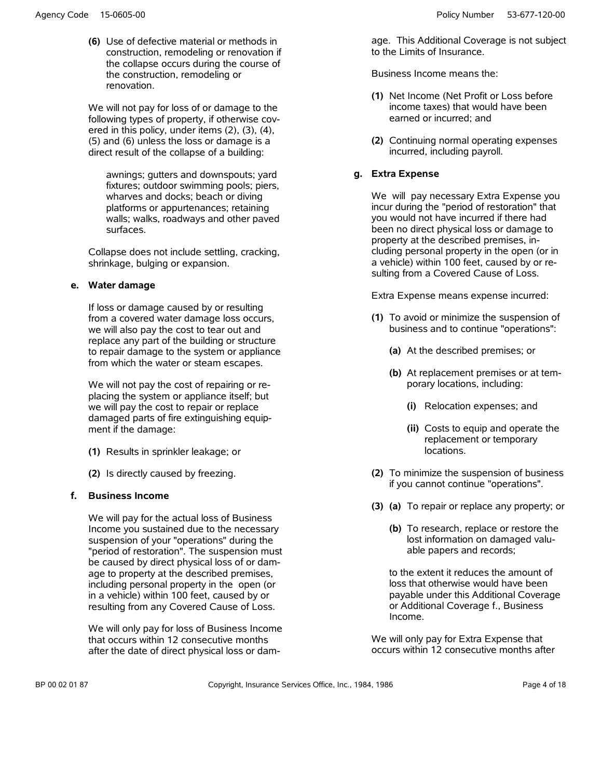**(6)** Use of defective material or methods in construction, remodeling or renovation if the collapse occurs during the course of the construction, remodeling or renovation.

We will not pay for loss of or damage to the following types of property, if otherwise covered in this policy, under items (2), (3), (4), (5) and (6) unless the loss or damage is a direct result of the collapse of a building:

awnings; gutters and downspouts; yard fixtures; outdoor swimming pools; piers, wharves and docks; beach or diving platforms or appurtenances; retaining walls; walks, roadways and other paved surfaces.

Collapse does not include settling, cracking, shrinkage, bulging or expansion.

#### **e. Water damage**

If loss or damage caused by or resulting from a covered water damage loss occurs, we will also pay the cost to tear out and replace any part of the building or structure to repair damage to the system or appliance from which the water or steam escapes.

We will not pay the cost of repairing or replacing the system or appliance itself; but we will pay the cost to repair or replace damaged parts of fire extinguishing equipment if the damage:

- **(1)** Results in sprinkler leakage; or
- **(2)** Is directly caused by freezing.

#### **f. Business Income**

We will pay for the actual loss of Business Income you sustained due to the necessary suspension of your "operations" during the "period of restoration". The suspension must be caused by direct physical loss of or damage to property at the described premises, including personal property in the open (or in a vehicle) within 100 feet, caused by or resulting from any Covered Cause of Loss.

We will only pay for loss of Business Income that occurs within 12 consecutive months after the date of direct physical loss or damage. This Additional Coverage is not subject to the Limits of Insurance.

Business Income means the:

- **(1)** Net Income (Net Profit or Loss before income taxes) that would have been earned or incurred; and
- **(2)** Continuing normal operating expenses incurred, including payroll.

#### **g. Extra Expense**

We will pay necessary Extra Expense you incur during the "period of restoration" that you would not have incurred if there had been no direct physical loss or damage to property at the described premises, including personal property in the open (or in a vehicle) within 100 feet, caused by or resulting from a Covered Cause of Loss.

Extra Expense means expense incurred:

- **(1)** To avoid or minimize the suspension of business and to continue "operations":
	- **(a)** At the described premises; or
	- **(b)** At replacement premises or at temporary locations, including:
		- **(i)** Relocation expenses; and
		- **(ii)** Costs to equip and operate the replacement or temporary locations.
- **(2)** To minimize the suspension of business if you cannot continue "operations".
- **(3) (a)** To repair or replace any property; or
	- **(b)** To research, replace or restore the lost information on damaged valuable papers and records;

to the extent it reduces the amount of loss that otherwise would have been payable under this Additional Coverage or Additional Coverage f., Business Income.

We will only pay for Extra Expense that occurs within 12 consecutive months after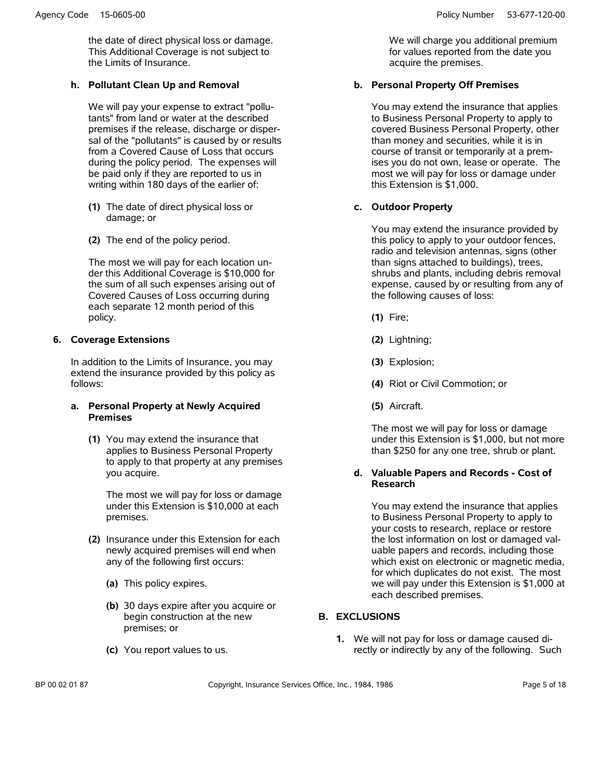the date of direct physical loss or damage. This Additional Coverage is not subject to the Limits of Insurance.

#### **h. Pollutant Clean Up and Removal**

We will pay your expense to extract "pollutants" from land or water at the described premises if the release, discharge or dispersal of the "pollutants" is caused by or results from a Covered Cause of Loss that occurs during the policy period. The expenses will be paid only if they are reported to us in writing within 180 days of the earlier of:

- **(1)** The date of direct physical loss or damage; or
- **(2)** The end of the policy period.

The most we will pay for each location under this Additional Coverage is \$10,000 for the sum of all such expenses arising out of Covered Causes of Loss occurring during each separate 12 month period of this policy.

#### **6. Coverage Extensions**

In addition to the Limits of Insurance, you may extend the insurance provided by this policy as follows:

#### **a. Personal Property at Newly Acquired Premises**

**(1)** You may extend the insurance that applies to Business Personal Property to apply to that property at any premises you acquire.

The most we will pay for loss or damage under this Extension is \$10,000 at each premises.

- **(2)** Insurance under this Extension for each newly acquired premises will end when any of the following first occurs:
	- **(a)** This policy expires.
	- **(b)** 30 days expire after you acquire or begin construction at the new premises; or
	- **(c)** You report values to us.

We will charge you additional premium for values reported from the date you acquire the premises.

#### **b. Personal Property Off Premises**

You may extend the insurance that applies to Business Personal Property to apply to covered Business Personal Property, other than money and securities, while it is in course of transit or temporarily at a premises you do not own, lease or operate. The most we will pay for loss or damage under this Extension is \$1,000.

#### **c. Outdoor Property**

You may extend the insurance provided by this policy to apply to your outdoor fences, radio and television antennas, signs (other than signs attached to buildings), trees, shrubs and plants, including debris removal expense, caused by or resulting from any of the following causes of loss:

- **(1)** Fire;
- **(2)** Lightning;
- **(3)** Explosion;
- **(4)** Riot or Civil Commotion; or
- **(5)** Aircraft.

The most we will pay for loss or damage under this Extension is \$1,000, but not more than \$250 for any one tree, shrub or plant.

#### **d. Valuable Papers and Records - Cost of Research**

You may extend the insurance that applies to Business Personal Property to apply to your costs to research, replace or restore the lost information on lost or damaged valuable papers and records, including those which exist on electronic or magnetic media, for which duplicates do not exist. The most we will pay under this Extension is \$1,000 at each described premises.

#### **B. EXCLUSIONS**

**1.** We will not pay for loss or damage caused directly or indirectly by any of the following. Such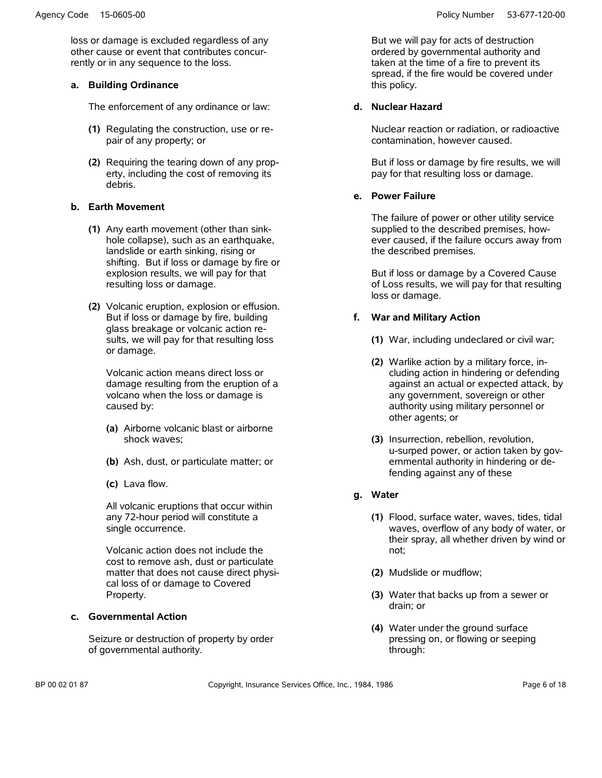loss or damage is excluded regardless of any other cause or event that contributes concurrently or in any sequence to the loss.

#### **a. Building Ordinance**

The enforcement of any ordinance or law:

- **(1)** Regulating the construction, use or repair of any property; or
- **(2)** Requiring the tearing down of any property, including the cost of removing its debris.

#### **b. Earth Movement**

- **(1)** Any earth movement (other than sinkhole collapse), such as an earthquake, landslide or earth sinking, rising or shifting. But if loss or damage by fire or explosion results, we will pay for that resulting loss or damage.
- **(2)** Volcanic eruption, explosion or effusion. But if loss or damage by fire, building glass breakage or volcanic action results, we will pay for that resulting loss or damage.

Volcanic action means direct loss or damage resulting from the eruption of a volcano when the loss or damage is caused by:

- **(a)** Airborne volcanic blast or airborne shock waves;
- **(b)** Ash, dust, or particulate matter; or
- **(c)** Lava flow.

All volcanic eruptions that occur within any 72-hour period will constitute a single occurrence.

Volcanic action does not include the cost to remove ash, dust or particulate matter that does not cause direct physical loss of or damage to Covered Property.

#### **c. Governmental Action**

Seizure or destruction of property by order of governmental authority.

But we will pay for acts of destruction ordered by governmental authority and taken at the time of a fire to prevent its spread, if the fire would be covered under this policy.

#### **d. Nuclear Hazard**

Nuclear reaction or radiation, or radioactive contamination, however caused.

But if loss or damage by fire results, we will pay for that resulting loss or damage.

#### **e. Power Failure**

The failure of power or other utility service supplied to the described premises, however caused, if the failure occurs away from the described premises.

But if loss or damage by a Covered Cause of Loss results, we will pay for that resulting loss or damage.

#### **f. War and Military Action**

- **(1)** War, including undeclared or civil war;
- **(2)** Warlike action by a military force, including action in hindering or defending against an actual or expected attack, by any government, sovereign or other authority using military personnel or other agents; or
- **(3)** Insurrection, rebellion, revolution, u-surped power, or action taken by governmental authority in hindering or defending against any of these
- **g. Water**
	- **(1)** Flood, surface water, waves, tides, tidal waves, overflow of any body of water, or their spray, all whether driven by wind or not;
	- **(2)** Mudslide or mudflow;
	- **(3)** Water that backs up from a sewer or drain; or
	- **(4)** Water under the ground surface pressing on, or flowing or seeping through: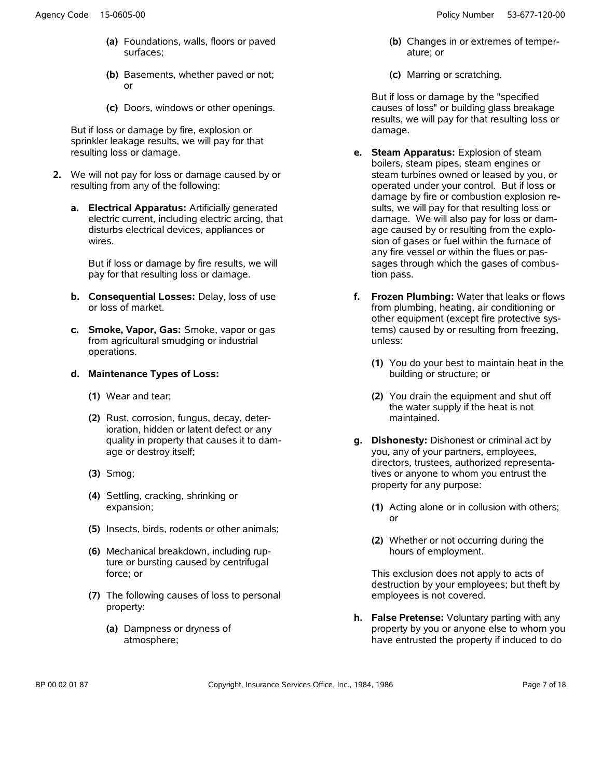- **(a)** Foundations, walls, floors or paved surfaces;
- **(b)** Basements, whether paved or not; or
- **(c)** Doors, windows or other openings.

But if loss or damage by fire, explosion or sprinkler leakage results, we will pay for that resulting loss or damage.

- **2.** We will not pay for loss or damage caused by or resulting from any of the following:
	- **a. Electrical Apparatus:** Artificially generated electric current, including electric arcing, that disturbs electrical devices, appliances or wires.

But if loss or damage by fire results, we will pay for that resulting loss or damage.

- **b. Consequential Losses:** Delay, loss of use or loss of market.
- **c. Smoke, Vapor, Gas:** Smoke, vapor or gas from agricultural smudging or industrial operations.
- **d. Maintenance Types of Loss:**
	- **(1)** Wear and tear;
	- **(2)** Rust, corrosion, fungus, decay, deterioration, hidden or latent defect or any quality in property that causes it to damage or destroy itself;
	- **(3)** Smog;
	- **(4)** Settling, cracking, shrinking or expansion;
	- **(5)** Insects, birds, rodents or other animals;
	- **(6)** Mechanical breakdown, including rupture or bursting caused by centrifugal force; or
	- **(7)** The following causes of loss to personal property:
		- **(a)** Dampness or dryness of atmosphere;
- **(b)** Changes in or extremes of temperature; or
- **(c)** Marring or scratching.

But if loss or damage by the "specified causes of loss" or building glass breakage results, we will pay for that resulting loss or damage.

- **e. Steam Apparatus:** Explosion of steam boilers, steam pipes, steam engines or steam turbines owned or leased by you, or operated under your control. But if loss or damage by fire or combustion explosion results, we will pay for that resulting loss or damage. We will also pay for loss or damage caused by or resulting from the explosion of gases or fuel within the furnace of any fire vessel or within the flues or passages through which the gases of combustion pass.
- **f. Frozen Plumbing:** Water that leaks or flows from plumbing, heating, air conditioning or other equipment (except fire protective systems) caused by or resulting from freezing, unless:
	- **(1)** You do your best to maintain heat in the building or structure; or
	- **(2)** You drain the equipment and shut off the water supply if the heat is not maintained.
- **g. Dishonesty:** Dishonest or criminal act by you, any of your partners, employees, directors, trustees, authorized representatives or anyone to whom you entrust the property for any purpose:
	- **(1)** Acting alone or in collusion with others; or
	- **(2)** Whether or not occurring during the hours of employment.

This exclusion does not apply to acts of destruction by your employees; but theft by employees is not covered.

**h. False Pretense:** Voluntary parting with any property by you or anyone else to whom you have entrusted the property if induced to do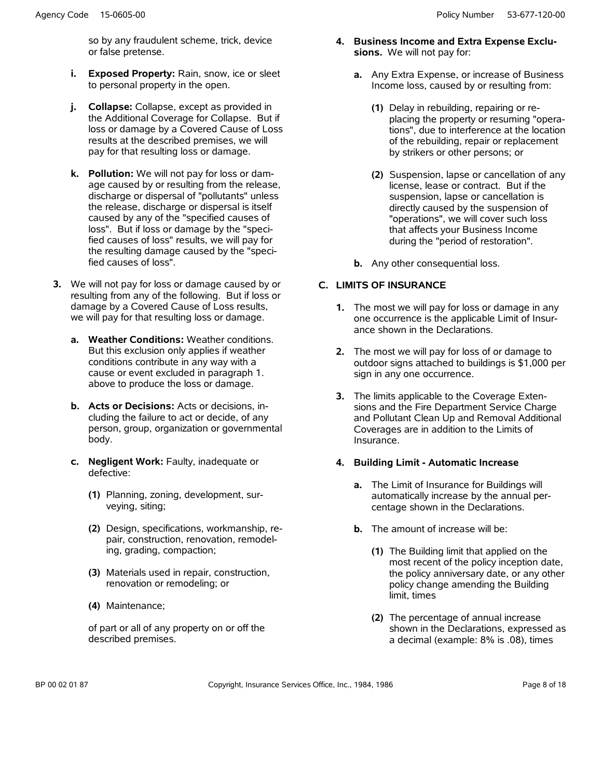so by any fraudulent scheme, trick, device or false pretense.

- **i. Exposed Property:** Rain, snow, ice or sleet to personal property in the open.
- **j. Collapse:** Collapse, except as provided in the Additional Coverage for Collapse. But if loss or damage by a Covered Cause of Loss results at the described premises, we will pay for that resulting loss or damage.
- **k. Pollution:** We will not pay for loss or damage caused by or resulting from the release, discharge or dispersal of "pollutants" unless the release, discharge or dispersal is itself caused by any of the "specified causes of loss". But if loss or damage by the "specified causes of loss" results, we will pay for the resulting damage caused by the "specified causes of loss".
- **3.** We will not pay for loss or damage caused by or resulting from any of the following. But if loss or damage by a Covered Cause of Loss results, we will pay for that resulting loss or damage.
	- **a. Weather Conditions:** Weather conditions. But this exclusion only applies if weather conditions contribute in any way with a cause or event excluded in paragraph 1. above to produce the loss or damage.
	- **b. Acts or Decisions:** Acts or decisions, including the failure to act or decide, of any person, group, organization or governmental body.
	- **c. Negligent Work:** Faulty, inadequate or defective:
		- **(1)** Planning, zoning, development, surveying, siting;
		- **(2)** Design, specifications, workmanship, repair, construction, renovation, remodeling, grading, compaction;
		- **(3)** Materials used in repair, construction, renovation or remodeling; or
		- **(4)** Maintenance;

of part or all of any property on or off the described premises.

- **4. Business Income and Extra Expense Exclusions.** We will not pay for:
	- **a.** Any Extra Expense, or increase of Business Income loss, caused by or resulting from:
		- **(1)** Delay in rebuilding, repairing or replacing the property or resuming "operations", due to interference at the location of the rebuilding, repair or replacement by strikers or other persons; or
		- **(2)** Suspension, lapse or cancellation of any license, lease or contract. But if the suspension, lapse or cancellation is directly caused by the suspension of "operations", we will cover such loss that affects your Business Income during the "period of restoration".
	- **b.** Any other consequential loss.

#### **C. LIMITS OF INSURANCE**

- **1.** The most we will pay for loss or damage in any one occurrence is the applicable Limit of Insurance shown in the Declarations.
- **2.** The most we will pay for loss of or damage to outdoor signs attached to buildings is \$1,000 per sign in any one occurrence.
- **3.** The limits applicable to the Coverage Extensions and the Fire Department Service Charge and Pollutant Clean Up and Removal Additional Coverages are in addition to the Limits of Insurance.

#### **4. Building Limit - Automatic Increase**

- **a.** The Limit of Insurance for Buildings will automatically increase by the annual percentage shown in the Declarations.
- **b.** The amount of increase will be:
	- **(1)** The Building limit that applied on the most recent of the policy inception date, the policy anniversary date, or any other policy change amending the Building limit, times
	- **(2)** The percentage of annual increase shown in the Declarations, expressed as a decimal (example: 8% is .08), times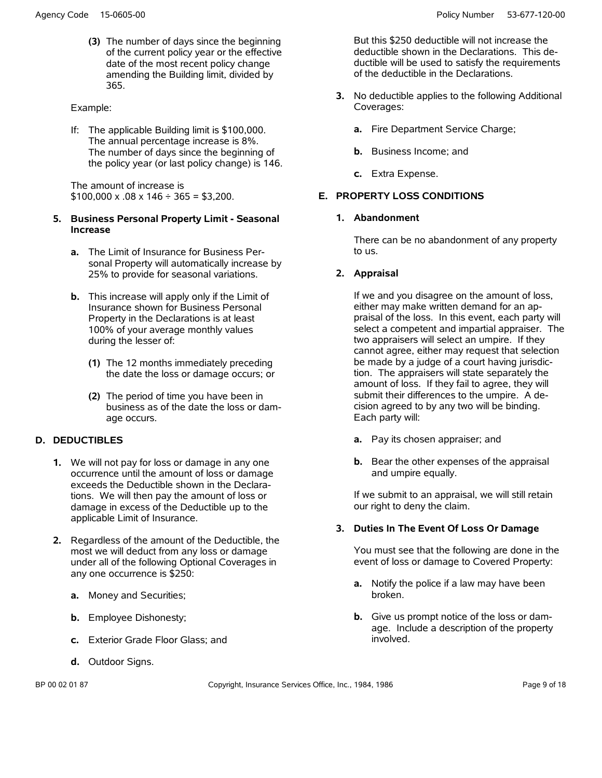**(3)** The number of days since the beginning of the current policy year or the effective date of the most recent policy change amending the Building limit, divided by 365.

#### Example:

If: The applicable Building limit is \$100,000. The annual percentage increase is 8%. The number of days since the beginning of the policy year (or last policy change) is 146.

The amount of increase is  $$100,000 \times .08 \times 146 \div 365 = $3,200.$ 

#### **5. Business Personal Property Limit - Seasonal Increase**

- **a.** The Limit of Insurance for Business Personal Property will automatically increase by 25% to provide for seasonal variations.
- **b.** This increase will apply only if the Limit of Insurance shown for Business Personal Property in the Declarations is at least 100% of your average monthly values during the lesser of:
	- **(1)** The 12 months immediately preceding the date the loss or damage occurs; or
	- **(2)** The period of time you have been in business as of the date the loss or damage occurs.

#### **D. DEDUCTIBLES**

- **1.** We will not pay for loss or damage in any one occurrence until the amount of loss or damage exceeds the Deductible shown in the Declarations. We will then pay the amount of loss or damage in excess of the Deductible up to the applicable Limit of Insurance.
- **2.** Regardless of the amount of the Deductible, the most we will deduct from any loss or damage under all of the following Optional Coverages in any one occurrence is \$250:
	- **a.** Money and Securities;
	- **b.** Employee Dishonesty;
	- **c.** Exterior Grade Floor Glass; and
	- **d.** Outdoor Signs.

But this \$250 deductible will not increase the deductible shown in the Declarations. This deductible will be used to satisfy the requirements of the deductible in the Declarations.

- **3.** No deductible applies to the following Additional Coverages:
	- **a.** Fire Department Service Charge;
	- **b.** Business Income; and
	- **c.** Extra Expense.

#### **E. PROPERTY LOSS CONDITIONS**

#### **1. Abandonment**

There can be no abandonment of any property to us.

#### **2. Appraisal**

If we and you disagree on the amount of loss, either may make written demand for an appraisal of the loss. In this event, each party will select a competent and impartial appraiser. The two appraisers will select an umpire. If they cannot agree, either may request that selection be made by a judge of a court having jurisdiction. The appraisers will state separately the amount of loss. If they fail to agree, they will submit their differences to the umpire. A decision agreed to by any two will be binding. Each party will:

- **a.** Pay its chosen appraiser; and
- **b.** Bear the other expenses of the appraisal and umpire equally.

If we submit to an appraisal, we will still retain our right to deny the claim.

#### **3. Duties In The Event Of Loss Or Damage**

You must see that the following are done in the event of loss or damage to Covered Property:

- **a.** Notify the police if a law may have been broken.
- **b.** Give us prompt notice of the loss or damage. Include a description of the property involved.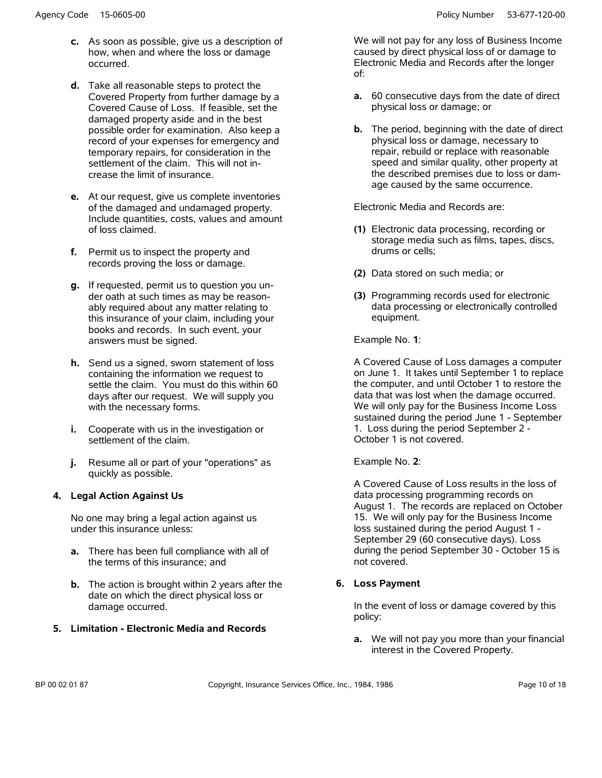- **c.** As soon as possible, give us a description of how, when and where the loss or damage occurred.
- **d.** Take all reasonable steps to protect the Covered Property from further damage by a Covered Cause of Loss. If feasible, set the damaged property aside and in the best possible order for examination. Also keep a record of your expenses for emergency and temporary repairs, for consideration in the settlement of the claim. This will not increase the limit of insurance.
- **e.** At our request, give us complete inventories of the damaged and undamaged property. Include quantities, costs, values and amount of loss claimed.
- **f.** Permit us to inspect the property and records proving the loss or damage.
- **g.** If requested, permit us to question you under oath at such times as may be reasonably required about any matter relating to this insurance of your claim, including your books and records. In such event, your answers must be signed.
- **h.** Send us a signed, sworn statement of loss containing the information we request to settle the claim. You must do this within 60 days after our request. We will supply you with the necessary forms.
- **i.** Cooperate with us in the investigation or settlement of the claim.
- **j.** Resume all or part of your "operations" as quickly as possible.

#### **4. Legal Action Against Us**

No one may bring a legal action against us under this insurance unless:

- **a.** There has been full compliance with all of the terms of this insurance; and
- **b.** The action is brought within 2 years after the date on which the direct physical loss or damage occurred.

#### **5. Limitation - Electronic Media and Records**

We will not pay for any loss of Business Income caused by direct physical loss of or damage to Electronic Media and Records after the longer of:

- **a.** 60 consecutive days from the date of direct physical loss or damage; or
- **b.** The period, beginning with the date of direct physical loss or damage, necessary to repair, rebuild or replace with reasonable speed and similar quality, other property at the described premises due to loss or damage caused by the same occurrence.

Electronic Media and Records are:

- **(1)** Electronic data processing, recording or storage media such as films, tapes, discs, drums or cells;
- **(2)** Data stored on such media; or
- **(3)** Programming records used for electronic data processing or electronically controlled equipment.

Example No. **1**:

A Covered Cause of Loss damages a computer on June 1. It takes until September 1 to replace the computer, and until October 1 to restore the data that was lost when the damage occurred. We will only pay for the Business Income Loss sustained during the period June 1 - September 1. Loss during the period September 2 - October 1 is not covered.

#### Example No. **2**:

A Covered Cause of Loss results in the loss of data processing programming records on August 1. The records are replaced on October 15. We will only pay for the Business Income loss sustained during the period August 1 - September 29 (60 consecutive days). Loss during the period September 30 - October 15 is not covered.

#### **6. Loss Payment**

In the event of loss or damage covered by this policy:

**a.** We will not pay you more than your financial interest in the Covered Property.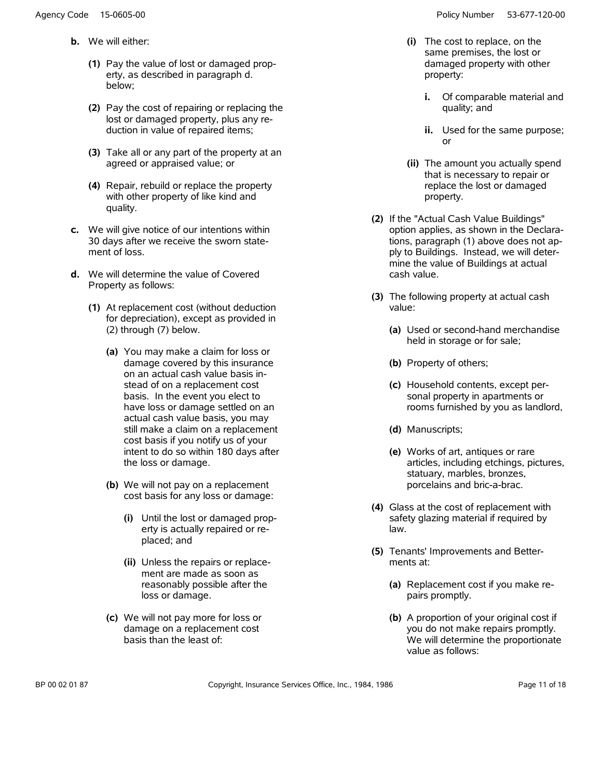- **b.** We will either:
	- **(1)** Pay the value of lost or damaged property, as described in paragraph d. below;
	- **(2)** Pay the cost of repairing or replacing the lost or damaged property, plus any reduction in value of repaired items;
	- **(3)** Take all or any part of the property at an agreed or appraised value; or
	- **(4)** Repair, rebuild or replace the property with other property of like kind and quality.
- **c.** We will give notice of our intentions within 30 days after we receive the sworn statement of loss.
- **d.** We will determine the value of Covered Property as follows:
	- **(1)** At replacement cost (without deduction for depreciation), except as provided in (2) through (7) below.
		- **(a)** You may make a claim for loss or damage covered by this insurance on an actual cash value basis instead of on a replacement cost basis. In the event you elect to have loss or damage settled on an actual cash value basis, you may still make a claim on a replacement cost basis if you notify us of your intent to do so within 180 days after the loss or damage.
		- **(b)** We will not pay on a replacement cost basis for any loss or damage:
			- **(i)** Until the lost or damaged property is actually repaired or replaced; and
			- **(ii)** Unless the repairs or replacement are made as soon as reasonably possible after the loss or damage.
		- **(c)** We will not pay more for loss or damage on a replacement cost basis than the least of:
- **(i)** The cost to replace, on the same premises, the lost or damaged property with other property:
	- **i.** Of comparable material and quality; and
	- **ii.** Used for the same purpose; or
- **(ii)** The amount you actually spend that is necessary to repair or replace the lost or damaged property.
- **(2)** If the "Actual Cash Value Buildings" option applies, as shown in the Declarations, paragraph (1) above does not apply to Buildings. Instead, we will determine the value of Buildings at actual cash value.
- **(3)** The following property at actual cash value:
	- **(a)** Used or second-hand merchandise held in storage or for sale;
	- **(b)** Property of others;
	- **(c)** Household contents, except personal property in apartments or rooms furnished by you as landlord,
	- **(d)** Manuscripts;
	- **(e)** Works of art, antiques or rare articles, including etchings, pictures, statuary, marbles, bronzes, porcelains and bric-a-brac.
- **(4)** Glass at the cost of replacement with safety glazing material if required by law.
- **(5)** Tenants' Improvements and Betterments at:
	- **(a)** Replacement cost if you make repairs promptly.
	- **(b)** A proportion of your original cost if you do not make repairs promptly. We will determine the proportionate value as follows:

BP 00 02 01 87 Copyright, Insurance Services Office, Inc., 1984, 1986 Page 11 of 18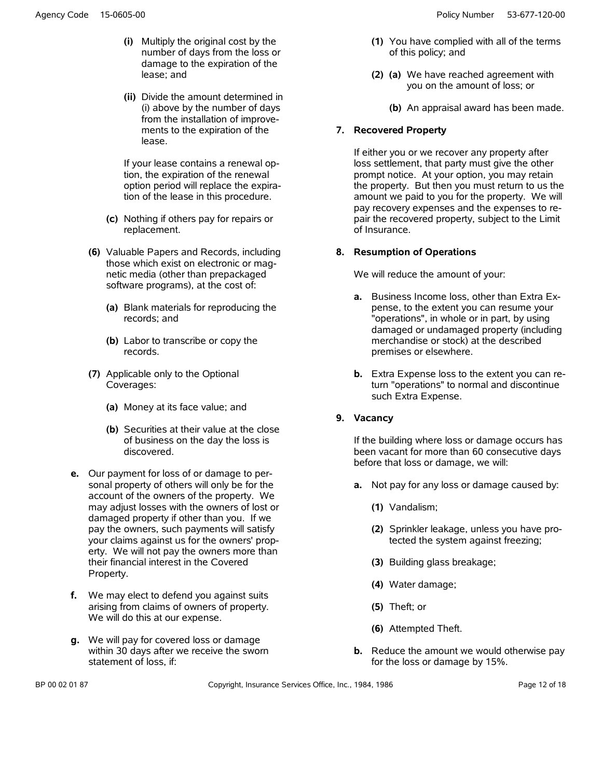**(ii)** Divide the amount determined in (i) above by the number of days from the installation of improvements to the expiration of the lease.

If your lease contains a renewal option, the expiration of the renewal option period will replace the expiration of the lease in this procedure.

- **(c)** Nothing if others pay for repairs or replacement.
- **(6)** Valuable Papers and Records, including those which exist on electronic or magnetic media (other than prepackaged software programs), at the cost of:
	- **(a)** Blank materials for reproducing the records; and
	- **(b)** Labor to transcribe or copy the records.
- **(7)** Applicable only to the Optional Coverages:
	- **(a)** Money at its face value; and
	- **(b)** Securities at their value at the close of business on the day the loss is discovered.
- **e.** Our payment for loss of or damage to personal property of others will only be for the account of the owners of the property. We may adjust losses with the owners of lost or damaged property if other than you. If we pay the owners, such payments will satisfy your claims against us for the owners' property. We will not pay the owners more than their financial interest in the Covered Property.
- **f.** We may elect to defend you against suits arising from claims of owners of property. We will do this at our expense.
- **g.** We will pay for covered loss or damage within 30 days after we receive the sworn statement of loss, if:
- **(1)** You have complied with all of the terms of this policy; and
- **(2) (a)** We have reached agreement with you on the amount of loss; or
	- **(b)** An appraisal award has been made.

#### **7. Recovered Property**

If either you or we recover any property after loss settlement, that party must give the other prompt notice. At your option, you may retain the property. But then you must return to us the amount we paid to you for the property. We will pay recovery expenses and the expenses to repair the recovered property, subject to the Limit of Insurance.

#### **8. Resumption of Operations**

We will reduce the amount of your:

- **a.** Business Income loss, other than Extra Expense, to the extent you can resume your "operations", in whole or in part, by using damaged or undamaged property (including merchandise or stock) at the described premises or elsewhere.
- **b.** Extra Expense loss to the extent you can return "operations" to normal and discontinue such Extra Expense.
- **9. Vacancy**

If the building where loss or damage occurs has been vacant for more than 60 consecutive days before that loss or damage, we will:

- **a.** Not pay for any loss or damage caused by:
	- **(1)** Vandalism;
	- **(2)** Sprinkler leakage, unless you have protected the system against freezing;
	- **(3)** Building glass breakage;
	- **(4)** Water damage;
	- **(5)** Theft; or
	- **(6)** Attempted Theft.
- **b.** Reduce the amount we would otherwise pay for the loss or damage by 15%.

BP 00 02 01 87 Page 12 of 18 Copyright, Insurance Services Office, Inc., 1984, 1986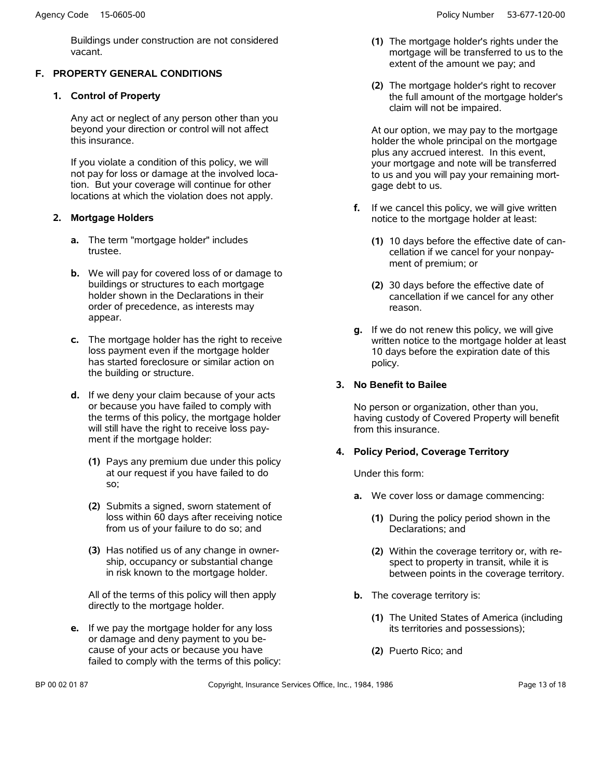Buildings under construction are not considered vacant.

#### **F. PROPERTY GENERAL CONDITIONS**

#### **1. Control of Property**

Any act or neglect of any person other than you beyond your direction or control will not affect this insurance.

If you violate a condition of this policy, we will not pay for loss or damage at the involved location. But your coverage will continue for other locations at which the violation does not apply.

#### **2. Mortgage Holders**

- **a.** The term "mortgage holder" includes trustee.
- **b.** We will pay for covered loss of or damage to buildings or structures to each mortgage holder shown in the Declarations in their order of precedence, as interests may appear.
- **c.** The mortgage holder has the right to receive loss payment even if the mortgage holder has started foreclosure or similar action on the building or structure.
- **d.** If we deny your claim because of your acts or because you have failed to comply with the terms of this policy, the mortgage holder will still have the right to receive loss payment if the mortgage holder:
	- **(1)** Pays any premium due under this policy at our request if you have failed to do so;
	- **(2)** Submits a signed, sworn statement of loss within 60 days after receiving notice from us of your failure to do so; and
	- **(3)** Has notified us of any change in ownership, occupancy or substantial change in risk known to the mortgage holder.

All of the terms of this policy will then apply directly to the mortgage holder.

**e.** If we pay the mortgage holder for any loss or damage and deny payment to you because of your acts or because you have failed to comply with the terms of this policy:

- **(1)** The mortgage holder's rights under the mortgage will be transferred to us to the extent of the amount we pay; and
- **(2)** The mortgage holder's right to recover the full amount of the mortgage holder's claim will not be impaired.

At our option, we may pay to the mortgage holder the whole principal on the mortgage plus any accrued interest. In this event, your mortgage and note will be transferred to us and you will pay your remaining mortgage debt to us.

- **f.** If we cancel this policy, we will give written notice to the mortgage holder at least:
	- **(1)** 10 days before the effective date of cancellation if we cancel for your nonpayment of premium; or
	- **(2)** 30 days before the effective date of cancellation if we cancel for any other reason.
- **g.** If we do not renew this policy, we will give written notice to the mortgage holder at least 10 days before the expiration date of this policy.

#### **3. No Benefit to Bailee**

No person or organization, other than you, having custody of Covered Property will benefit from this insurance.

#### **4. Policy Period, Coverage Territory**

Under this form:

- **a.** We cover loss or damage commencing:
	- **(1)** During the policy period shown in the Declarations; and
	- **(2)** Within the coverage territory or, with respect to property in transit, while it is between points in the coverage territory.
- **b.** The coverage territory is:
	- **(1)** The United States of America (including its territories and possessions);
	- **(2)** Puerto Rico; and

BP 00 02 01 87 Copyright, Insurance Services Office, Inc., 1984, 1986 Page 13 of 18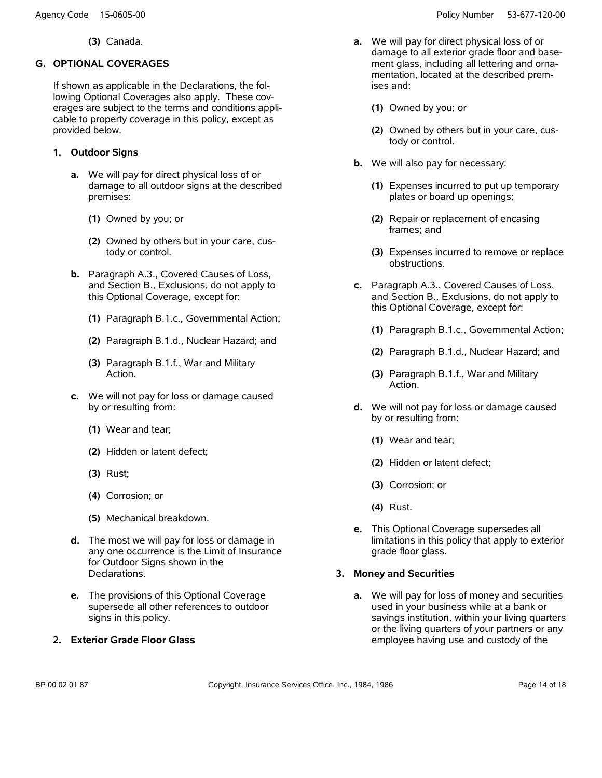**(3)** Canada.

#### **G. OPTIONAL COVERAGES**

If shown as applicable in the Declarations, the following Optional Coverages also apply. These coverages are subject to the terms and conditions applicable to property coverage in this policy, except as provided below.

#### **1. Outdoor Signs**

- **a.** We will pay for direct physical loss of or damage to all outdoor signs at the described premises:
	- **(1)** Owned by you; or
	- **(2)** Owned by others but in your care, custody or control.
- **b.** Paragraph A.3., Covered Causes of Loss, and Section B., Exclusions, do not apply to this Optional Coverage, except for:
	- **(1)** Paragraph B.1.c., Governmental Action;
	- **(2)** Paragraph B.1.d., Nuclear Hazard; and
	- **(3)** Paragraph B.1.f., War and Military Action.
- **c.** We will not pay for loss or damage caused by or resulting from:
	- **(1)** Wear and tear;
	- **(2)** Hidden or latent defect;
	- **(3)** Rust;
	- **(4)** Corrosion; or
	- **(5)** Mechanical breakdown.
- **d.** The most we will pay for loss or damage in any one occurrence is the Limit of Insurance for Outdoor Signs shown in the Declarations.
- **e.** The provisions of this Optional Coverage supersede all other references to outdoor signs in this policy.
- **2. Exterior Grade Floor Glass**
- **a.** We will pay for direct physical loss of or damage to all exterior grade floor and basement glass, including all lettering and ornamentation, located at the described premises and:
	- **(1)** Owned by you; or
	- **(2)** Owned by others but in your care, custody or control.
- **b.** We will also pay for necessary:
	- **(1)** Expenses incurred to put up temporary plates or board up openings;
	- **(2)** Repair or replacement of encasing frames; and
	- **(3)** Expenses incurred to remove or replace obstructions.
- **c.** Paragraph A.3., Covered Causes of Loss, and Section B., Exclusions, do not apply to this Optional Coverage, except for:
	- **(1)** Paragraph B.1.c., Governmental Action;
	- **(2)** Paragraph B.1.d., Nuclear Hazard; and
	- **(3)** Paragraph B.1.f., War and Military Action.
- **d.** We will not pay for loss or damage caused by or resulting from:
	- **(1)** Wear and tear;
	- **(2)** Hidden or latent defect;
	- **(3)** Corrosion; or
	- **(4)** Rust.
- **e.** This Optional Coverage supersedes all limitations in this policy that apply to exterior grade floor glass.

#### **3. Money and Securities**

**a.** We will pay for loss of money and securities used in your business while at a bank or savings institution, within your living quarters or the living quarters of your partners or any employee having use and custody of the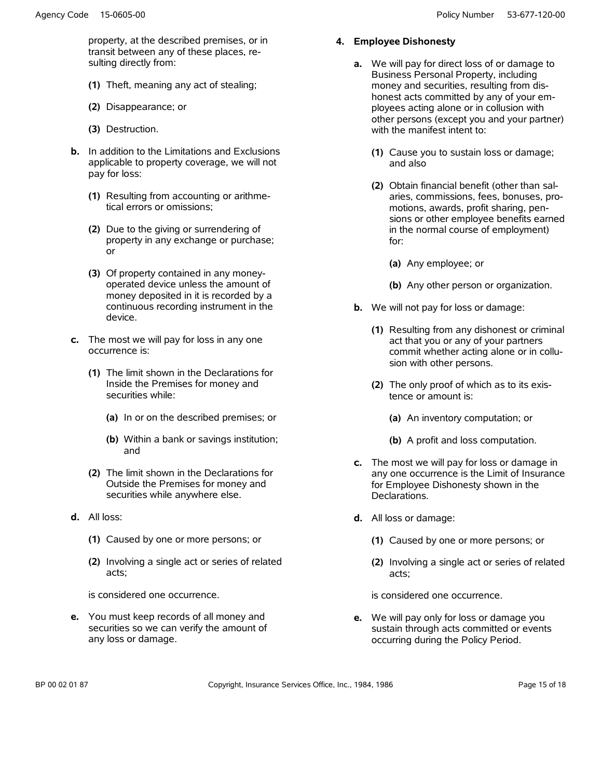property, at the described premises, or in transit between any of these places, resulting directly from:

- **(1)** Theft, meaning any act of stealing;
- **(2)** Disappearance; or
- **(3)** Destruction.
- **b.** In addition to the Limitations and Exclusions applicable to property coverage, we will not pay for loss:
	- **(1)** Resulting from accounting or arithmetical errors or omissions;
	- **(2)** Due to the giving or surrendering of property in any exchange or purchase; or
	- **(3)** Of property contained in any moneyoperated device unless the amount of money deposited in it is recorded by a continuous recording instrument in the device.
- **c.** The most we will pay for loss in any one occurrence is:
	- **(1)** The limit shown in the Declarations for Inside the Premises for money and securities while:
		- **(a)** In or on the described premises; or
		- **(b)** Within a bank or savings institution; and
	- **(2)** The limit shown in the Declarations for Outside the Premises for money and securities while anywhere else.
- **d.** All loss:
	- **(1)** Caused by one or more persons; or
	- **(2)** Involving a single act or series of related acts;

is considered one occurrence.

**e.** You must keep records of all money and securities so we can verify the amount of any loss or damage.

#### **4. Employee Dishonesty**

- **a.** We will pay for direct loss of or damage to Business Personal Property, including money and securities, resulting from dishonest acts committed by any of your employees acting alone or in collusion with other persons (except you and your partner) with the manifest intent to:
	- **(1)** Cause you to sustain loss or damage; and also
	- **(2)** Obtain financial benefit (other than salaries, commissions, fees, bonuses, promotions, awards, profit sharing, pensions or other employee benefits earned in the normal course of employment) for:
		- **(a)** Any employee; or
		- **(b)** Any other person or organization.
- **b.** We will not pay for loss or damage:
	- **(1)** Resulting from any dishonest or criminal act that you or any of your partners commit whether acting alone or in collusion with other persons.
	- **(2)** The only proof of which as to its existence or amount is:
		- **(a)** An inventory computation; or
		- **(b)** A profit and loss computation.
- **c.** The most we will pay for loss or damage in any one occurrence is the Limit of Insurance for Employee Dishonesty shown in the Declarations.
- **d.** All loss or damage:
	- **(1)** Caused by one or more persons; or
	- **(2)** Involving a single act or series of related acts;

is considered one occurrence.

**e.** We will pay only for loss or damage you sustain through acts committed or events occurring during the Policy Period.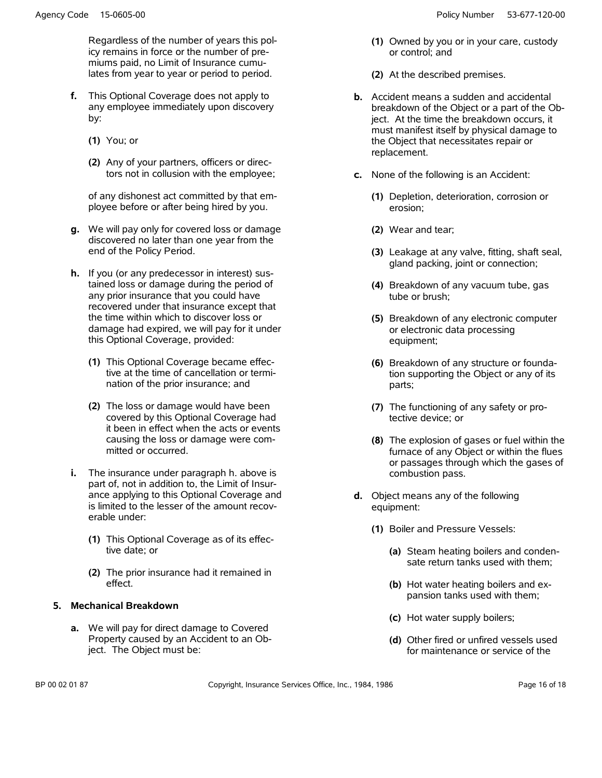Regardless of the number of years this policy remains in force or the number of premiums paid, no Limit of Insurance cumulates from year to year or period to period.

- **f.** This Optional Coverage does not apply to any employee immediately upon discovery by:
	- **(1)** You; or
	- **(2)** Any of your partners, officers or directors not in collusion with the employee;

of any dishonest act committed by that employee before or after being hired by you.

- **g.** We will pay only for covered loss or damage discovered no later than one year from the end of the Policy Period.
- **h.** If you (or any predecessor in interest) sustained loss or damage during the period of any prior insurance that you could have recovered under that insurance except that the time within which to discover loss or damage had expired, we will pay for it under this Optional Coverage, provided:
	- **(1)** This Optional Coverage became effective at the time of cancellation or termination of the prior insurance; and
	- **(2)** The loss or damage would have been covered by this Optional Coverage had it been in effect when the acts or events causing the loss or damage were committed or occurred.
- **i.** The insurance under paragraph h. above is part of, not in addition to, the Limit of Insurance applying to this Optional Coverage and is limited to the lesser of the amount recoverable under:
	- **(1)** This Optional Coverage as of its effective date; or
	- **(2)** The prior insurance had it remained in effect.

#### **5. Mechanical Breakdown**

**a.** We will pay for direct damage to Covered Property caused by an Accident to an Object. The Object must be:

- **(1)** Owned by you or in your care, custody or control; and
- **(2)** At the described premises.
- **b.** Accident means a sudden and accidental breakdown of the Object or a part of the Object. At the time the breakdown occurs, it must manifest itself by physical damage to the Object that necessitates repair or replacement.
- **c.** None of the following is an Accident:
	- **(1)** Depletion, deterioration, corrosion or erosion;
	- **(2)** Wear and tear;
	- **(3)** Leakage at any valve, fitting, shaft seal, gland packing, joint or connection;
	- **(4)** Breakdown of any vacuum tube, gas tube or brush;
	- **(5)** Breakdown of any electronic computer or electronic data processing equipment;
	- **(6)** Breakdown of any structure or foundation supporting the Object or any of its parts;
	- **(7)** The functioning of any safety or protective device; or
	- **(8)** The explosion of gases or fuel within the furnace of any Object or within the flues or passages through which the gases of combustion pass.
- **d.** Object means any of the following equipment:
	- **(1)** Boiler and Pressure Vessels:
		- **(a)** Steam heating boilers and condensate return tanks used with them;
		- **(b)** Hot water heating boilers and expansion tanks used with them;
		- **(c)** Hot water supply boilers;
		- **(d)** Other fired or unfired vessels used for maintenance or service of the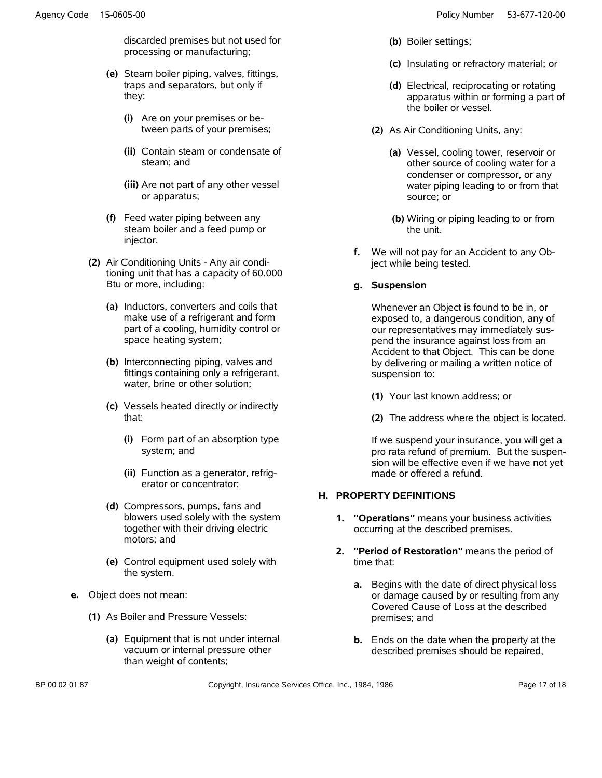discarded premises but not used for processing or manufacturing;

- **(e)** Steam boiler piping, valves, fittings, traps and separators, but only if they:
	- **(i)** Are on your premises or between parts of your premises;
	- **(ii)** Contain steam or condensate of steam; and
	- **(iii)** Are not part of any other vessel or apparatus;
- **(f)** Feed water piping between any steam boiler and a feed pump or injector.
- **(2)** Air Conditioning Units Any air conditioning unit that has a capacity of 60,000 Btu or more, including:
	- **(a)** Inductors, converters and coils that make use of a refrigerant and form part of a cooling, humidity control or space heating system;
	- **(b)** Interconnecting piping, valves and fittings containing only a refrigerant, water, brine or other solution;
	- **(c)** Vessels heated directly or indirectly that:
		- **(i)** Form part of an absorption type system; and
		- **(ii)** Function as a generator, refrigerator or concentrator;
	- **(d)** Compressors, pumps, fans and blowers used solely with the system together with their driving electric motors; and
	- **(e)** Control equipment used solely with the system.
- **e.** Object does not mean:
	- **(1)** As Boiler and Pressure Vessels:
		- **(a)** Equipment that is not under internal vacuum or internal pressure other than weight of contents;
- **(b)** Boiler settings;
- **(c)** Insulating or refractory material; or
- **(d)** Electrical, reciprocating or rotating apparatus within or forming a part of the boiler or vessel.
- **(2)** As Air Conditioning Units, any:
	- **(a)** Vessel, cooling tower, reservoir or other source of cooling water for a condenser or compressor, or any water piping leading to or from that source; or
	- **(b)** Wiring or piping leading to or from the unit.
- **f.** We will not pay for an Accident to any Object while being tested.
- **g. Suspension**

Whenever an Object is found to be in, or exposed to, a dangerous condition, any of our representatives may immediately suspend the insurance against loss from an Accident to that Object. This can be done by delivering or mailing a written notice of suspension to:

- **(1)** Your last known address; or
- **(2)** The address where the object is located.

If we suspend your insurance, you will get a pro rata refund of premium. But the suspension will be effective even if we have not yet made or offered a refund.

#### **H. PROPERTY DEFINITIONS**

- **1. "Operations"** means your business activities occurring at the described premises.
- **2. "Period of Restoration"** means the period of time that:
	- **a.** Begins with the date of direct physical loss or damage caused by or resulting from any Covered Cause of Loss at the described premises; and
	- **b.** Ends on the date when the property at the described premises should be repaired,

BP 00 02 01 87 Page 17 of 18 Copyright, Insurance Services Office, Inc., 1984, 1986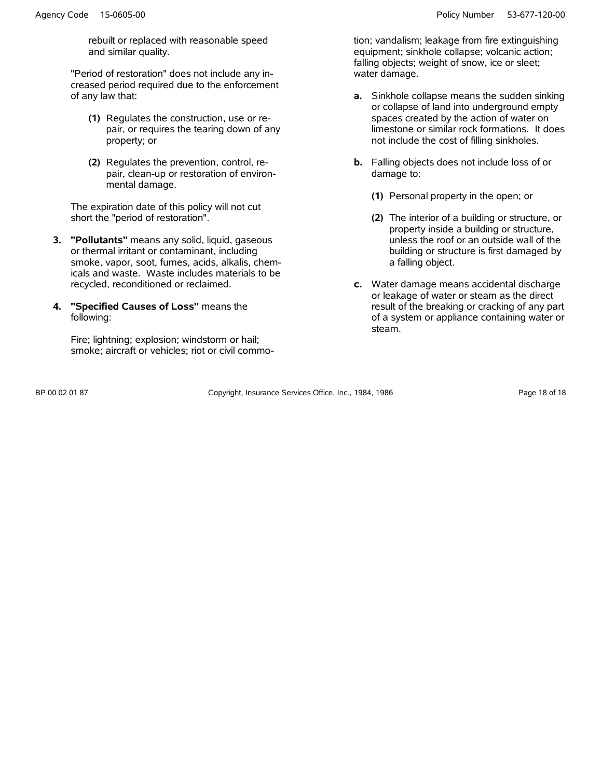rebuilt or replaced with reasonable speed and similar quality.

"Period of restoration" does not include any increased period required due to the enforcement of any law that:

- **(1)** Regulates the construction, use or repair, or requires the tearing down of any property; or
- **(2)** Regulates the prevention, control, repair, clean-up or restoration of environmental damage.

The expiration date of this policy will not cut short the "period of restoration".

- **3. "Pollutants"** means any solid, liquid, gaseous or thermal irritant or contaminant, including smoke, vapor, soot, fumes, acids, alkalis, chemicals and waste. Waste includes materials to be recycled, reconditioned or reclaimed.
- **4. "Specified Causes of Loss"** means the following:

Fire; lightning; explosion; windstorm or hail; smoke; aircraft or vehicles; riot or civil commotion; vandalism; leakage from fire extinguishing equipment; sinkhole collapse; volcanic action; falling objects; weight of snow, ice or sleet; water damage.

- **a.** Sinkhole collapse means the sudden sinking or collapse of land into underground empty spaces created by the action of water on limestone or similar rock formations. It does not include the cost of filling sinkholes.
- **b.** Falling objects does not include loss of or damage to:
	- **(1)** Personal property in the open; or
	- **(2)** The interior of a building or structure, or property inside a building or structure, unless the roof or an outside wall of the building or structure is first damaged by a falling object.
- **c.** Water damage means accidental discharge or leakage of water or steam as the direct result of the breaking or cracking of any part of a system or appliance containing water or steam.

BP 00 02 01 87 Copyright, Insurance Services Office, Inc., 1984, 1986 Page 18 of 18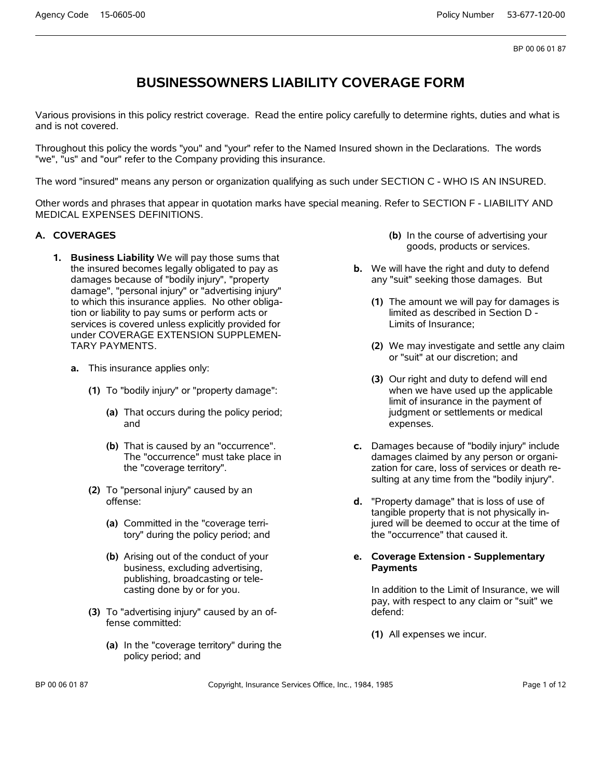BP 00 06 01 87

## **BUSINESSOWNERS LIABILITY COVERAGE FORM**

Various provisions in this policy restrict coverage. Read the entire policy carefully to determine rights, duties and what is and is not covered.

Throughout this policy the words "you" and "your" refer to the Named Insured shown in the Declarations. The words "we", "us" and "our" refer to the Company providing this insurance.

The word "insured" means any person or organization qualifying as such under SECTION C - WHO IS AN INSURED.

Other words and phrases that appear in quotation marks have special meaning. Refer to SECTION F - LIABILITY AND MEDICAL EXPENSES DEFINITIONS.

#### **A. COVERAGES**

- **1. Business Liability** We will pay those sums that the insured becomes legally obligated to pay as damages because of "bodily injury", "property damage", "personal injury" or "advertising injury" to which this insurance applies. No other obligation or liability to pay sums or perform acts or services is covered unless explicitly provided for under COVERAGE EXTENSION SUPPLEMEN-TARY PAYMENTS.
	- **a.** This insurance applies only:
		- **(1)** To "bodily injury" or "property damage":
			- **(a)** That occurs during the policy period; and
			- **(b)** That is caused by an "occurrence". The "occurrence" must take place in the "coverage territory".
		- **(2)** To "personal injury" caused by an offense:
			- **(a)** Committed in the "coverage territory" during the policy period; and
			- **(b)** Arising out of the conduct of your business, excluding advertising, publishing, broadcasting or telecasting done by or for you.
		- **(3)** To "advertising injury" caused by an offense committed:
			- **(a)** In the "coverage territory" during the policy period; and
- **(b)** In the course of advertising your goods, products or services.
- **b.** We will have the right and duty to defend any "suit" seeking those damages. But
	- **(1)** The amount we will pay for damages is limited as described in Section D - Limits of Insurance;
	- **(2)** We may investigate and settle any claim or "suit" at our discretion; and
	- **(3)** Our right and duty to defend will end when we have used up the applicable limit of insurance in the payment of judgment or settlements or medical expenses.
- **c.** Damages because of "bodily injury" include damages claimed by any person or organization for care, loss of services or death resulting at any time from the "bodily injury".
- **d.** "Property damage" that is loss of use of tangible property that is not physically injured will be deemed to occur at the time of the "occurrence" that caused it.
- **e. Coverage Extension Supplementary Payments**

In addition to the Limit of Insurance, we will pay, with respect to any claim or "suit" we defend:

**(1)** All expenses we incur.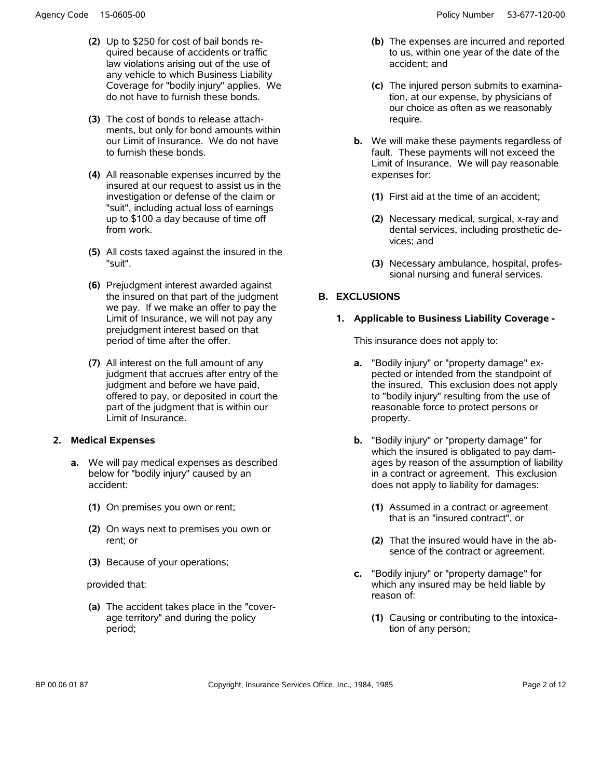- **(2)** Up to \$250 for cost of bail bonds required because of accidents or traffic law violations arising out of the use of any vehicle to which Business Liability Coverage for "bodily injury" applies. We do not have to furnish these bonds.
- **(3)** The cost of bonds to release attachments, but only for bond amounts within our Limit of Insurance. We do not have to furnish these bonds.
- **(4)** All reasonable expenses incurred by the insured at our request to assist us in the investigation or defense of the claim or "suit", including actual loss of earnings up to \$100 a day because of time off from work.
- **(5)** All costs taxed against the insured in the "suit".
- **(6)** Prejudgment interest awarded against the insured on that part of the judgment we pay. If we make an offer to pay the Limit of Insurance, we will not pay any prejudgment interest based on that period of time after the offer.
- **(7)** All interest on the full amount of any judgment that accrues after entry of the judgment and before we have paid, offered to pay, or deposited in court the part of the judgment that is within our Limit of Insurance.

#### **2. Medical Expenses**

- **a.** We will pay medical expenses as described below for "bodily injury" caused by an accident:
	- **(1)** On premises you own or rent;
	- **(2)** On ways next to premises you own or rent; or
	- **(3)** Because of your operations;

provided that:

**(a)** The accident takes place in the "coverage territory" and during the policy period;

- **(b)** The expenses are incurred and reported to us, within one year of the date of the accident; and
- **(c)** The injured person submits to examination, at our expense, by physicians of our choice as often as we reasonably require.
- **b.** We will make these payments regardless of fault. These payments will not exceed the Limit of Insurance. We will pay reasonable expenses for:
	- **(1)** First aid at the time of an accident;
	- **(2)** Necessary medical, surgical, x-ray and dental services, including prosthetic devices; and
	- **(3)** Necessary ambulance, hospital, professional nursing and funeral services.

### **B. EXCLUSIONS**

#### **1. Applicable to Business Liability Coverage -**

This insurance does not apply to:

- **a.** "Bodily injury" or "property damage" expected or intended from the standpoint of the insured. This exclusion does not apply to "bodily injury" resulting from the use of reasonable force to protect persons or property.
- **b.** "Bodily injury" or "property damage" for which the insured is obligated to pay damages by reason of the assumption of liability in a contract or agreement. This exclusion does not apply to liability for damages:
	- **(1)** Assumed in a contract or agreement that is an "insured contract", or
	- **(2)** That the insured would have in the absence of the contract or agreement.
- **c.** "Bodily injury" or "property damage" for which any insured may be held liable by reason of:
	- **(1)** Causing or contributing to the intoxication of any person;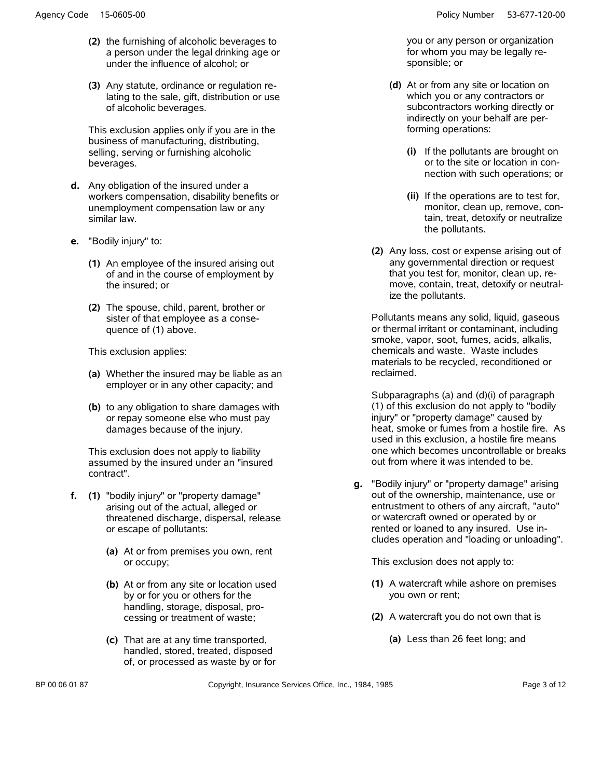- **(2)** the furnishing of alcoholic beverages to a person under the legal drinking age or under the influence of alcohol; or
- **(3)** Any statute, ordinance or regulation relating to the sale, gift, distribution or use of alcoholic beverages.

This exclusion applies only if you are in the business of manufacturing, distributing, selling, serving or furnishing alcoholic beverages.

- **d.** Any obligation of the insured under a workers compensation, disability benefits or unemployment compensation law or any similar law.
- **e.** "Bodily injury" to:
	- **(1)** An employee of the insured arising out of and in the course of employment by the insured; or
	- **(2)** The spouse, child, parent, brother or sister of that employee as a consequence of (1) above.

This exclusion applies:

- **(a)** Whether the insured may be liable as an employer or in any other capacity; and
- **(b)** to any obligation to share damages with or repay someone else who must pay damages because of the injury.

This exclusion does not apply to liability assumed by the insured under an "insured contract".

- **f. (1)** "bodily injury" or "property damage" arising out of the actual, alleged or threatened discharge, dispersal, release or escape of pollutants:
	- **(a)** At or from premises you own, rent or occupy;
	- **(b)** At or from any site or location used by or for you or others for the handling, storage, disposal, processing or treatment of waste;
	- **(c)** That are at any time transported, handled, stored, treated, disposed of, or processed as waste by or for

you or any person or organization for whom you may be legally responsible; or

- **(d)** At or from any site or location on which you or any contractors or subcontractors working directly or indirectly on your behalf are performing operations:
	- **(i)** If the pollutants are brought on or to the site or location in connection with such operations; or
	- **(ii)** If the operations are to test for, monitor, clean up, remove, contain, treat, detoxify or neutralize the pollutants.
- **(2)** Any loss, cost or expense arising out of any governmental direction or request that you test for, monitor, clean up, remove, contain, treat, detoxify or neutralize the pollutants.

Pollutants means any solid, liquid, gaseous or thermal irritant or contaminant, including smoke, vapor, soot, fumes, acids, alkalis, chemicals and waste. Waste includes materials to be recycled, reconditioned or reclaimed.

Subparagraphs (a) and (d)(i) of paragraph (1) of this exclusion do not apply to "bodily injury" or "property damage" caused by heat, smoke or fumes from a hostile fire. As used in this exclusion, a hostile fire means one which becomes uncontrollable or breaks out from where it was intended to be.

**g.** "Bodily injury" or "property damage" arising out of the ownership, maintenance, use or entrustment to others of any aircraft, "auto" or watercraft owned or operated by or rented or loaned to any insured. Use includes operation and "loading or unloading".

This exclusion does not apply to:

- **(1)** A watercraft while ashore on premises you own or rent;
- **(2)** A watercraft you do not own that is
	- **(a)** Less than 26 feet long; and

BP 00 06 01 87 Page 3 of 12<br>
Copyright, Insurance Services Office, Inc., 1984, 1985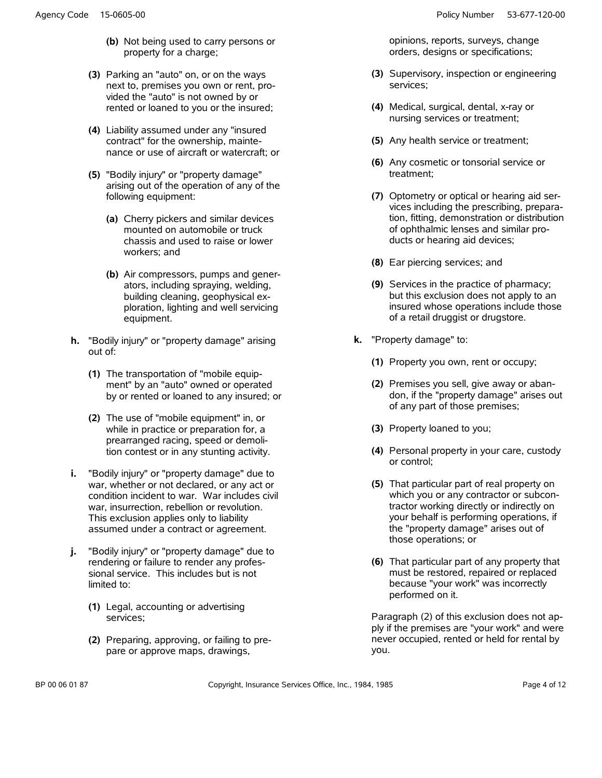- **(b)** Not being used to carry persons or property for a charge;
- **(3)** Parking an "auto" on, or on the ways next to, premises you own or rent, provided the "auto" is not owned by or rented or loaned to you or the insured;
- **(4)** Liability assumed under any "insured contract" for the ownership, maintenance or use of aircraft or watercraft; or
- **(5)** "Bodily injury" or "property damage" arising out of the operation of any of the following equipment:
	- **(a)** Cherry pickers and similar devices mounted on automobile or truck chassis and used to raise or lower workers; and
	- **(b)** Air compressors, pumps and generators, including spraying, welding, building cleaning, geophysical exploration, lighting and well servicing equipment.
- **h.** "Bodily injury" or "property damage" arising out of:
	- **(1)** The transportation of "mobile equipment" by an "auto" owned or operated by or rented or loaned to any insured; or
	- **(2)** The use of "mobile equipment" in, or while in practice or preparation for, a prearranged racing, speed or demolition contest or in any stunting activity.
- **i.** "Bodily injury" or "property damage" due to war, whether or not declared, or any act or condition incident to war. War includes civil war, insurrection, rebellion or revolution. This exclusion applies only to liability assumed under a contract or agreement.
- **j.** "Bodily injury" or "property damage" due to rendering or failure to render any professional service. This includes but is not limited to:
	- **(1)** Legal, accounting or advertising services;
	- **(2)** Preparing, approving, or failing to prepare or approve maps, drawings,

opinions, reports, surveys, change orders, designs or specifications;

- **(3)** Supervisory, inspection or engineering services;
- **(4)** Medical, surgical, dental, x-ray or nursing services or treatment;
- **(5)** Any health service or treatment;
- **(6)** Any cosmetic or tonsorial service or treatment;
- **(7)** Optometry or optical or hearing aid services including the prescribing, preparation, fitting, demonstration or distribution of ophthalmic lenses and similar products or hearing aid devices;
- **(8)** Ear piercing services; and
- **(9)** Services in the practice of pharmacy; but this exclusion does not apply to an insured whose operations include those of a retail druggist or drugstore.
- **k.** "Property damage" to:
	- **(1)** Property you own, rent or occupy;
	- **(2)** Premises you sell, give away or abandon, if the "property damage" arises out of any part of those premises;
	- **(3)** Property loaned to you;
	- **(4)** Personal property in your care, custody or control;
	- **(5)** That particular part of real property on which you or any contractor or subcontractor working directly or indirectly on your behalf is performing operations, if the "property damage" arises out of those operations; or
	- **(6)** That particular part of any property that must be restored, repaired or replaced because "your work" was incorrectly performed on it.

Paragraph (2) of this exclusion does not apply if the premises are "your work" and were never occupied, rented or held for rental by you.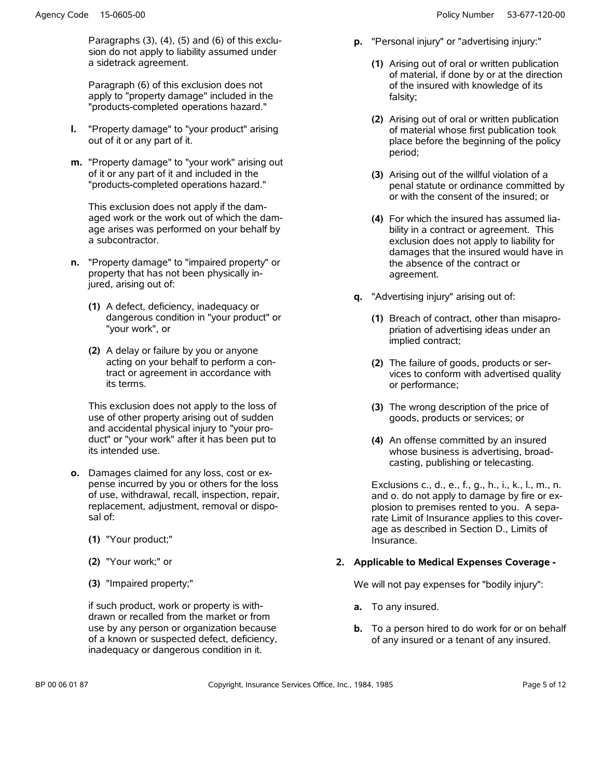Paragraphs (3), (4), (5) and (6) of this exclusion do not apply to liability assumed under a sidetrack agreement.

Paragraph (6) of this exclusion does not apply to "property damage" included in the "products-completed operations hazard."

- **l.** "Property damage" to "your product" arising out of it or any part of it.
- **m.** "Property damage" to "your work" arising out of it or any part of it and included in the "products-completed operations hazard."

This exclusion does not apply if the damaged work or the work out of which the damage arises was performed on your behalf by a subcontractor.

- **n.** "Property damage" to "impaired property" or property that has not been physically injured, arising out of:
	- **(1)** A defect, deficiency, inadequacy or dangerous condition in "your product" or "your work", or
	- **(2)** A delay or failure by you or anyone acting on your behalf to perform a contract or agreement in accordance with its terms.

This exclusion does not apply to the loss of use of other property arising out of sudden and accidental physical injury to "your product" or "your work" after it has been put to its intended use.

- **o.** Damages claimed for any loss, cost or expense incurred by you or others for the loss of use, withdrawal, recall, inspection, repair, replacement, adjustment, removal or disposal of:
	- **(1)** "Your product;"
	- **(2)** "Your work;" or
	- **(3)** "Impaired property;"

if such product, work or property is withdrawn or recalled from the market or from use by any person or organization because of a known or suspected defect, deficiency, inadequacy or dangerous condition in it.

- **p.** "Personal injury" or "advertising injury:"
	- **(1)** Arising out of oral or written publication of material, if done by or at the direction of the insured with knowledge of its falsity;
	- **(2)** Arising out of oral or written publication of material whose first publication took place before the beginning of the policy period;
	- **(3)** Arising out of the willful violation of a penal statute or ordinance committed by or with the consent of the insured; or
	- **(4)** For which the insured has assumed liability in a contract or agreement. This exclusion does not apply to liability for damages that the insured would have in the absence of the contract or agreement.
- **q.** "Advertising injury" arising out of:
	- **(1)** Breach of contract, other than misapropriation of advertising ideas under an implied contract;
	- **(2)** The failure of goods, products or services to conform with advertised quality or performance;
	- **(3)** The wrong description of the price of goods, products or services; or
	- **(4)** An offense committed by an insured whose business is advertising, broadcasting, publishing or telecasting.

Exclusions c., d., e., f., g., h., i., k., l., m., n. and o. do not apply to damage by fire or explosion to premises rented to you. A separate Limit of Insurance applies to this coverage as described in Section D., Limits of Insurance.

#### **2. Applicable to Medical Expenses Coverage -**

We will not pay expenses for "bodily injury":

- **a.** To any insured.
- **b.** To a person hired to do work for or on behalf of any insured or a tenant of any insured.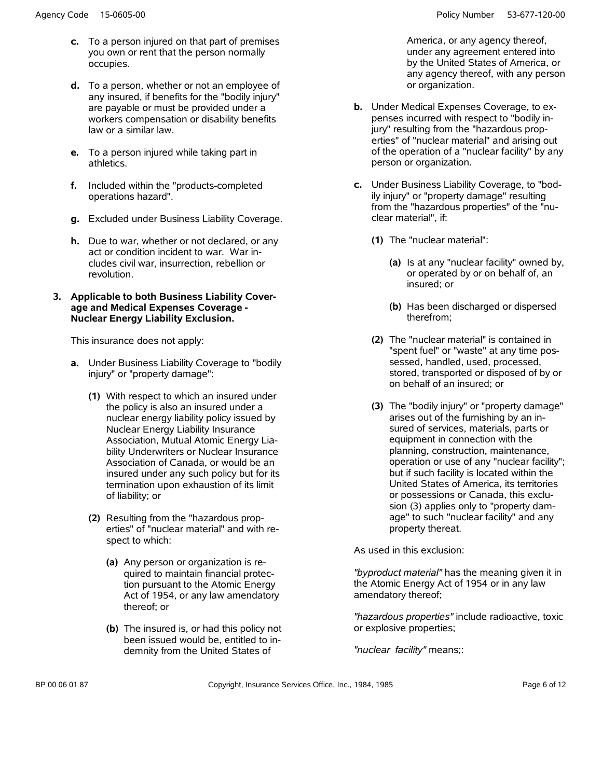- **c.** To a person injured on that part of premises you own or rent that the person normally occupies.
- **d.** To a person, whether or not an employee of any insured, if benefits for the "bodily injury" are payable or must be provided under a workers compensation or disability benefits law or a similar law.
- **e.** To a person injured while taking part in athletics.
- **f.** Included within the "products-completed operations hazard".
- **g.** Excluded under Business Liability Coverage.
- **h.** Due to war, whether or not declared, or any act or condition incident to war. War includes civil war, insurrection, rebellion or revolution.
- **3. Applicable to both Business Liability Coverage and Medical Expenses Coverage - Nuclear Energy Liability Exclusion.**

This insurance does not apply:

- **a.** Under Business Liability Coverage to "bodily injury" or "property damage":
	- **(1)** With respect to which an insured under the policy is also an insured under a nuclear energy liability policy issued by Nuclear Energy Liability Insurance Association, Mutual Atomic Energy Liability Underwriters or Nuclear Insurance Association of Canada, or would be an insured under any such policy but for its termination upon exhaustion of its limit of liability; or
	- **(2)** Resulting from the "hazardous properties" of "nuclear material" and with respect to which:
		- **(a)** Any person or organization is required to maintain financial protection pursuant to the Atomic Energy Act of 1954, or any law amendatory thereof; or
		- **(b)** The insured is, or had this policy not been issued would be, entitled to indemnity from the United States of

America, or any agency thereof, under any agreement entered into by the United States of America, or any agency thereof, with any person or organization.

- **b.** Under Medical Expenses Coverage, to expenses incurred with respect to "bodily injury" resulting from the "hazardous properties" of "nuclear material" and arising out of the operation of a "nuclear facility" by any person or organization.
- **c.** Under Business Liability Coverage, to "bodily injury" or "property damage" resulting from the "hazardous properties" of the "nuclear material", if:
	- **(1)** The "nuclear material":
		- **(a)** Is at any "nuclear facility" owned by, or operated by or on behalf of, an insured; or
		- **(b)** Has been discharged or dispersed therefrom;
	- **(2)** The "nuclear material" is contained in "spent fuel" or "waste" at any time possessed, handled, used, processed, stored, transported or disposed of by or on behalf of an insured; or
	- **(3)** The "bodily injury" or "property damage" arises out of the furnishing by an insured of services, materials, parts or equipment in connection with the planning, construction, maintenance, operation or use of any "nuclear facility"; but if such facility is located within the United States of America, its territories or possessions or Canada, this exclusion (3) applies only to "property damage" to such "nuclear facility" and any property thereat.

As used in this exclusion:

*"byproduct material"* has the meaning given it in the Atomic Energy Act of 1954 or in any law amendatory thereof;

*"hazardous properties"* include radioactive, toxic or explosive properties;

*"nuclear facility"* means;: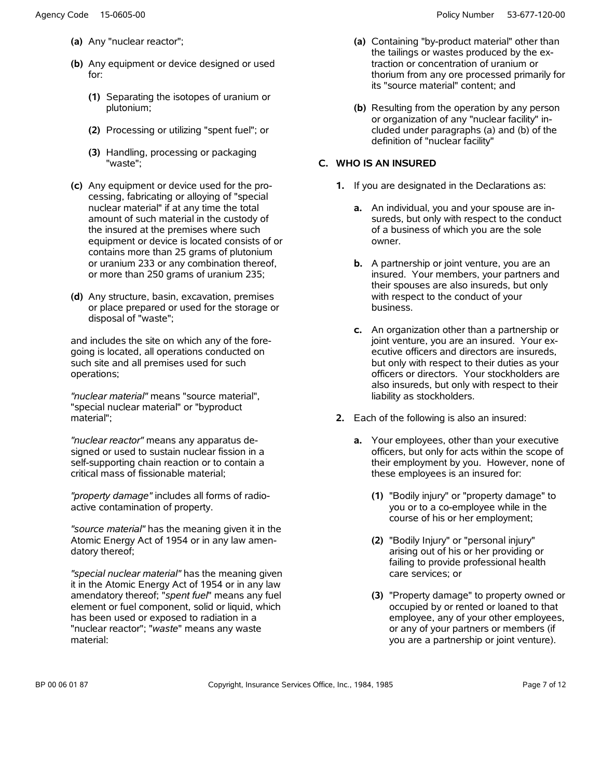- **(b)** Any equipment or device designed or used for:
	- **(1)** Separating the isotopes of uranium or plutonium;
	- **(2)** Processing or utilizing "spent fuel"; or
	- **(3)** Handling, processing or packaging "waste";
- **(c)** Any equipment or device used for the processing, fabricating or alloying of "special nuclear material" if at any time the total amount of such material in the custody of the insured at the premises where such equipment or device is located consists of or contains more than 25 grams of plutonium or uranium 233 or any combination thereof, or more than 250 grams of uranium 235;
- **(d)** Any structure, basin, excavation, premises or place prepared or used for the storage or disposal of "waste";

and includes the site on which any of the foregoing is located, all operations conducted on such site and all premises used for such operations;

*"nuclear material"* means "source material", "special nuclear material" or "byproduct material";

*"nuclear reactor"* means any apparatus designed or used to sustain nuclear fission in a self-supporting chain reaction or to contain a critical mass of fissionable material;

*"property damage"* includes all forms of radioactive contamination of property.

*"source material"* has the meaning given it in the Atomic Energy Act of 1954 or in any law amendatory thereof;

*"special nuclear material"* has the meaning given it in the Atomic Energy Act of 1954 or in any law amendatory thereof; "*spent fuel*" means any fuel element or fuel component, solid or liquid, which has been used or exposed to radiation in a "nuclear reactor"; "*waste*" means any waste material:

- **(a)** Containing "by-product material" other than the tailings or wastes produced by the extraction or concentration of uranium or thorium from any ore processed primarily for its "source material" content; and
- **(b)** Resulting from the operation by any person or organization of any "nuclear facility" included under paragraphs (a) and (b) of the definition of "nuclear facility"

### **C. WHO IS AN INSURED**

- **1.** If you are designated in the Declarations as:
	- **a.** An individual, you and your spouse are insureds, but only with respect to the conduct of a business of which you are the sole owner.
	- **b.** A partnership or joint venture, you are an insured. Your members, your partners and their spouses are also insureds, but only with respect to the conduct of your business.
	- **c.** An organization other than a partnership or joint venture, you are an insured. Your executive officers and directors are insureds, but only with respect to their duties as your officers or directors. Your stockholders are also insureds, but only with respect to their liability as stockholders.
- **2.** Each of the following is also an insured:
	- **a.** Your employees, other than your executive officers, but only for acts within the scope of their employment by you. However, none of these employees is an insured for:
		- **(1)** "Bodily injury" or "property damage" to you or to a co-employee while in the course of his or her employment;
		- **(2)** "Bodily Injury" or "personal injury" arising out of his or her providing or failing to provide professional health care services; or
		- **(3)** "Property damage" to property owned or occupied by or rented or loaned to that employee, any of your other employees, or any of your partners or members (if you are a partnership or joint venture).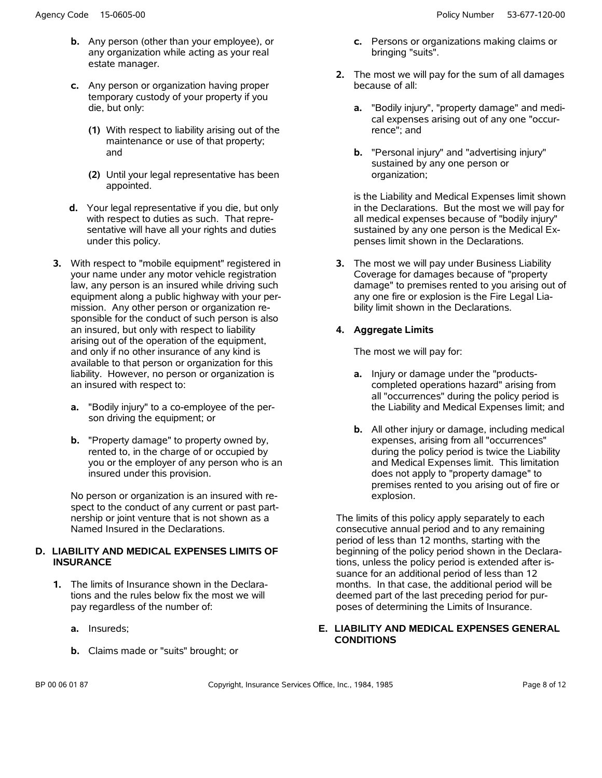- **b.** Any person (other than your employee), or any organization while acting as your real estate manager.
- **c.** Any person or organization having proper temporary custody of your property if you die, but only:
	- **(1)** With respect to liability arising out of the maintenance or use of that property; and
	- **(2)** Until your legal representative has been appointed.
- **d.** Your legal representative if you die, but only with respect to duties as such. That representative will have all your rights and duties under this policy.
- **3.** With respect to "mobile equipment" registered in your name under any motor vehicle registration law, any person is an insured while driving such equipment along a public highway with your permission. Any other person or organization responsible for the conduct of such person is also an insured, but only with respect to liability arising out of the operation of the equipment, and only if no other insurance of any kind is available to that person or organization for this liability. However, no person or organization is an insured with respect to:
	- **a.** "Bodily injury" to a co-employee of the person driving the equipment; or
	- **b.** "Property damage" to property owned by, rented to, in the charge of or occupied by you or the employer of any person who is an insured under this provision.

No person or organization is an insured with respect to the conduct of any current or past partnership or joint venture that is not shown as a Named Insured in the Declarations.

#### **D. LIABILITY AND MEDICAL EXPENSES LIMITS OF INSURANCE**

- **1.** The limits of Insurance shown in the Declarations and the rules below fix the most we will pay regardless of the number of:
	- **a.** Insureds;
	- **b.** Claims made or "suits" brought; or
- **c.** Persons or organizations making claims or bringing "suits".
- **2.** The most we will pay for the sum of all damages because of all:
	- **a.** "Bodily injury", "property damage" and medical expenses arising out of any one "occurrence"; and
	- **b.** "Personal injury" and "advertising injury" sustained by any one person or organization;

is the Liability and Medical Expenses limit shown in the Declarations. But the most we will pay for all medical expenses because of "bodily injury" sustained by any one person is the Medical Ex- penses limit shown in the Declarations.

**3.** The most we will pay under Business Liability Coverage for damages because of "property damage" to premises rented to you arising out of any one fire or explosion is the Fire Legal Liability limit shown in the Declarations.

### **4. Aggregate Limits**

The most we will pay for:

- **a.** Injury or damage under the "productscompleted operations hazard" arising from all "occurrences" during the policy period is the Liability and Medical Expenses limit; and
- **b.** All other injury or damage, including medical expenses, arising from all "occurrences" during the policy period is twice the Liability and Medical Expenses limit. This limitation does not apply to "property damage" to premises rented to you arising out of fire or explosion.

The limits of this policy apply separately to each consecutive annual period and to any remaining period of less than 12 months, starting with the beginning of the policy period shown in the Declarations, unless the policy period is extended after issuance for an additional period of less than 12 months. In that case, the additional period will be deemed part of the last preceding period for purposes of determining the Limits of Insurance.

#### **E. LIABILITY AND MEDICAL EXPENSES GENERAL CONDITIONS**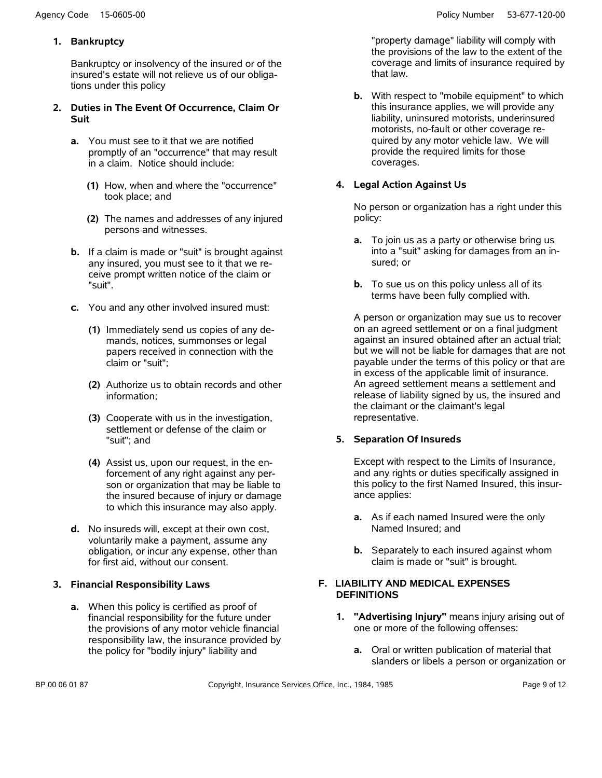Bankruptcy or insolvency of the insured or of the insured's estate will not relieve us of our obligations under this policy

# **2. Duties in The Event Of Occurrence, Claim Or Suit**

- **a.** You must see to it that we are notified promptly of an "occurrence" that may result in a claim. Notice should include:
	- **(1)** How, when and where the "occurrence" took place; and
	- **(2)** The names and addresses of any injured persons and witnesses.
- **b.** If a claim is made or "suit" is brought against any insured, you must see to it that we receive prompt written notice of the claim or "suit".
- **c.** You and any other involved insured must:
	- **(1)** Immediately send us copies of any demands, notices, summonses or legal papers received in connection with the claim or "suit";
	- **(2)** Authorize us to obtain records and other information;
	- **(3)** Cooperate with us in the investigation, settlement or defense of the claim or "suit"; and
	- **(4)** Assist us, upon our request, in the enforcement of any right against any person or organization that may be liable to the insured because of injury or damage to which this insurance may also apply.
- **d.** No insureds will, except at their own cost, voluntarily make a payment, assume any obligation, or incur any expense, other than for first aid, without our consent.

# **3. Financial Responsibility Laws**

**a.** When this policy is certified as proof of financial responsibility for the future under the provisions of any motor vehicle financial responsibility law, the insurance provided by the policy for "bodily injury" liability and

"property damage" liability will comply with the provisions of the law to the extent of the coverage and limits of insurance required by that law.

**b.** With respect to "mobile equipment" to which this insurance applies, we will provide any liability, uninsured motorists, underinsured motorists, no-fault or other coverage required by any motor vehicle law. We will provide the required limits for those coverages.

# **4. Legal Action Against Us**

No person or organization has a right under this policy:

- **a.** To join us as a party or otherwise bring us into a "suit" asking for damages from an insured; or
- **b.** To sue us on this policy unless all of its terms have been fully complied with.

A person or organization may sue us to recover on an agreed settlement or on a final judgment against an insured obtained after an actual trial; but we will not be liable for damages that are not payable under the terms of this policy or that are in excess of the applicable limit of insurance. An agreed settlement means a settlement and release of liability signed by us, the insured and the claimant or the claimant's legal representative.

# **5. Separation Of Insureds**

Except with respect to the Limits of Insurance, and any rights or duties specifically assigned in this policy to the first Named Insured, this insurance applies:

- **a.** As if each named Insured were the only Named Insured; and
- **b.** Separately to each insured against whom claim is made or "suit" is brought.

#### **F. LIABILITY AND MEDICAL EXPENSES DEFINITIONS**

- **1. "Advertising Injury"** means injury arising out of one or more of the following offenses:
	- **a.** Oral or written publication of material that slanders or libels a person or organization or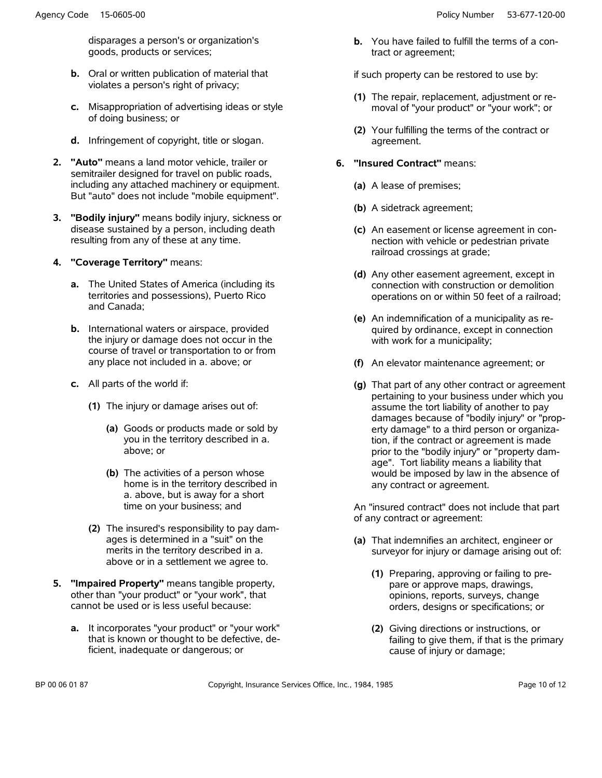disparages a person's or organization's goods, products or services;

- **b.** Oral or written publication of material that violates a person's right of privacy;
- **c.** Misappropriation of advertising ideas or style of doing business; or
- **d.** Infringement of copyright, title or slogan.
- **2. "Auto"** means a land motor vehicle, trailer or semitrailer designed for travel on public roads, including any attached machinery or equipment. But "auto" does not include "mobile equipment".
- **3. "Bodily injury"** means bodily injury, sickness or disease sustained by a person, including death resulting from any of these at any time.
- **4. "Coverage Territory"** means:
	- **a.** The United States of America (including its territories and possessions), Puerto Rico and Canada;
	- **b.** International waters or airspace, provided the injury or damage does not occur in the course of travel or transportation to or from any place not included in a. above; or
	- **c.** All parts of the world if:
		- **(1)** The injury or damage arises out of:
			- **(a)** Goods or products made or sold by you in the territory described in a. above; or
			- **(b)** The activities of a person whose home is in the territory described in a. above, but is away for a short time on your business; and
		- **(2)** The insured's responsibility to pay damages is determined in a "suit" on the merits in the territory described in a. above or in a settlement we agree to.
- **5. "Impaired Property"** means tangible property, other than "your product" or "your work", that cannot be used or is less useful because:
	- **a.** It incorporates "your product" or "your work" that is known or thought to be defective, deficient, inadequate or dangerous; or

**b.** You have failed to fulfill the terms of a contract or agreement;

if such property can be restored to use by:

- **(1)** The repair, replacement, adjustment or removal of "your product" or "your work"; or
- **(2)** Your fulfilling the terms of the contract or agreement.
- **6. "Insured Contract"** means:
	- **(a)** A lease of premises;
	- **(b)** A sidetrack agreement;
	- **(c)** An easement or license agreement in connection with vehicle or pedestrian private railroad crossings at grade;
	- **(d)** Any other easement agreement, except in connection with construction or demolition operations on or within 50 feet of a railroad;
	- **(e)** An indemnification of a municipality as required by ordinance, except in connection with work for a municipality;
	- **(f)** An elevator maintenance agreement; or
	- **(g)** That part of any other contract or agreement pertaining to your business under which you assume the tort liability of another to pay damages because of "bodily injury" or "property damage" to a third person or organization, if the contract or agreement is made prior to the "bodily injury" or "property damage". Tort liability means a liability that would be imposed by law in the absence of any contract or agreement.

An "insured contract" does not include that part of any contract or agreement:

- **(a)** That indemnifies an architect, engineer or surveyor for injury or damage arising out of:
	- **(1)** Preparing, approving or failing to prepare or approve maps, drawings, opinions, reports, surveys, change orders, designs or specifications; or
	- **(2)** Giving directions or instructions, or failing to give them, if that is the primary cause of injury or damage;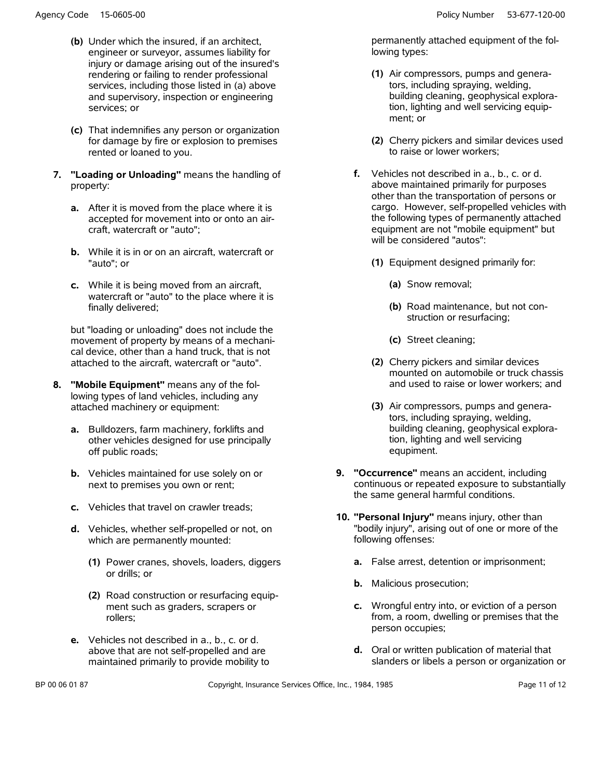- **(b)** Under which the insured, if an architect, engineer or surveyor, assumes liability for injury or damage arising out of the insured's rendering or failing to render professional services, including those listed in (a) above and supervisory, inspection or engineering services; or
- **(c)** That indemnifies any person or organization for damage by fire or explosion to premises rented or loaned to you.
- **7. "Loading or Unloading"** means the handling of property:
	- **a.** After it is moved from the place where it is accepted for movement into or onto an aircraft, watercraft or "auto";
	- **b.** While it is in or on an aircraft, watercraft or "auto"; or
	- **c.** While it is being moved from an aircraft, watercraft or "auto" to the place where it is finally delivered;

but "loading or unloading" does not include the movement of property by means of a mechanical device, other than a hand truck, that is not attached to the aircraft, watercraft or "auto".

- **8. "Mobile Equipment"** means any of the following types of land vehicles, including any attached machinery or equipment:
	- **a.** Bulldozers, farm machinery, forklifts and other vehicles designed for use principally off public roads;
	- **b.** Vehicles maintained for use solely on or next to premises you own or rent;
	- **c.** Vehicles that travel on crawler treads;
	- **d.** Vehicles, whether self-propelled or not, on which are permanently mounted:
		- **(1)** Power cranes, shovels, loaders, diggers or drills; or
		- **(2)** Road construction or resurfacing equipment such as graders, scrapers or rollers;
	- **e.** Vehicles not described in a., b., c. or d. above that are not self-propelled and are maintained primarily to provide mobility to

permanently attached equipment of the following types:

- **(1)** Air compressors, pumps and generators, including spraying, welding, building cleaning, geophysical exploration, lighting and well servicing equipment; or
- **(2)** Cherry pickers and similar devices used to raise or lower workers;
- **f.** Vehicles not described in a., b., c. or d. above maintained primarily for purposes other than the transportation of persons or cargo. However, self-propelled vehicles with the following types of permanently attached equipment are not "mobile equipment" but will be considered "autos":
	- **(1)** Equipment designed primarily for:
		- **(a)** Snow removal;
		- **(b)** Road maintenance, but not construction or resurfacing;
		- **(c)** Street cleaning;
	- **(2)** Cherry pickers and similar devices mounted on automobile or truck chassis and used to raise or lower workers; and
	- **(3)** Air compressors, pumps and generators, including spraying, welding, building cleaning, geophysical exploration, lighting and well servicing equpiment.
- **9. "Occurrence"** means an accident, including continuous or repeated exposure to substantially the same general harmful conditions.
- **10. "Personal Injury"** means injury, other than "bodily injury", arising out of one or more of the following offenses:
	- **a.** False arrest, detention or imprisonment;
	- **b.** Malicious prosecution;
	- **c.** Wrongful entry into, or eviction of a person from, a room, dwelling or premises that the person occupies;
	- **d.** Oral or written publication of material that slanders or libels a person or organization or

BP 00 06 01 87 Page 11 of 12 Copyright, Insurance Services Office, Inc., 1984, 1985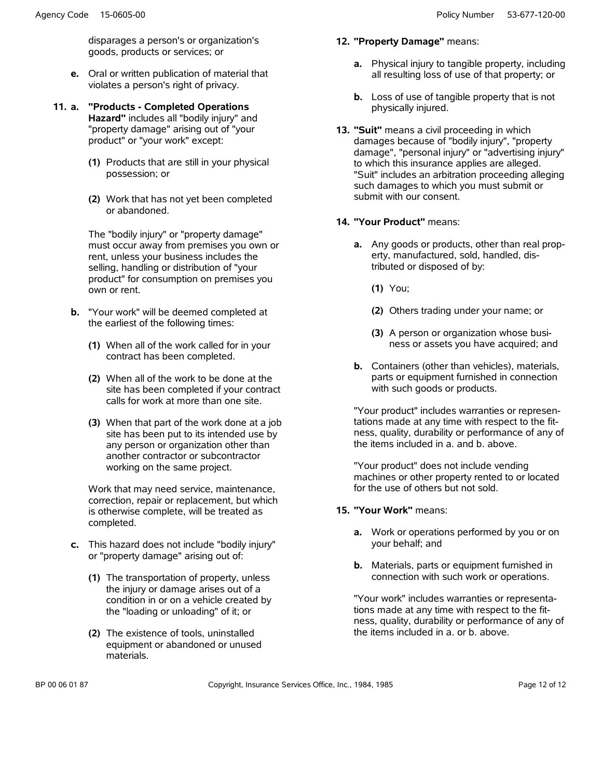disparages a person's or organization's goods, products or services; or

- **e.** Oral or written publication of material that violates a person's right of privacy.
- **11. a. "Products Completed Operations Hazard"** includes all "bodily injury" and "property damage" arising out of "your product" or "your work" except:
	- **(1)** Products that are still in your physical possession; or
	- **(2)** Work that has not yet been completed or abandoned.

The "bodily injury" or "property damage" must occur away from premises you own or rent, unless your business includes the selling, handling or distribution of "your product" for consumption on premises you own or rent.

- **b.** "Your work" will be deemed completed at the earliest of the following times:
	- **(1)** When all of the work called for in your contract has been completed.
	- **(2)** When all of the work to be done at the site has been completed if your contract calls for work at more than one site.
	- **(3)** When that part of the work done at a job site has been put to its intended use by any person or organization other than another contractor or subcontractor working on the same project.

Work that may need service, maintenance, correction, repair or replacement, but which is otherwise complete, will be treated as completed.

- **c.** This hazard does not include "bodily injury" or "property damage" arising out of:
	- **(1)** The transportation of property, unless the injury or damage arises out of a condition in or on a vehicle created by the "loading or unloading" of it; or
	- **(2)** The existence of tools, uninstalled equipment or abandoned or unused materials.
- **12. "Property Damage"** means:
	- **a.** Physical injury to tangible property, including all resulting loss of use of that property; or
	- **b.** Loss of use of tangible property that is not physically injured.
- **13. "Suit"** means a civil proceeding in which damages because of "bodily injury", "property damage", "personal injury" or "advertising injury" to which this insurance applies are alleged. "Suit" includes an arbitration proceeding alleging such damages to which you must submit or submit with our consent.
- **14. "Your Product"** means:
	- **a.** Any goods or products, other than real property, manufactured, sold, handled, distributed or disposed of by:
		- **(1)** You;
		- **(2)** Others trading under your name; or
		- **(3)** A person or organization whose business or assets you have acquired; and
	- **b.** Containers (other than vehicles), materials, parts or equipment furnished in connection with such goods or products.

"Your product" includes warranties or representations made at any time with respect to the fitness, quality, durability or performance of any of the items included in a. and b. above.

"Your product" does not include vending machines or other property rented to or located for the use of others but not sold.

- **15. "Your Work"** means:
	- **a.** Work or operations performed by you or on your behalf; and
	- **b.** Materials, parts or equipment furnished in connection with such work or operations.

"Your work" includes warranties or representations made at any time with respect to the fitness, quality, durability or performance of any of the items included in a. or b. above.

BP 00 06 01 87 Page 12 of 12 Copyright, Insurance Services Office, Inc., 1984, 1985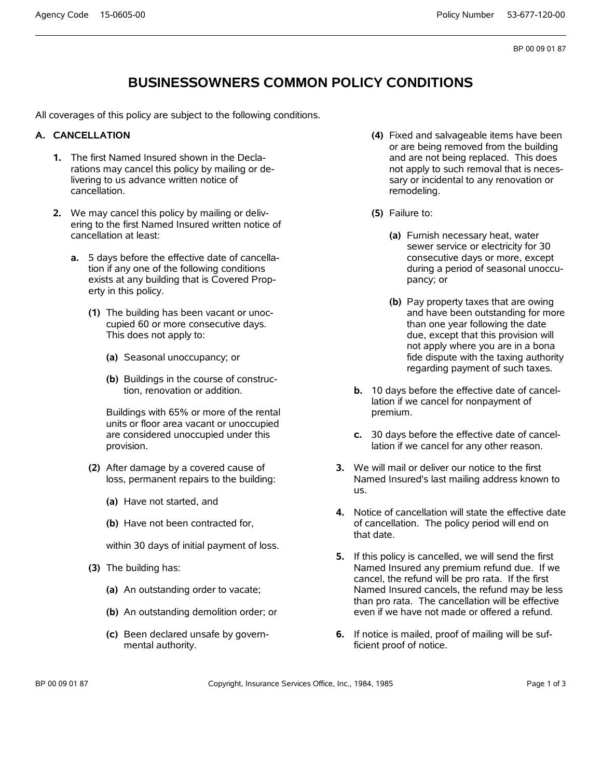BP 00 09 01 87

# **BUSINESSOWNERS COMMON POLICY CONDITIONS**

All coverages of this policy are subject to the following conditions.

### **A. CANCELLATION**

- **1.** The first Named Insured shown in the Declarations may cancel this policy by mailing or delivering to us advance written notice of cancellation.
- **2.** We may cancel this policy by mailing or delivering to the first Named Insured written notice of cancellation at least:
	- **a.** 5 days before the effective date of cancellation if any one of the following conditions exists at any building that is Covered Property in this policy.
		- **(1)** The building has been vacant or unoccupied 60 or more consecutive days. This does not apply to:
			- **(a)** Seasonal unoccupancy; or
			- **(b)** Buildings in the course of construction, renovation or addition.

Buildings with 65% or more of the rental units or floor area vacant or unoccupied are considered unoccupied under this provision.

- **(2)** After damage by a covered cause of loss, permanent repairs to the building:
	- **(a)** Have not started, and
	- **(b)** Have not been contracted for,

within 30 days of initial payment of loss.

- **(3)** The building has:
	- **(a)** An outstanding order to vacate;
	- **(b)** An outstanding demolition order; or
	- **(c)** Been declared unsafe by governmental authority.
- **(4)** Fixed and salvageable items have been or are being removed from the building and are not being replaced. This does not apply to such removal that is necessary or incidental to any renovation or remodeling.
- **(5)** Failure to:
	- **(a)** Furnish necessary heat, water sewer service or electricity for 30 consecutive days or more, except during a period of seasonal unoccupancy; or
	- **(b)** Pay property taxes that are owing and have been outstanding for more than one year following the date due, except that this provision will not apply where you are in a bona fide dispute with the taxing authority regarding payment of such taxes.
- **b.** 10 days before the effective date of cancellation if we cancel for nonpayment of premium.
- **c.** 30 days before the effective date of cancellation if we cancel for any other reason.
- **3.** We will mail or deliver our notice to the first Named Insured's last mailing address known to us.
- **4.** Notice of cancellation will state the effective date of cancellation. The policy period will end on that date.
- **5.** If this policy is cancelled, we will send the first Named Insured any premium refund due. If we cancel, the refund will be pro rata. If the first Named Insured cancels, the refund may be less than pro rata. The cancellation will be effective even if we have not made or offered a refund.
- **6.** If notice is mailed, proof of mailing will be sufficient proof of notice.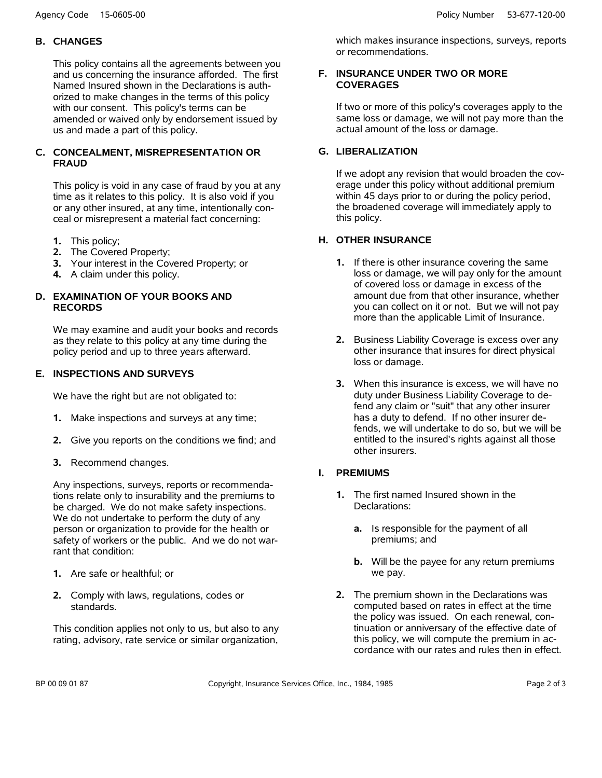### **B. CHANGES**

This policy contains all the agreements between you and us concerning the insurance afforded. The first Named Insured shown in the Declarations is authorized to make changes in the terms of this policy with our consent. This policy's terms can be amended or waived only by endorsement issued by us and made a part of this policy.

### **C. CONCEALMENT, MISREPRESENTATION OR FRAUD**

This policy is void in any case of fraud by you at any time as it relates to this policy. It is also void if you or any other insured, at any time, intentionally conceal or misrepresent a material fact concerning:

- **1.** This policy;
- **2.** The Covered Property;
- **3.** Your interest in the Covered Property; or
- **4.** A claim under this policy.

### **D. EXAMINATION OF YOUR BOOKS AND RECORDS**

We may examine and audit your books and records as they relate to this policy at any time during the policy period and up to three years afterward.

### **E. INSPECTIONS AND SURVEYS**

We have the right but are not obligated to:

- **1.** Make inspections and surveys at any time;
- **2.** Give you reports on the conditions we find; and
- **3.** Recommend changes.

Any inspections, surveys, reports or recommendations relate only to insurability and the premiums to be charged. We do not make safety inspections. We do not undertake to perform the duty of any person or organization to provide for the health or safety of workers or the public. And we do not warrant that condition:

- **1.** Are safe or healthful; or
- **2.** Comply with laws, regulations, codes or standards.

This condition applies not only to us, but also to any rating, advisory, rate service or similar organization, which makes insurance inspections, surveys, reports or recommendations.

### **F. INSURANCE UNDER TWO OR MORE COVERAGES**

If two or more of this policy's coverages apply to the same loss or damage, we will not pay more than the actual amount of the loss or damage.

### **G. LIBERALIZATION**

If we adopt any revision that would broaden the coverage under this policy without additional premium within 45 days prior to or during the policy period, the broadened coverage will immediately apply to this policy.

### **H. OTHER INSURANCE**

- **1.** If there is other insurance covering the same loss or damage, we will pay only for the amount of covered loss or damage in excess of the amount due from that other insurance, whether you can collect on it or not. But we will not pay more than the applicable Limit of Insurance.
- **2.** Business Liability Coverage is excess over any other insurance that insures for direct physical loss or damage.
- **3.** When this insurance is excess, we will have no duty under Business Liability Coverage to defend any claim or "suit" that any other insurer has a duty to defend. If no other insurer defends, we will undertake to do so, but we will be entitled to the insured's rights against all those other insurers.

### **I. PREMIUMS**

- **1.** The first named Insured shown in the Declarations:
	- **a.** Is responsible for the payment of all premiums; and
	- **b.** Will be the payee for any return premiums we pay.
- **2.** The premium shown in the Declarations was computed based on rates in effect at the time the policy was issued. On each renewal, continuation or anniversary of the effective date of this policy, we will compute the premium in accordance with our rates and rules then in effect.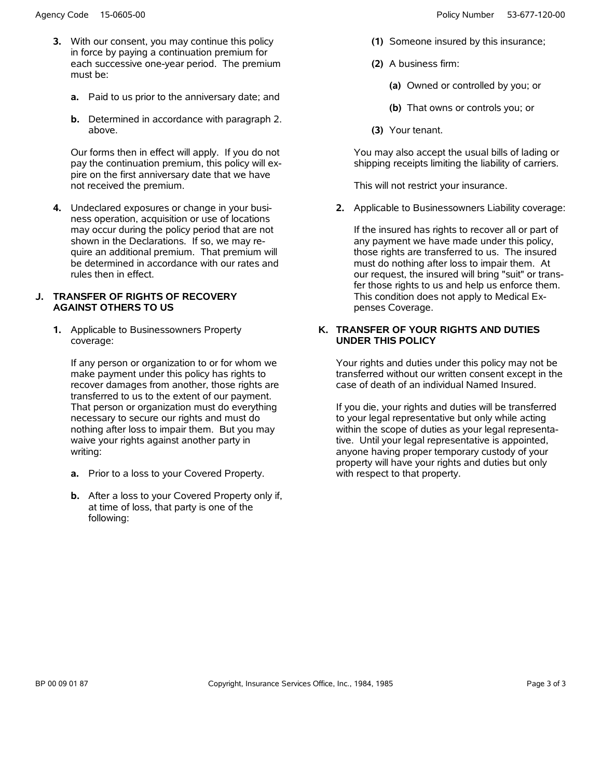- **3.** With our consent, you may continue this policy in force by paying a continuation premium for each successive one-year period. The premium must be:
	- **a.** Paid to us prior to the anniversary date; and
	- **b.** Determined in accordance with paragraph 2. above.

Our forms then in effect will apply. If you do not pay the continuation premium, this policy will expire on the first anniversary date that we have not received the premium.

**4.** Undeclared exposures or change in your business operation, acquisition or use of locations may occur during the policy period that are not shown in the Declarations. If so, we may require an additional premium. That premium will be determined in accordance with our rates and rules then in effect.

#### **J. TRANSFER OF RIGHTS OF RECOVERY AGAINST OTHERS TO US**

**1.** Applicable to Businessowners Property coverage:

If any person or organization to or for whom we make payment under this policy has rights to recover damages from another, those rights are transferred to us to the extent of our payment. That person or organization must do everything necessary to secure our rights and must do nothing after loss to impair them. But you may waive your rights against another party in writing:

- **a.** Prior to a loss to your Covered Property.
- **b.** After a loss to your Covered Property only if, at time of loss, that party is one of the following:
- **(1)** Someone insured by this insurance;
- **(2)** A business firm:
	- **(a)** Owned or controlled by you; or
	- **(b)** That owns or controls you; or
- **(3)** Your tenant.

You may also accept the usual bills of lading or shipping receipts limiting the liability of carriers.

This will not restrict your insurance.

**2.** Applicable to Businessowners Liability coverage:

If the insured has rights to recover all or part of any payment we have made under this policy, those rights are transferred to us. The insured must do nothing after loss to impair them. At our request, the insured will bring "suit" or transfer those rights to us and help us enforce them. This condition does not apply to Medical Expenses Coverage.

### **K. TRANSFER OF YOUR RIGHTS AND DUTIES UNDER THIS POLICY**

Your rights and duties under this policy may not be transferred without our written consent except in the case of death of an individual Named Insured.

If you die, your rights and duties will be transferred to your legal representative but only while acting within the scope of duties as your legal representative. Until your legal representative is appointed, anyone having proper temporary custody of your property will have your rights and duties but only with respect to that property.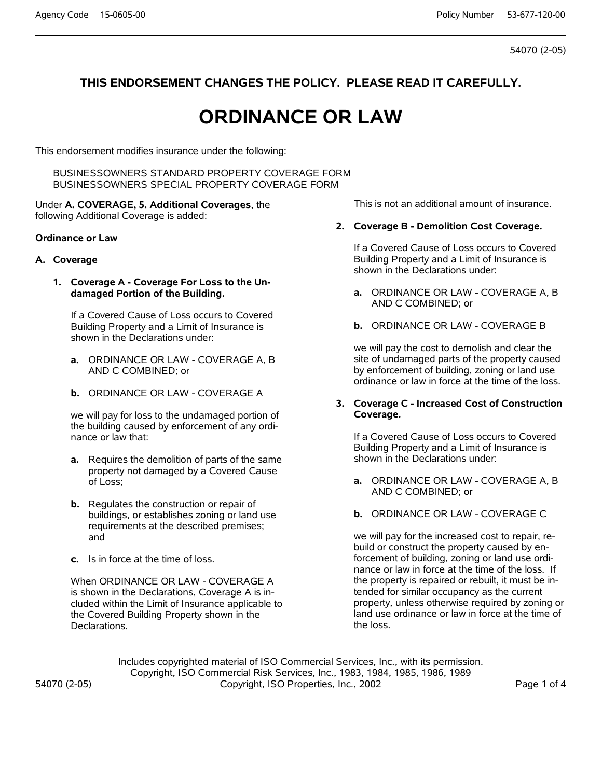54070 (2-05)

# **THIS ENDORSEMENT CHANGES THE POLICY. PLEASE READ IT CAREFULLY.**

# **ORDINANCE OR LAW**

This endorsement modifies insurance under the following:

BUSINESSOWNERS STANDARD PROPERTY COVERAGE FORM BUSINESSOWNERS SPECIAL PROPERTY COVERAGE FORM

Under **A. COVERAGE, 5. Additional Coverages**, the following Additional Coverage is added:

### **Ordinance or Law**

### **A. Coverage**

**1. Coverage A - Coverage For Loss to the Undamaged Portion of the Building.**

If a Covered Cause of Loss occurs to Covered Building Property and a Limit of Insurance is shown in the Declarations under:

- **a.** ORDINANCE OR LAW COVERAGE A, B AND C COMBINED; or
- **b.** ORDINANCE OR LAW COVERAGE A

we will pay for loss to the undamaged portion of the building caused by enforcement of any ordinance or law that:

- **a.** Requires the demolition of parts of the same property not damaged by a Covered Cause of Loss;
- **b.** Regulates the construction or repair of buildings, or establishes zoning or land use requirements at the described premises; and
- **c.** Is in force at the time of loss.

When ORDINANCE OR LAW - COVERAGE A is shown in the Declarations, Coverage A is included within the Limit of Insurance applicable to the Covered Building Property shown in the Declarations.

This is not an additional amount of insurance.

**2. Coverage B - Demolition Cost Coverage.**

If a Covered Cause of Loss occurs to Covered Building Property and a Limit of Insurance is shown in the Declarations under:

- **a.** ORDINANCE OR LAW COVERAGE A, B AND C COMBINED; or
- **b.** ORDINANCE OR LAW COVERAGE B

we will pay the cost to demolish and clear the site of undamaged parts of the property caused by enforcement of building, zoning or land use ordinance or law in force at the time of the loss.

#### **3. Coverage C - Increased Cost of Construction Coverage.**

If a Covered Cause of Loss occurs to Covered Building Property and a Limit of Insurance is shown in the Declarations under:

- **a.** ORDINANCE OR LAW COVERAGE A, B AND C COMBINED; or
- **b.** ORDINANCE OR LAW COVERAGE C

we will pay for the increased cost to repair, rebuild or construct the property caused by enforcement of building, zoning or land use ordinance or law in force at the time of the loss. If the property is repaired or rebuilt, it must be intended for similar occupancy as the current property, unless otherwise required by zoning or land use ordinance or law in force at the time of the loss.

Includes copyrighted material of ISO Commercial Services, Inc., with its permission. Copyright, ISO Commercial Risk Services, Inc., 1983, 1984, 1985, 1986, 1989 54070 (2-05) Copyright, ISO Properties, Inc., 2002 Page 1 of 4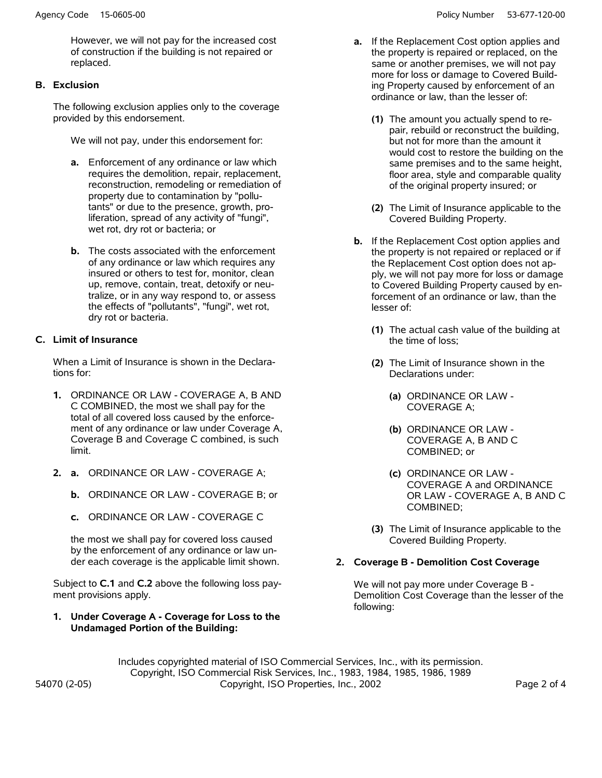However, we will not pay for the increased cost of construction if the building is not repaired or replaced.

# **B. Exclusion**

The following exclusion applies only to the coverage provided by this endorsement.

We will not pay, under this endorsement for:

- **a.** Enforcement of any ordinance or law which requires the demolition, repair, replacement, reconstruction, remodeling or remediation of property due to contamination by "pollutants" or due to the presence, growth, proliferation, spread of any activity of "fungi", wet rot, dry rot or bacteria; or
- **b.** The costs associated with the enforcement of any ordinance or law which requires any insured or others to test for, monitor, clean up, remove, contain, treat, detoxify or neutralize, or in any way respond to, or assess the effects of "pollutants", "fungi", wet rot, dry rot or bacteria.

# **C. Limit of Insurance**

When a Limit of Insurance is shown in the Declarations for:

- **1.** ORDINANCE OR LAW COVERAGE A, B AND C COMBINED, the most we shall pay for the total of all covered loss caused by the enforcement of any ordinance or law under Coverage A, Coverage B and Coverage C combined, is such limit.
- **2. a.** ORDINANCE OR LAW COVERAGE A;
	- **b.** ORDINANCE OR LAW COVERAGE B; or
	- **c.** ORDINANCE OR LAW COVERAGE C

the most we shall pay for covered loss caused by the enforcement of any ordinance or law under each coverage is the applicable limit shown.

Subject to **C.1** and **C.2** above the following loss payment provisions apply.

**1. Under Coverage A - Coverage for Loss to the Undamaged Portion of the Building:**

- **a.** If the Replacement Cost option applies and the property is repaired or replaced, on the same or another premises, we will not pay more for loss or damage to Covered Building Property caused by enforcement of an ordinance or law, than the lesser of:
	- **(1)** The amount you actually spend to repair, rebuild or reconstruct the building, but not for more than the amount it would cost to restore the building on the same premises and to the same height, floor area, style and comparable quality of the original property insured; or
	- **(2)** The Limit of Insurance applicable to the Covered Building Property.
- **b.** If the Replacement Cost option applies and the property is not repaired or replaced or if the Replacement Cost option does not apply, we will not pay more for loss or damage to Covered Building Property caused by enforcement of an ordinance or law, than the lesser of:
	- **(1)** The actual cash value of the building at the time of loss;
	- **(2)** The Limit of Insurance shown in the Declarations under:
		- **(a)** ORDINANCE OR LAW COVERAGE A;
		- **(b)** ORDINANCE OR LAW COVERAGE A, B AND C COMBINED; or
		- **(c)** ORDINANCE OR LAW COVERAGE A and ORDINANCE OR LAW - COVERAGE A, B AND C COMBINED;
	- **(3)** The Limit of Insurance applicable to the Covered Building Property.

# **2. Coverage B - Demolition Cost Coverage**

We will not pay more under Coverage B - Demolition Cost Coverage than the lesser of the following:

Includes copyrighted material of ISO Commercial Services, Inc., with its permission. Copyright, ISO Commercial Risk Services, Inc., 1983, 1984, 1985, 1986, 1989 54070 (2-05) Copyright, ISO Properties, Inc., 2002 Page 2 of 4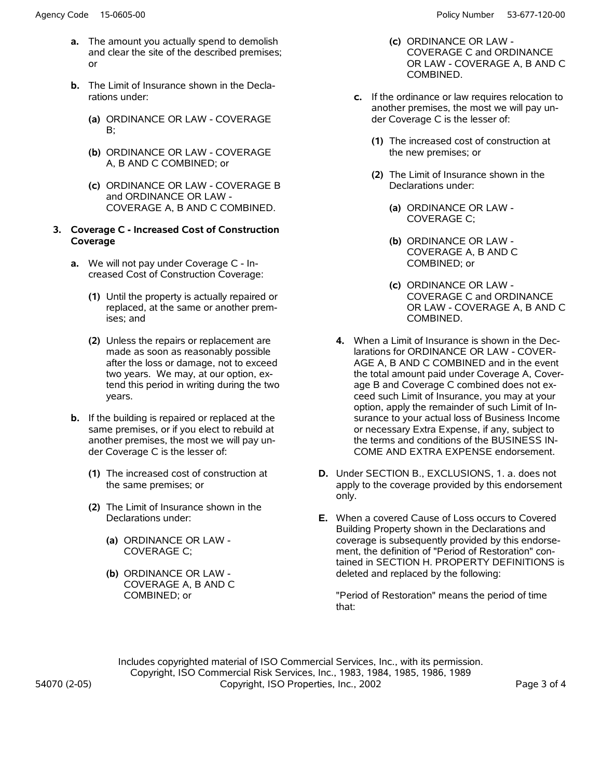- **a.** The amount you actually spend to demolish and clear the site of the described premises; or
- **b.** The Limit of Insurance shown in the Declarations under:
	- **(a)** ORDINANCE OR LAW COVERAGE B;
	- **(b)** ORDINANCE OR LAW COVERAGE A, B AND C COMBINED; or
	- **(c)** ORDINANCE OR LAW COVERAGE B and ORDINANCE OR LAW - COVERAGE A, B AND C COMBINED.

### **3. Coverage C - Increased Cost of Construction Coverage**

- **a.** We will not pay under Coverage C Increased Cost of Construction Coverage:
	- **(1)** Until the property is actually repaired or replaced, at the same or another premises; and
	- **(2)** Unless the repairs or replacement are made as soon as reasonably possible after the loss or damage, not to exceed two years. We may, at our option, extend this period in writing during the two years.
- **b.** If the building is repaired or replaced at the same premises, or if you elect to rebuild at another premises, the most we will pay under Coverage C is the lesser of:
	- **(1)** The increased cost of construction at the same premises; or
	- **(2)** The Limit of Insurance shown in the Declarations under:
		- **(a)** ORDINANCE OR LAW COVERAGE C;
		- **(b)** ORDINANCE OR LAW COVERAGE A, B AND C COMBINED; or
- **(c)** ORDINANCE OR LAW COVERAGE C and ORDINANCE OR LAW - COVERAGE A, B AND C COMBINED.
- **c.** If the ordinance or law requires relocation to another premises, the most we will pay under Coverage C is the lesser of:
	- **(1)** The increased cost of construction at the new premises; or
	- **(2)** The Limit of Insurance shown in the Declarations under:
		- **(a)** ORDINANCE OR LAW COVERAGE C;
		- **(b)** ORDINANCE OR LAW COVERAGE A, B AND C COMBINED; or
		- **(c)** ORDINANCE OR LAW COVERAGE C and ORDINANCE OR LAW - COVERAGE A, B AND C COMBINED.
- **4.** When a Limit of Insurance is shown in the Declarations for ORDINANCE OR LAW - COVER-AGE A, B AND C COMBINED and in the event the total amount paid under Coverage A, Coverage B and Coverage C combined does not exceed such Limit of Insurance, you may at your option, apply the remainder of such Limit of Insurance to your actual loss of Business Income or necessary Extra Expense, if any, subject to the terms and conditions of the BUSINESS IN-COME AND EXTRA EXPENSE endorsement.
- **D.** Under SECTION B., EXCLUSIONS, 1. a. does not apply to the coverage provided by this endorsement only.
- **E.** When a covered Cause of Loss occurs to Covered Building Property shown in the Declarations and coverage is subsequently provided by this endorsement, the definition of "Period of Restoration" contained in SECTION H. PROPERTY DEFINITIONS is deleted and replaced by the following:

"Period of Restoration" means the period of time that:

Includes copyrighted material of ISO Commercial Services, Inc., with its permission. Copyright, ISO Commercial Risk Services, Inc., 1983, 1984, 1985, 1986, 1989 54070 (2-05) Copyright, ISO Properties, Inc., 2002 Page 3 of 4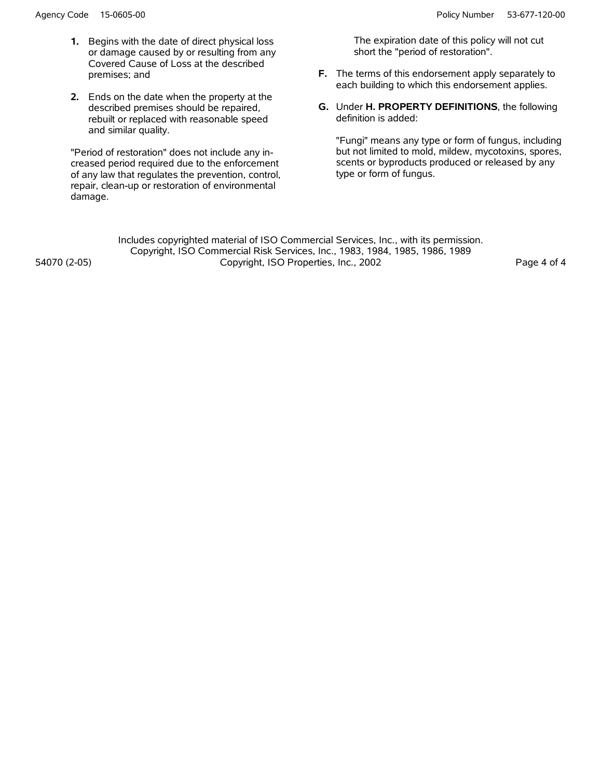- **1.** Begins with the date of direct physical loss or damage caused by or resulting from any Covered Cause of Loss at the described premises; and
- **2.** Ends on the date when the property at the described premises should be repaired, rebuilt or replaced with reasonable speed and similar quality.

"Period of restoration" does not include any increased period required due to the enforcement of any law that regulates the prevention, control, repair, clean-up or restoration of environmental damage.

The expiration date of this policy will not cut short the "period of restoration".

- **F.** The terms of this endorsement apply separately to each building to which this endorsement applies.
- **G.** Under **H. PROPERTY DEFINITIONS**, the following definition is added:

"Fungi" means any type or form of fungus, including but not limited to mold, mildew, mycotoxins, spores, scents or byproducts produced or released by any type or form of fungus.

Includes copyrighted material of ISO Commercial Services, Inc., with its permission. Copyright, ISO Commercial Risk Services, Inc., 1983, 1984, 1985, 1986, 1989 54070 (2-05) Copyright, ISO Properties, Inc., 2002 Page 4 of 4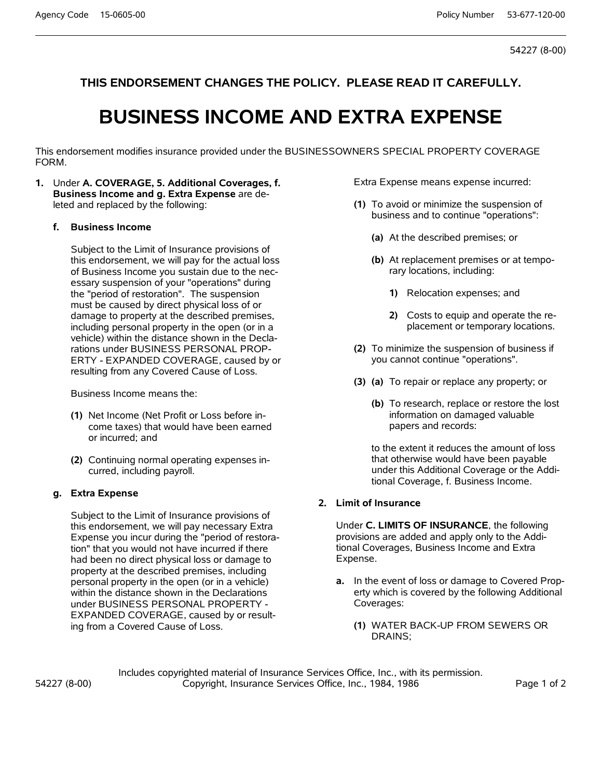# **THIS ENDORSEMENT CHANGES THE POLICY. PLEASE READ IT CAREFULLY.**

# **BUSINESS INCOME AND EXTRA EXPENSE**

This endorsement modifies insurance provided under the BUSINESSOWNERS SPECIAL PROPERTY COVERAGE FORM.

**1.** Under **A. COVERAGE, 5. Additional Coverages, f. Business Income and g. Extra Expense** are deleted and replaced by the following:

# **f. Business Income**

Subject to the Limit of Insurance provisions of this endorsement, we will pay for the actual loss of Business Income you sustain due to the necessary suspension of your "operations" during the "period of restoration". The suspension must be caused by direct physical loss of or damage to property at the described premises, including personal property in the open (or in a vehicle) within the distance shown in the Declarations under BUSINESS PERSONAL PROP-ERTY - EXPANDED COVERAGE, caused by or resulting from any Covered Cause of Loss.

Business Income means the:

- **(1)** Net Income (Net Profit or Loss before income taxes) that would have been earned or incurred; and
- **(2)** Continuing normal operating expenses incurred, including payroll.

# **g. Extra Expense**

Subject to the Limit of Insurance provisions of this endorsement, we will pay necessary Extra Expense you incur during the "period of restoration" that you would not have incurred if there had been no direct physical loss or damage to property at the described premises, including personal property in the open (or in a vehicle) within the distance shown in the Declarations under BUSINESS PERSONAL PROPERTY - EXPANDED COVERAGE, caused by or resulting from a Covered Cause of Loss.

Extra Expense means expense incurred:

- **(1)** To avoid or minimize the suspension of business and to continue "operations":
	- **(a)** At the described premises; or
	- **(b)** At replacement premises or at temporary locations, including:
		- **1)** Relocation expenses; and
		- **2)** Costs to equip and operate the replacement or temporary locations.
- **(2)** To minimize the suspension of business if you cannot continue "operations".
- **(3) (a)** To repair or replace any property; or
	- **(b)** To research, replace or restore the lost information on damaged valuable papers and records:

to the extent it reduces the amount of loss that otherwise would have been payable under this Additional Coverage or the Additional Coverage, f. Business Income.

# **2. Limit of Insurance**

Under **C. LIMITS OF INSURANCE**, the following provisions are added and apply only to the Additional Coverages, Business Income and Extra Expense.

- **a.** In the event of loss or damage to Covered Property which is covered by the following Additional Coverages:
	- **(1)** WATER BACK-UP FROM SEWERS OR DRAINS;

Includes copyrighted material of Insurance Services Office, Inc., with its permission. 54227 (8-00) Copyright, Insurance Services Office, Inc., 1984, 1986 Page 1 of 2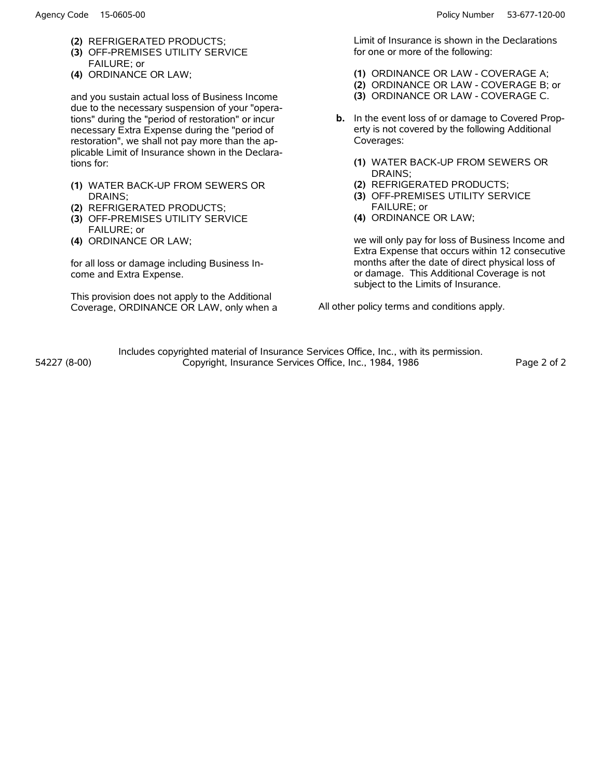- **(3)** OFF-PREMISES UTILITY SERVICE FAILURE; or
- **(4)** ORDINANCE OR LAW;

and you sustain actual loss of Business Income due to the necessary suspension of your "operations" during the "period of restoration" or incur necessary Extra Expense during the "period of restoration", we shall not pay more than the applicable Limit of Insurance shown in the Declarations for:

- **(1)** WATER BACK-UP FROM SEWERS OR DRAINS;
- **(2)** REFRIGERATED PRODUCTS;
- **(3)** OFF-PREMISES UTILITY SERVICE FAILURE; or
- **(4)** ORDINANCE OR LAW;

for all loss or damage including Business Income and Extra Expense.

This provision does not apply to the Additional Coverage, ORDINANCE OR LAW, only when a Limit of Insurance is shown in the Declarations for one or more of the following:

- **(1)** ORDINANCE OR LAW COVERAGE A;
- **(2)** ORDINANCE OR LAW COVERAGE B; or
- **(3)** ORDINANCE OR LAW COVERAGE C.
- **b.** In the event loss of or damage to Covered Property is not covered by the following Additional Coverages:
	- **(1)** WATER BACK-UP FROM SEWERS OR DRAINS;
	- **(2)** REFRIGERATED PRODUCTS;
	- **(3)** OFF-PREMISES UTILITY SERVICE FAILURE; or
	- **(4)** ORDINANCE OR LAW;

we will only pay for loss of Business Income and Extra Expense that occurs within 12 consecutive months after the date of direct physical loss of or damage. This Additional Coverage is not subject to the Limits of Insurance.

All other policy terms and conditions apply.

Includes copyrighted material of Insurance Services Office, Inc., with its permission. 54227 (8-00) Copyright, Insurance Services Office, Inc., 1984, 1986 Page 2 of 2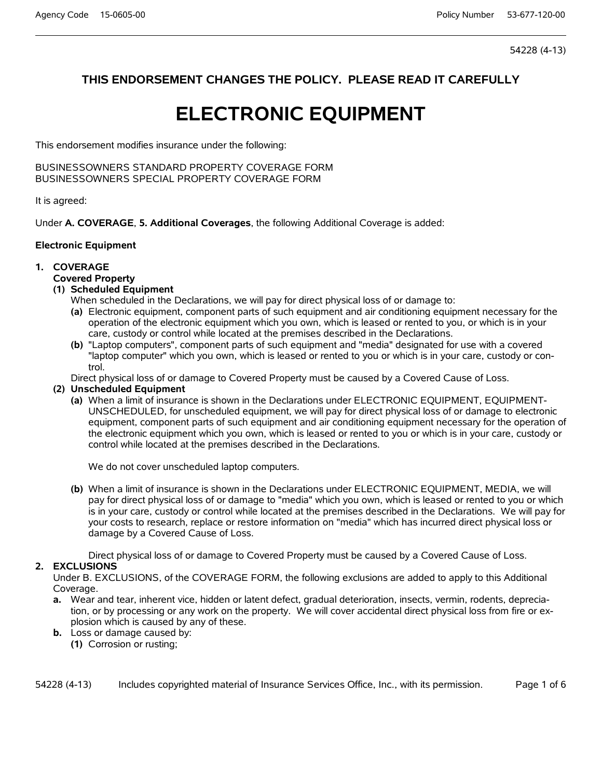54228 (4-13)

# **THIS ENDORSEMENT CHANGES THE POLICY. PLEASE READ IT CAREFULLY**

# **ELECTRONIC EQUIPMENT**

This endorsement modifies insurance under the following:

BUSINESSOWNERS STANDARD PROPERTY COVERAGE FORM BUSINESSOWNERS SPECIAL PROPERTY COVERAGE FORM

# It is agreed:

Under **A. COVERAGE**, **5. Additional Coverages**, the following Additional Coverage is added:

# **Electronic Equipment**

# **1. COVERAGE**

# **Covered Property**

# **(1) Scheduled Equipment**

- When scheduled in the Declarations, we will pay for direct physical loss of or damage to:
- **(a)** Electronic equipment, component parts of such equipment and air conditioning equipment necessary for the operation of the electronic equipment which you own, which is leased or rented to you, or which is in your care, custody or control while located at the premises described in the Declarations.
- **(b)** "Laptop computers", component parts of such equipment and "media" designated for use with a covered "laptop computer" which you own, which is leased or rented to you or which is in your care, custody or control.

Direct physical loss of or damage to Covered Property must be caused by a Covered Cause of Loss.

# **(2) Unscheduled Equipment**

**(a)** When a limit of insurance is shown in the Declarations under ELECTRONIC EQUIPMENT, EQUIPMENT-UNSCHEDULED, for unscheduled equipment, we will pay for direct physical loss of or damage to electronic equipment, component parts of such equipment and air conditioning equipment necessary for the operation of the electronic equipment which you own, which is leased or rented to you or which is in your care, custody or control while located at the premises described in the Declarations.

We do not cover unscheduled laptop computers.

**(b)** When a limit of insurance is shown in the Declarations under ELECTRONIC EQUIPMENT, MEDIA, we will pay for direct physical loss of or damage to "media" which you own, which is leased or rented to you or which is in your care, custody or control while located at the premises described in the Declarations. We will pay for your costs to research, replace or restore information on "media" which has incurred direct physical loss or damage by a Covered Cause of Loss.

Direct physical loss of or damage to Covered Property must be caused by a Covered Cause of Loss.

# **2. EXCLUSIONS**

Under B. EXCLUSIONS, of the COVERAGE FORM, the following exclusions are added to apply to this Additional Coverage.

- **a.** Wear and tear, inherent vice, hidden or latent defect, gradual deterioration, insects, vermin, rodents, depreciation, or by processing or any work on the property. We will cover accidental direct physical loss from fire or explosion which is caused by any of these.
- **b.** Loss or damage caused by:
	- **(1)** Corrosion or rusting;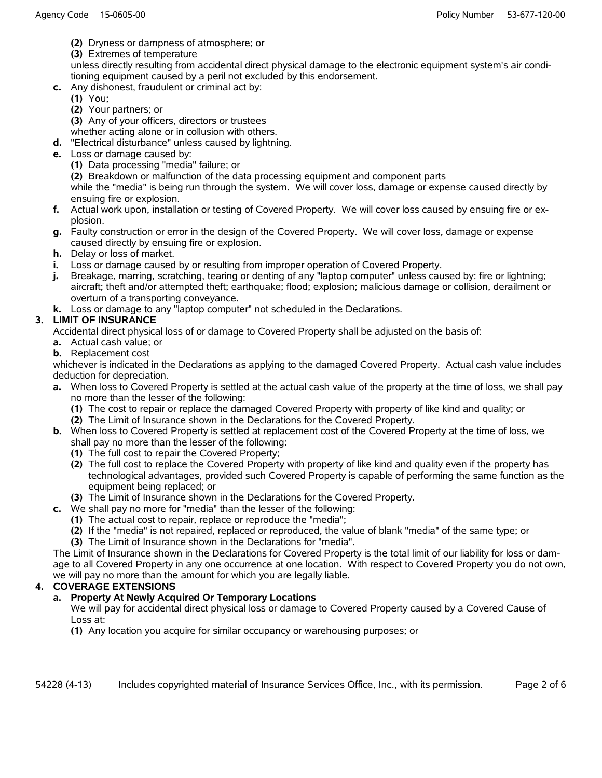- **(2)** Dryness or dampness of atmosphere; or
- **(3)** Extremes of temperature

unless directly resulting from accidental direct physical damage to the electronic equipment system's air conditioning equipment caused by a peril not excluded by this endorsement.

- **c.** Any dishonest, fraudulent or criminal act by:
	- **(1)** You;
	- **(2)** Your partners; or
	- **(3)** Any of your officers, directors or trustees
	- whether acting alone or in collusion with others.
- **d.** "Electrical disturbance" unless caused by lightning.
- **e.** Loss or damage caused by:
	- **(1)** Data processing "media" failure; or

**(2)** Breakdown or malfunction of the data processing equipment and component parts

while the "media" is being run through the system. We will cover loss, damage or expense caused directly by ensuing fire or explosion.

- **f.** Actual work upon, installation or testing of Covered Property. We will cover loss caused by ensuing fire or explosion.
- **g.** Faulty construction or error in the design of the Covered Property. We will cover loss, damage or expense caused directly by ensuing fire or explosion.
- **h.** Delay or loss of market.
- **i.** Loss or damage caused by or resulting from improper operation of Covered Property.
- **j.** Breakage, marring, scratching, tearing or denting of any "laptop computer" unless caused by: fire or lightning; aircraft; theft and/or attempted theft; earthquake; flood; explosion; malicious damage or collision, derailment or overturn of a transporting conveyance.
- **k.** Loss or damage to any "laptop computer" not scheduled in the Declarations.

# **3. LIMIT OF INSURANCE**

Accidental direct physical loss of or damage to Covered Property shall be adjusted on the basis of:

- **a.** Actual cash value; or
- **b.** Replacement cost

whichever is indicated in the Declarations as applying to the damaged Covered Property. Actual cash value includes deduction for depreciation.

- **a.** When loss to Covered Property is settled at the actual cash value of the property at the time of loss, we shall pay no more than the lesser of the following:
	- **(1)** The cost to repair or replace the damaged Covered Property with property of like kind and quality; or
	- **(2)** The Limit of Insurance shown in the Declarations for the Covered Property.
- **b.** When loss to Covered Property is settled at replacement cost of the Covered Property at the time of loss, we shall pay no more than the lesser of the following:
	- **(1)** The full cost to repair the Covered Property;
	- **(2)** The full cost to replace the Covered Property with property of like kind and quality even if the property has technological advantages, provided such Covered Property is capable of performing the same function as the equipment being replaced; or
	- **(3)** The Limit of Insurance shown in the Declarations for the Covered Property.
- **c.** We shall pay no more for "media" than the lesser of the following:
	- **(1)** The actual cost to repair, replace or reproduce the "media";
	- **(2)** If the "media" is not repaired, replaced or reproduced, the value of blank "media" of the same type; or
	- **(3)** The Limit of Insurance shown in the Declarations for "media".

The Limit of Insurance shown in the Declarations for Covered Property is the total limit of our liability for loss or damage to all Covered Property in any one occurrence at one location. With respect to Covered Property you do not own, we will pay no more than the amount for which you are legally liable.

# **4. COVERAGE EXTENSIONS**

# **a. Property At Newly Acquired Or Temporary Locations**

We will pay for accidental direct physical loss or damage to Covered Property caused by a Covered Cause of Loss at:

**(1)** Any location you acquire for similar occupancy or warehousing purposes; or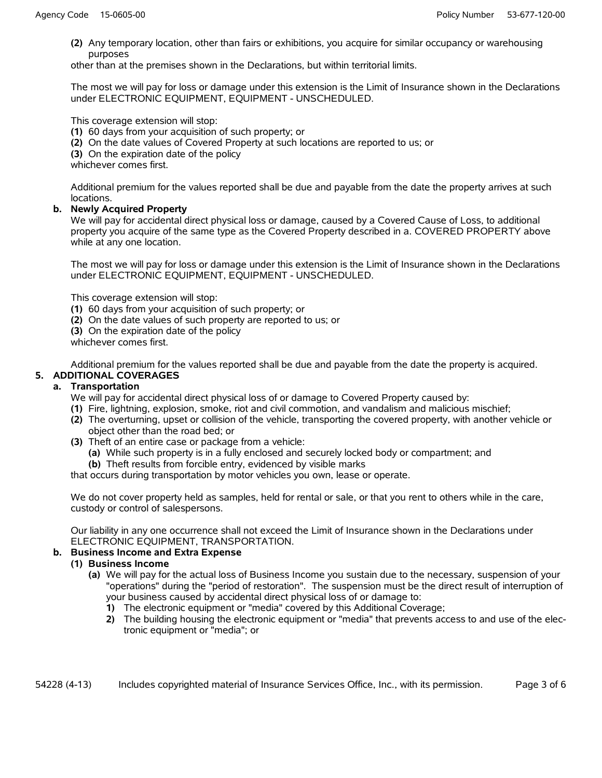**(2)** Any temporary location, other than fairs or exhibitions, you acquire for similar occupancy or warehousing purposes

other than at the premises shown in the Declarations, but within territorial limits.

The most we will pay for loss or damage under this extension is the Limit of Insurance shown in the Declarations under ELECTRONIC EQUIPMENT, EQUIPMENT - UNSCHEDULED.

This coverage extension will stop:

- **(1)** 60 days from your acquisition of such property; or
- **(2)** On the date values of Covered Property at such locations are reported to us; or
- **(3)** On the expiration date of the policy
- whichever comes first.

Additional premium for the values reported shall be due and payable from the date the property arrives at such locations.

### **b. Newly Acquired Property**

We will pay for accidental direct physical loss or damage, caused by a Covered Cause of Loss, to additional property you acquire of the same type as the Covered Property described in a. COVERED PROPERTY above while at any one location.

The most we will pay for loss or damage under this extension is the Limit of Insurance shown in the Declarations under ELECTRONIC EQUIPMENT, EQUIPMENT - UNSCHEDULED.

This coverage extension will stop:

- **(1)** 60 days from your acquisition of such property; or
- **(2)** On the date values of such property are reported to us; or
- **(3)** On the expiration date of the policy

whichever comes first.

Additional premium for the values reported shall be due and payable from the date the property is acquired.

# **5. ADDITIONAL COVERAGES**

### **a. Transportation**

- We will pay for accidental direct physical loss of or damage to Covered Property caused by:
- **(1)** Fire, lightning, explosion, smoke, riot and civil commotion, and vandalism and malicious mischief;
- **(2)** The overturning, upset or collision of the vehicle, transporting the covered property, with another vehicle or object other than the road bed; or
- **(3)** Theft of an entire case or package from a vehicle:
	- **(a)** While such property is in a fully enclosed and securely locked body or compartment; and
	- **(b)** Theft results from forcible entry, evidenced by visible marks

that occurs during transportation by motor vehicles you own, lease or operate.

We do not cover property held as samples, held for rental or sale, or that you rent to others while in the care, custody or control of salespersons.

Our liability in any one occurrence shall not exceed the Limit of Insurance shown in the Declarations under ELECTRONIC EQUIPMENT, TRANSPORTATION.

# **b. Business Income and Extra Expense**

### **(1) Business Income**

- **(a)** We will pay for the actual loss of Business Income you sustain due to the necessary, suspension of your "operations" during the "period of restoration". The suspension must be the direct result of interruption of your business caused by accidental direct physical loss of or damage to:
	- **1)** The electronic equipment or "media" covered by this Additional Coverage;
	- **2)** The building housing the electronic equipment or "media" that prevents access to and use of the electronic equipment or "media"; or

54228 (4-13) Includes copyrighted material of Insurance Services Office, Inc., with its permission. Page 3 of 6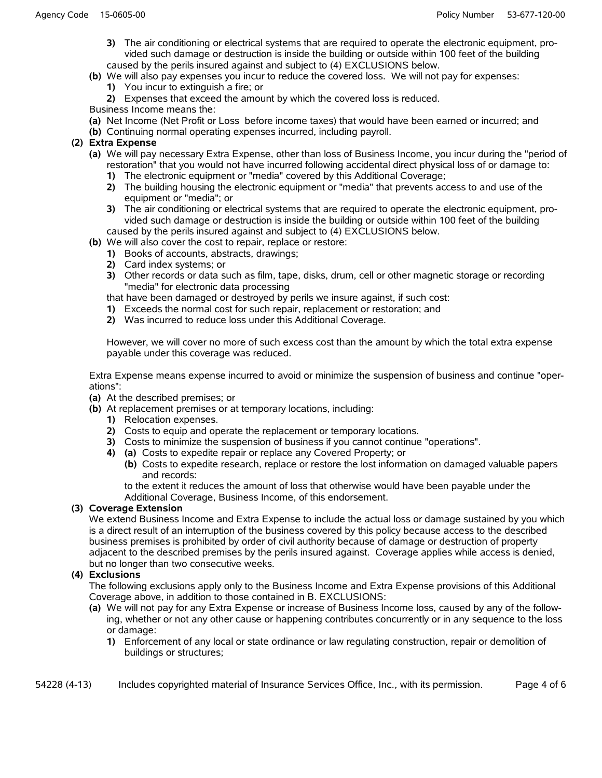- **3)** The air conditioning or electrical systems that are required to operate the electronic equipment, provided such damage or destruction is inside the building or outside within 100 feet of the building caused by the perils insured against and subject to (4) EXCLUSIONS below.
- **(b)** We will also pay expenses you incur to reduce the covered loss. We will not pay for expenses:
	- **1)** You incur to extinguish a fire; or
	- **2)** Expenses that exceed the amount by which the covered loss is reduced.
- Business Income means the:
- **(a)** Net Income (Net Profit or Loss before income taxes) that would have been earned or incurred; and
- **(b)** Continuing normal operating expenses incurred, including payroll.
- **(2) Extra Expense**
	- **(a)** We will pay necessary Extra Expense, other than loss of Business Income, you incur during the "period of restoration" that you would not have incurred following accidental direct physical loss of or damage to:
		- **1)** The electronic equipment or "media" covered by this Additional Coverage;
		- **2)** The building housing the electronic equipment or "media" that prevents access to and use of the equipment or "media"; or
		- **3)** The air conditioning or electrical systems that are required to operate the electronic equipment, provided such damage or destruction is inside the building or outside within 100 feet of the building caused by the perils insured against and subject to (4) EXCLUSIONS below.
	- **(b)** We will also cover the cost to repair, replace or restore:
		- **1)** Books of accounts, abstracts, drawings;
		- **2)** Card index systems; or
		- **3)** Other records or data such as film, tape, disks, drum, cell or other magnetic storage or recording "media" for electronic data processing

that have been damaged or destroyed by perils we insure against, if such cost:

- **1)** Exceeds the normal cost for such repair, replacement or restoration; and
- **2)** Was incurred to reduce loss under this Additional Coverage.

However, we will cover no more of such excess cost than the amount by which the total extra expense payable under this coverage was reduced.

Extra Expense means expense incurred to avoid or minimize the suspension of business and continue "operations":

- **(a)** At the described premises; or
- **(b)** At replacement premises or at temporary locations, including:
	- **1)** Relocation expenses.
	- **2)** Costs to equip and operate the replacement or temporary locations.
	- **3)** Costs to minimize the suspension of business if you cannot continue "operations".
	- **4) (a)** Costs to expedite repair or replace any Covered Property; or
		- **(b)** Costs to expedite research, replace or restore the lost information on damaged valuable papers and records:

to the extent it reduces the amount of loss that otherwise would have been payable under the Additional Coverage, Business Income, of this endorsement.

### **(3) Coverage Extension**

We extend Business Income and Extra Expense to include the actual loss or damage sustained by you which is a direct result of an interruption of the business covered by this policy because access to the described business premises is prohibited by order of civil authority because of damage or destruction of property adjacent to the described premises by the perils insured against. Coverage applies while access is denied, but no longer than two consecutive weeks.

# **(4) Exclusions**

The following exclusions apply only to the Business Income and Extra Expense provisions of this Additional Coverage above, in addition to those contained in B. EXCLUSIONS:

- **(a)** We will not pay for any Extra Expense or increase of Business Income loss, caused by any of the following, whether or not any other cause or happening contributes concurrently or in any sequence to the loss or damage:
	- **1)** Enforcement of any local or state ordinance or law regulating construction, repair or demolition of buildings or structures;
- 54228 (4-13) Includes copyrighted material of Insurance Services Office, Inc., with its permission. Page 4 of 6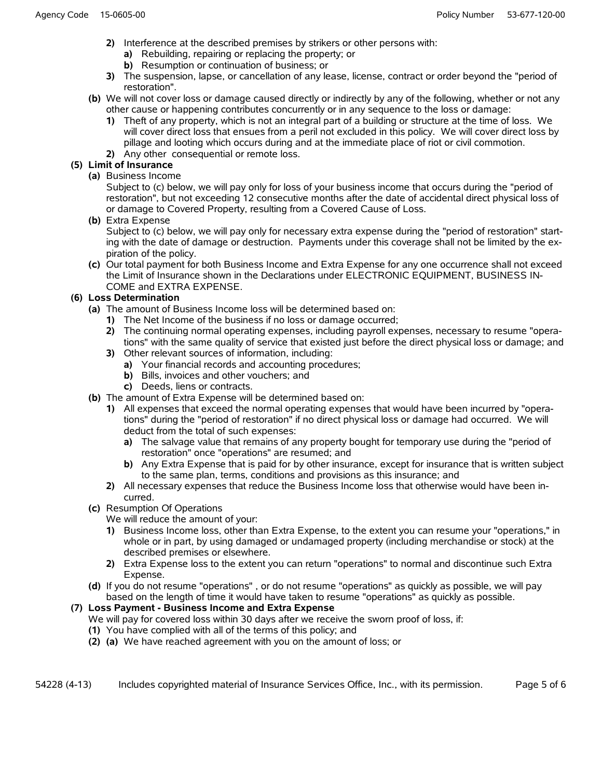- **2)** Interference at the described premises by strikers or other persons with:
	- **a)** Rebuilding, repairing or replacing the property; or
	- **b)** Resumption or continuation of business; or
- **3)** The suspension, lapse, or cancellation of any lease, license, contract or order beyond the "period of restoration".
- **(b)** We will not cover loss or damage caused directly or indirectly by any of the following, whether or not any other cause or happening contributes concurrently or in any sequence to the loss or damage:
	- **1)** Theft of any property, which is not an integral part of a building or structure at the time of loss. We will cover direct loss that ensues from a peril not excluded in this policy. We will cover direct loss by pillage and looting which occurs during and at the immediate place of riot or civil commotion.
	- **2)** Any other consequential or remote loss.

# **(5) Limit of Insurance**

**(a)** Business Income

Subject to (c) below, we will pay only for loss of your business income that occurs during the "period of restoration", but not exceeding 12 consecutive months after the date of accidental direct physical loss of or damage to Covered Property, resulting from a Covered Cause of Loss.

**(b)** Extra Expense

Subject to (c) below, we will pay only for necessary extra expense during the "period of restoration" starting with the date of damage or destruction. Payments under this coverage shall not be limited by the expiration of the policy.

**(c)** Our total payment for both Business Income and Extra Expense for any one occurrence shall not exceed the Limit of Insurance shown in the Declarations under ELECTRONIC EQUIPMENT, BUSINESS IN-COME and EXTRA EXPENSE.

# **(6) Loss Determination**

- **(a)** The amount of Business Income loss will be determined based on:
	- **1)** The Net Income of the business if no loss or damage occurred;
	- **2)** The continuing normal operating expenses, including payroll expenses, necessary to resume "operations" with the same quality of service that existed just before the direct physical loss or damage; and
	- **3)** Other relevant sources of information, including:
		- **a)** Your financial records and accounting procedures;
		- **b)** Bills, invoices and other vouchers; and
		- **c)** Deeds, liens or contracts.
- **(b)** The amount of Extra Expense will be determined based on:
	- **1)** All expenses that exceed the normal operating expenses that would have been incurred by "operations" during the "period of restoration" if no direct physical loss or damage had occurred. We will deduct from the total of such expenses:
		- **a)** The salvage value that remains of any property bought for temporary use during the "period of restoration" once "operations" are resumed; and
		- **b)** Any Extra Expense that is paid for by other insurance, except for insurance that is written subject to the same plan, terms, conditions and provisions as this insurance; and
	- **2)** All necessary expenses that reduce the Business Income loss that otherwise would have been incurred.
- **(c)** Resumption Of Operations
	- We will reduce the amount of your:
	- **1)** Business Income loss, other than Extra Expense, to the extent you can resume your "operations," in whole or in part, by using damaged or undamaged property (including merchandise or stock) at the described premises or elsewhere.
	- **2)** Extra Expense loss to the extent you can return "operations" to normal and discontinue such Extra Expense.
- **(d)** If you do not resume "operations" , or do not resume "operations" as quickly as possible, we will pay based on the length of time it would have taken to resume "operations" as quickly as possible.

# **(7) Loss Payment - Business Income and Extra Expense**

We will pay for covered loss within 30 days after we receive the sworn proof of loss, if:

- **(1)** You have complied with all of the terms of this policy; and
- **(2) (a)** We have reached agreement with you on the amount of loss; or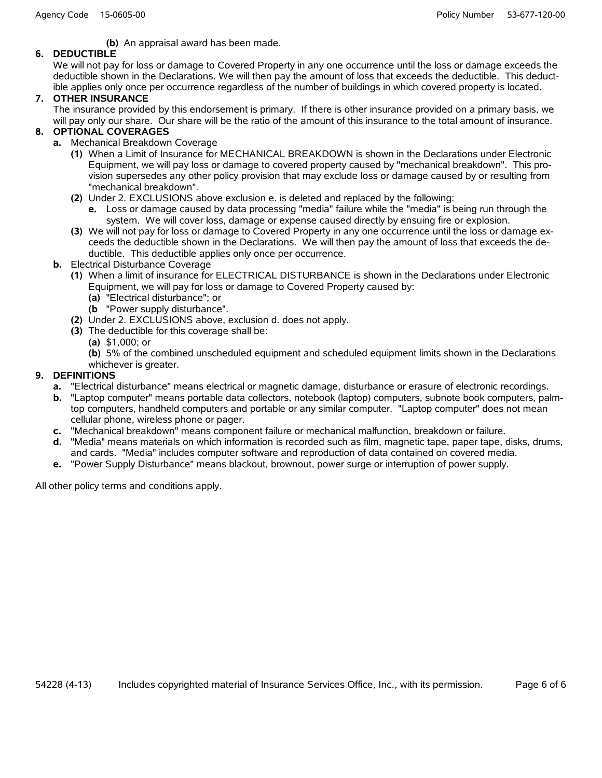**(b)** An appraisal award has been made.

### **6. DEDUCTIBLE**

We will not pay for loss or damage to Covered Property in any one occurrence until the loss or damage exceeds the deductible shown in the Declarations. We will then pay the amount of loss that exceeds the deductible. This deductible applies only once per occurrence regardless of the number of buildings in which covered property is located.

# **7. OTHER INSURANCE**

The insurance provided by this endorsement is primary. If there is other insurance provided on a primary basis, we will pay only our share. Our share will be the ratio of the amount of this insurance to the total amount of insurance.

# **8. OPTIONAL COVERAGES**

- **a.** Mechanical Breakdown Coverage
	- **(1)** When a Limit of Insurance for MECHANICAL BREAKDOWN is shown in the Declarations under Electronic Equipment, we will pay loss or damage to covered property caused by "mechanical breakdown". This provision supersedes any other policy provision that may exclude loss or damage caused by or resulting from "mechanical breakdown".
	- **(2)** Under 2. EXCLUSIONS above exclusion e. is deleted and replaced by the following:
		- **e.** Loss or damage caused by data processing "media" failure while the "media" is being run through the system. We will cover loss, damage or expense caused directly by ensuing fire or explosion.
	- **(3)** We will not pay for loss or damage to Covered Property in any one occurrence until the loss or damage exceeds the deductible shown in the Declarations. We will then pay the amount of loss that exceeds the deductible. This deductible applies only once per occurrence.
- **b.** Electrical Disturbance Coverage
	- **(1)** When a limit of insurance for ELECTRICAL DISTURBANCE is shown in the Declarations under Electronic Equipment, we will pay for loss or damage to Covered Property caused by:
		- **(a)** "Electrical disturbance"; or
		- **(b** "Power supply disturbance".
	- **(2)** Under 2. EXCLUSIONS above, exclusion d. does not apply.
	- **(3)** The deductible for this coverage shall be:
		- **(a)** \$1,000; or

**(b)** 5% of the combined unscheduled equipment and scheduled equipment limits shown in the Declarations whichever is greater.

### **9. DEFINITIONS**

- **a.** "Electrical disturbance" means electrical or magnetic damage, disturbance or erasure of electronic recordings.
- **b.** "Laptop computer" means portable data collectors, notebook (laptop) computers, subnote book computers, palmtop computers, handheld computers and portable or any similar computer. "Laptop computer" does not mean cellular phone, wireless phone or pager.
- **c.** "Mechanical breakdown" means component failure or mechanical malfunction, breakdown or failure.
- **d.** "Media" means materials on which information is recorded such as film, magnetic tape, paper tape, disks, drums, and cards. "Media" includes computer software and reproduction of data contained on covered media.
- **e.** "Power Supply Disturbance" means blackout, brownout, power surge or interruption of power supply.

All other policy terms and conditions apply.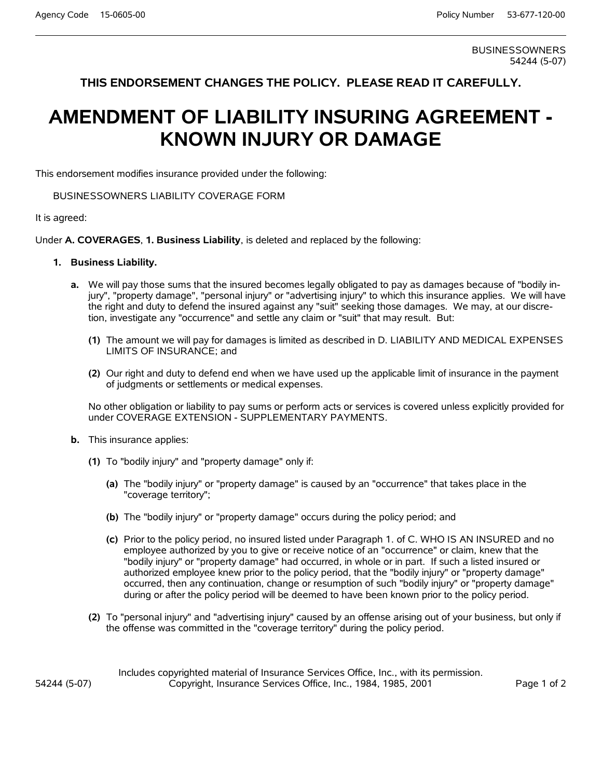# **THIS ENDORSEMENT CHANGES THE POLICY. PLEASE READ IT CAREFULLY.**

# **AMENDMENT OF LIABILITY INSURING AGREEMENT - KNOWN INJURY OR DAMAGE**

This endorsement modifies insurance provided under the following:

BUSINESSOWNERS LIABILITY COVERAGE FORM

# It is agreed:

Under **A. COVERAGES**, **1. Business Liability**, is deleted and replaced by the following:

# **1. Business Liability.**

- **a.** We will pay those sums that the insured becomes legally obligated to pay as damages because of "bodily injury", "property damage", "personal injury" or "advertising injury" to which this insurance applies. We will have the right and duty to defend the insured against any "suit" seeking those damages. We may, at our discretion, investigate any "occurrence" and settle any claim or "suit" that may result. But:
	- **(1)** The amount we will pay for damages is limited as described in D. LIABILITY AND MEDICAL EXPENSES LIMITS OF INSURANCE; and
	- **(2)** Our right and duty to defend end when we have used up the applicable limit of insurance in the payment of judgments or settlements or medical expenses.

No other obligation or liability to pay sums or perform acts or services is covered unless explicitly provided for under COVERAGE EXTENSION - SUPPLEMENTARY PAYMENTS.

- **b.** This insurance applies:
	- **(1)** To "bodily injury" and "property damage" only if:
		- **(a)** The "bodily injury" or "property damage" is caused by an "occurrence" that takes place in the "coverage territory";
		- **(b)** The "bodily injury" or "property damage" occurs during the policy period; and
		- **(c)** Prior to the policy period, no insured listed under Paragraph 1. of C. WHO IS AN INSURED and no employee authorized by you to give or receive notice of an "occurrence" or claim, knew that the "bodily injury" or "property damage" had occurred, in whole or in part. If such a listed insured or authorized employee knew prior to the policy period, that the "bodily injury" or "property damage" occurred, then any continuation, change or resumption of such "bodily injury" or "property damage" during or after the policy period will be deemed to have been known prior to the policy period.
	- **(2)** To "personal injury" and "advertising injury" caused by an offense arising out of your business, but only if the offense was committed in the "coverage territory" during the policy period.

Includes copyrighted material of Insurance Services Office, Inc., with its permission. 54244 (5-07) Copyright, Insurance Services Office, Inc., 1984, 1985, 2001 Page 1 of 2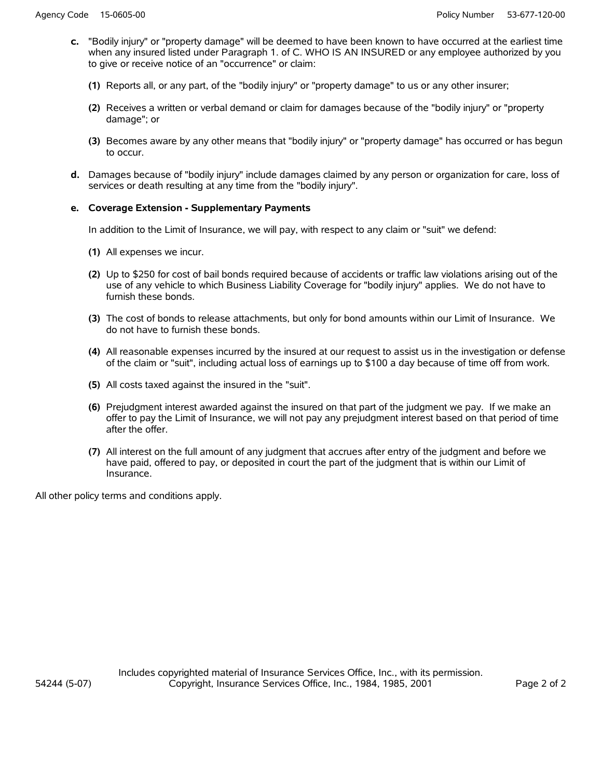- **c.** "Bodily injury" or "property damage" will be deemed to have been known to have occurred at the earliest time when any insured listed under Paragraph 1. of C. WHO IS AN INSURED or any employee authorized by you to give or receive notice of an "occurrence" or claim:
	- **(1)** Reports all, or any part, of the "bodily injury" or "property damage" to us or any other insurer;
	- **(2)** Receives a written or verbal demand or claim for damages because of the "bodily injury" or "property damage"; or
	- **(3)** Becomes aware by any other means that "bodily injury" or "property damage" has occurred or has begun to occur.
- **d.** Damages because of "bodily injury" include damages claimed by any person or organization for care, loss of services or death resulting at any time from the "bodily injury".

### **e. Coverage Extension - Supplementary Payments**

In addition to the Limit of Insurance, we will pay, with respect to any claim or "suit" we defend:

- **(1)** All expenses we incur.
- **(2)** Up to \$250 for cost of bail bonds required because of accidents or traffic law violations arising out of the use of any vehicle to which Business Liability Coverage for "bodily injury" applies. We do not have to furnish these bonds.
- **(3)** The cost of bonds to release attachments, but only for bond amounts within our Limit of Insurance. We do not have to furnish these bonds.
- **(4)** All reasonable expenses incurred by the insured at our request to assist us in the investigation or defense of the claim or "suit", including actual loss of earnings up to \$100 a day because of time off from work.
- **(5)** All costs taxed against the insured in the "suit".
- **(6)** Prejudgment interest awarded against the insured on that part of the judgment we pay. If we make an offer to pay the Limit of Insurance, we will not pay any prejudgment interest based on that period of time after the offer.
- **(7)** All interest on the full amount of any judgment that accrues after entry of the judgment and before we have paid, offered to pay, or deposited in court the part of the judgment that is within our Limit of Insurance.

All other policy terms and conditions apply.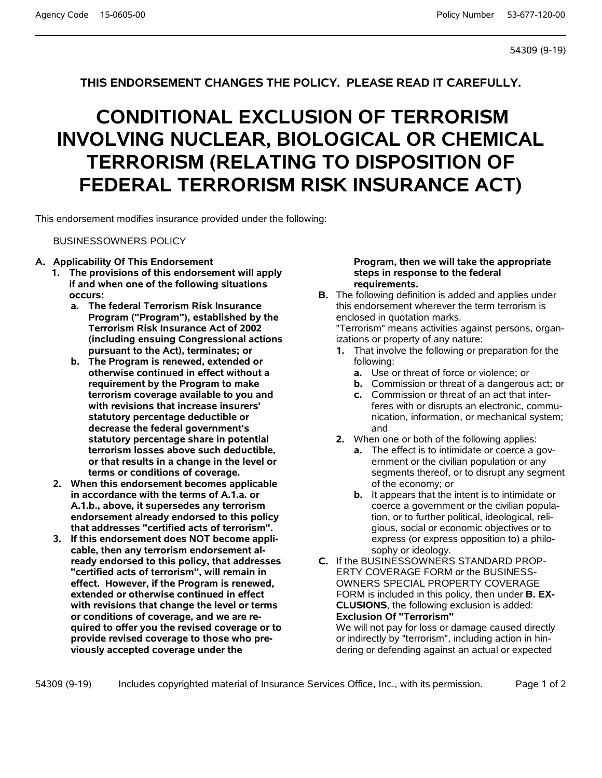# **THIS ENDORSEMENT CHANGES THE POLICY. PLEASE READ IT CAREFULLY.**

# **CONDITIONAL EXCLUSION OF TERRORISM INVOLVING NUCLEAR, BIOLOGICAL OR CHEMICAL TERRORISM (RELATING TO DISPOSITION OF FEDERAL TERRORISM RISK INSURANCE ACT)**

This endorsement modifies insurance provided under the following:

BUSINESSOWNERS POLICY

# **A. Applicability Of This Endorsement**

- **1. The provisions of this endorsement will apply if and when one of the following situations occurs:**
	- **a. The federal Terrorism Risk Insurance Program ("Program"), established by the Terrorism Risk Insurance Act of 2002 (including ensuing Congressional actions pursuant to the Act), terminates; or**
	- **b. The Program is renewed, extended or otherwise continued in effect without a requirement by the Program to make terrorism coverage available to you and with revisions that increase insurers' statutory percentage deductible or decrease the federal government's statutory percentage share in potential terrorism losses above such deductible, or that results in a change in the level or terms or conditions of coverage.**
- **2. When this endorsement becomes applicable in accordance with the terms of A.1.a. or A.1.b., above, it supersedes any terrorism endorsement already endorsed to this policy that addresses "certified acts of terrorism".**
- **3. If this endorsement does NOT become applicable, then any terrorism endorsement already endorsed to this policy, that addresses "certified acts of terrorism", will remain in effect. However, if the Program is renewed, extended or otherwise continued in effect with revisions that change the level or terms or conditions of coverage, and we are required to offer you the revised coverage or to provide revised coverage to those who previously accepted coverage under the**

### **Program, then we will take the appropriate steps in response to the federal requirements.**

**B.** The following definition is added and applies under this endorsement wherever the term terrorism is enclosed in quotation marks.

"Terrorism" means activities against persons, organizations or property of any nature:

- **1.** That involve the following or preparation for the following:
	- **a.** Use or threat of force or violence; or
	- **b.** Commission or threat of a dangerous act; or
	- **c.** Commission or threat of an act that interferes with or disrupts an electronic, communication, information, or mechanical system; and
- **2.** When one or both of the following applies:
	- **a.** The effect is to intimidate or coerce a government or the civilian population or any segments thereof, or to disrupt any segment of the economy; or
	- **b.** It appears that the intent is to intimidate or coerce a government or the civilian population, or to further political, ideological, religious, social or economic objectives or to express (or express opposition to) a philosophy or ideology.
- **C.** If the BUSINESSOWNERS STANDARD PROP-ERTY COVERAGE FORM or the BUSINESS-OWNERS SPECIAL PROPERTY COVERAGE FORM is included in this policy, then under **B. EX-CLUSIONS**, the following exclusion is added: **Exclusion Of "Terrorism"**

We will not pay for loss or damage caused directly or indirectly by "terrorism", including action in hindering or defending against an actual or expected

54309 (9-19) Includes copyrighted material of Insurance Services Office, Inc., with its permission. Page 1 of 2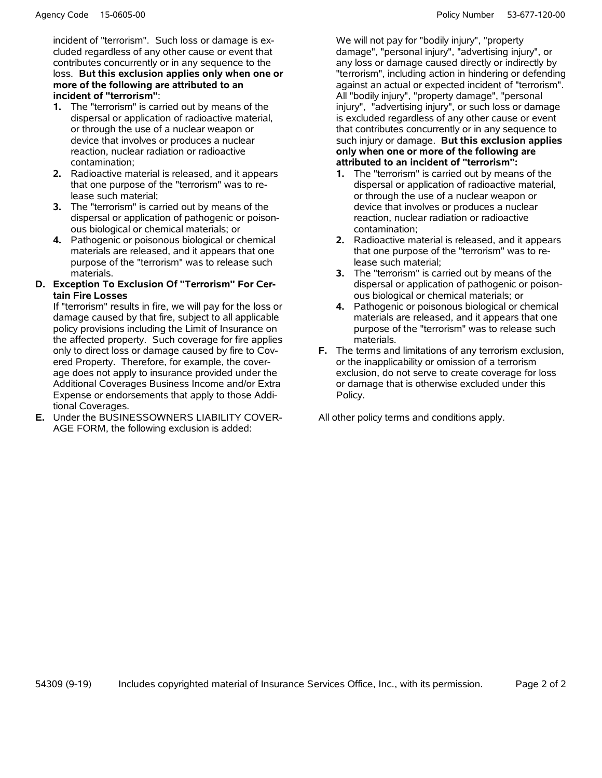incident of "terrorism". Such loss or damage is excluded regardless of any other cause or event that contributes concurrently or in any sequence to the loss. **But this exclusion applies only when one or more of the following are attributed to an incident of "terrorism"**:

- **1.** The "terrorism" is carried out by means of the dispersal or application of radioactive material, or through the use of a nuclear weapon or device that involves or produces a nuclear reaction, nuclear radiation or radioactive contamination;
- **2.** Radioactive material is released, and it appears that one purpose of the "terrorism" was to release such material;
- **3.** The "terrorism" is carried out by means of the dispersal or application of pathogenic or poisonous biological or chemical materials; or
- **4.** Pathogenic or poisonous biological or chemical materials are released, and it appears that one purpose of the "terrorism" was to release such materials.

### **D. Exception To Exclusion Of "Terrorism" For Certain Fire Losses**

If "terrorism" results in fire, we will pay for the loss or damage caused by that fire, subject to all applicable policy provisions including the Limit of Insurance on the affected property. Such coverage for fire applies only to direct loss or damage caused by fire to Covered Property. Therefore, for example, the coverage does not apply to insurance provided under the Additional Coverages Business Income and/or Extra Expense or endorsements that apply to those Additional Coverages.

**E.** Under the BUSINESSOWNERS LIABILITY COVER-AGE FORM, the following exclusion is added:

We will not pay for "bodily injury", "property damage", "personal injury", "advertising injury", or any loss or damage caused directly or indirectly by "terrorism", including action in hindering or defending against an actual or expected incident of "terrorism". All "bodily injury", "property damage", "personal injury", "advertising injury", or such loss or damage is excluded regardless of any other cause or event that contributes concurrently or in any sequence to such injury or damage. **But this exclusion applies only when one or more of the following are attributed to an incident of "terrorism":**

- **1.** The "terrorism" is carried out by means of the dispersal or application of radioactive material, or through the use of a nuclear weapon or device that involves or produces a nuclear reaction, nuclear radiation or radioactive contamination;
- **2.** Radioactive material is released, and it appears that one purpose of the "terrorism" was to release such material;
- **3.** The "terrorism" is carried out by means of the dispersal or application of pathogenic or poisonous biological or chemical materials; or
- **4.** Pathogenic or poisonous biological or chemical materials are released, and it appears that one purpose of the "terrorism" was to release such materials.
- **F.** The terms and limitations of any terrorism exclusion, or the inapplicability or omission of a terrorism exclusion, do not serve to create coverage for loss or damage that is otherwise excluded under this Policy.

All other policy terms and conditions apply.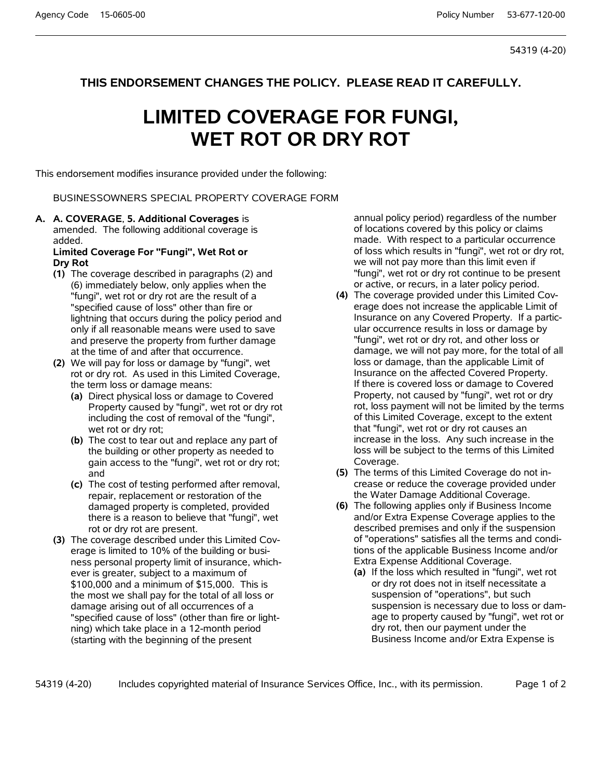54319 (4-20)

# **THIS ENDORSEMENT CHANGES THE POLICY. PLEASE READ IT CAREFULLY.**

# **LIMITED COVERAGE FOR FUNGI, WET ROT OR DRY ROT**

This endorsement modifies insurance provided under the following:

BUSINESSOWNERS SPECIAL PROPERTY COVERAGE FORM

# **A. A. COVERAGE**, **5. Additional Coverages** is

amended. The following additional coverage is added.

# **Limited Coverage For "Fungi", Wet Rot or Dry Rot**

- **(1)** The coverage described in paragraphs (2) and (6) immediately below, only applies when the "fungi", wet rot or dry rot are the result of a "specified cause of loss" other than fire or lightning that occurs during the policy period and only if all reasonable means were used to save and preserve the property from further damage at the time of and after that occurrence.
- **(2)** We will pay for loss or damage by "fungi", wet rot or dry rot. As used in this Limited Coverage, the term loss or damage means:
	- **(a)** Direct physical loss or damage to Covered Property caused by "fungi", wet rot or dry rot including the cost of removal of the "fungi", wet rot or dry rot;
	- **(b)** The cost to tear out and replace any part of the building or other property as needed to gain access to the "fungi", wet rot or dry rot; and
	- **(c)** The cost of testing performed after removal, repair, replacement or restoration of the damaged property is completed, provided there is a reason to believe that "fungi", wet rot or dry rot are present.
- **(3)** The coverage described under this Limited Coverage is limited to 10% of the building or business personal property limit of insurance, whichever is greater, subject to a maximum of \$100,000 and a minimum of \$15,000. This is the most we shall pay for the total of all loss or damage arising out of all occurrences of a "specified cause of loss" (other than fire or lightning) which take place in a 12-month period (starting with the beginning of the present

annual policy period) regardless of the number of locations covered by this policy or claims made. With respect to a particular occurrence of loss which results in "fungi", wet rot or dry rot, we will not pay more than this limit even if "fungi", wet rot or dry rot continue to be present or active, or recurs, in a later policy period.

- **(4)** The coverage provided under this Limited Coverage does not increase the applicable Limit of Insurance on any Covered Property. If a particular occurrence results in loss or damage by "fungi", wet rot or dry rot, and other loss or damage, we will not pay more, for the total of all loss or damage, than the applicable Limit of Insurance on the affected Covered Property. If there is covered loss or damage to Covered Property, not caused by "fungi", wet rot or dry rot, loss payment will not be limited by the terms of this Limited Coverage, except to the extent that "fungi", wet rot or dry rot causes an increase in the loss. Any such increase in the loss will be subject to the terms of this Limited Coverage.
- **(5)** The terms of this Limited Coverage do not increase or reduce the coverage provided under the Water Damage Additional Coverage.
- **(6)** The following applies only if Business Income and/or Extra Expense Coverage applies to the described premises and only if the suspension of "operations" satisfies all the terms and conditions of the applicable Business Income and/or Extra Expense Additional Coverage.
	- **(a)** If the loss which resulted in "fungi", wet rot or dry rot does not in itself necessitate a suspension of "operations", but such suspension is necessary due to loss or damage to property caused by "fungi", wet rot or dry rot, then our payment under the Business Income and/or Extra Expense is

54319 (4-20) Includes copyrighted material of Insurance Services Office, Inc., with its permission. Page 1 of 2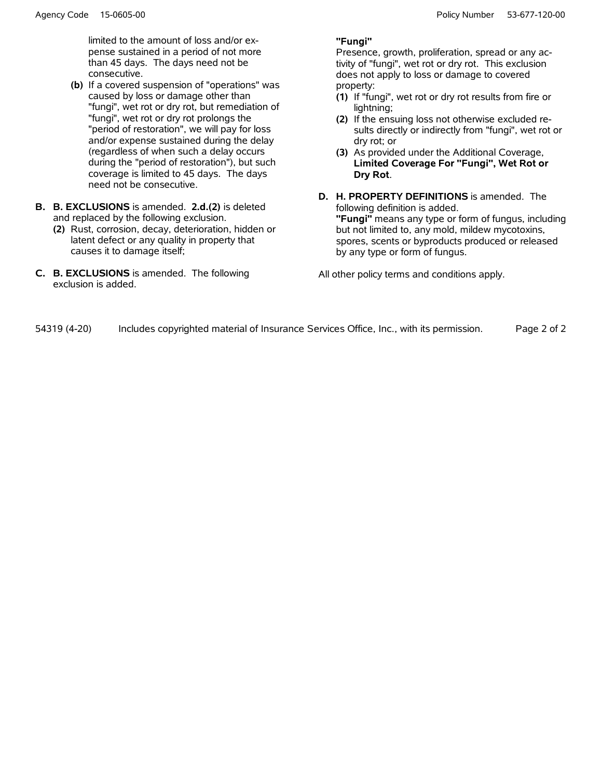limited to the amount of loss and/or expense sustained in a period of not more than 45 days. The days need not be consecutive.

- **(b)** If a covered suspension of "operations" was caused by loss or damage other than "fungi", wet rot or dry rot, but remediation of "fungi", wet rot or dry rot prolongs the "period of restoration", we will pay for loss and/or expense sustained during the delay (regardless of when such a delay occurs during the "period of restoration"), but such coverage is limited to 45 days. The days need not be consecutive.
- **B. B. EXCLUSIONS** is amended. **2.d.(2)** is deleted and replaced by the following exclusion.
	- **(2)** Rust, corrosion, decay, deterioration, hidden or latent defect or any quality in property that causes it to damage itself;
- **C. B. EXCLUSIONS** is amended. The following exclusion is added.

# **"Fungi"**

Presence, growth, proliferation, spread or any activity of "fungi", wet rot or dry rot. This exclusion does not apply to loss or damage to covered property:

- **(1)** If "fungi", wet rot or dry rot results from fire or lightning;
- **(2)** If the ensuing loss not otherwise excluded results directly or indirectly from "fungi", wet rot or dry rot; or
- **(3)** As provided under the Additional Coverage, **Limited Coverage For "Fungi", Wet Rot or Dry Rot**.
- **D. H. PROPERTY DEFINITIONS** is amended. The following definition is added. **"Fungi"** means any type or form of fungus, including but not limited to, any mold, mildew mycotoxins, spores, scents or byproducts produced or released by any type or form of fungus.

All other policy terms and conditions apply.

54319 (4-20) Includes copyrighted material of Insurance Services Office, Inc., with its permission. Page 2 of 2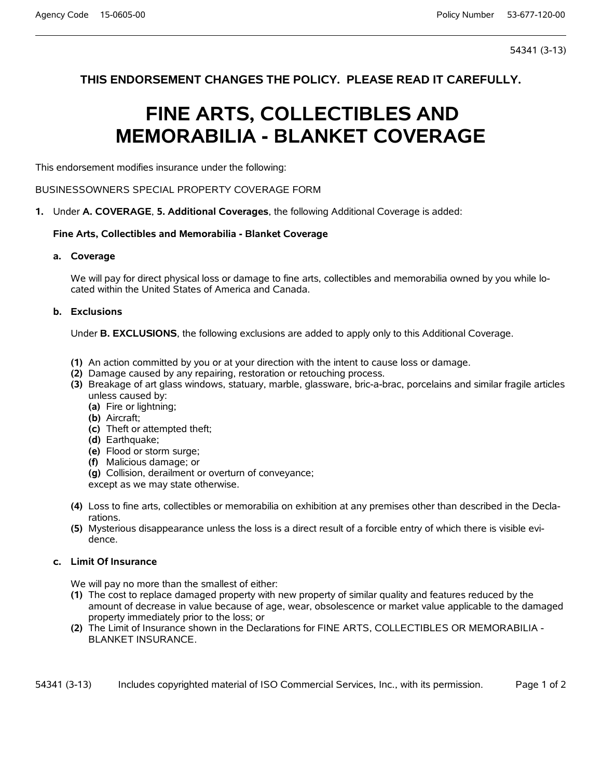# **THIS ENDORSEMENT CHANGES THE POLICY. PLEASE READ IT CAREFULLY.**

# **FINE ARTS, COLLECTIBLES AND MEMORABILIA - BLANKET COVERAGE**

This endorsement modifies insurance under the following:

BUSINESSOWNERS SPECIAL PROPERTY COVERAGE FORM

**1.** Under **A. COVERAGE**, **5. Additional Coverages**, the following Additional Coverage is added:

# **Fine Arts, Collectibles and Memorabilia - Blanket Coverage**

# **a. Coverage**

We will pay for direct physical loss or damage to fine arts, collectibles and memorabilia owned by you while located within the United States of America and Canada.

# **b. Exclusions**

Under **B. EXCLUSIONS**, the following exclusions are added to apply only to this Additional Coverage.

- **(1)** An action committed by you or at your direction with the intent to cause loss or damage.
- **(2)** Damage caused by any repairing, restoration or retouching process.

**(3)** Breakage of art glass windows, statuary, marble, glassware, bric-a-brac, porcelains and similar fragile articles unless caused by:

- **(a)** Fire or lightning;
- **(b)** Aircraft;
- **(c)** Theft or attempted theft;
- **(d)** Earthquake;
- **(e)** Flood or storm surge;
- **(f)** Malicious damage; or
- **(g)** Collision, derailment or overturn of conveyance;

except as we may state otherwise.

- **(4)** Loss to fine arts, collectibles or memorabilia on exhibition at any premises other than described in the Declarations.
- **(5)** Mysterious disappearance unless the loss is a direct result of a forcible entry of which there is visible evidence.

# **c. Limit Of Insurance**

We will pay no more than the smallest of either:

- **(1)** The cost to replace damaged property with new property of similar quality and features reduced by the amount of decrease in value because of age, wear, obsolescence or market value applicable to the damaged property immediately prior to the loss; or
- **(2)** The Limit of Insurance shown in the Declarations for FINE ARTS, COLLECTIBLES OR MEMORABILIA BLANKET INSURANCE.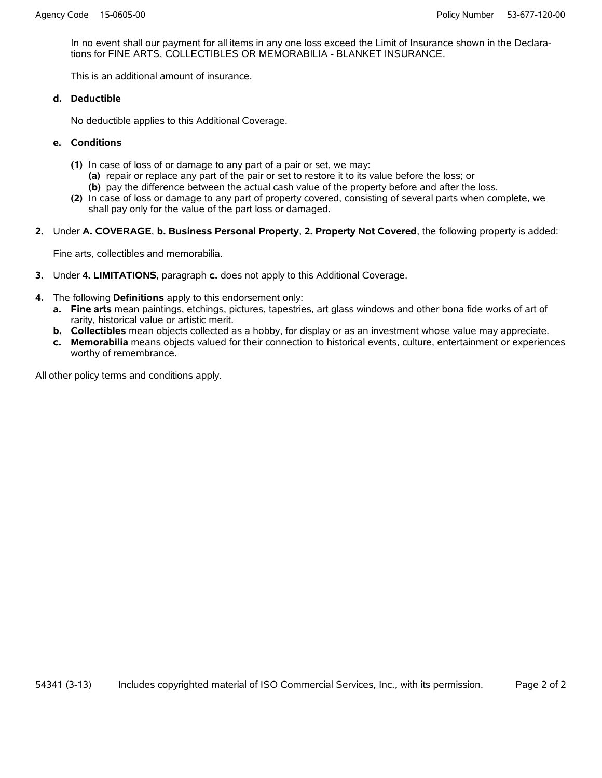In no event shall our payment for all items in any one loss exceed the Limit of Insurance shown in the Declarations for FINE ARTS, COLLECTIBLES OR MEMORABILIA - BLANKET INSURANCE.

This is an additional amount of insurance.

**d. Deductible**

No deductible applies to this Additional Coverage.

- **e. Conditions**
	- **(1)** In case of loss of or damage to any part of a pair or set, we may:
		- **(a)** repair or replace any part of the pair or set to restore it to its value before the loss; or
		- **(b)** pay the difference between the actual cash value of the property before and after the loss.
	- **(2)** In case of loss or damage to any part of property covered, consisting of several parts when complete, we shall pay only for the value of the part loss or damaged.
- **2.** Under **A. COVERAGE**, **b. Business Personal Property**, **2. Property Not Covered**, the following property is added:

Fine arts, collectibles and memorabilia.

- **3.** Under **4. LIMITATIONS**, paragraph **c.** does not apply to this Additional Coverage.
- **4.** The following **Definitions** apply to this endorsement only:
	- **a. Fine arts** mean paintings, etchings, pictures, tapestries, art glass windows and other bona fide works of art of rarity, historical value or artistic merit.
	- **b. Collectibles** mean objects collected as a hobby, for display or as an investment whose value may appreciate.
	- **c. Memorabilia** means objects valued for their connection to historical events, culture, entertainment or experiences worthy of remembrance.

All other policy terms and conditions apply.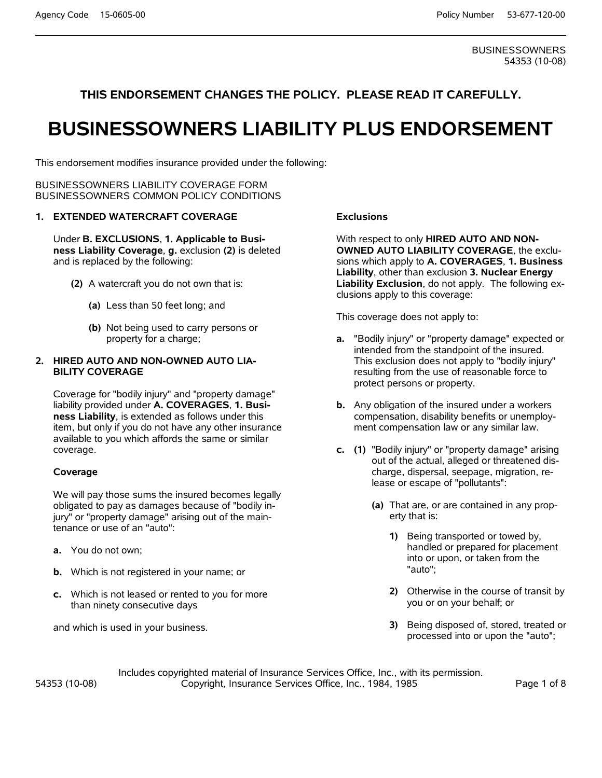BUSINESSOWNERS 54353 (10-08)

**THIS ENDORSEMENT CHANGES THE POLICY. PLEASE READ IT CAREFULLY.**

# **BUSINESSOWNERS LIABILITY PLUS ENDORSEMENT**

This endorsement modifies insurance provided under the following:

BUSINESSOWNERS LIABILITY COVERAGE FORM BUSINESSOWNERS COMMON POLICY CONDITIONS

### **1. EXTENDED WATERCRAFT COVERAGE**

Under **B. EXCLUSIONS**, **1. Applicable to Business Liability Coverage**, **g.** exclusion **(2)** is deleted and is replaced by the following:

- **(2)** A watercraft you do not own that is:
	- **(a)** Less than 50 feet long; and
	- **(b)** Not being used to carry persons or property for a charge;

#### **2. HIRED AUTO AND NON-OWNED AUTO LIA-BILITY COVERAGE**

Coverage for "bodily injury" and "property damage" liability provided under **A. COVERAGES**, **1. Business Liability**, is extended as follows under this item, but only if you do not have any other insurance available to you which affords the same or similar coverage.

### **Coverage**

We will pay those sums the insured becomes legally obligated to pay as damages because of "bodily injury" or "property damage" arising out of the maintenance or use of an "auto":

- **a.** You do not own;
- **b.** Which is not registered in your name; or
- **c.** Which is not leased or rented to you for more than ninety consecutive days

and which is used in your business.

### **Exclusions**

With respect to only **HIRED AUTO AND NON-OWNED AUTO LIABILITY COVERAGE**, the exclusions which apply to **A. COVERAGES**, **1. Business Liability**, other than exclusion **3. Nuclear Energy Liability Exclusion**, do not apply. The following exclusions apply to this coverage:

This coverage does not apply to:

- **a.** "Bodily injury" or "property damage" expected or intended from the standpoint of the insured. This exclusion does not apply to "bodily injury" resulting from the use of reasonable force to protect persons or property.
- **b.** Any obligation of the insured under a workers compensation, disability benefits or unemployment compensation law or any similar law.
- **c. (1)** "Bodily injury" or "property damage" arising out of the actual, alleged or threatened discharge, dispersal, seepage, migration, release or escape of "pollutants":
	- **(a)** That are, or are contained in any property that is:
		- **1)** Being transported or towed by, handled or prepared for placement into or upon, or taken from the "auto";
		- **2)** Otherwise in the course of transit by you or on your behalf; or
		- **3)** Being disposed of, stored, treated or processed into or upon the "auto";

Includes copyrighted material of Insurance Services Office, Inc., with its permission. 54353 (10-08) Copyright, Insurance Services Office, Inc., 1984, 1985 Page 1 of 8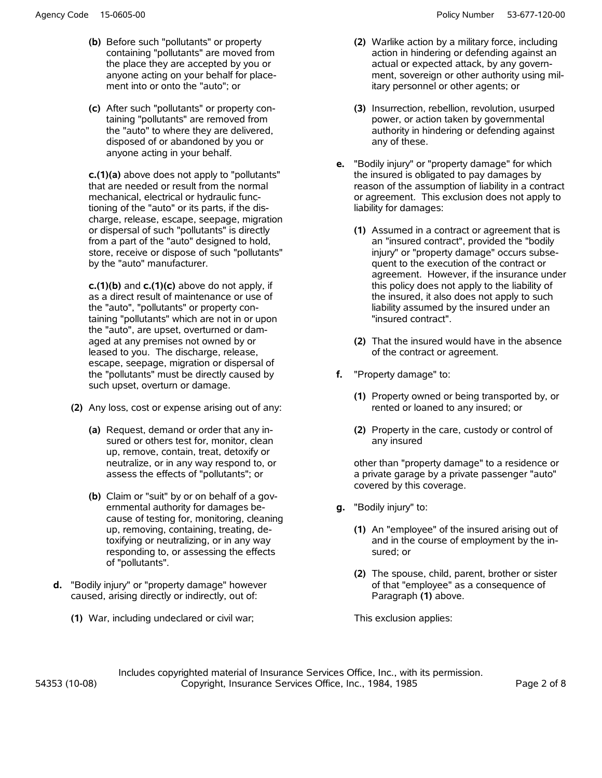- **(b)** Before such "pollutants" or property containing "pollutants" are moved from the place they are accepted by you or anyone acting on your behalf for placement into or onto the "auto"; or
- **(c)** After such "pollutants" or property containing "pollutants" are removed from the "auto" to where they are delivered, disposed of or abandoned by you or anyone acting in your behalf.

**c.(1)(a)** above does not apply to "pollutants" that are needed or result from the normal mechanical, electrical or hydraulic functioning of the "auto" or its parts, if the discharge, release, escape, seepage, migration or dispersal of such "pollutants" is directly from a part of the "auto" designed to hold, store, receive or dispose of such "pollutants" by the "auto" manufacturer.

**c.(1)(b)** and **c.(1)(c)** above do not apply, if as a direct result of maintenance or use of the "auto", "pollutants" or property containing "pollutants" which are not in or upon the "auto", are upset, overturned or damaged at any premises not owned by or leased to you. The discharge, release, escape, seepage, migration or dispersal of the "pollutants" must be directly caused by such upset, overturn or damage.

- **(2)** Any loss, cost or expense arising out of any:
	- **(a)** Request, demand or order that any insured or others test for, monitor, clean up, remove, contain, treat, detoxify or neutralize, or in any way respond to, or assess the effects of "pollutants"; or
	- **(b)** Claim or "suit" by or on behalf of a governmental authority for damages because of testing for, monitoring, cleaning up, removing, containing, treating, detoxifying or neutralizing, or in any way responding to, or assessing the effects of "pollutants".
- **d.** "Bodily injury" or "property damage" however caused, arising directly or indirectly, out of:
	- **(1)** War, including undeclared or civil war;
- **(2)** Warlike action by a military force, including action in hindering or defending against an actual or expected attack, by any government, sovereign or other authority using military personnel or other agents; or
- **(3)** Insurrection, rebellion, revolution, usurped power, or action taken by governmental authority in hindering or defending against any of these.
- **e.** "Bodily injury" or "property damage" for which the insured is obligated to pay damages by reason of the assumption of liability in a contract or agreement. This exclusion does not apply to liability for damages:
	- **(1)** Assumed in a contract or agreement that is an "insured contract", provided the "bodily injury" or "property damage" occurs subsequent to the execution of the contract or agreement. However, if the insurance under this policy does not apply to the liability of the insured, it also does not apply to such liability assumed by the insured under an "insured contract".
	- **(2)** That the insured would have in the absence of the contract or agreement.
- **f.** "Property damage" to:
	- **(1)** Property owned or being transported by, or rented or loaned to any insured; or
	- **(2)** Property in the care, custody or control of any insured

other than "property damage" to a residence or a private garage by a private passenger "auto" covered by this coverage.

- **g.** "Bodily injury" to:
	- **(1)** An "employee" of the insured arising out of and in the course of employment by the insured; or
	- **(2)** The spouse, child, parent, brother or sister of that "employee" as a consequence of Paragraph **(1)** above.

This exclusion applies:

Includes copyrighted material of Insurance Services Office, Inc., with its permission. 54353 (10-08) Copyright, Insurance Services Office, Inc., 1984, 1985 Page 2 of 8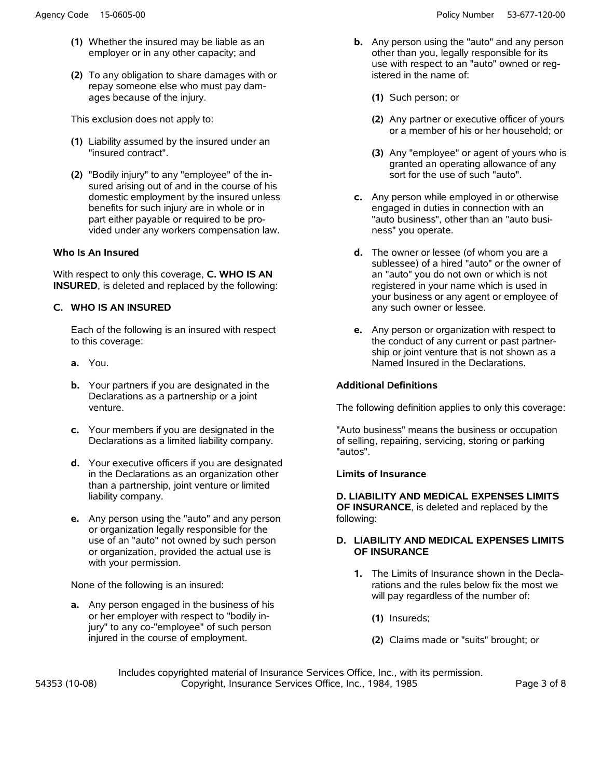- **(1)** Whether the insured may be liable as an employer or in any other capacity; and
- **(2)** To any obligation to share damages with or repay someone else who must pay damages because of the injury.

This exclusion does not apply to:

- **(1)** Liability assumed by the insured under an "insured contract".
- **(2)** "Bodily injury" to any "employee" of the insured arising out of and in the course of his domestic employment by the insured unless benefits for such injury are in whole or in part either payable or required to be provided under any workers compensation law.

# **Who Is An Insured**

With respect to only this coverage, **C. WHO IS AN INSURED**, is deleted and replaced by the following:

# **C. WHO IS AN INSURED**

Each of the following is an insured with respect to this coverage:

- **a.** You.
- **b.** Your partners if you are designated in the Declarations as a partnership or a joint venture.
- **c.** Your members if you are designated in the Declarations as a limited liability company.
- **d.** Your executive officers if you are designated in the Declarations as an organization other than a partnership, joint venture or limited liability company.
- **e.** Any person using the "auto" and any person or organization legally responsible for the use of an "auto" not owned by such person or organization, provided the actual use is with your permission.

None of the following is an insured:

**a.** Any person engaged in the business of his or her employer with respect to "bodily injury" to any co-"employee" of such person injured in the course of employment.

- **b.** Any person using the "auto" and any person other than you, legally responsible for its use with respect to an "auto" owned or registered in the name of:
	- **(1)** Such person; or
	- **(2)** Any partner or executive officer of yours or a member of his or her household; or
	- **(3)** Any "employee" or agent of yours who is granted an operating allowance of any sort for the use of such "auto".
- **c.** Any person while employed in or otherwise engaged in duties in connection with an "auto business", other than an "auto business" you operate.
- **d.** The owner or lessee (of whom you are a sublessee) of a hired "auto" or the owner of an "auto" you do not own or which is not registered in your name which is used in your business or any agent or employee of any such owner or lessee.
- **e.** Any person or organization with respect to the conduct of any current or past partnership or joint venture that is not shown as a Named Insured in the Declarations.

# **Additional Definitions**

The following definition applies to only this coverage:

"Auto business" means the business or occupation of selling, repairing, servicing, storing or parking "autos".

# **Limits of Insurance**

**D. LIABILITY AND MEDICAL EXPENSES LIMITS OF INSURANCE**, is deleted and replaced by the following:

### **D. LIABILITY AND MEDICAL EXPENSES LIMITS OF INSURANCE**

- **1.** The Limits of Insurance shown in the Declarations and the rules below fix the most we will pay regardless of the number of:
	- **(1)** Insureds;
	- **(2)** Claims made or "suits" brought; or

Includes copyrighted material of Insurance Services Office, Inc., with its permission. 54353 (10-08) Copyright, Insurance Services Office, Inc., 1984, 1985 Page 3 of 8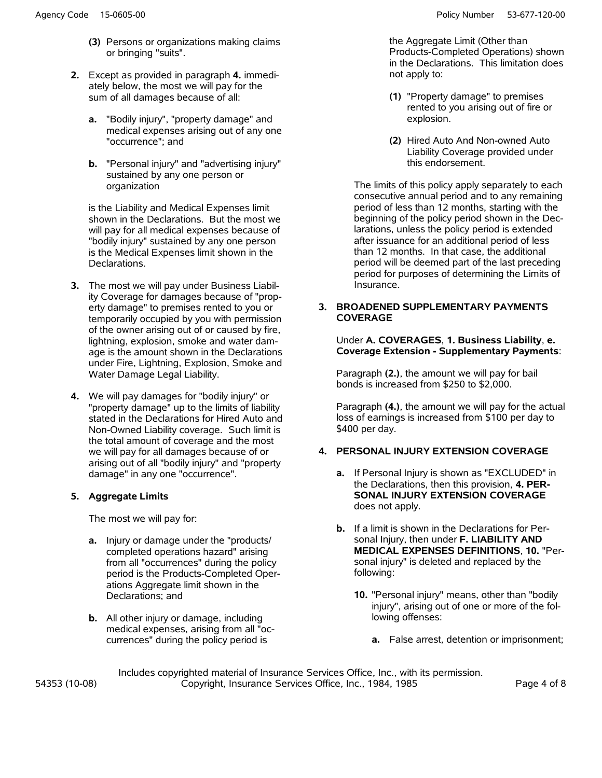- **(3)** Persons or organizations making claims or bringing "suits".
- **2.** Except as provided in paragraph **4.** immediately below, the most we will pay for the sum of all damages because of all:
	- **a.** "Bodily injury", "property damage" and medical expenses arising out of any one "occurrence"; and
	- **b.** "Personal injury" and "advertising injury" sustained by any one person or organization

is the Liability and Medical Expenses limit shown in the Declarations. But the most we will pay for all medical expenses because of "bodily injury" sustained by any one person is the Medical Expenses limit shown in the Declarations.

- **3.** The most we will pay under Business Liability Coverage for damages because of "property damage" to premises rented to you or temporarily occupied by you with permission of the owner arising out of or caused by fire, lightning, explosion, smoke and water damage is the amount shown in the Declarations under Fire, Lightning, Explosion, Smoke and Water Damage Legal Liability.
- **4.** We will pay damages for "bodily injury" or "property damage" up to the limits of liability stated in the Declarations for Hired Auto and Non-Owned Liability coverage. Such limit is the total amount of coverage and the most we will pay for all damages because of or arising out of all "bodily injury" and "property damage" in any one "occurrence".

# **5. Aggregate Limits**

The most we will pay for:

- **a.** Injury or damage under the "products/ completed operations hazard" arising from all "occurrences" during the policy period is the Products-Completed Operations Aggregate limit shown in the Declarations; and
- **b.** All other injury or damage, including medical expenses, arising from all "occurrences" during the policy period is

the Aggregate Limit (Other than Products-Completed Operations) shown in the Declarations. This limitation does not apply to:

- **(1)** "Property damage" to premises rented to you arising out of fire or explosion.
- **(2)** Hired Auto And Non-owned Auto Liability Coverage provided under this endorsement.

The limits of this policy apply separately to each consecutive annual period and to any remaining period of less than 12 months, starting with the beginning of the policy period shown in the Declarations, unless the policy period is extended after issuance for an additional period of less than 12 months. In that case, the additional period will be deemed part of the last preceding period for purposes of determining the Limits of Insurance.

### **3. BROADENED SUPPLEMENTARY PAYMENTS COVERAGE**

Under **A. COVERAGES**, **1. Business Liability**, **e. Coverage Extension - Supplementary Payments**:

Paragraph **(2.)**, the amount we will pay for bail bonds is increased from \$250 to \$2,000.

Paragraph **(4.)**, the amount we will pay for the actual loss of earnings is increased from \$100 per day to \$400 per day.

# **4. PERSONAL INJURY EXTENSION COVERAGE**

- **a.** If Personal Injury is shown as "EXCLUDED" in the Declarations, then this provision, **4. PER-SONAL INJURY EXTENSION COVERAGE** does not apply.
- **b.** If a limit is shown in the Declarations for Personal Injury, then under **F. LIABILITY AND MEDICAL EXPENSES DEFINITIONS**, **10.** "Personal injury" is deleted and replaced by the following:
	- **10.** "Personal injury" means, other than "bodily injury", arising out of one or more of the following offenses:
		- **a.** False arrest, detention or imprisonment;

Includes copyrighted material of Insurance Services Office, Inc., with its permission. 54353 (10-08) Copyright, Insurance Services Office, Inc., 1984, 1985 Page 4 of 8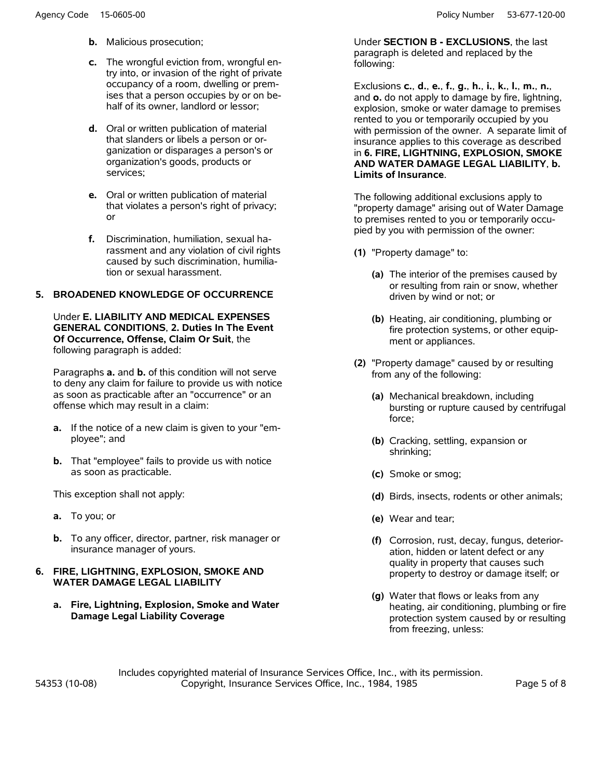- **b.** Malicious prosecution;
- **c.** The wrongful eviction from, wrongful entry into, or invasion of the right of private occupancy of a room, dwelling or premises that a person occupies by or on behalf of its owner, landlord or lessor;
- **d.** Oral or written publication of material that slanders or libels a person or or- ganization or disparages a person's or organization's goods, products or services;
- **e.** Oral or written publication of material that violates a person's right of privacy; or
- **f.** Discrimination, humiliation, sexual harassment and any violation of civil rights caused by such discrimination, humiliation or sexual harassment.

### **5. BROADENED KNOWLEDGE OF OCCURRENCE**

Under **E. LIABILITY AND MEDICAL EXPENSES GENERAL CONDITIONS**, **2. Duties In The Event Of Occurrence, Offense, Claim Or Suit**, the following paragraph is added:

Paragraphs **a.** and **b.** of this condition will not serve to deny any claim for failure to provide us with notice as soon as practicable after an "occurrence" or an offense which may result in a claim:

- **a.** If the notice of a new claim is given to your "employee"; and
- **b.** That "employee" fails to provide us with notice as soon as practicable.

This exception shall not apply:

- **a.** To you; or
- **b.** To any officer, director, partner, risk manager or insurance manager of yours.

#### **6. FIRE, LIGHTNING, EXPLOSION, SMOKE AND WATER DAMAGE LEGAL LIABILITY**

**a. Fire, Lightning, Explosion, Smoke and Water Damage Legal Liability Coverage**

Under **SECTION B - EXCLUSIONS**, the last paragraph is deleted and replaced by the following:

Exclusions **c.**, **d.**, **e.**, **f.**, **g.**, **h.**, **i.**, **k.**, **l.**, **m.**, **n.**, and **o.** do not apply to damage by fire, lightning, explosion, smoke or water damage to premises rented to you or temporarily occupied by you with permission of the owner. A separate limit of insurance applies to this coverage as described in **6. FIRE, LIGHTNING, EXPLOSION, SMOKE AND WATER DAMAGE LEGAL LIABILITY**, **b. Limits of Insurance**.

The following additional exclusions apply to "property damage" arising out of Water Damage to premises rented to you or temporarily occupied by you with permission of the owner:

- **(1)** "Property damage" to:
	- **(a)** The interior of the premises caused by or resulting from rain or snow, whether driven by wind or not; or
	- **(b)** Heating, air conditioning, plumbing or fire protection systems, or other equipment or appliances.
- **(2)** "Property damage" caused by or resulting from any of the following:
	- **(a)** Mechanical breakdown, including bursting or rupture caused by centrifugal force;
	- **(b)** Cracking, settling, expansion or shrinking;
	- **(c)** Smoke or smog;
	- **(d)** Birds, insects, rodents or other animals;
	- **(e)** Wear and tear;
	- **(f)** Corrosion, rust, decay, fungus, deterioration, hidden or latent defect or any quality in property that causes such property to destroy or damage itself; or
	- **(g)** Water that flows or leaks from any heating, air conditioning, plumbing or fire protection system caused by or resulting from freezing, unless:

Includes copyrighted material of Insurance Services Office, Inc., with its permission. 54353 (10-08) Copyright, Insurance Services Office, Inc., 1984, 1985 Page 5 of 8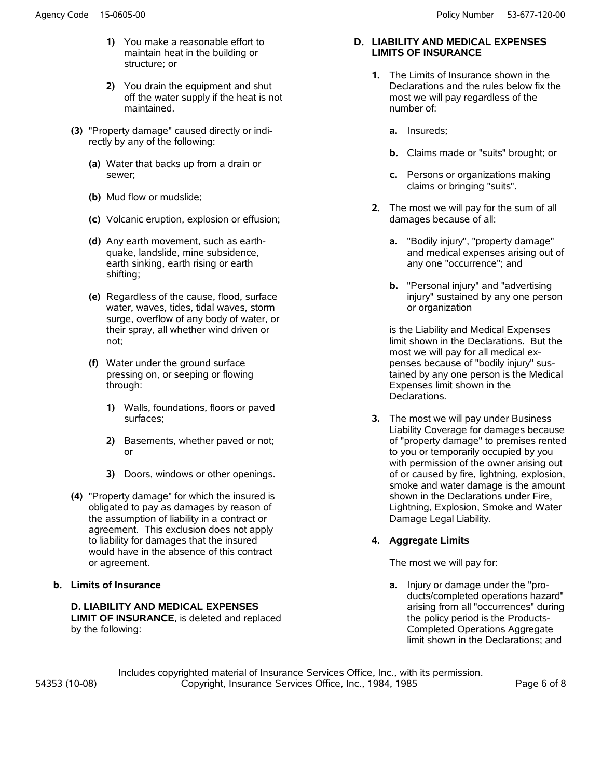- **2)** You drain the equipment and shut off the water supply if the heat is not maintained.
- **(3)** "Property damage" caused directly or indirectly by any of the following:
	- **(a)** Water that backs up from a drain or sewer;
	- **(b)** Mud flow or mudslide;
	- **(c)** Volcanic eruption, explosion or effusion;
	- **(d)** Any earth movement, such as earthquake, landslide, mine subsidence, earth sinking, earth rising or earth shifting;
	- **(e)** Regardless of the cause, flood, surface water, waves, tides, tidal waves, storm surge, overflow of any body of water, or their spray, all whether wind driven or not;
	- **(f)** Water under the ground surface pressing on, or seeping or flowing through:
		- **1)** Walls, foundations, floors or paved surfaces;
		- **2)** Basements, whether paved or not; or
		- **3)** Doors, windows or other openings.
- **(4)** "Property damage" for which the insured is obligated to pay as damages by reason of the assumption of liability in a contract or agreement. This exclusion does not apply to liability for damages that the insured would have in the absence of this contract or agreement.
- **b. Limits of Insurance**

**D. LIABILITY AND MEDICAL EXPENSES LIMIT OF INSURANCE**, is deleted and replaced by the following:

### **D. LIABILITY AND MEDICAL EXPENSES LIMITS OF INSURANCE**

- **1.** The Limits of Insurance shown in the Declarations and the rules below fix the most we will pay regardless of the number of:
	- **a.** Insureds;
	- **b.** Claims made or "suits" brought; or
	- **c.** Persons or organizations making claims or bringing "suits".
- **2.** The most we will pay for the sum of all damages because of all:
	- **a.** "Bodily injury", "property damage" and medical expenses arising out of any one "occurrence"; and
	- **b.** "Personal injury" and "advertising injury" sustained by any one person or organization

is the Liability and Medical Expenses limit shown in the Declarations. But the most we will pay for all medical expenses because of "bodily injury" sustained by any one person is the Medical Expenses limit shown in the Declarations.

**3.** The most we will pay under Business Liability Coverage for damages because of "property damage" to premises rented to you or temporarily occupied by you with permission of the owner arising out of or caused by fire, lightning, explosion, smoke and water damage is the amount shown in the Declarations under Fire, Lightning, Explosion, Smoke and Water Damage Legal Liability.

# **4. Aggregate Limits**

The most we will pay for:

**a.** Injury or damage under the "products/completed operations hazard" arising from all "occurrences" during the policy period is the Products-Completed Operations Aggregate limit shown in the Declarations; and

Includes copyrighted material of Insurance Services Office, Inc., with its permission. 54353 (10-08) Copyright, Insurance Services Office, Inc., 1984, 1985 Page 6 of 8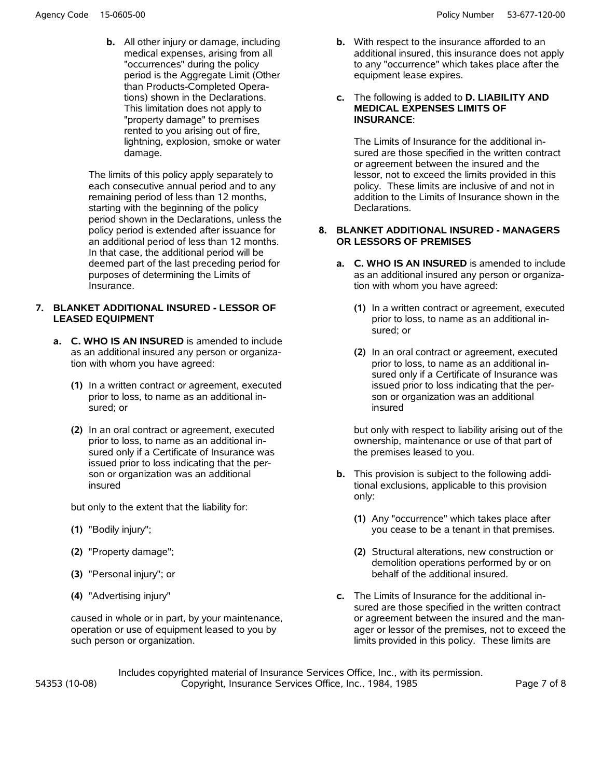**b.** All other injury or damage, including medical expenses, arising from all "occurrences" during the policy period is the Aggregate Limit (Other than Products-Completed Operations) shown in the Declarations. This limitation does not apply to "property damage" to premises rented to you arising out of fire, lightning, explosion, smoke or water damage.

The limits of this policy apply separately to each consecutive annual period and to any remaining period of less than 12 months, starting with the beginning of the policy period shown in the Declarations, unless the policy period is extended after issuance for an additional period of less than 12 months. In that case, the additional period will be deemed part of the last preceding period for purposes of determining the Limits of Insurance.

### **7. BLANKET ADDITIONAL INSURED - LESSOR OF LEASED EQUIPMENT**

- **a. C. WHO IS AN INSURED** is amended to include as an additional insured any person or organization with whom you have agreed:
	- **(1)** In a written contract or agreement, executed prior to loss, to name as an additional insured; or
	- **(2)** In an oral contract or agreement, executed prior to loss, to name as an additional insured only if a Certificate of Insurance was issued prior to loss indicating that the person or organization was an additional insured

but only to the extent that the liability for:

- **(1)** "Bodily injury";
- **(2)** "Property damage";
- **(3)** "Personal injury"; or
- **(4)** "Advertising injury"

caused in whole or in part, by your maintenance, operation or use of equipment leased to you by such person or organization.

- **b.** With respect to the insurance afforded to an additional insured, this insurance does not apply to any "occurrence" which takes place after the equipment lease expires.
- **c.** The following is added to **D. LIABILITY AND MEDICAL EXPENSES LIMITS OF INSURANCE**:

The Limits of Insurance for the additional insured are those specified in the written contract or agreement between the insured and the lessor, not to exceed the limits provided in this policy. These limits are inclusive of and not in addition to the Limits of Insurance shown in the Declarations.

### **8. BLANKET ADDITIONAL INSURED - MANAGERS OR LESSORS OF PREMISES**

- **a. C. WHO IS AN INSURED** is amended to include as an additional insured any person or organization with whom you have agreed:
	- **(1)** In a written contract or agreement, executed prior to loss, to name as an additional insured; or
	- **(2)** In an oral contract or agreement, executed prior to loss, to name as an additional insured only if a Certificate of Insurance was issued prior to loss indicating that the person or organization was an additional insured

but only with respect to liability arising out of the ownership, maintenance or use of that part of the premises leased to you.

- **b.** This provision is subject to the following additional exclusions, applicable to this provision only:
	- **(1)** Any "occurrence" which takes place after you cease to be a tenant in that premises.
	- **(2)** Structural alterations, new construction or demolition operations performed by or on behalf of the additional insured.
- **c.** The Limits of Insurance for the additional insured are those specified in the written contract or agreement between the insured and the manager or lessor of the premises, not to exceed the limits provided in this policy. These limits are

Includes copyrighted material of Insurance Services Office, Inc., with its permission. 54353 (10-08) Copyright, Insurance Services Office, Inc., 1984, 1985 Page 7 of 8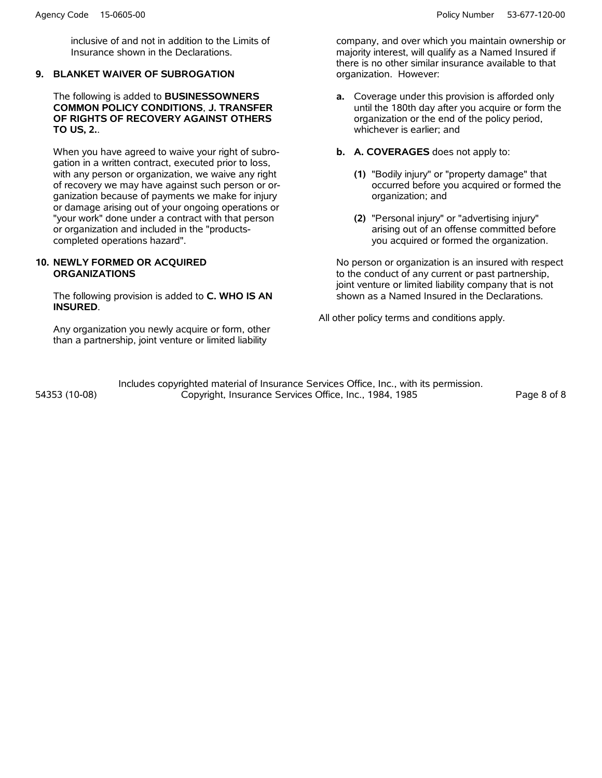inclusive of and not in addition to the Limits of Insurance shown in the Declarations.

# **9. BLANKET WAIVER OF SUBROGATION**

The following is added to **BUSINESSOWNERS COMMON POLICY CONDITIONS**, **J. TRANSFER OF RIGHTS OF RECOVERY AGAINST OTHERS TO US, 2.**.

When you have agreed to waive your right of subrogation in a written contract, executed prior to loss, with any person or organization, we waive any right of recovery we may have against such person or organization because of payments we make for injury or damage arising out of your ongoing operations or "your work" done under a contract with that person or organization and included in the "productscompleted operations hazard".

### **10. NEWLY FORMED OR ACQUIRED ORGANIZATIONS**

The following provision is added to **C. WHO IS AN INSURED**.

Any organization you newly acquire or form, other than a partnership, joint venture or limited liability

company, and over which you maintain ownership or majority interest, will qualify as a Named Insured if there is no other similar insurance available to that organization. However:

- **a.** Coverage under this provision is afforded only until the 180th day after you acquire or form the organization or the end of the policy period, whichever is earlier; and
- **b. A. COVERAGES** does not apply to:
	- **(1)** "Bodily injury" or "property damage" that occurred before you acquired or formed the organization; and
	- **(2)** "Personal injury" or "advertising injury" arising out of an offense committed before you acquired or formed the organization.

No person or organization is an insured with respect to the conduct of any current or past partnership, joint venture or limited liability company that is not shown as a Named Insured in the Declarations.

All other policy terms and conditions apply.

Includes copyrighted material of Insurance Services Office, Inc., with its permission. 54353 (10-08) Copyright, Insurance Services Office, Inc., 1984, 1985 Page 8 of 8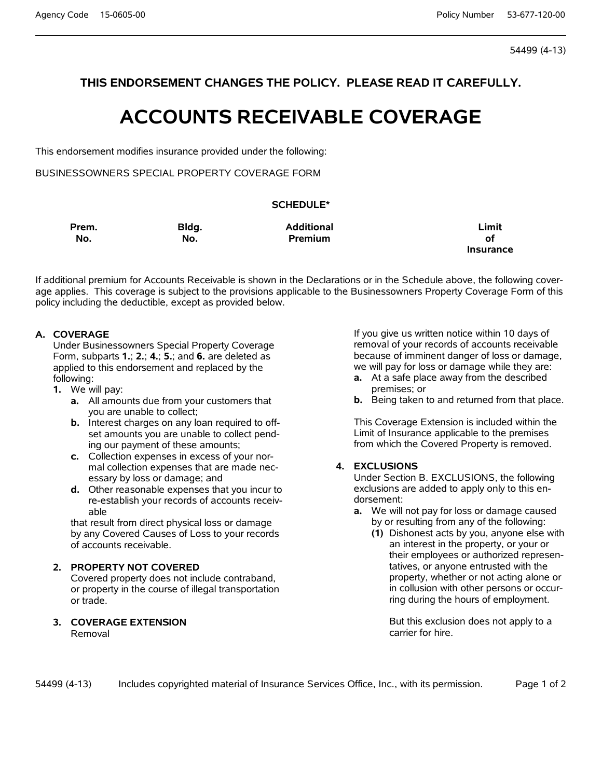# **THIS ENDORSEMENT CHANGES THE POLICY. PLEASE READ IT CAREFULLY.**

# **ACCOUNTS RECEIVABLE COVERAGE**

This endorsement modifies insurance provided under the following:

BUSINESSOWNERS SPECIAL PROPERTY COVERAGE FORM

### **SCHEDULE\***

| Prem. | Bldg. | <b>Additional</b> | Limit            |
|-------|-------|-------------------|------------------|
| No.   | No.   | <b>Premium</b>    | Οt               |
|       |       |                   | <b>Insurance</b> |

If additional premium for Accounts Receivable is shown in the Declarations or in the Schedule above, the following coverage applies. This coverage is subject to the provisions applicable to the Businessowners Property Coverage Form of this policy including the deductible, except as provided below.

# **A. COVERAGE**

Under Businessowners Special Property Coverage Form, subparts **1.**; **2.**; **4.**; **5.**; and **6.** are deleted as applied to this endorsement and replaced by the following:

- **1.** We will pay:
	- **a.** All amounts due from your customers that you are unable to collect;
	- **b.** Interest charges on any loan required to offset amounts you are unable to collect pending our payment of these amounts;
	- **c.** Collection expenses in excess of your normal collection expenses that are made necessary by loss or damage; and
	- **d.** Other reasonable expenses that you incur to re-establish your records of accounts receivable

that result from direct physical loss or damage by any Covered Causes of Loss to your records of accounts receivable.

# **2. PROPERTY NOT COVERED**

Covered property does not include contraband, or property in the course of illegal transportation or trade.

### **3. COVERAGE EXTENSION** Removal

If you give us written notice within 10 days of removal of your records of accounts receivable because of imminent danger of loss or damage, we will pay for loss or damage while they are:

- **a.** At a safe place away from the described premises; or
- **b.** Being taken to and returned from that place.

This Coverage Extension is included within the Limit of Insurance applicable to the premises from which the Covered Property is removed.

# **4. EXCLUSIONS**

Under Section B. EXCLUSIONS, the following exclusions are added to apply only to this endorsement:

- **a.** We will not pay for loss or damage caused by or resulting from any of the following:
	- **(1)** Dishonest acts by you, anyone else with an interest in the property, or your or their employees or authorized representatives, or anyone entrusted with the property, whether or not acting alone or in collusion with other persons or occurring during the hours of employment.

But this exclusion does not apply to a carrier for hire.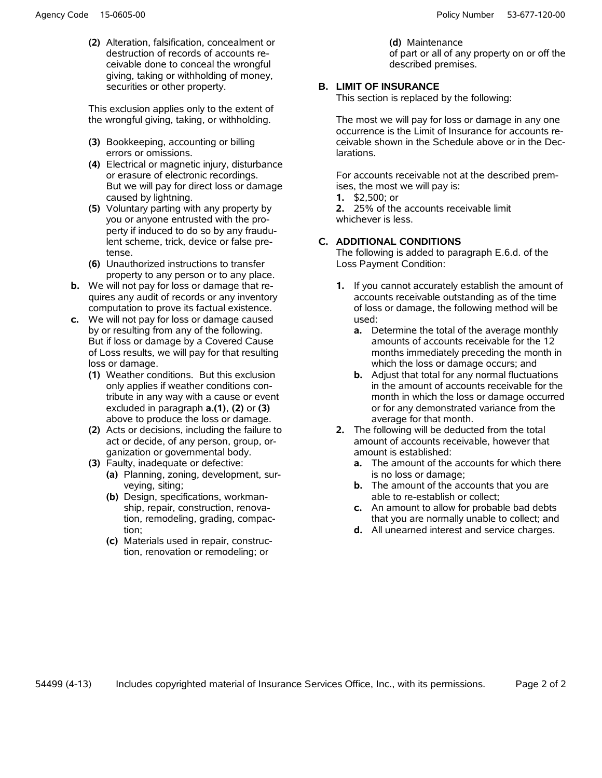**(2)** Alteration, falsification, concealment or destruction of records of accounts receivable done to conceal the wrongful giving, taking or withholding of money, securities or other property.

This exclusion applies only to the extent of the wrongful giving, taking, or withholding.

- **(3)** Bookkeeping, accounting or billing errors or omissions.
- **(4)** Electrical or magnetic injury, disturbance or erasure of electronic recordings. But we will pay for direct loss or damage caused by lightning.
- **(5)** Voluntary parting with any property by you or anyone entrusted with the property if induced to do so by any fraudulent scheme, trick, device or false pretense.
- **(6)** Unauthorized instructions to transfer property to any person or to any place.
- **b.** We will not pay for loss or damage that requires any audit of records or any inventory computation to prove its factual existence.
- **c.** We will not pay for loss or damage caused by or resulting from any of the following. But if loss or damage by a Covered Cause of Loss results, we will pay for that resulting loss or damage.
	- **(1)** Weather conditions. But this exclusion only applies if weather conditions contribute in any way with a cause or event excluded in paragraph **a.(1)**, **(2)** or **(3)** above to produce the loss or damage.
	- **(2)** Acts or decisions, including the failure to act or decide, of any person, group, organization or governmental body.
	- **(3)** Faulty, inadequate or defective:
		- **(a)** Planning, zoning, development, surveying, siting;
		- **(b)** Design, specifications, workmanship, repair, construction, renovation, remodeling, grading, compaction;
		- **(c)** Materials used in repair, construction, renovation or remodeling; or

**(d)** Maintenance of part or all of any property on or off the described premises.

#### **B. LIMIT OF INSURANCE**

This section is replaced by the following:

The most we will pay for loss or damage in any one occurrence is the Limit of Insurance for accounts receivable shown in the Schedule above or in the Declarations.

For accounts receivable not at the described premises, the most we will pay is:

**1.** \$2,500; or

**2.** 25% of the accounts receivable limit whichever is less.

#### **C. ADDITIONAL CONDITIONS**

The following is added to paragraph E.6.d. of the Loss Payment Condition:

- **1.** If you cannot accurately establish the amount of accounts receivable outstanding as of the time of loss or damage, the following method will be used:
	- **a.** Determine the total of the average monthly amounts of accounts receivable for the 12 months immediately preceding the month in which the loss or damage occurs; and
	- **b.** Adjust that total for any normal fluctuations in the amount of accounts receivable for the month in which the loss or damage occurred or for any demonstrated variance from the average for that month.
- **2.** The following will be deducted from the total amount of accounts receivable, however that amount is established:
	- **a.** The amount of the accounts for which there is no loss or damage;
	- **b.** The amount of the accounts that you are able to re-establish or collect;
	- **c.** An amount to allow for probable bad debts that you are normally unable to collect; and
	- **d.** All unearned interest and service charges.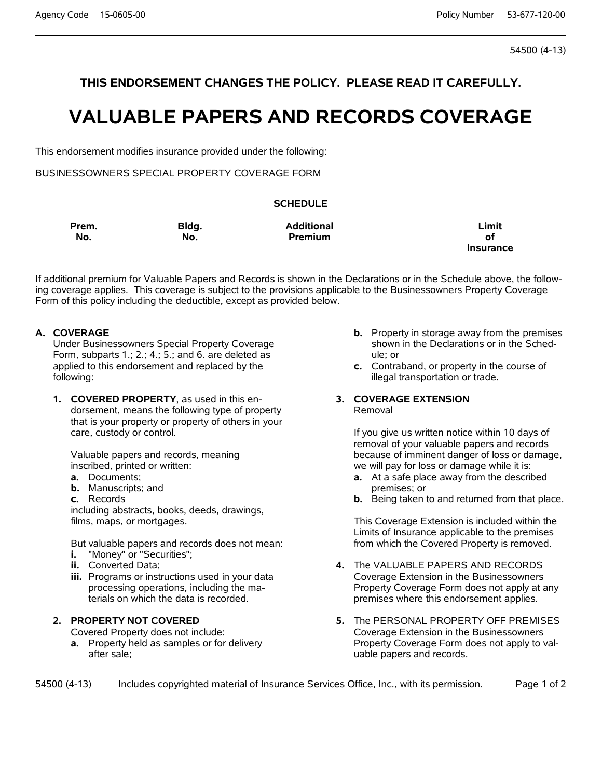# **VALUABLE PAPERS AND RECORDS COVERAGE**

This endorsement modifies insurance provided under the following:

BUSINESSOWNERS SPECIAL PROPERTY COVERAGE FORM

#### **SCHEDULE**

| Prem. | Bldg. | <b>Additional</b> | Limit            |
|-------|-------|-------------------|------------------|
| No.   | No.   | <b>Premium</b>    | оf               |
|       |       |                   | <b>Insurance</b> |

If additional premium for Valuable Papers and Records is shown in the Declarations or in the Schedule above, the following coverage applies. This coverage is subject to the provisions applicable to the Businessowners Property Coverage Form of this policy including the deductible, except as provided below.

#### **A. COVERAGE**

Under Businessowners Special Property Coverage Form, subparts  $1$ .;  $2$ .;  $4$ .;  $5$ .; and  $6$ . are deleted as applied to this endorsement and replaced by the following:

**1. COVERED PROPERTY**, as used in this endorsement, means the following type of property that is your property or property of others in your care, custody or control.

Valuable papers and records, meaning inscribed, printed or written:

- **a.** Documents;
- **b.** Manuscripts; and
- **c.** Records

including abstracts, books, deeds, drawings, films, maps, or mortgages.

But valuable papers and records does not mean:

- **i.** "Money" or "Securities";
- **ii.** Converted Data;
- **iii.** Programs or instructions used in your data processing operations, including the materials on which the data is recorded.

#### **2. PROPERTY NOT COVERED**

Covered Property does not include:

**a.** Property held as samples or for delivery after sale;

- **b.** Property in storage away from the premises shown in the Declarations or in the Schedule; or
- **c.** Contraband, or property in the course of illegal transportation or trade.
- **3. COVERAGE EXTENSION** Removal

If you give us written notice within 10 days of removal of your valuable papers and records because of imminent danger of loss or damage, we will pay for loss or damage while it is:

- **a.** At a safe place away from the described premises; or
- **b.** Being taken to and returned from that place.

This Coverage Extension is included within the Limits of Insurance applicable to the premises from which the Covered Property is removed.

- **4.** The VALUABLE PAPERS AND RECORDS Coverage Extension in the Businessowners Property Coverage Form does not apply at any premises where this endorsement applies.
- **5.** The PERSONAL PROPERTY OFF PREMISES Coverage Extension in the Businessowners Property Coverage Form does not apply to valuable papers and records.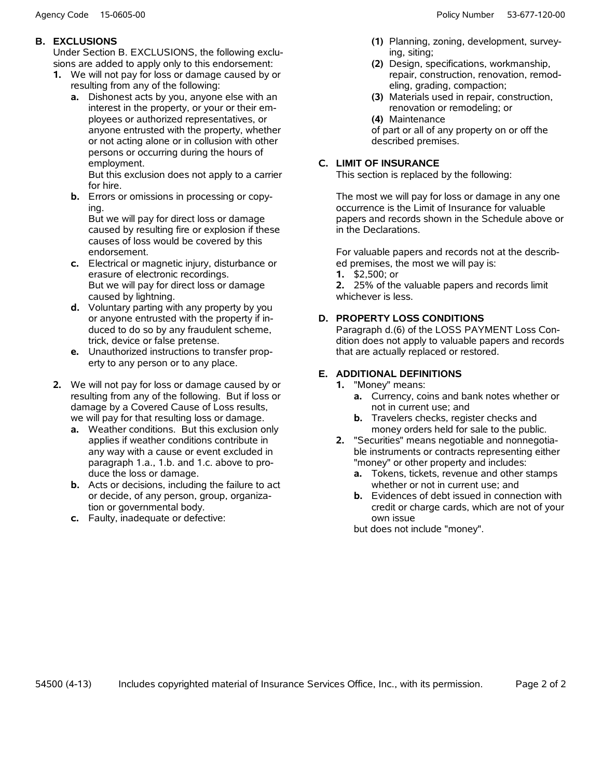#### **B. EXCLUSIONS**

Under Section B. EXCLUSIONS, the following exclusions are added to apply only to this endorsement:

- **1.** We will not pay for loss or damage caused by or resulting from any of the following:
	- **a.** Dishonest acts by you, anyone else with an interest in the property, or your or their employees or authorized representatives, or anyone entrusted with the property, whether or not acting alone or in collusion with other persons or occurring during the hours of employment.

But this exclusion does not apply to a carrier for hire.

**b.** Errors or omissions in processing or copying.

But we will pay for direct loss or damage caused by resulting fire or explosion if these causes of loss would be covered by this endorsement.

- **c.** Electrical or magnetic injury, disturbance or erasure of electronic recordings. But we will pay for direct loss or damage caused by lightning.
- **d.** Voluntary parting with any property by you or anyone entrusted with the property if induced to do so by any fraudulent scheme, trick, device or false pretense.
- **e.** Unauthorized instructions to transfer property to any person or to any place.
- **2.** We will not pay for loss or damage caused by or resulting from any of the following. But if loss or damage by a Covered Cause of Loss results, we will pay for that resulting loss or damage.
	- **a.** Weather conditions. But this exclusion only applies if weather conditions contribute in any way with a cause or event excluded in paragraph 1.a., 1.b. and 1.c. above to produce the loss or damage.
	- **b.** Acts or decisions, including the failure to act or decide, of any person, group, organization or governmental body.
	- **c.** Faulty, inadequate or defective:
- **(1)** Planning, zoning, development, surveying, siting;
- **(2)** Design, specifications, workmanship, repair, construction, renovation, remodeling, grading, compaction;
- **(3)** Materials used in repair, construction, renovation or remodeling; or
- **(4)** Maintenance

of part or all of any property on or off the described premises.

#### **C. LIMIT OF INSURANCE**

This section is replaced by the following:

The most we will pay for loss or damage in any one occurrence is the Limit of Insurance for valuable papers and records shown in the Schedule above or in the Declarations.

For valuable papers and records not at the described premises, the most we will pay is:

**1.** \$2,500; or

**2.** 25% of the valuable papers and records limit whichever is less.

#### **D. PROPERTY LOSS CONDITIONS**

Paragraph d.(6) of the LOSS PAYMENT Loss Condition does not apply to valuable papers and records that are actually replaced or restored.

#### **E. ADDITIONAL DEFINITIONS**

- **1.** "Money" means:
	- **a.** Currency, coins and bank notes whether or not in current use; and
	- **b.** Travelers checks, register checks and money orders held for sale to the public.
- **2.** "Securities" means negotiable and nonnegotiable instruments or contracts representing either "money" or other property and includes:
	- **a.** Tokens, tickets, revenue and other stamps whether or not in current use; and
	- **b.** Evidences of debt issued in connection with credit or charge cards, which are not of your own issue

but does not include "money".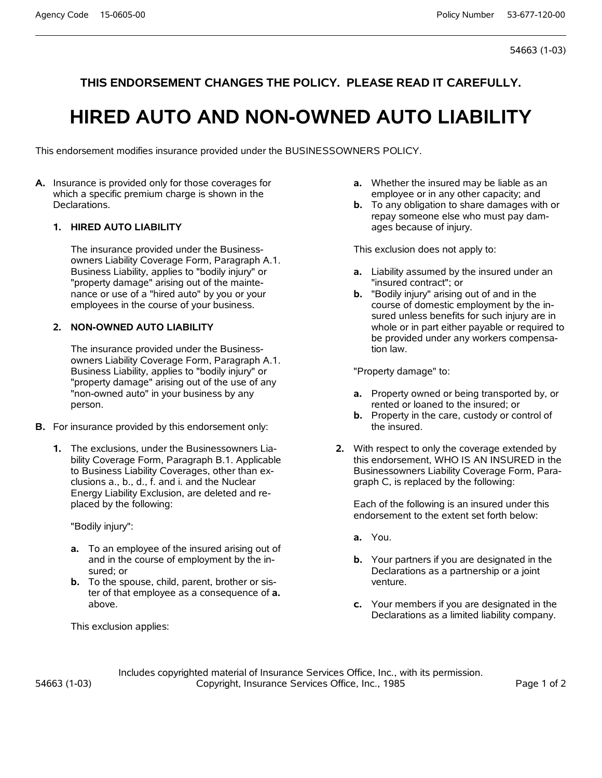# **HIRED AUTO AND NON-OWNED AUTO LIABILITY**

This endorsement modifies insurance provided under the BUSINESSOWNERS POLICY.

**A.** Insurance is provided only for those coverages for which a specific premium charge is shown in the Declarations.

## **1. HIRED AUTO LIABILITY**

The insurance provided under the Businessowners Liability Coverage Form, Paragraph A.1. Business Liability, applies to "bodily injury" or "property damage" arising out of the maintenance or use of a "hired auto" by you or your employees in the course of your business.

## **2. NON-OWNED AUTO LIABILITY**

The insurance provided under the Businessowners Liability Coverage Form, Paragraph A.1. Business Liability, applies to "bodily injury" or "property damage" arising out of the use of any "non-owned auto" in your business by any person.

- **B.** For insurance provided by this endorsement only:
	- **1.** The exclusions, under the Businessowners Liability Coverage Form, Paragraph B.1. Applicable to Business Liability Coverages, other than exclusions a., b., d., f. and i. and the Nuclear Energy Liability Exclusion, are deleted and replaced by the following:

"Bodily injury":

- **a.** To an employee of the insured arising out of and in the course of employment by the insured; or
- **b.** To the spouse, child, parent, brother or sister of that employee as a consequence of **a.**  above.

This exclusion applies:

- **a.** Whether the insured may be liable as an employee or in any other capacity; and
- **b.** To any obligation to share damages with or repay someone else who must pay damages because of injury.

This exclusion does not apply to:

- **a.** Liability assumed by the insured under an "insured contract"; or
- **b.** "Bodily injury" arising out of and in the course of domestic employment by the insured unless benefits for such injury are in whole or in part either payable or required to be provided under any workers compensation law.

"Property damage" to:

- **a.** Property owned or being transported by, or rented or loaned to the insured; or
- **b.** Property in the care, custody or control of the insured.
- **2.** With respect to only the coverage extended by this endorsement, WHO IS AN INSURED in the Businessowners Liability Coverage Form, Paragraph C, is replaced by the following:

Each of the following is an insured under this endorsement to the extent set forth below:

- **a.** You.
- **b.** Your partners if you are designated in the Declarations as a partnership or a joint venture.
- **c.** Your members if you are designated in the Declarations as a limited liability company.

Includes copyrighted material of Insurance Services Office, Inc., with its permission. 54663 (1-03) Copyright, Insurance Services Office, Inc., 1985 Page 1 of 2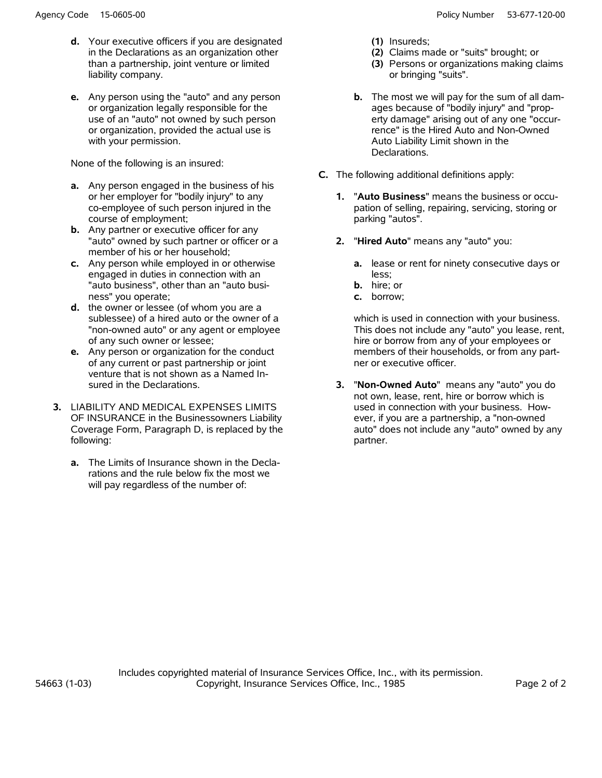- **d.** Your executive officers if you are designated in the Declarations as an organization other than a partnership, joint venture or limited liability company.
- **e.** Any person using the "auto" and any person or organization legally responsible for the use of an "auto" not owned by such person or organization, provided the actual use is with your permission.

None of the following is an insured:

- **a.** Any person engaged in the business of his or her employer for "bodily injury" to any co-employee of such person injured in the course of employment;
- **b.** Any partner or executive officer for any "auto" owned by such partner or officer or a member of his or her household;
- **c.** Any person while employed in or otherwise engaged in duties in connection with an "auto business", other than an "auto business" you operate;
- **d.** the owner or lessee (of whom you are a sublessee) of a hired auto or the owner of a "non-owned auto" or any agent or employee of any such owner or lessee;
- **e.** Any person or organization for the conduct of any current or past partnership or joint venture that is not shown as a Named Insured in the Declarations.
- **3.** LIABILITY AND MEDICAL EXPENSES LIMITS OF INSURANCE in the Businessowners Liability Coverage Form, Paragraph D, is replaced by the following:
	- **a.** The Limits of Insurance shown in the Declarations and the rule below fix the most we will pay regardless of the number of:
- **(1)** Insureds;
- **(2)** Claims made or "suits" brought; or
- **(3)** Persons or organizations making claims or bringing "suits".
- **b.** The most we will pay for the sum of all damages because of "bodily injury" and "property damage" arising out of any one "occurrence" is the Hired Auto and Non-Owned Auto Liability Limit shown in the Declarations.
- **C.** The following additional definitions apply:
	- **1.** "**Auto Business**" means the business or occupation of selling, repairing, servicing, storing or parking "autos".
	- **2.** "**Hired Auto**" means any "auto" you:
		- **a.** lease or rent for ninety consecutive days or less;
		- **b.** hire; or
		- **c.** borrow;

which is used in connection with your business. This does not include any "auto" you lease, rent, hire or borrow from any of your employees or members of their households, or from any partner or executive officer.

**3.** "**Non-Owned Auto**" means any "auto" you do not own, lease, rent, hire or borrow which is used in connection with your business. However, if you are a partnership, a "non-owned auto" does not include any "auto" owned by any partner.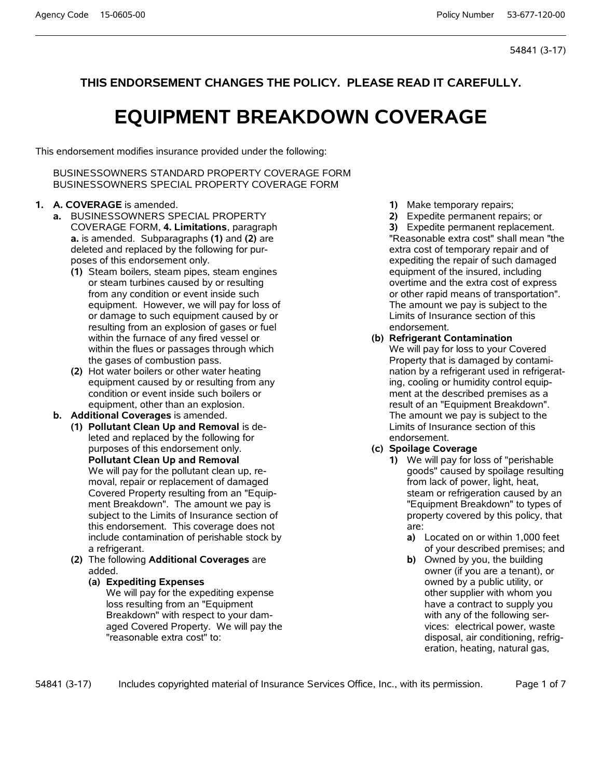# **EQUIPMENT BREAKDOWN COVERAGE**

This endorsement modifies insurance provided under the following:

BUSINESSOWNERS STANDARD PROPERTY COVERAGE FORM BUSINESSOWNERS SPECIAL PROPERTY COVERAGE FORM

## **1. A. COVERAGE** is amended.

- **a.** BUSINESSOWNERS SPECIAL PROPERTY COVERAGE FORM, **4. Limitations**, paragraph **a.** is amended. Subparagraphs **(1)** and **(2)** are deleted and replaced by the following for purposes of this endorsement only.
	- **(1)** Steam boilers, steam pipes, steam engines or steam turbines caused by or resulting from any condition or event inside such equipment. However, we will pay for loss of or damage to such equipment caused by or resulting from an explosion of gases or fuel within the furnace of any fired vessel or within the flues or passages through which the gases of combustion pass.
	- **(2)** Hot water boilers or other water heating equipment caused by or resulting from any condition or event inside such boilers or equipment, other than an explosion.
- **b. Additional Coverages** is amended.
	- **(1) Pollutant Clean Up and Removal** is deleted and replaced by the following for purposes of this endorsement only. **Pollutant Clean Up and Removal** We will pay for the pollutant clean up, removal, repair or replacement of damaged Covered Property resulting from an "Equipment Breakdown". The amount we pay is subject to the Limits of Insurance section of this endorsement. This coverage does not include contamination of perishable stock by a refrigerant.
	- **(2)** The following **Additional Coverages** are added.
		- **(a) Expediting Expenses** We will pay for the expediting expense loss resulting from an "Equipment Breakdown" with respect to your damaged Covered Property. We will pay the "reasonable extra cost" to:

**1)** Make temporary repairs;

**2)** Expedite permanent repairs; or **3)** Expedite permanent replacement. "Reasonable extra cost" shall mean "the extra cost of temporary repair and of expediting the repair of such damaged equipment of the insured, including overtime and the extra cost of express or other rapid means of transportation". The amount we pay is subject to the Limits of Insurance section of this endorsement.

- **(b) Refrigerant Contamination** We will pay for loss to your Covered Property that is damaged by contamination by a refrigerant used in refrigerating, cooling or humidity control equipment at the described premises as a result of an "Equipment Breakdown". The amount we pay is subject to the Limits of Insurance section of this endorsement.
- **(c) Spoilage Coverage**
	- **1)** We will pay for loss of "perishable goods" caused by spoilage resulting from lack of power, light, heat, steam or refrigeration caused by an "Equipment Breakdown" to types of property covered by this policy, that are:
		- **a)** Located on or within 1,000 feet of your described premises; and
		- **b)** Owned by you, the building owner (if you are a tenant), or owned by a public utility, or other supplier with whom you have a contract to supply you with any of the following services: electrical power, waste disposal, air conditioning, refrigeration, heating, natural gas,

54841 (3-17) Includes copyrighted material of Insurance Services Office, Inc., with its permission. Page 1 of 7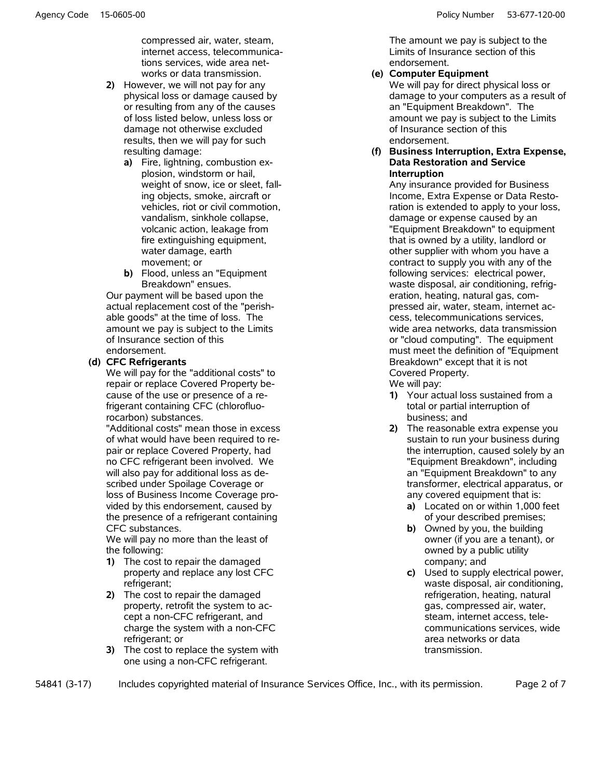- **2)** However, we will not pay for any physical loss or damage caused by or resulting from any of the causes of loss listed below, unless loss or damage not otherwise excluded results, then we will pay for such resulting damage:
	- **a)** Fire, lightning, combustion explosion, windstorm or hail, weight of snow, ice or sleet, falling objects, smoke, aircraft or vehicles, riot or civil commotion, vandalism, sinkhole collapse, volcanic action, leakage from fire extinguishing equipment, water damage, earth movement; or
	- **b)** Flood, unless an "Equipment Breakdown" ensues.

Our payment will be based upon the actual replacement cost of the "perishable goods" at the time of loss. The amount we pay is subject to the Limits of Insurance section of this endorsement.

### **(d) CFC Refrigerants**

We will pay for the "additional costs" to repair or replace Covered Property because of the use or presence of a refrigerant containing CFC (chlorofluorocarbon) substances.

"Additional costs" mean those in excess of what would have been required to repair or replace Covered Property, had no CFC refrigerant been involved. We will also pay for additional loss as described under Spoilage Coverage or loss of Business Income Coverage provided by this endorsement, caused by the presence of a refrigerant containing CFC substances.

We will pay no more than the least of the following:

- **1)** The cost to repair the damaged property and replace any lost CFC refrigerant;
- **2)** The cost to repair the damaged property, retrofit the system to accept a non-CFC refrigerant, and charge the system with a non-CFC refrigerant; or
- **3)** The cost to replace the system with one using a non-CFC refrigerant.

The amount we pay is subject to the Limits of Insurance section of this endorsement.

- **(e) Computer Equipment** We will pay for direct physical loss or damage to your computers as a result of an "Equipment Breakdown". The amount we pay is subject to the Limits of Insurance section of this endorsement.
- **(f) Business Interruption, Extra Expense, Data Restoration and Service Interruption**

Any insurance provided for Business Income, Extra Expense or Data Restoration is extended to apply to your loss, damage or expense caused by an "Equipment Breakdown" to equipment that is owned by a utility, landlord or other supplier with whom you have a contract to supply you with any of the following services: electrical power, waste disposal, air conditioning, refrigeration, heating, natural gas, compressed air, water, steam, internet access, telecommunications services, wide area networks, data transmission or "cloud computing". The equipment must meet the definition of "Equipment Breakdown" except that it is not Covered Property. We will pay:

- **1)** Your actual loss sustained from a total or partial interruption of business; and
- **2)** The reasonable extra expense you sustain to run your business during the interruption, caused solely by an "Equipment Breakdown", including an "Equipment Breakdown" to any transformer, electrical apparatus, or any covered equipment that is:
	- **a)** Located on or within 1,000 feet of your described premises;
	- **b)** Owned by you, the building owner (if you are a tenant), or owned by a public utility company; and
	- **c)** Used to supply electrical power, waste disposal, air conditioning, refrigeration, heating, natural gas, compressed air, water, steam, internet access, telecommunications services, wide area networks or data transmission.

54841 (3-17) Includes copyrighted material of Insurance Services Office, Inc., with its permission. Page 2 of 7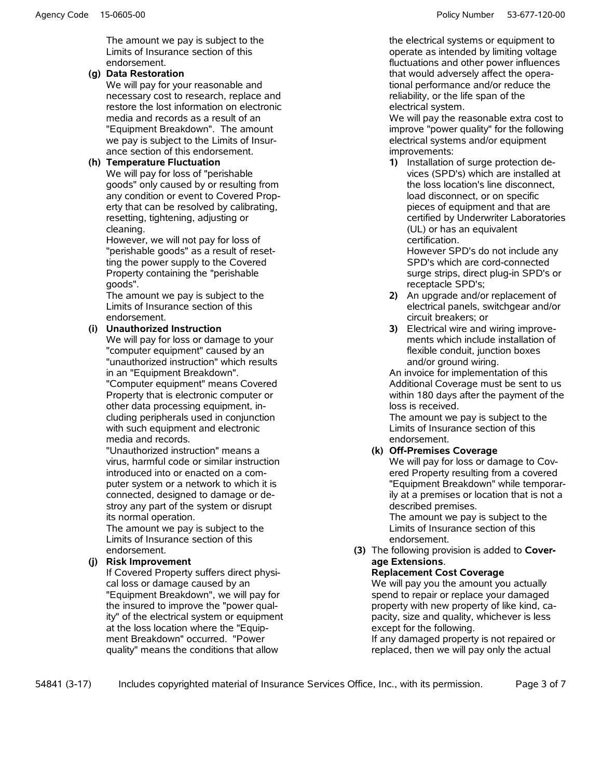The amount we pay is subject to the Limits of Insurance section of this endorsement.

#### **(g) Data Restoration**

We will pay for your reasonable and necessary cost to research, replace and restore the lost information on electronic media and records as a result of an "Equipment Breakdown". The amount we pay is subject to the Limits of Insurance section of this endorsement.

#### **(h) Temperature Fluctuation**

We will pay for loss of "perishable goods" only caused by or resulting from any condition or event to Covered Property that can be resolved by calibrating, resetting, tightening, adjusting or cleaning.

However, we will not pay for loss of "perishable goods" as a result of resetting the power supply to the Covered Property containing the "perishable goods".

The amount we pay is subject to the Limits of Insurance section of this endorsement.

#### **(i) Unauthorized Instruction**

We will pay for loss or damage to your "computer equipment" caused by an "unauthorized instruction" which results in an "Equipment Breakdown".

"Computer equipment" means Covered Property that is electronic computer or other data processing equipment, including peripherals used in conjunction with such equipment and electronic media and records.

"Unauthorized instruction" means a virus, harmful code or similar instruction introduced into or enacted on a computer system or a network to which it is connected, designed to damage or destroy any part of the system or disrupt its normal operation.

The amount we pay is subject to the Limits of Insurance section of this endorsement.

#### **(j) Risk Improvement**

If Covered Property suffers direct physical loss or damage caused by an "Equipment Breakdown", we will pay for the insured to improve the "power quality" of the electrical system or equipment at the loss location where the "Equipment Breakdown" occurred. "Power quality" means the conditions that allow

the electrical systems or equipment to operate as intended by limiting voltage fluctuations and other power influences that would adversely affect the operational performance and/or reduce the reliability, or the life span of the electrical system.

We will pay the reasonable extra cost to improve "power quality" for the following electrical systems and/or equipment improvements:

**1)** Installation of surge protection devices (SPD's) which are installed at the loss location's line disconnect, load disconnect, or on specific pieces of equipment and that are certified by Underwriter Laboratories (UL) or has an equivalent certification.

However SPD's do not include any SPD's which are cord-connected surge strips, direct plug-in SPD's or receptacle SPD's;

- **2)** An upgrade and/or replacement of electrical panels, switchgear and/or circuit breakers; or
- **3)** Electrical wire and wiring improvements which include installation of flexible conduit, junction boxes and/or ground wiring.

An invoice for implementation of this Additional Coverage must be sent to us within 180 days after the payment of the loss is received.

The amount we pay is subject to the Limits of Insurance section of this endorsement.

#### **(k) Off-Premises Coverage**

We will pay for loss or damage to Covered Property resulting from a covered "Equipment Breakdown" while temporarily at a premises or location that is not a described premises.

The amount we pay is subject to the Limits of Insurance section of this endorsement.

**(3)** The following provision is added to **Coverage Extensions**.

#### **Replacement Cost Coverage**

We will pay you the amount you actually spend to repair or replace your damaged property with new property of like kind, capacity, size and quality, whichever is less except for the following.

If any damaged property is not repaired or replaced, then we will pay only the actual

54841 (3-17) Includes copyrighted material of Insurance Services Office, Inc., with its permission. Page 3 of 7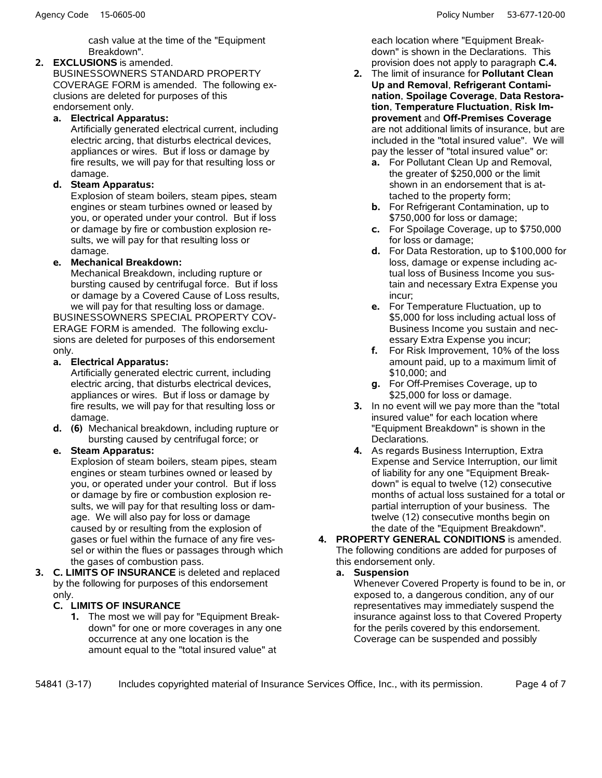cash value at the time of the "Equipment Breakdown".

#### **2. EXCLUSIONS** is amended.

BUSINESSOWNERS STANDARD PROPERTY COVERAGE FORM is amended. The following exclusions are deleted for purposes of this endorsement only.

#### **a. Electrical Apparatus:**

Artificially generated electrical current, including electric arcing, that disturbs electrical devices, appliances or wires. But if loss or damage by fire results, we will pay for that resulting loss or damage.

#### **d. Steam Apparatus:**

Explosion of steam boilers, steam pipes, steam engines or steam turbines owned or leased by you, or operated under your control. But if loss or damage by fire or combustion explosion results, we will pay for that resulting loss or damage.

#### **e. Mechanical Breakdown:**

Mechanical Breakdown, including rupture or bursting caused by centrifugal force. But if loss or damage by a Covered Cause of Loss results, we will pay for that resulting loss or damage.

BUSINESSOWNERS SPECIAL PROPERTY COV-ERAGE FORM is amended. The following exclusions are deleted for purposes of this endorsement only.

#### **a. Electrical Apparatus:**

Artificially generated electric current, including electric arcing, that disturbs electrical devices, appliances or wires. But if loss or damage by fire results, we will pay for that resulting loss or damage.

**d. (6)** Mechanical breakdown, including rupture or bursting caused by centrifugal force; or

#### **e. Steam Apparatus:**

Explosion of steam boilers, steam pipes, steam engines or steam turbines owned or leased by you, or operated under your control. But if loss or damage by fire or combustion explosion results, we will pay for that resulting loss or damage. We will also pay for loss or damage caused by or resulting from the explosion of gases or fuel within the furnace of any fire vessel or within the flues or passages through which the gases of combustion pass.

**3. C. LIMITS OF INSURANCE** is deleted and replaced by the following for purposes of this endorsement only.

#### **C. LIMITS OF INSURANCE**

**1.** The most we will pay for "Equipment Breakdown" for one or more coverages in any one occurrence at any one location is the amount equal to the "total insured value" at

each location where "Equipment Breakdown" is shown in the Declarations. This provision does not apply to paragraph **C.4.**

- **2.** The limit of insurance for **Pollutant Clean Up and Removal**, **Refrigerant Contamination**, **Spoilage Coverage**, **Data Restoration**, **Temperature Fluctuation**, **Risk Improvement** and **Off-Premises Coverage** are not additional limits of insurance, but are included in the "total insured value". We will pay the lesser of "total insured value" or:
	- **a.** For Pollutant Clean Up and Removal, the greater of \$250,000 or the limit shown in an endorsement that is attached to the property form;
	- **b.** For Refrigerant Contamination, up to \$750,000 for loss or damage;
	- **c.** For Spoilage Coverage, up to \$750,000 for loss or damage;
	- **d.** For Data Restoration, up to \$100,000 for loss, damage or expense including actual loss of Business Income you sustain and necessary Extra Expense you incur;
	- **e.** For Temperature Fluctuation, up to \$5,000 for loss including actual loss of Business Income you sustain and necessary Extra Expense you incur;
	- **f.** For Risk Improvement, 10% of the loss amount paid, up to a maximum limit of \$10,000; and
	- **g.** For Off-Premises Coverage, up to \$25,000 for loss or damage.
- **3.** In no event will we pay more than the "total insured value" for each location where "Equipment Breakdown" is shown in the Declarations.
- **4.** As regards Business Interruption, Extra Expense and Service Interruption, our limit of liability for any one "Equipment Breakdown" is equal to twelve (12) consecutive months of actual loss sustained for a total or partial interruption of your business. The twelve (12) consecutive months begin on the date of the "Equipment Breakdown".
- **4. PROPERTY GENERAL CONDITIONS** is amended. The following conditions are added for purposes of this endorsement only.

#### **a. Suspension**

Whenever Covered Property is found to be in, or exposed to, a dangerous condition, any of our representatives may immediately suspend the insurance against loss to that Covered Property for the perils covered by this endorsement. Coverage can be suspended and possibly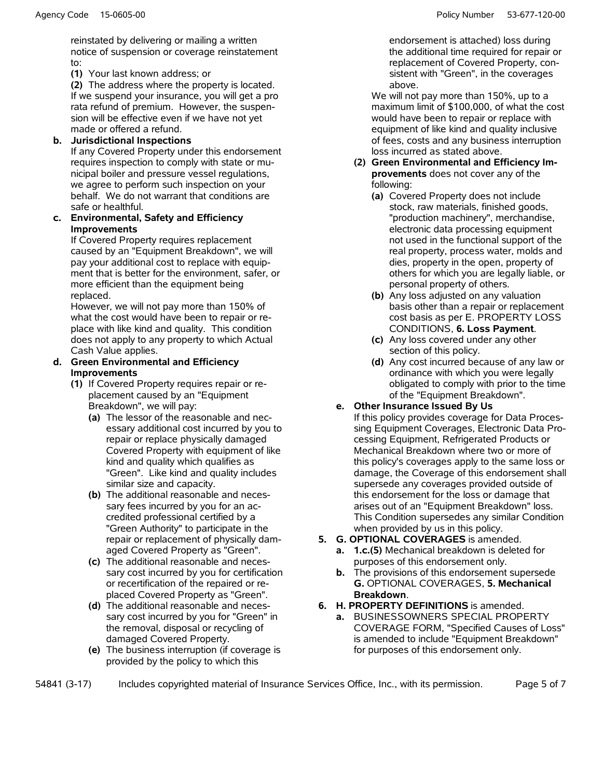reinstated by delivering or mailing a written notice of suspension or coverage reinstatement to:

**(1)** Your last known address; or

**(2)** The address where the property is located. If we suspend your insurance, you will get a pro rata refund of premium. However, the suspension will be effective even if we have not yet made or offered a refund.

#### **b. Jurisdictional Inspections**

If any Covered Property under this endorsement requires inspection to comply with state or municipal boiler and pressure vessel regulations, we agree to perform such inspection on your behalf. We do not warrant that conditions are safe or healthful.

#### **c. Environmental, Safety and Efficiency Improvements**

If Covered Property requires replacement caused by an "Equipment Breakdown", we will pay your additional cost to replace with equipment that is better for the environment, safer, or more efficient than the equipment being replaced.

However, we will not pay more than 150% of what the cost would have been to repair or replace with like kind and quality. This condition does not apply to any property to which Actual Cash Value applies.

#### **d. Green Environmental and Efficiency Improvements**

- **(1)** If Covered Property requires repair or replacement caused by an "Equipment Breakdown", we will pay:
	- **(a)** The lessor of the reasonable and necessary additional cost incurred by you to repair or replace physically damaged Covered Property with equipment of like kind and quality which qualifies as "Green". Like kind and quality includes similar size and capacity.
	- **(b)** The additional reasonable and necessary fees incurred by you for an accredited professional certified by a "Green Authority" to participate in the repair or replacement of physically damaged Covered Property as "Green".
	- **(c)** The additional reasonable and necessary cost incurred by you for certification or recertification of the repaired or replaced Covered Property as "Green".
	- **(d)** The additional reasonable and necessary cost incurred by you for "Green" in the removal, disposal or recycling of damaged Covered Property.
	- **(e)** The business interruption (if coverage is provided by the policy to which this

endorsement is attached) loss during the additional time required for repair or replacement of Covered Property, consistent with "Green", in the coverages above.

We will not pay more than 150%, up to a maximum limit of \$100,000, of what the cost would have been to repair or replace with equipment of like kind and quality inclusive of fees, costs and any business interruption loss incurred as stated above.

- **(2) Green Environmental and Efficiency Improvements** does not cover any of the following:
	- **(a)** Covered Property does not include stock, raw materials, finished goods, "production machinery", merchandise, electronic data processing equipment not used in the functional support of the real property, process water, molds and dies, property in the open, property of others for which you are legally liable, or personal property of others.
	- **(b)** Any loss adjusted on any valuation basis other than a repair or replacement cost basis as per E. PROPERTY LOSS CONDITIONS, **6. Loss Payment**.
	- **(c)** Any loss covered under any other section of this policy.
	- **(d)** Any cost incurred because of any law or ordinance with which you were legally obligated to comply with prior to the time of the "Equipment Breakdown".
- **e. Other Insurance Issued By Us**
	- If this policy provides coverage for Data Processing Equipment Coverages, Electronic Data Processing Equipment, Refrigerated Products or Mechanical Breakdown where two or more of this policy's coverages apply to the same loss or damage, the Coverage of this endorsement shall supersede any coverages provided outside of this endorsement for the loss or damage that arises out of an "Equipment Breakdown" loss. This Condition supersedes any similar Condition when provided by us in this policy.
- **5. G. OPTIONAL COVERAGES** is amended.
	- **a. 1.c.(5)** Mechanical breakdown is deleted for purposes of this endorsement only.
	- **b.** The provisions of this endorsement supersede **G.** OPTIONAL COVERAGES, **5. Mechanical Breakdown**.
- **6. H. PROPERTY DEFINITIONS** is amended.
	- **a.** BUSINESSOWNERS SPECIAL PROPERTY COVERAGE FORM, "Specified Causes of Loss" is amended to include "Equipment Breakdown" for purposes of this endorsement only.

54841 (3-17) Includes copyrighted material of Insurance Services Office, Inc., with its permission. Page 5 of 7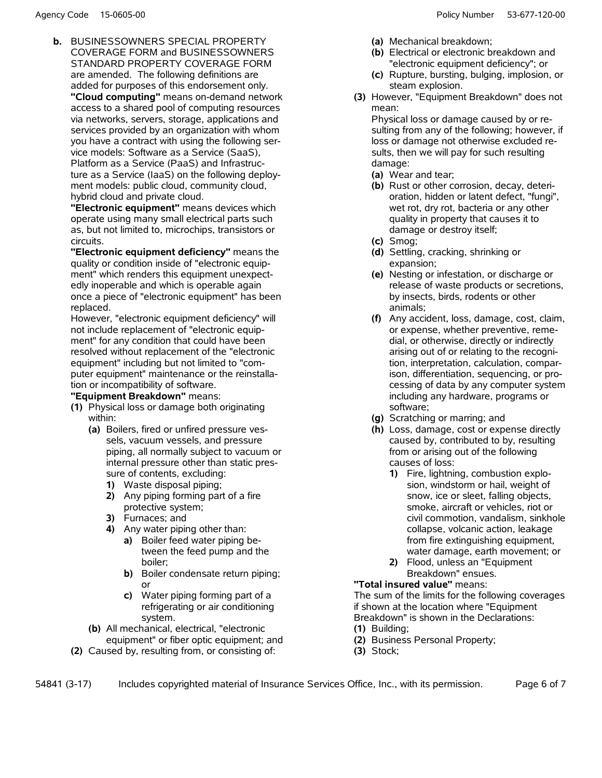**b.** BUSINESSOWNERS SPECIAL PROPERTY COVERAGE FORM and BUSINESSOWNERS STANDARD PROPERTY COVERAGE FORM are amended. The following definitions are added for purposes of this endorsement only. **"Cloud computing"** means on-demand network access to a shared pool of computing resources via networks, servers, storage, applications and services provided by an organization with whom you have a contract with using the following service models: Software as a Service (SaaS), Platform as a Service (PaaS) and Infrastructure as a Service (IaaS) on the following deployment models: public cloud, community cloud, hybrid cloud and private cloud.

**"Electronic equipment"** means devices which operate using many small electrical parts such as, but not limited to, microchips, transistors or circuits.

**"Electronic equipment deficiency"** means the quality or condition inside of "electronic equipment" which renders this equipment unexpectedly inoperable and which is operable again once a piece of "electronic equipment" has been replaced.

However, "electronic equipment deficiency" will not include replacement of "electronic equipment" for any condition that could have been resolved without replacement of the "electronic equipment" including but not limited to "computer equipment" maintenance or the reinstallation or incompatibility of software.

**"Equipment Breakdown"** means:

- **(1)** Physical loss or damage both originating within:
	- **(a)** Boilers, fired or unfired pressure vessels, vacuum vessels, and pressure piping, all normally subject to vacuum or internal pressure other than static pressure of contents, excluding:
		- **1)** Waste disposal piping;
		- **2)** Any piping forming part of a fire protective system;
		- **3)** Furnaces; and
		- **4)** Any water piping other than:
			- **a)** Boiler feed water piping between the feed pump and the boiler;
			- **b)** Boiler condensate return piping; or
			- **c)** Water piping forming part of a refrigerating or air conditioning system.
	- **(b)** All mechanical, electrical, "electronic equipment" or fiber optic equipment; and
- **(2)** Caused by, resulting from, or consisting of:
- **(a)** Mechanical breakdown;
- **(b)** Electrical or electronic breakdown and "electronic equipment deficiency"; or
- **(c)** Rupture, bursting, bulging, implosion, or steam explosion.
- **(3)** However, "Equipment Breakdown" does not mean:

Physical loss or damage caused by or resulting from any of the following; however, if loss or damage not otherwise excluded results, then we will pay for such resulting damage:

- **(a)** Wear and tear;
- **(b)** Rust or other corrosion, decay, deterioration, hidden or latent defect, "fungi", wet rot, dry rot, bacteria or any other quality in property that causes it to damage or destroy itself;
- **(c)** Smog;
- **(d)** Settling, cracking, shrinking or expansion;
- **(e)** Nesting or infestation, or discharge or release of waste products or secretions, by insects, birds, rodents or other animals;
- **(f)** Any accident, loss, damage, cost, claim, or expense, whether preventive, remedial, or otherwise, directly or indirectly arising out of or relating to the recognition, interpretation, calculation, comparison, differentiation, sequencing, or processing of data by any computer system including any hardware, programs or software;
- **(g)** Scratching or marring; and
- **(h)** Loss, damage, cost or expense directly caused by, contributed to by, resulting from or arising out of the following causes of loss:
	- **1)** Fire, lightning, combustion explosion, windstorm or hail, weight of snow, ice or sleet, falling objects, smoke, aircraft or vehicles, riot or civil commotion, vandalism, sinkhole collapse, volcanic action, leakage from fire extinguishing equipment, water damage, earth movement; or
	- **2)** Flood, unless an "Equipment Breakdown" ensues.

#### **"Total insured value"** means:

The sum of the limits for the following coverages if shown at the location where "Equipment Breakdown" is shown in the Declarations: **(1)** Building;

- **(2)** Business Personal Property;
- **(3)** Stock;

54841 (3-17) Includes copyrighted material of Insurance Services Office, Inc., with its permission. Page 6 of 7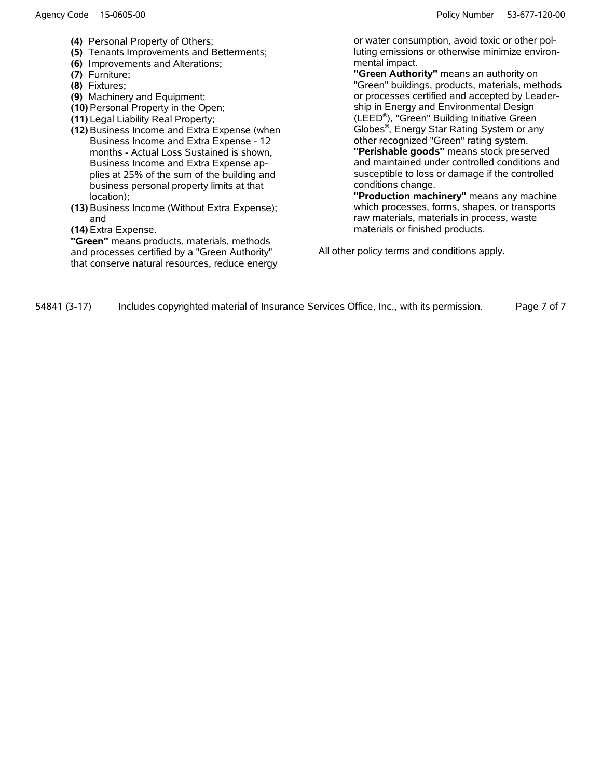- **(4)** Personal Property of Others;
- **(5)** Tenants Improvements and Betterments;
- **(6)** Improvements and Alterations;
- **(7)** Furniture;
- **(8)** Fixtures;
- **(9)** Machinery and Equipment;
- **(10)**Personal Property in the Open;
- **(11)** Legal Liability Real Property;
- **(12)**Business Income and Extra Expense (when Business Income and Extra Expense - 12 months - Actual Loss Sustained is shown, Business Income and Extra Expense applies at 25% of the sum of the building and business personal property limits at that location);
- **(13)**Business Income (Without Extra Expense); and

**(14)**Extra Expense.

**"Green"** means products, materials, methods and processes certified by a "Green Authority" that conserve natural resources, reduce energy or water consumption, avoid toxic or other polluting emissions or otherwise minimize environmental impact.

**"Green Authority"** means an authority on "Green" buildings, products, materials, methods or processes certified and accepted by Leadership in Energy and Environmental Design (LEED® ), "Green" Building Initiative Green Globes® , Energy Star Rating System or any other recognized "Green" rating system. **"Perishable goods"** means stock preserved and maintained under controlled conditions and susceptible to loss or damage if the controlled conditions change.

**"Production machinery"** means any machine which processes, forms, shapes, or transports raw materials, materials in process, waste materials or finished products.

All other policy terms and conditions apply.

| 54841 (3-17) | Includes copyrighted material of Insurance Services Office, Inc., with its permission. | Page 7 of 7 |
|--------------|----------------------------------------------------------------------------------------|-------------|
|              |                                                                                        |             |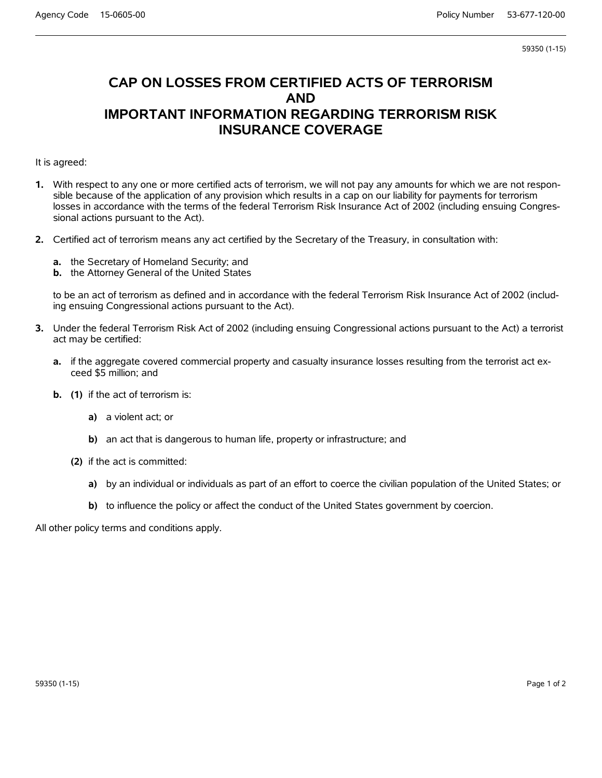59350 (1-15)

# **CAP ON LOSSES FROM CERTIFIED ACTS OF TERRORISM AND IMPORTANT INFORMATION REGARDING TERRORISM RISK INSURANCE COVERAGE**

It is agreed:

- **1.** With respect to any one or more certified acts of terrorism, we will not pay any amounts for which we are not responsible because of the application of any provision which results in a cap on our liability for payments for terrorism losses in accordance with the terms of the federal Terrorism Risk Insurance Act of 2002 (including ensuing Congressional actions pursuant to the Act).
- **2.** Certified act of terrorism means any act certified by the Secretary of the Treasury, in consultation with:
	- **a.** the Secretary of Homeland Security; and
	- **b.** the Attorney General of the United States

to be an act of terrorism as defined and in accordance with the federal Terrorism Risk Insurance Act of 2002 (including ensuing Congressional actions pursuant to the Act).

- **3.** Under the federal Terrorism Risk Act of 2002 (including ensuing Congressional actions pursuant to the Act) a terrorist act may be certified:
	- **a.** if the aggregate covered commercial property and casualty insurance losses resulting from the terrorist act exceed \$5 million; and
	- **b. (1)** if the act of terrorism is:
		- **a)** a violent act; or
		- **b)** an act that is dangerous to human life, property or infrastructure; and
		- **(2)** if the act is committed:
			- **a)** by an individual or individuals as part of an effort to coerce the civilian population of the United States; or
			- **b**) to influence the policy or affect the conduct of the United States government by coercion.

All other policy terms and conditions apply.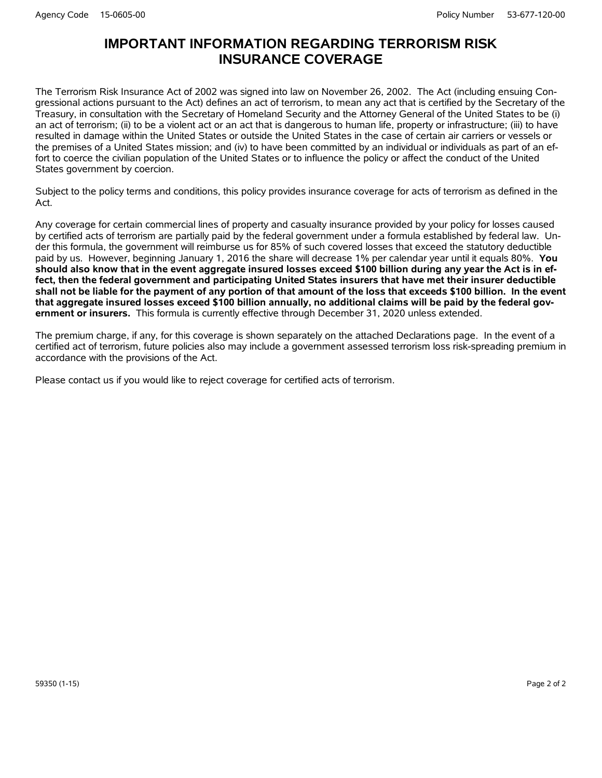## **IMPORTANT INFORMATION REGARDING TERRORISM RISK INSURANCE COVERAGE**

The Terrorism Risk Insurance Act of 2002 was signed into law on November 26, 2002. The Act (including ensuing Congressional actions pursuant to the Act) defines an act of terrorism, to mean any act that is certified by the Secretary of the Treasury, in consultation with the Secretary of Homeland Security and the Attorney General of the United States to be (i) an act of terrorism; (ii) to be a violent act or an act that is dangerous to human life, property or infrastructure; (iii) to have resulted in damage within the United States or outside the United States in the case of certain air carriers or vessels or the premises of a United States mission; and (iv) to have been committed by an individual or individuals as part of an effort to coerce the civilian population of the United States or to influence the policy or affect the conduct of the United States government by coercion.

Subject to the policy terms and conditions, this policy provides insurance coverage for acts of terrorism as defined in the Act.

Any coverage for certain commercial lines of property and casualty insurance provided by your policy for losses caused by certified acts of terrorism are partially paid by the federal government under a formula established by federal law. Under this formula, the government will reimburse us for 85% of such covered losses that exceed the statutory deductible paid by us. However, beginning January 1, 2016 the share will decrease 1% per calendar year until it equals 80%. **You should also know that in the event aggregate insured losses exceed \$100 billion during any year the Act is in effect, then the federal government and participating United States insurers that have met their insurer deductible shall not be liable for the payment of any portion of that amount of the loss that exceeds \$100 billion. In the event that aggregate insured losses exceed \$100 billion annually, no additional claims will be paid by the federal government or insurers.** This formula is currently effective through December 31, 2020 unless extended.

The premium charge, if any, for this coverage is shown separately on the attached Declarations page. In the event of a certified act of terrorism, future policies also may include a government assessed terrorism loss risk-spreading premium in accordance with the provisions of the Act.

Please contact us if you would like to reject coverage for certified acts of terrorism.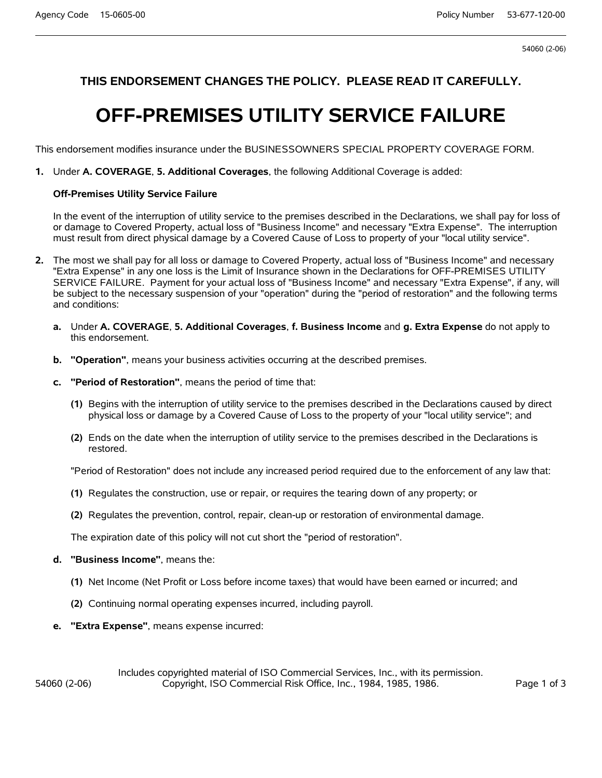# **OFF-PREMISES UTILITY SERVICE FAILURE**

This endorsement modifies insurance under the BUSINESSOWNERS SPECIAL PROPERTY COVERAGE FORM.

**1.** Under **A. COVERAGE**, **5. Additional Coverages**, the following Additional Coverage is added:

### **Off-Premises Utility Service Failure**

In the event of the interruption of utility service to the premises described in the Declarations, we shall pay for loss of or damage to Covered Property, actual loss of "Business Income" and necessary "Extra Expense". The interruption must result from direct physical damage by a Covered Cause of Loss to property of your "local utility service".

- **2.** The most we shall pay for all loss or damage to Covered Property, actual loss of "Business Income" and necessary "Extra Expense" in any one loss is the Limit of Insurance shown in the Declarations for OFF-PREMISES UTILITY SERVICE FAILURE. Payment for your actual loss of "Business Income" and necessary "Extra Expense", if any, will be subject to the necessary suspension of your "operation" during the "period of restoration" and the following terms and conditions:
	- **a.** Under **A. COVERAGE**, **5. Additional Coverages**, **f. Business Income** and **g. Extra Expense** do not apply to this endorsement.
	- **b. "Operation"**, means your business activities occurring at the described premises.
	- **c. "Period of Restoration"**, means the period of time that:
		- **(1)** Begins with the interruption of utility service to the premises described in the Declarations caused by direct physical loss or damage by a Covered Cause of Loss to the property of your "local utility service"; and
		- **(2)** Ends on the date when the interruption of utility service to the premises described in the Declarations is restored.

"Period of Restoration" does not include any increased period required due to the enforcement of any law that:

- **(1)** Regulates the construction, use or repair, or requires the tearing down of any property; or
- **(2)** Regulates the prevention, control, repair, clean-up or restoration of environmental damage.

The expiration date of this policy will not cut short the "period of restoration".

- **d. "Business Income"**, means the:
	- **(1)** Net Income (Net Profit or Loss before income taxes) that would have been earned or incurred; and
	- **(2)** Continuing normal operating expenses incurred, including payroll.
- **e. "Extra Expense"**, means expense incurred:

Includes copyrighted material of ISO Commercial Services, Inc., with its permission. 54060 (2-06) Copyright, ISO Commercial Risk Office, Inc., 1984, 1985, 1986. Page 1 of 3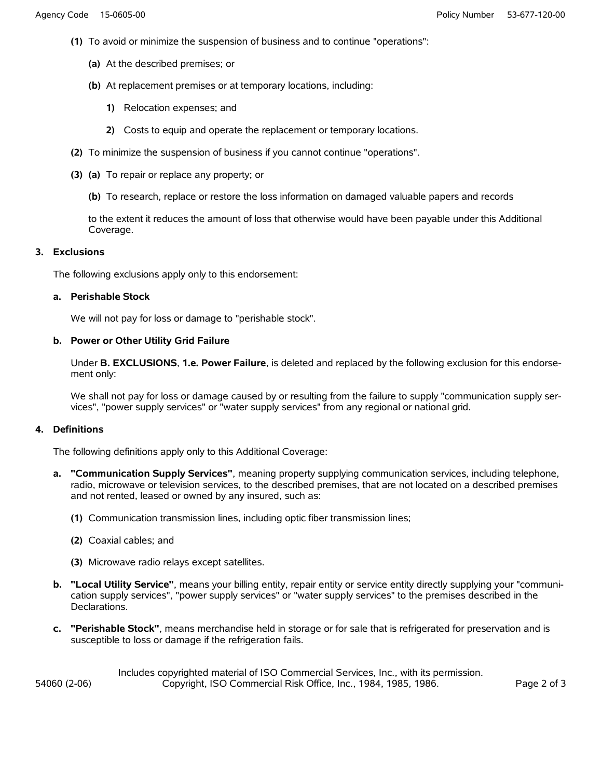- **(1)** To avoid or minimize the suspension of business and to continue "operations":
	- **(a)** At the described premises; or
	- **(b)** At replacement premises or at temporary locations, including:
		- **1)** Relocation expenses; and
		- **2)** Costs to equip and operate the replacement or temporary locations.
- **(2)** To minimize the suspension of business if you cannot continue "operations".
- **(3) (a)** To repair or replace any property; or
	- **(b)** To research, replace or restore the loss information on damaged valuable papers and records

to the extent it reduces the amount of loss that otherwise would have been payable under this Additional Coverage.

#### **3. Exclusions**

The following exclusions apply only to this endorsement:

#### **a. Perishable Stock**

We will not pay for loss or damage to "perishable stock".

#### **b. Power or Other Utility Grid Failure**

Under **B. EXCLUSIONS**, **1.e. Power Failure**, is deleted and replaced by the following exclusion for this endorsement only:

We shall not pay for loss or damage caused by or resulting from the failure to supply "communication supply services", "power supply services" or "water supply services" from any regional or national grid.

#### **4. Definitions**

The following definitions apply only to this Additional Coverage:

- **a. "Communication Supply Services"**, meaning property supplying communication services, including telephone, radio, microwave or television services, to the described premises, that are not located on a described premises and not rented, leased or owned by any insured, such as:
	- **(1)** Communication transmission lines, including optic fiber transmission lines;
	- **(2)** Coaxial cables; and
	- **(3)** Microwave radio relays except satellites.
- **b. "Local Utility Service"**, means your billing entity, repair entity or service entity directly supplying your "communication supply services", "power supply services" or "water supply services" to the premises described in the Declarations.
- **c. "Perishable Stock"**, means merchandise held in storage or for sale that is refrigerated for preservation and is susceptible to loss or damage if the refrigeration fails.

Includes copyrighted material of ISO Commercial Services, Inc., with its permission. 54060 (2-06) Copyright, ISO Commercial Risk Office, Inc., 1984, 1985, 1986. Page 2 of 3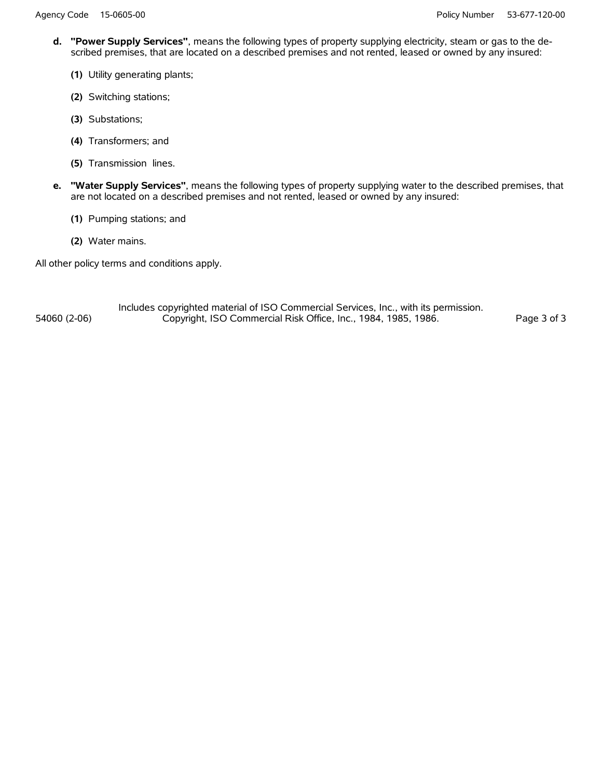- **d. "Power Supply Services"**, means the following types of property supplying electricity, steam or gas to the described premises, that are located on a described premises and not rented, leased or owned by any insured:
	- **(1)** Utility generating plants;
	- **(2)** Switching stations;
	- **(3)** Substations;
	- **(4)** Transformers; and
	- **(5)** Transmission lines.
- **e. "Water Supply Services"**, means the following types of property supplying water to the described premises, that are not located on a described premises and not rented, leased or owned by any insured:
	- **(1)** Pumping stations; and
	- **(2)** Water mains.

All other policy terms and conditions apply.

Includes copyrighted material of ISO Commercial Services, Inc., with its permission. 54060 (2-06) Copyright, ISO Commercial Risk Office, Inc., 1984, 1985, 1986. Page 3 of 3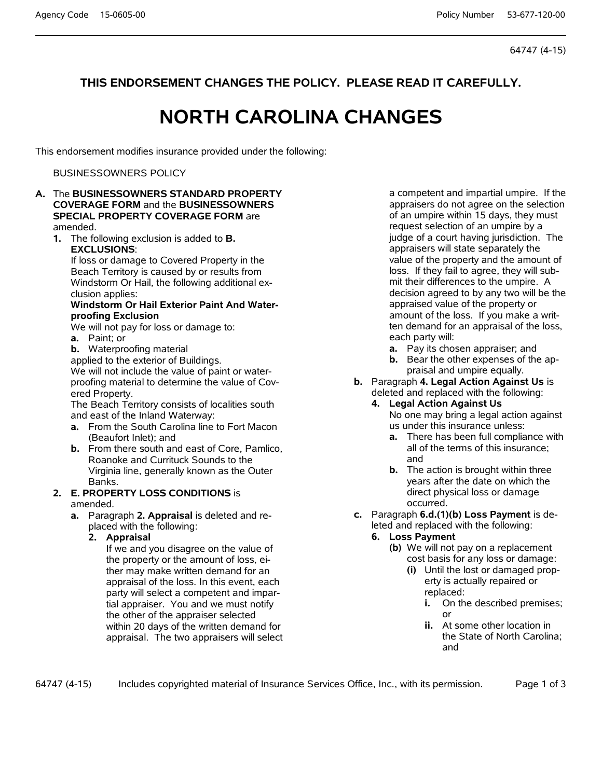64747 (4-15)

# **THIS ENDORSEMENT CHANGES THE POLICY. PLEASE READ IT CAREFULLY.**

# **NORTH CAROLINA CHANGES**

This endorsement modifies insurance provided under the following:

### BUSINESSOWNERS POLICY

- **A.** The **BUSINESSOWNERS STANDARD PROPERTY COVERAGE FORM** and the **BUSINESSOWNERS SPECIAL PROPERTY COVERAGE FORM** are amended.
	- **1.** The following exclusion is added to **B. EXCLUSIONS**:

If loss or damage to Covered Property in the Beach Territory is caused by or results from Windstorm Or Hail, the following additional exclusion applies:

#### **Windstorm Or Hail Exterior Paint And Waterproofing Exclusion**

We will not pay for loss or damage to:

**a.** Paint; or

**b.** Waterproofing material

applied to the exterior of Buildings. We will not include the value of paint or waterproofing material to determine the value of Covered Property.

The Beach Territory consists of localities south and east of the Inland Waterway:

- **a.** From the South Carolina line to Fort Macon (Beaufort Inlet); and
- **b.** From there south and east of Core, Pamlico, Roanoke and Currituck Sounds to the Virginia line, generally known as the Outer Banks.

#### **2. E. PROPERTY LOSS CONDITIONS** is amended.

**a.** Paragraph **2. Appraisal** is deleted and replaced with the following:

## **2. Appraisal**

If we and you disagree on the value of the property or the amount of loss, either may make written demand for an appraisal of the loss. In this event, each party will select a competent and impartial appraiser. You and we must notify the other of the appraiser selected within 20 days of the written demand for appraisal. The two appraisers will select

a competent and impartial umpire. If the appraisers do not agree on the selection of an umpire within 15 days, they must request selection of an umpire by a judge of a court having jurisdiction. The appraisers will state separately the value of the property and the amount of loss. If they fail to agree, they will submit their differences to the umpire. A decision agreed to by any two will be the appraised value of the property or amount of the loss. If you make a written demand for an appraisal of the loss, each party will:

- **a.** Pay its chosen appraiser; and
- **b.** Bear the other expenses of the appraisal and umpire equally.
- **b.** Paragraph **4. Legal Action Against Us** is deleted and replaced with the following:
	- **4. Legal Action Against Us** No one may bring a legal action against us under this insurance unless:
		- **a.** There has been full compliance with all of the terms of this insurance; and
		- **b.** The action is brought within three years after the date on which the direct physical loss or damage occurred.
- **c.** Paragraph **6.d.(1)(b) Loss Payment** is deleted and replaced with the following:

## **6. Loss Payment**

- **(b)** We will not pay on a replacement cost basis for any loss or damage:
	- **(i)** Until the lost or damaged property is actually repaired or replaced:
		- **i.** On the described premises; or
		- **ii.** At some other location in the State of North Carolina; and

64747 (4-15) Includes copyrighted material of Insurance Services Office, Inc., with its permission. Page 1 of 3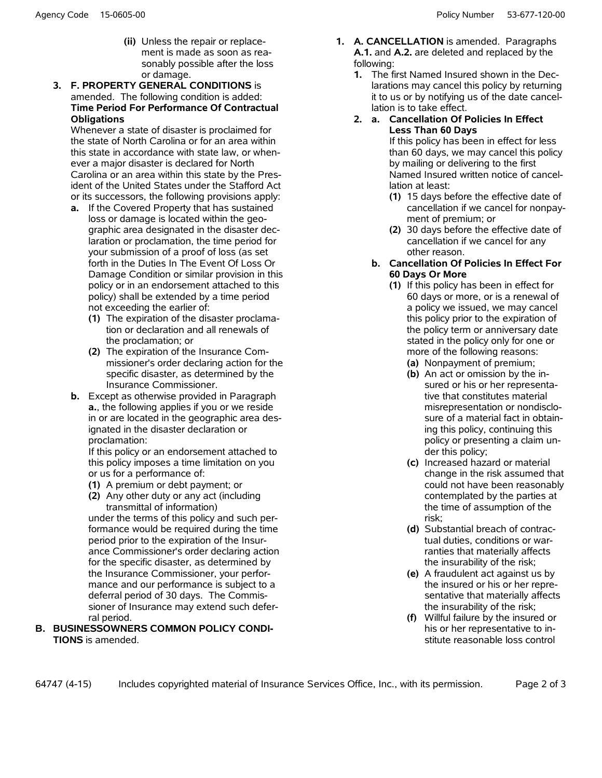- **(ii)** Unless the repair or replacement is made as soon as reasonably possible after the loss or damage.
- **3. F. PROPERTY GENERAL CONDITIONS** is amended. The following condition is added: **Time Period For Performance Of Contractual Obligations**

Whenever a state of disaster is proclaimed for the state of North Carolina or for an area within this state in accordance with state law, or whenever a major disaster is declared for North Carolina or an area within this state by the President of the United States under the Stafford Act or its successors, the following provisions apply:

- **a.** If the Covered Property that has sustained loss or damage is located within the geographic area designated in the disaster declaration or proclamation, the time period for your submission of a proof of loss (as set forth in the Duties In The Event Of Loss Or Damage Condition or similar provision in this policy or in an endorsement attached to this policy) shall be extended by a time period not exceeding the earlier of:
	- **(1)** The expiration of the disaster proclamation or declaration and all renewals of the proclamation; or
	- **(2)** The expiration of the Insurance Commissioner's order declaring action for the specific disaster, as determined by the Insurance Commissioner.
- **b.** Except as otherwise provided in Paragraph **a.**, the following applies if you or we reside in or are located in the geographic area designated in the disaster declaration or proclamation:

If this policy or an endorsement attached to this policy imposes a time limitation on you or us for a performance of:

- **(1)** A premium or debt payment; or
- **(2)** Any other duty or any act (including transmittal of information)

under the terms of this policy and such performance would be required during the time period prior to the expiration of the Insurance Commissioner's order declaring action for the specific disaster, as determined by the Insurance Commissioner, your performance and our performance is subject to a deferral period of 30 days. The Commissioner of Insurance may extend such deferral period.

**B. BUSINESSOWNERS COMMON POLICY CONDI-TIONS** is amended.

- **1. A. CANCELLATION** is amended. Paragraphs **A.1.** and **A.2.** are deleted and replaced by the following:
	- **1.** The first Named Insured shown in the Declarations may cancel this policy by returning it to us or by notifying us of the date cancellation is to take effect.
	- **2. a. Cancellation Of Policies In Effect Less Than 60 Days** If this policy has been in effect for less than 60 days, we may cancel this policy by mailing or delivering to the first Named Insured written notice of cancel-

lation at least: **(1)** 15 days before the effective date of cancellation if we cancel for nonpayment of premium; or

- **(2)** 30 days before the effective date of cancellation if we cancel for any other reason.
- **b. Cancellation Of Policies In Effect For 60 Days Or More**
	- **(1)** If this policy has been in effect for 60 days or more, or is a renewal of a policy we issued, we may cancel this policy prior to the expiration of the policy term or anniversary date stated in the policy only for one or more of the following reasons:

**(a)** Nonpayment of premium;

- **(b)** An act or omission by the insured or his or her representative that constitutes material misrepresentation or nondisclosure of a material fact in obtaining this policy, continuing this policy or presenting a claim under this policy;
- **(c)** Increased hazard or material change in the risk assumed that could not have been reasonably contemplated by the parties at the time of assumption of the risk;
- **(d)** Substantial breach of contractual duties, conditions or warranties that materially affects the insurability of the risk;
- **(e)** A fraudulent act against us by the insured or his or her representative that materially affects the insurability of the risk;
- **(f)** Willful failure by the insured or his or her representative to institute reasonable loss control

64747 (4-15) Includes copyrighted material of Insurance Services Office, Inc., with its permission. Page 2 of 3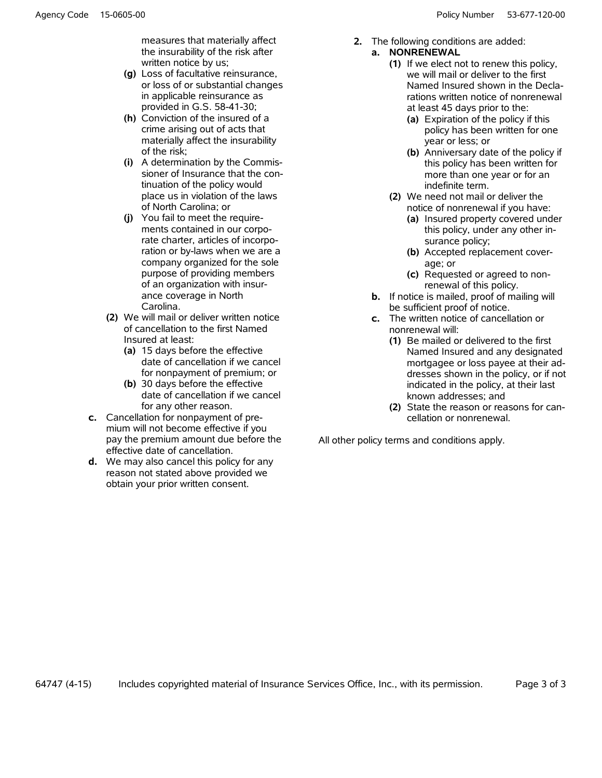measures that materially affect the insurability of the risk after written notice by us;

- **(g)** Loss of facultative reinsurance, or loss of or substantial changes in applicable reinsurance as provided in G.S. 58-41-30;
- **(h)** Conviction of the insured of a crime arising out of acts that materially affect the insurability of the risk;
- **(i)** A determination by the Commissioner of Insurance that the continuation of the policy would place us in violation of the laws of North Carolina; or
- **(j)** You fail to meet the requirements contained in our corporate charter, articles of incorporation or by-laws when we are a company organized for the sole purpose of providing members of an organization with insurance coverage in North Carolina.
- **(2)** We will mail or deliver written notice of cancellation to the first Named Insured at least:
	- **(a)** 15 days before the effective date of cancellation if we cancel for nonpayment of premium; or
	- **(b)** 30 days before the effective date of cancellation if we cancel for any other reason.
- **c.** Cancellation for nonpayment of premium will not become effective if you pay the premium amount due before the effective date of cancellation.
- **d.** We may also cancel this policy for any reason not stated above provided we obtain your prior written consent.
- **2.** The following conditions are added:
	- **a. NONRENEWAL**
		- **(1)** If we elect not to renew this policy, we will mail or deliver to the first Named Insured shown in the Declarations written notice of nonrenewal at least 45 days prior to the:
			- **(a)** Expiration of the policy if this policy has been written for one year or less; or
			- **(b)** Anniversary date of the policy if this policy has been written for more than one year or for an indefinite term.
		- **(2)** We need not mail or deliver the notice of nonrenewal if you have:
			- **(a)** Insured property covered under this policy, under any other insurance policy;
			- **(b)** Accepted replacement coverage; or
			- **(c)** Requested or agreed to nonrenewal of this policy.
	- **b.** If notice is mailed, proof of mailing will be sufficient proof of notice.
	- **c.** The written notice of cancellation or nonrenewal will:
		- **(1)** Be mailed or delivered to the first Named Insured and any designated mortgagee or loss payee at their addresses shown in the policy, or if not indicated in the policy, at their last known addresses; and
		- **(2)** State the reason or reasons for cancellation or nonrenewal.

All other policy terms and conditions apply.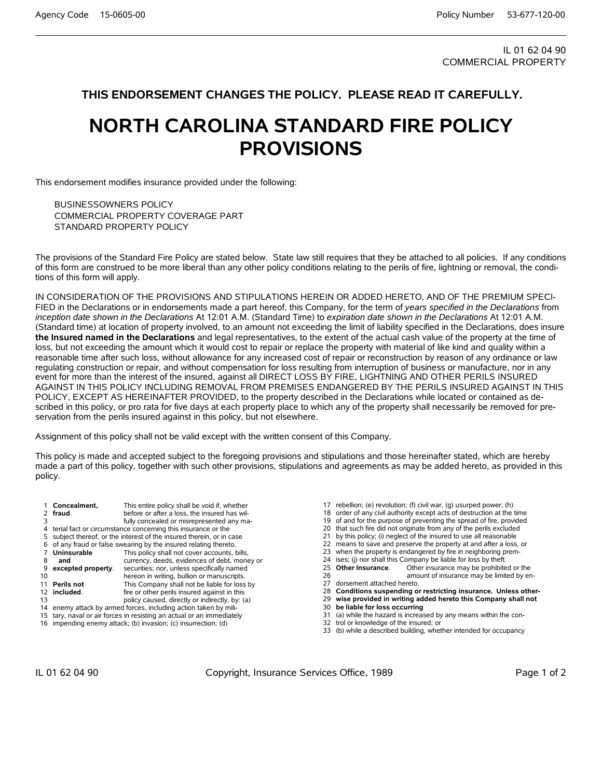# **NORTH CAROLINA STANDARD FIRE POLICY PROVISIONS**

This endorsement modifies insurance provided under the following:

BUSINESSOWNERS POLICY COMMERCIAL PROPERTY COVERAGE PART STANDARD PROPERTY POLICY

The provisions of the Standard Fire Policy are stated below. State law still requires that they be attached to all policies. If any conditions of this form are construed to be more liberal than any other policy conditions relating to the perils of fire, lightning or removal, the conditions of this form will apply.

IN CONSIDERATION OF THE PROVISIONS AND STIPULATIONS HEREIN OR ADDED HERETO, AND OF THE PREMIUM SPECI-FIED in the Declarations or in endorsements made a part hereof, this Company, for the term of *years specified in the Declarations* from *inception date shown in the Declarations* At 12:01 A.M. (Standard Time) to *expiration date shown in the Declarations* At 12:01 A.M. (Standard time) at location of property involved, to an amount not exceeding the limit of liability specified in the Declarations, does insure **the Insured named in the Declarations** and legal representatives, to the extent of the actual cash value of the property at the time of loss, but not exceeding the amount which it would cost to repair or replace the property with material of like kind and quality within a reasonable time after such loss, without allowance for any increased cost of repair or reconstruction by reason of any ordinance or law regulating construction or repair, and without compensation for loss resulting from interruption of business or manufacture, nor in any event for more than the interest of the insured, against all DIRECT LOSS BY FIRE, LIGHTNING AND OTHER PERILS INSURED AGAINST IN THIS POLICY INCLUDING REMOVAL FROM PREMISES ENDANGERED BY THE PERILS INSURED AGAINST IN THIS POLICY, EXCEPT AS HEREINAFTER PROVIDED, to the property described in the Declarations while located or contained as described in this policy, or pro rata for five days at each property place to which any of the property shall necessarily be removed for preservation from the perils insured against in this policy, but not elsewhere.

Assignment of this policy shall not be valid except with the written consent of this Company.

This policy is made and accepted subject to the foregoing provisions and stipulations and those hereinafter stated, which are hereby made a part of this policy, together with such other provisions, stipulations and agreements as may be added hereto, as provided in this policy.

|    | 1 Concealment.                                                        | This entire policy shall be void if, whether                    |  |
|----|-----------------------------------------------------------------------|-----------------------------------------------------------------|--|
| 2  | fraud.                                                                | before or after a loss, the insured has wil-                    |  |
| З  |                                                                       | fully concealed or misrepresented any ma-                       |  |
|    | terial fact or circumstance concerning this insurance or the          |                                                                 |  |
|    | 5 subject thereof, or the interest of the insured therein, or in case |                                                                 |  |
| 6  | of any fraud or false swearing by the insured relating thereto.       |                                                                 |  |
|    | Uninsurable                                                           | This policy shall not cover accounts, bills,                    |  |
| 8  | and                                                                   | currency, deeds, evidences of debt, money or                    |  |
| 9  | excepted property.                                                    | securities; nor, unless specifically named                      |  |
| 10 |                                                                       | hereon in writing, bullion or manuscripts.                      |  |
| 11 | Perils not                                                            | This Company shall not be liable for loss by                    |  |
|    | 12 included.                                                          | fire or other perils insured against in this                    |  |
| 13 |                                                                       | policy caused, directly or indirectly, by: (a)                  |  |
|    |                                                                       | 14 enemy attack by armed forces including action taken by mili- |  |

14 enemy attack by armed forces, including action taken by mili-

15 tary, naval or air forces in resisting an actual or an immediately

16 impending enemy attack; (b) invasion; (c) insurrection; (d)

- 17 rebellion; (e) revolution; (f) civil war, (g) usurped power; (h)
- 18 order of any civil authority except acts of destruction at the time
- 19 of and for the purpose of preventing the spread of fire, provided
- 20 that such fire did not originate from any of the perils excluded
- 21 by this policy; (i) neglect of the insured to use all reasonable
- 22 means to save and preserve the property at and after a loss, or
- 23 when the property is endangered by fire in neighboring prem-
- 24 ises; (j) nor shall this Company be liable for loss by theft.
- 25 **Other Insurance**. Other insurance may be prohibited or the 26<br>26 **amount of insurance may be limited by enable** amount of insurance may be limited by en-
- 27 dorsement attached hereto.
- 28 **Conditions suspending or restricting insurance. Unless other-**
- 29 **wise provided in writing added hereto this Company shall not**
- 30 **be liable for loss occurring**
- 31 (a) while the hazard is increased by any means within the con-
- 32 trol or knowledge of the insured; or
- 33 (b) while a described building, whether intended for occupancy

IL 01 62 04 90 Copyright, Insurance Services Office, 1989 Content of 2